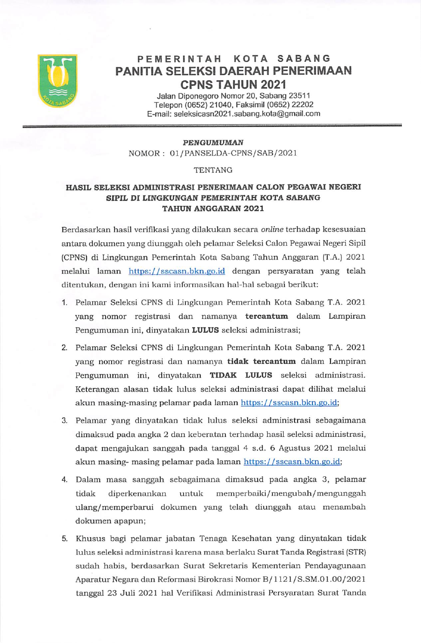

### PEMERINTAH KOTA SABANG PANITIA SELEKSI DAERAH PENERIMAAN **CPNS TAHUN 2021**

Jalan Diponegoro Nomor 20, Sabang 23511 Telepon (0652) 21040, Faksimil (0652) 22202 E-mail: seleksicasn2021.sabang.kota@gmail.com

#### **PENGUMUMAN**

NOMOR: 01/PANSELDA-CPNS/SAB/2021

#### **TENTANG**

## HASIL SELEKSI ADMINISTRASI PENERIMAAN CALON PEGAWAI NEGERI SIPIL DI LINGKUNGAN PEMERINTAH KOTA SABANG **TAHUN ANGGARAN 2021**

Berdasarkan hasil verifikasi yang dilakukan secara online terhadap kesesuaian antara dokumen yang diunggah oleh pelamar Seleksi Calon Pegawai Negeri Sipil (CPNS) di Lingkungan Pemerintah Kota Sabang Tahun Anggaran (T.A.) 2021 melalui laman https://sscasn.bkn.go.id dengan persyaratan yang telah ditentukan, dengan ini kami informasikan hal-hal sebagai berikut:

- 1. Pelamar Seleksi CPNS di Lingkungan Pemerintah Kota Sabang T.A. 2021 yang nomor registrasi dan namanya tercantum dalam Lampiran Pengumuman ini, dinyatakan LULUS seleksi administrasi;
- 2. Pelamar Seleksi CPNS di Lingkungan Pemerintah Kota Sabang T.A. 2021 yang nomor registrasi dan namanya tidak tercantum dalam Lampiran Pengumuman ini, dinyatakan TIDAK LULUS seleksi administrasi. Keterangan alasan tidak lulus seleksi administrasi dapat dilihat melalui akun masing-masing pelamar pada laman https://sscasn.bkn.go.id;
- 3. Pelamar yang dinyatakan tidak lulus seleksi administrasi sebagaimana dimaksud pada angka 2 dan keberatan terhadap hasil seleksi administrasi, dapat mengajukan sanggah pada tanggal 4 s.d. 6 Agustus 2021 melalui akun masing- masing pelamar pada laman https://sscasn.bkn.go.id;
- 4. Dalam masa sanggah sebagaimana dimaksud pada angka 3, pelamar tidak diperkenankan untuk memperbaiki/mengubah/mengunggah ulang/memperbarui dokumen yang telah diunggah atau menambah dokumen apapun;
- 5. Khusus bagi pelamar jabatan Tenaga Kesehatan yang dinyatakan tidak lulus seleksi administrasi karena masa berlaku Surat Tanda Registrasi (STR) sudah habis, berdasarkan Surat Sekretaris Kementerian Pendayagunaan Aparatur Negara dan Reformasi Birokrasi Nomor B/1121/S.SM.01.00/2021 tanggal 23 Juli 2021 hal Verifikasi Administrasi Persyaratan Surat Tanda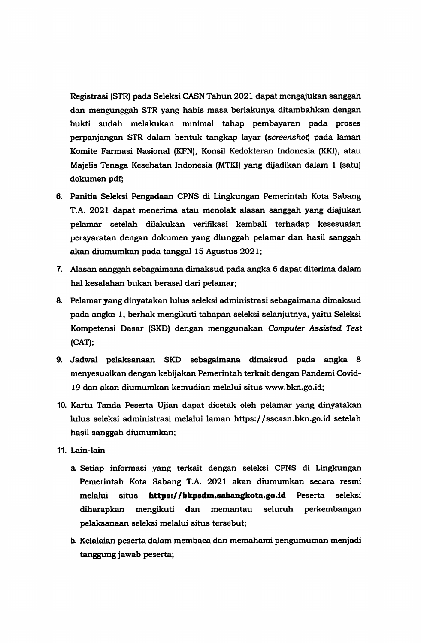Registrasi (STR) pada Seleksi CASN Tahun 2021 dapat mengajukan sanggah dan mengunggah STR yang habis masa berlakunya ditambahkan dengan bukti sudah melakukan minimal tahap pembayaran pada proses perpanjangan STR dalam bentuk tangkap layar (screenshot) pada laman Komite Farmasi Nasional (KFN), Konsil Kedokteran Indonesia (KKI), atau Majelis Tenaga Kesehatan Indonesia (MTKI) yang dijadikan dalam 1 (satu) dokumen pdf;

- 6. Panitia Seleksi Pengadaan CPNS di Lingkungan Pemerintah Kota Sabang T.A. 2021 dapat menerima atau menolak alasan sanggah yang diajukan pelamar setelah dilakukan verifikasi kembali terhadap kesesuaian persyaratan dengan dokumen yang diunggah pelamar dan hasil sanggah akan diumumkan pada tanggal 15 Agustus 2021;
- 7. Alasan sanggah sebagaimana dimaksud pada angka 6 dapat diterima dalam hal kesalahan bukan berasal dari pelamar;
- 8. Pelamar yang dinyatakan lulus seleksi administrasi sebagaimana dimaksud pada angka 1, berhak mengikuti tahapan seleksi selanjutnya, yaitu Seleksi Kompetensi Dasar (SKD) dengan menggunakan Computer Assisted Test  $(CAT);$
- 9. Jadwal pelaksanaan SKD sebagaimana dimaksud pada angka 8 menyesuaikan dengan kebijakan Pemerintah terkait dengan Pandemi Covid-19 dan akan diumumkan kemudian melalui situs www.bkn.go.id;
- 10. Kartu Tanda Peserta Ujian dapat dicetak oleh pelamar yang dinyatakan lulus seleksi administrasi melalui laman https://sscasn.bkn.go.id setelah hasil sanggah diumumkan;
- 11. Lain-lain
	- a Setiap informasi yang terkait dengan seleksi CPNS di Lingkungan Pemerintah Kota Sabang T.A. 2021 akan diumumkan secara resmi https://bkpsdm.sabangkota.go.id Peserta melalui situs seleksi diharapkan mengikuti dan memantau seluruh perkembangan pelaksanaan seleksi melalui situs tersebut;
	- b. Kelalaian peserta dalam membaca dan memahami pengumuman menjadi tanggung jawab peserta;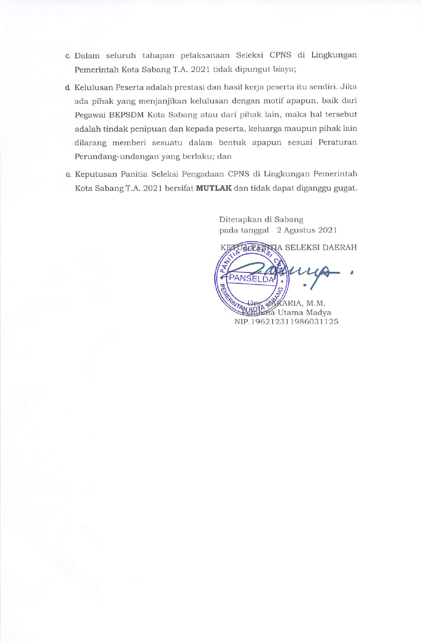- c Dalam seluruh tahapan pelaksanaan Seleksi CPNS di Lingkungan Pemerintah Kota Sabang T.A. 2021 tidak dipungut biaya;
- d. Kelulusan Peserta adalah prestasi dan hasil kerja peserta itu sendiri. Jika ada pihak yang menjanjikan kelulusan dengan motif apapun, baik dari Pegawai BKPSDM Kota Sabang atau dari pihak lain, maka hal tersebut adalah tindak penipuan dan kepada peserta, keluarga maupun pihak lain dilarang memberi sesuatu dalam bentuk apapun sesuai Peraturan Perundang-undangan yang berlaku; dan
- e. Keputusan Panitia Seleksi Pengadaan CPNS di Lingkungan Pemerintah Kota Sabang T.A. 2021 bersifat MUTLAK dan tidak dapat diganggu gugat.

Ditetapkan di Sabang pada tanggal 2 Agustus 2021

KEZ GELANKIA SELEKSI DAERAH **PANSELDA** KARIA, M.M. **Chima** Utama Madya NIP.196212311986031125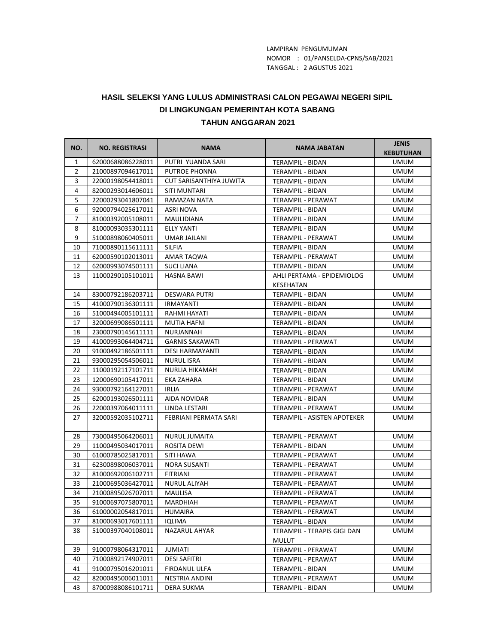LAMPIRAN PENGUMUMAN TANGGAL : 2 AGUSTUS 2021 NOMOR : 01/PANSELDA-CPNS/SAB/2021

# **HASIL SELEKSI YANG LULUS ADMINISTRASI CALON PEGAWAI NEGERI SIPIL TAHUN ANGGARAN 2021 DI LINGKUNGAN PEMERINTAH KOTA SABANG**

| NO.            | <b>NO. REGISTRASI</b> | <b>NAMA</b>             | <b>NAMA JABATAN</b>         | <b>JENIS</b><br><b>KEBUTUHAN</b> |
|----------------|-----------------------|-------------------------|-----------------------------|----------------------------------|
| $\mathbf{1}$   | 62000688086228011     | PUTRI YUANDA SARI       | <b>TERAMPIL - BIDAN</b>     | <b>UMUM</b>                      |
| $\overline{2}$ | 21000897094617011     | <b>PUTROE PHONNA</b>    | TERAMPIL - BIDAN            | <b>UMUM</b>                      |
| 3              | 22000198054418011     | CUT SARISANTHIYA JUWITA | TERAMPIL - BIDAN            | <b>UMUM</b>                      |
| 4              | 82000293014606011     | SITI MUNTARI            | <b>TERAMPIL - BIDAN</b>     | <b>UMUM</b>                      |
| 5              | 22000293041807041     | RAMAZAN NATA            | TERAMPIL - PERAWAT          | <b>UMUM</b>                      |
| 6              | 92000794025617011     | <b>ASRI NOVA</b>        | TERAMPIL - BIDAN            | <b>UMUM</b>                      |
| $\overline{7}$ | 81000392005108011     | MAULIDIANA              | TERAMPIL - BIDAN            | <b>UMUM</b>                      |
| 8              | 81000093035301111     | <b>ELLY YANTI</b>       | <b>TERAMPIL - BIDAN</b>     | <b>UMUM</b>                      |
| 9              | 51000898060405011     | <b>UMAR JAILANI</b>     | <b>TERAMPIL - PERAWAT</b>   | <b>UMUM</b>                      |
| 10             | 71000890115611111     | <b>SILFIA</b>           | TERAMPIL - BIDAN            | <b>UMUM</b>                      |
| 11             | 62000590102013011     | AMAR TAQWA              | TERAMPIL - PERAWAT          | <b>UMUM</b>                      |
| 12             | 62000993074501111     | <b>SUCI LIANA</b>       | TERAMPIL - BIDAN            | UMUM                             |
| 13             | 11000290105101011     | <b>HASNA BAWI</b>       | AHLI PERTAMA - EPIDEMIOLOG  | <b>UMUM</b>                      |
|                |                       |                         | KESEHATAN                   |                                  |
| 14             | 83000792186203711     | <b>DESWARA PUTRI</b>    | TERAMPIL - BIDAN            | <b>UMUM</b>                      |
| 15             | 41000790136301111     | <b>IRMAYANTI</b>        | TERAMPIL - BIDAN            | <b>UMUM</b>                      |
| 16             | 51000494005101111     | RAHMI HAYATI            | TERAMPIL - BIDAN            | <b>UMUM</b>                      |
| 17             | 32000699086501111     | <b>MUTIA HAFNI</b>      | TERAMPIL - BIDAN            | <b>UMUM</b>                      |
| 18             | 23000790145611111     | NURJANNAH               | TERAMPIL - BIDAN            | <b>UMUM</b>                      |
| 19             | 41000993064404711     | <b>GARNIS SAKAWATI</b>  | TERAMPIL - PERAWAT          | <b>UMUM</b>                      |
| 20             | 91000492186501111     | <b>DESI HARMAYANTI</b>  | TERAMPIL - BIDAN            | <b>UMUM</b>                      |
| 21             | 93000295054506011     | <b>NURUL ISRA</b>       | TERAMPIL - BIDAN            | <b>UMUM</b>                      |
| 22             | 11000192117101711     | NURLIA HIKAMAH          | TERAMPIL - BIDAN            | <b>UMUM</b>                      |
| 23             | 12000690105417011     | EKA ZAHARA              | TERAMPIL - BIDAN            | <b>UMUM</b>                      |
| 24             | 93000792164127011     | <b>IRLIA</b>            | TERAMPIL - PERAWAT          | <b>UMUM</b>                      |
| 25             | 62000193026501111     | AIDA NOVIDAR            | TERAMPIL - BIDAN            | <b>UMUM</b>                      |
| 26             | 22000397064011111     | LINDA LESTARI           | TERAMPIL - PERAWAT          | <b>UMUM</b>                      |
| 27             | 32000592035102711     | FEBRIANI PERMATA SARI   | TERAMPIL - ASISTEN APOTEKER | <b>UMUM</b>                      |
| 28             | 73000495064206011     | NURUL JUMAITA           | TERAMPIL - PERAWAT          | <b>UMUM</b>                      |
| 29             | 11000495034017011     | ROSITA DEWI             | TERAMPIL - BIDAN            | <b>UMUM</b>                      |
| 30             | 61000785025817011     | SITI HAWA               | TERAMPIL - PERAWAT          | <b>UMUM</b>                      |
| 31             | 62300898006037011     | <b>NORA SUSANTI</b>     | TERAMPIL - PERAWAT          | <b>UMUM</b>                      |
| 32             | 81000692006102711     | FITRIANI                | <b>TERAMPIL - PERAWAT</b>   | <b>UMUM</b>                      |
| 33             | 21000695036427011     | <b>NURUL ALIYAH</b>     | TERAMPIL - PERAWAT          | <b>UMUM</b>                      |
| 34             | 21000895026707011     | MAULISA                 | TERAMPIL - PERAWAT          | <b>UMUM</b>                      |
| 35             | 91000697075807011     | MARDHIAH                | TERAMPIL - PERAWAT          | <b>UMUM</b>                      |
| 36             | 61000002054817011     | HUMAIRA                 | TERAMPIL - PERAWAT          | UMUM                             |
| 37             | 81000693017601111     | IQLIMA                  | TERAMPIL - BIDAN            | <b>UMUM</b>                      |
| 38             | 51000397040108011     | NAZARUL AHYAR           | TERAMPIL - TERAPIS GIGI DAN | <b>UMUM</b>                      |
|                |                       |                         | MULUT                       |                                  |
| 39             | 91000798064317011     | <b>JUMIATI</b>          | TERAMPIL - PERAWAT          | <b>UMUM</b>                      |
| 40             | 71000892174907011     | <b>DESI SAFITRI</b>     | TERAMPIL - PERAWAT          | <b>UMUM</b>                      |
| 41             | 91000795016201011     | FIRDANUL ULFA           | TERAMPIL - BIDAN            | UMUM                             |
| 42             | 82000495006011011     | NESTRIA ANDINI          | TERAMPIL - PERAWAT          | UMUM                             |
| 43             | 87000988086101711     | DERA SUKMA              | TERAMPIL - BIDAN            | <b>UMUM</b>                      |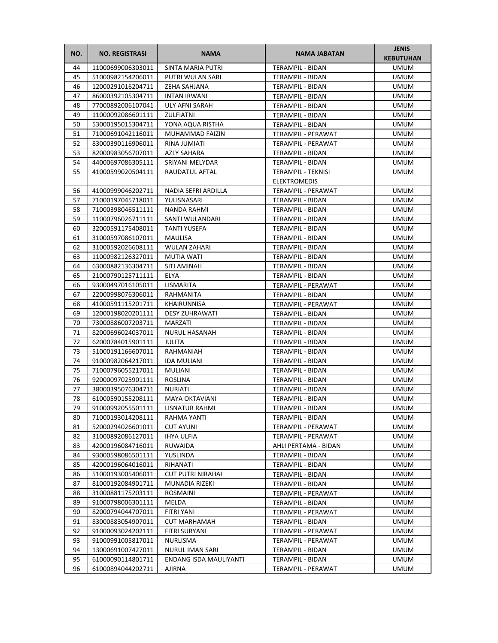| NO. | <b>NO. REGISTRASI</b> | <b>NAMA</b>              | <b>NAMA JABATAN</b>       | <b>JENIS</b><br><b>KEBUTUHAN</b> |
|-----|-----------------------|--------------------------|---------------------------|----------------------------------|
| 44  | 11000699006303011     | SINTA MARIA PUTRI        | <b>TERAMPIL - BIDAN</b>   | <b>UMUM</b>                      |
| 45  | 51000982154206011     | PUTRI WULAN SARI         | TERAMPIL - BIDAN          | <b>UMUM</b>                      |
| 46  | 12000291016204711     | ZEHA SAHJANA             | TERAMPIL - BIDAN          | <b>UMUM</b>                      |
| 47  | 86000392105304711     | <b>INTAN IRWANI</b>      | TERAMPIL - BIDAN          | <b>UMUM</b>                      |
| 48  | 77000892006107041     | ULY AFNI SARAH           | TERAMPIL - BIDAN          | <b>UMUM</b>                      |
| 49  | 11000092086601111     | ZULFIATNI                | TERAMPIL - BIDAN          | <b>UMUM</b>                      |
| 50  | 53000195015304711     | YONA AQUA RISTHA         | TERAMPIL - BIDAN          | <b>UMUM</b>                      |
| 51  | 71000691042116011     | MUHAMMAD FAIZIN          | <b>TERAMPIL - PERAWAT</b> | <b>UMUM</b>                      |
| 52  | 83000390116906011     | RINA JUMIATI             | TERAMPIL - PERAWAT        | <b>UMUM</b>                      |
| 53  | 82000983056707011     | <b>AZLY SAHARA</b>       | TERAMPIL - BIDAN          | <b>UMUM</b>                      |
| 54  | 44000697086305111     | SRIYANI MELYDAR          | TERAMPIL - BIDAN          | <b>UMUM</b>                      |
| 55  | 41000599020504111     | RAUDATUL AFTAL           | TERAMPIL - TEKNISI        | <b>UMUM</b>                      |
|     |                       |                          | <b>ELEKTROMEDIS</b>       |                                  |
| 56  | 41000999046202711     | NADIA SEFRI ARDILLA      | TERAMPIL - PERAWAT        | <b>UMUM</b>                      |
| 57  | 71000197045718011     | YULISNASARI              | TERAMPIL - BIDAN          | <b>UMUM</b>                      |
| 58  | 71000398046511111     | NANDA RAHMI              | TERAMPIL - BIDAN          | UMUM                             |
| 59  | 11000796026711111     | SANTI WULANDARI          | <b>TERAMPIL - BIDAN</b>   | <b>UMUM</b>                      |
| 60  | 32000591175408011     | TANTI YUSEFA             | TERAMPIL - BIDAN          | <b>UMUM</b>                      |
| 61  | 31000597086107011     | <b>MAULISA</b>           | <b>TERAMPIL - BIDAN</b>   | <b>UMUM</b>                      |
| 62  | 31000592026608111     | <b>WULAN ZAHARI</b>      | TERAMPIL - BIDAN          | <b>UMUM</b>                      |
| 63  | 11000982126327011     | MUTIA WATI               | TERAMPIL - BIDAN          | UMUM                             |
| 64  | 63000882136304711     | SITI AMINAH              | TERAMPIL - BIDAN          | <b>UMUM</b>                      |
| 65  | 21000790125711111     | ELYA                     | TERAMPIL - BIDAN          | <b>UMUM</b>                      |
| 66  | 93000497016105011     | LISMARITA                | TERAMPIL - PERAWAT        | <b>UMUM</b>                      |
| 67  | 22000998076306011     | RAHMANITA                | TERAMPIL - BIDAN          | <b>UMUM</b>                      |
| 68  | 41000591115201711     | KHAIRUNNISA              | TERAMPIL - PERAWAT        | <b>UMUM</b>                      |
| 69  | 12000198020201111     | <b>DESY ZUHRAWATI</b>    | TERAMPIL - BIDAN          | <b>UMUM</b>                      |
| 70  | 73000886007203711     | MARZATI                  | TERAMPIL - BIDAN          | <b>UMUM</b>                      |
| 71  | 82000696024037011     | <b>NURUL HASANAH</b>     | TERAMPIL - BIDAN          | <b>UMUM</b>                      |
| 72  | 62000784015901111     | JULITA                   | TERAMPIL - BIDAN          | <b>UMUM</b>                      |
| 73  | 51000191166607011     | RAHMANIAH                | TERAMPIL - BIDAN          | <b>UMUM</b>                      |
| 74  | 91000982064217011     | IDA MULIANI              | TERAMPIL - BIDAN          | <b>UMUM</b>                      |
| 75  | 71000796055217011     | MULIANI                  | TERAMPIL - BIDAN          | UMUM                             |
| 76  | 92000097025901111     | <b>ROSLINA</b>           | TERAMPIL - BIDAN          | <b>UMUM</b>                      |
| 77  | 38000395076304711     | NURIATI                  | TERAMPIL - BIDAN          | <b>UMUM</b>                      |
| 78  | 61000590155208111     | MAYA OKTAVIANI           | <b>TERAMPIL - BIDAN</b>   | <b>UMUM</b>                      |
| 79  | 91000992055501111     | LISNATUR RAHMI           | TERAMPIL - BIDAN          | <b>UMUM</b>                      |
| 80  | 71000193014208111     | RAHMA YANTI              | TERAMPIL - BIDAN          | <b>UMUM</b>                      |
| 81  | 52000294026601011     | CUT AYUNI                | TERAMPIL - PERAWAT        | UMUM                             |
| 82  | 31000892086127011     | IHYA ULFIA               | TERAMPIL - PERAWAT        | <b>UMUM</b>                      |
| 83  | 42000196084716011     | RUWAIDA                  | AHLI PERTAMA - BIDAN      | UMUM                             |
| 84  | 93000598086501111     | YUSLINDA                 | TERAMPIL - BIDAN          | UMUM                             |
| 85  | 42000196064016011     | RIHANATI                 | TERAMPIL - BIDAN          | <b>UMUM</b>                      |
| 86  | 51000193005406011     | <b>CUT PUTRI NIRAHAI</b> | TERAMPIL - BIDAN          | <b>UMUM</b>                      |
| 87  | 81000192084901711     | <b>MUNADIA RIZEKI</b>    | TERAMPIL - BIDAN          | <b>UMUM</b>                      |
| 88  | 31000881175203111     | ROSMAINI                 | TERAMPIL - PERAWAT        | UMUM                             |
| 89  | 91000798006301111     | MELDA                    | TERAMPIL - BIDAN          | <b>UMUM</b>                      |
| 90  | 82000794044707011     | FITRI YANI               | TERAMPIL - PERAWAT        | <b>UMUM</b>                      |
| 91  | 83000883054907011     | <b>CUT MARHAMAH</b>      | TERAMPIL - BIDAN          | UMUM                             |
| 92  | 91000093024202111     | FITRI SURYANI            | TERAMPIL - PERAWAT        | UMUM                             |
| 93  | 91000991005817011     | NURLISMA                 | TERAMPIL - PERAWAT        | UMUM                             |
| 94  | 13000691007427011     | NURUL IMAN SARI          | TERAMPIL - BIDAN          | <b>UMUM</b>                      |
| 95  | 61000090114801711     | ENDANG ISDA MAULIYANTI   | TERAMPIL - BIDAN          | <b>UMUM</b>                      |
| 96  | 61000894044202711     | AJIRNA                   | TERAMPIL - PERAWAT        | UMUM                             |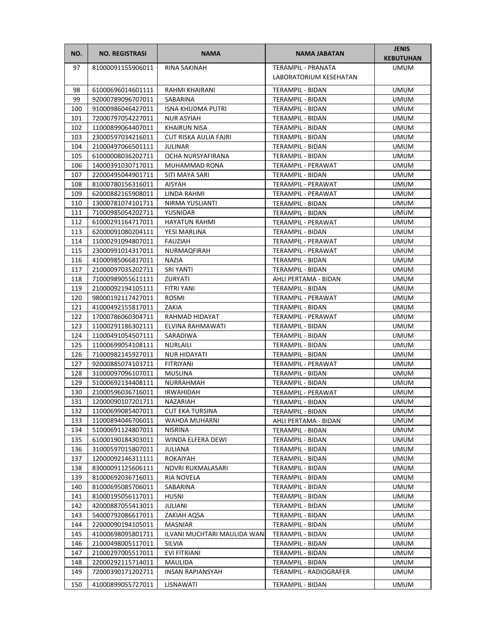| NO. | <b>NO. REGISTRASI</b> | <b>NAMA</b>                  | NAMA JABATAN            | <b>JENIS</b><br><b>KEBUTUHAN</b> |
|-----|-----------------------|------------------------------|-------------------------|----------------------------------|
| 97  | 81000091155906011     | <b>RINA SAKINAH</b>          | TERAMPIL - PRANATA      | <b>UMUM</b>                      |
|     |                       |                              | LABORATORIUM KESEHATAN  |                                  |
| 98  | 61000696014601111     | RAHMI KHAIRANI               | TERAMPIL - BIDAN        | <b>UMUM</b>                      |
| 99  | 92000789096707011     | SABARINA                     | TERAMPIL - BIDAN        | <b>UMUM</b>                      |
| 100 | 91000986046427011     | <b>ISNA KHUDMA PUTRI</b>     | TERAMPIL - BIDAN        | <b>UMUM</b>                      |
| 101 | 72000797054227011     | <b>NUR ASYIAH</b>            | TERAMPIL - BIDAN        | <b>UMUM</b>                      |
| 102 | 11000899064407011     | <b>KHAIRUN NISA</b>          | TERAMPIL - BIDAN        | <b>UMUM</b>                      |
| 103 | 23000597034216011     | <b>CUT RISKA AULIA FAJRI</b> | TERAMPIL - BIDAN        | UMUM                             |
| 104 | 21000497066501111     | <b>JULINAR</b>               | TERAMPIL - BIDAN        | <b>UMUM</b>                      |
| 105 | 61000008036202711     | OCHA NURSYAFIRANA            | TERAMPIL - BIDAN        | <b>UMUM</b>                      |
| 106 | 14000391030717011     | MUHAMMAD RONA                | TERAMPIL - PERAWAT      | <b>UMUM</b>                      |
| 107 | 22000495044901711     | SITI MAYA SARI               | TERAMPIL - BIDAN        | <b>UMUM</b>                      |
| 108 | 81000780156316011     | AISYAH                       | TERAMPIL - PERAWAT      | <b>UMUM</b>                      |
| 109 | 62000882165908011     | LINDA RAHMI                  | TERAMPIL - PERAWAT      | <b>UMUM</b>                      |
| 110 | 13000781074101711     | NIRMA YUSLIANTI              | TERAMPIL - BIDAN        | <b>UMUM</b>                      |
| 111 | 71000985054202711     | YUSNIDAR                     | <b>TERAMPIL - BIDAN</b> | <b>UMUM</b>                      |
| 112 | 61000291164717011     | <b>HAYATUN RAHMI</b>         | TERAMPIL - PERAWAT      | <b>UMUM</b>                      |
| 113 | 62000091080204111     | YESI MARLINA                 | TERAMPIL - BIDAN        | <b>UMUM</b>                      |
| 114 | 11000291094807011     | <b>FAUZIAH</b>               | TERAMPIL - PERAWAT      | <b>UMUM</b>                      |
| 115 | 23000991014317011     | NURMAQFIRAH                  | TERAMPIL - PERAWAT      | <b>UMUM</b>                      |
| 116 | 41000985066817011     | NAZIA                        | TERAMPIL - BIDAN        | <b>UMUM</b>                      |
| 117 | 21000097035202711     | <b>SRI YANTI</b>             | TERAMPIL - BIDAN        | <b>UMUM</b>                      |
| 118 | 71000989055611111     | ZURYATI                      | AHLI PERTAMA - BIDAN    | <b>UMUM</b>                      |
| 119 | 21000092194105111     | FITRI YANI                   | TERAMPIL - BIDAN        | <b>UMUM</b>                      |
| 120 | 98000192117427011     | ROSMI                        | TERAMPIL - PERAWAT      | UMUM                             |
| 121 | 41000492155817011     | ZAKIA                        | TERAMPIL - BIDAN        | <b>UMUM</b>                      |
| 122 | 17000786060304711     | RAHMAD HIDAYAT               | TERAMPIL - PERAWAT      | <b>UMUM</b>                      |
| 123 | 11000291186302111     | ELVINA RAHMAWATI             | TERAMPIL - BIDAN        | <b>UMUM</b>                      |
| 124 | 11000491054507111     | SARADIWA                     | TERAMPIL - BIDAN        | <b>UMUM</b>                      |
| 125 | 11000699054108111     | NURLAILI                     | TERAMPIL - BIDAN        | UMUM                             |
| 126 | 71000982145927011     | NUR HIDAYATI                 | TERAMPIL - BIDAN        | <b>UMUM</b>                      |
| 127 | 92000885074103711     | FITRIYANI                    | TERAMPIL - PERAWAT      | <b>UMUM</b>                      |
| 128 | 31000097096107011     | <b>MUSLINA</b>               | TERAMPIL - BIDAN        | UMUM                             |
| 129 | 51000692134408111     | NURRAHMAH                    | TERAMPIL - BIDAN        | <b>UMUM</b>                      |
| 130 | 21000596036716011     | <b>IRWAHIDAH</b>             | TERAMPIL - PERAWAT      | <b>UMUM</b>                      |
| 131 | 12000090107201711     | NAZARIAH                     | TERAMPIL - BIDAN        | <b>UMUM</b>                      |
| 132 | 11000699085407011     | <b>CUT EKA TURSINA</b>       | TERAMPIL - BIDAN        | <b>UMUM</b>                      |
| 133 | 11000894046706011     | WAHDA MUHARNI                | AHLI PERTAMA - BIDAN    | <b>UMUM</b>                      |
| 134 | 51000691124807011     | <b>NISRINA</b>               | TERAMPIL - BIDAN        | <b>UMUM</b>                      |
| 135 | 61000190184303011     | WINDA ELFERA DEWI            | TERAMPIL - BIDAN        | <b>UMUM</b>                      |
| 136 | 31000597015807011     | JULIANA                      | TERAMPIL - BIDAN        | UMUM                             |
| 137 | 12000092146311111     | ROKAIYAH                     | TERAMPIL - BIDAN        | UMUM                             |
| 138 | 83000091125606111     | NOVRI RUKMALASARI            | TERAMPIL - BIDAN        | <b>UMUM</b>                      |
| 139 | 81000692036716011     | RIA NOVELA                   | TERAMPIL - BIDAN        | <b>UMUM</b>                      |
| 140 | 81000695085706011     | SABARINA                     | TERAMPIL - BIDAN        | <b>UMUM</b>                      |
| 141 | 81000195056117011     | HUSNI                        | TERAMPIL - BIDAN        | UMUM                             |
| 142 | 42000887055413011     | JULIANI                      | TERAMPIL - BIDAN        | <b>UMUM</b>                      |
| 143 | 54000792086617011     | ZAKIAH AQSA                  | TERAMPIL - BIDAN        | UMUM                             |
| 144 | 22000090194105011     | MASNIAR                      | TERAMPIL - BIDAN        | UMUM                             |
| 145 | 41000698095801711     | ILVANI MUCHTARI MAULIDA WANI | TERAMPIL - BIDAN        | <b>UMUM</b>                      |
| 146 | 21000498005117011     | SILVIA                       | TERAMPIL - BIDAN        | <b>UMUM</b>                      |
| 147 | 21000297005517011     | EVI FITRIANI                 | TERAMPIL - BIDAN        | <b>UMUM</b>                      |
| 148 | 22000292115714011     | MAULIDA                      | TERAMPIL - BIDAN        | <b>UMUM</b>                      |
| 149 | 72000390171202711     | <b>INSAN RAPIANSYAH</b>      | TERAMPIL - RADIOGRAFER  | <b>UMUM</b>                      |
| 150 | 41000899055727011     | LISNAWATI                    | TERAMPIL - BIDAN        | <b>UMUM</b>                      |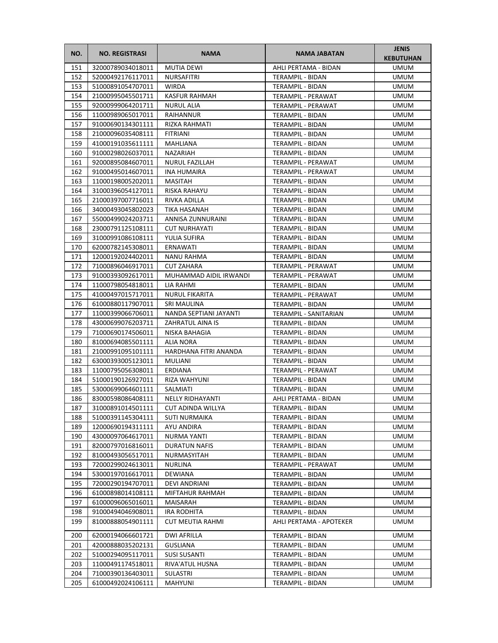| NO. | <b>NO. REGISTRASI</b> | <b>NAMA</b>             | <b>NAMA JABATAN</b>     | <b>JENIS</b><br><b>KEBUTUHAN</b> |
|-----|-----------------------|-------------------------|-------------------------|----------------------------------|
| 151 | 32000789034018011     | <b>MUTIA DEWI</b>       | AHLI PERTAMA - BIDAN    | <b>UMUM</b>                      |
| 152 | 52000492176117011     | NURSAFITRI              | TERAMPIL - BIDAN        | <b>UMUM</b>                      |
| 153 | 51000891054707011     | <b>WIRDA</b>            | TERAMPIL - BIDAN        | <b>UMUM</b>                      |
| 154 | 21000995045501711     | KASFUR RAHMAH           | TERAMPIL - PERAWAT      | <b>UMUM</b>                      |
| 155 | 92000999064201711     | <b>NURUL ALIA</b>       | TERAMPIL - PERAWAT      | <b>UMUM</b>                      |
| 156 | 11000989065017011     | RAIHANNUR               | TERAMPIL - BIDAN        | <b>UMUM</b>                      |
| 157 | 91000690134301111     | RIZKA RAHMATI           | TERAMPIL - BIDAN        | <b>UMUM</b>                      |
| 158 | 21000096035408111     | <b>FITRIANI</b>         | TERAMPIL - BIDAN        | <b>UMUM</b>                      |
| 159 | 41000191035611111     | MAHLIANA                | <b>TERAMPIL - BIDAN</b> | <b>UMUM</b>                      |
| 160 | 91000298026037011     | <b>NAZARIAH</b>         | <b>TERAMPIL - BIDAN</b> | <b>UMUM</b>                      |
| 161 | 92000895084607011     | NURUL FAZILLAH          | TERAMPIL - PERAWAT      | <b>UMUM</b>                      |
| 162 | 91000495014607011     | <b>INA HUMAIRA</b>      | TERAMPIL - PERAWAT      | <b>UMUM</b>                      |
| 163 | 11000198005202011     | <b>MASITAH</b>          | TERAMPIL - BIDAN        | <b>UMUM</b>                      |
| 164 | 31000396054127011     | RISKA RAHAYU            | TERAMPIL - BIDAN        | UMUM                             |
| 165 | 21000397007716011     | RIVKA ADILLA            | TERAMPIL - BIDAN        | <b>UMUM</b>                      |
| 166 | 34000493045802023     | TIKA HASANAH            | TERAMPIL - BIDAN        | <b>UMUM</b>                      |
| 167 | 55000499024203711     | ANNISA ZUNNURAINI       | TERAMPIL - BIDAN        | <b>UMUM</b>                      |
| 168 | 23000791125108111     | <b>CUT NURHAYATI</b>    | <b>TERAMPIL - BIDAN</b> | <b>UMUM</b>                      |
| 169 | 31000991086108111     | YULIA SUFIRA            | TERAMPIL - BIDAN        | <b>UMUM</b>                      |
| 170 | 62000782145308011     | ERNAWATI                | TERAMPIL - BIDAN        | <b>UMUM</b>                      |
| 171 | 12000192024402011     | <b>NANU RAHMA</b>       | <b>TERAMPIL - BIDAN</b> | <b>UMUM</b>                      |
| 172 | 71000896046917011     | <b>CUT ZAHARA</b>       | TERAMPIL - PERAWAT      | <b>UMUM</b>                      |
| 173 | 91000393092617011     | MUHAMMAD AIDIL IRWANDI  | TERAMPIL - PERAWAT      | <b>UMUM</b>                      |
| 174 | 11000798054818011     | LIA RAHMI               | TERAMPIL - BIDAN        | <b>UMUM</b>                      |
| 175 | 41000497015717011     | <b>NURUL FIKARITA</b>   | TERAMPIL - PERAWAT      | <b>UMUM</b>                      |
| 176 | 61000880117907011     | SRI MAULINA             | TERAMPIL - BIDAN        | <b>UMUM</b>                      |
| 177 | 11000399066706011     | NANDA SEPTIANI JAYANTI  | TERAMPIL - SANITARIAN   | <b>UMUM</b>                      |
| 178 | 43000699076203711     | ZAHRATUL AINA IS        | TERAMPIL - BIDAN        | <b>UMUM</b>                      |
| 179 | 71000690174506011     | NISKA BAHAGIA           | TERAMPIL - BIDAN        | <b>UMUM</b>                      |
| 180 | 81000694085501111     | ALIA NORA               | TERAMPIL - BIDAN        | UMUM                             |
| 181 | 21000991095101111     | HARDHANA FITRI ANANDA   | TERAMPIL - BIDAN        | UMUM                             |
| 182 | 63000393005123011     | MULIANI                 | TERAMPIL - BIDAN        | <b>UMUM</b>                      |
| 183 | 11000795056308011     | ERDIANA                 | TERAMPIL - PERAWAT      | <b>UMUM</b>                      |
| 184 | 51000190126927011     | RIZA WAHYUNI            | TERAMPIL - BIDAN        | <b>UMUM</b>                      |
| 185 | 53000699064601111     | SALMIATI                | <b>TERAMPIL - BIDAN</b> | <b>UMUM</b>                      |
| 186 | 83000598086408111     | <b>NELLY RIDHAYANTI</b> | AHLI PERTAMA - BIDAN    | <b>UMUM</b>                      |
| 187 | 31000891014501111     | CUT ADINDA WILLYA       | TERAMPIL - BIDAN        | <b>UMUM</b>                      |
| 188 | 51000391145304111     | SUTI NURMAIKA           | TERAMPIL - BIDAN        | UMUM                             |
| 189 | 12000690194311111     | AYU ANDIRA              | TERAMPIL - BIDAN        | <b>UMUM</b>                      |
| 190 | 43000097064617011     | NURMA YANTI             | TERAMPIL - BIDAN        | <b>UMUM</b>                      |
| 191 | 82000797016816011     | DURATUN NAFIS           | TERAMPIL - BIDAN        | <b>UMUM</b>                      |
| 192 | 81000493056517011     | NURMASYITAH             | <b>TERAMPIL - BIDAN</b> | <b>UMUM</b>                      |
| 193 | 72000299024613011     | NURLINA                 | TERAMPIL - PERAWAT      | <b>UMUM</b>                      |
| 194 | 53000197016617011     | DEWIANA                 | TERAMPIL - BIDAN        | UMUM                             |
| 195 | 72000290194707011     | DEVI ANDRIANI           | TERAMPIL - BIDAN        | <b>UMUM</b>                      |
| 196 | 61000898014108111     | MIFTAHUR RAHMAH         | TERAMPIL - BIDAN        | <b>UMUM</b>                      |
| 197 | 61000096065016011     | MAISARAH                | TERAMPIL - BIDAN        | UMUM                             |
| 198 | 91000494046908011     | IRA RODHITA             | TERAMPIL - BIDAN        | UMUM                             |
| 199 | 81000888054901111     | CUT MEUTIA RAHMI        | AHLI PERTAMA - APOTEKER | <b>UMUM</b>                      |
| 200 | 62000194066601721     | DWI AFRILLA             | TERAMPIL - BIDAN        | <b>UMUM</b>                      |
| 201 | 42000888035202131     | <b>GUSLIANA</b>         | TERAMPIL - BIDAN        | UMUM                             |
| 202 | 51000294095117011     | SUSI SUSANTI            | TERAMPIL - BIDAN        | <b>UMUM</b>                      |
| 203 | 11000491174518011     | RIVA'ATUL HUSNA         | TERAMPIL - BIDAN        | <b>UMUM</b>                      |
| 204 | 71000390136403011     | SULASTRI                | TERAMPIL - BIDAN        | <b>UMUM</b>                      |
| 205 | 61000492024106111     | MAHYUNI                 | TERAMPIL - BIDAN        | UMUM                             |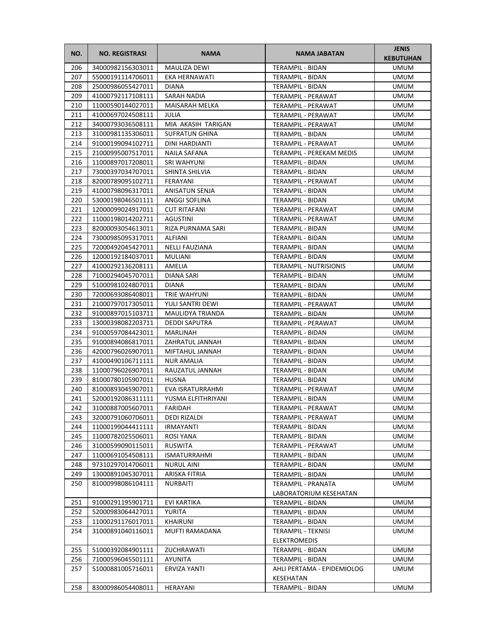| NO. | <b>NO. REGISTRASI</b> | <b>NAMA</b>           | <b>NAMA JABATAN</b>           | <b>JENIS</b><br><b>KEBUTUHAN</b> |
|-----|-----------------------|-----------------------|-------------------------------|----------------------------------|
| 206 | 34000982156303011     | <b>MAULIZA DEWI</b>   | TERAMPIL - BIDAN              | <b>UMUM</b>                      |
| 207 | 55000191114706011     | EKA HERNAWATI         | TERAMPIL - BIDAN              | <b>UMUM</b>                      |
| 208 | 25000986055427011     | <b>DIANA</b>          | TERAMPIL - BIDAN              | <b>UMUM</b>                      |
| 209 | 41000792117108111     | SARAH NADIA           | TERAMPIL - PERAWAT            | <b>UMUM</b>                      |
| 210 | 11000590144027011     | MAISARAH MELKA        | TERAMPIL - PERAWAT            | <b>UMUM</b>                      |
| 211 | 41000697024508111     | JULIA                 | TERAMPIL - PERAWAT            | <b>UMUM</b>                      |
| 212 | 34000793036508111     | MIA AKASIH TARIGAN    | TERAMPIL - PERAWAT            | <b>UMUM</b>                      |
| 213 | 31000981135306011     | <b>SUFRATUN GHINA</b> | TERAMPIL - BIDAN              | <b>UMUM</b>                      |
| 214 | 91000199094102711     | DINI HARDIANTI        | TERAMPIL - PERAWAT            | <b>UMUM</b>                      |
| 215 | 21000995007517011     | NAILA SAFANA          | TERAMPIL - PEREKAM MEDIS      | <b>UMUM</b>                      |
| 216 | 11000897017208011     | SRI WAHYUNI           | TERAMPIL - BIDAN              | <b>UMUM</b>                      |
| 217 | 73000397034707011     | SHINTA SHILVIA        | TERAMPIL - BIDAN              | <b>UMUM</b>                      |
| 218 | 82000789095102711     | FERAYANI              | TERAMPIL - PERAWAT            | <b>UMUM</b>                      |
| 219 | 41000798096317011     | ANISATUN SENJA        | TERAMPIL - BIDAN              | <b>UMUM</b>                      |
| 220 | 53000198046501111     | ANGGI SOFLINA         | TERAMPIL - BIDAN              | UMUM                             |
| 221 | 12000099024917011     | <b>CUT RITAFANI</b>   | TERAMPIL - PERAWAT            | <b>UMUM</b>                      |
| 222 | 11000198014202711     | <b>AGUSTINI</b>       | <b>TERAMPIL - PERAWAT</b>     | <b>UMUM</b>                      |
| 223 | 82000093054613011     | RIZA PURNAMA SARI     | TERAMPIL - BIDAN              | <b>UMUM</b>                      |
| 224 | 73000985095317011     | ALFIANI               | TERAMPIL - BIDAN              | <b>UMUM</b>                      |
| 225 | 72000492045427011     | <b>NELLI FAUZIANA</b> | <b>TERAMPIL - BIDAN</b>       | <b>UMUM</b>                      |
| 226 | 12000192184037011     | MULIANI               | TERAMPIL - BIDAN              | <b>UMUM</b>                      |
| 227 | 41000292136208111     | AMELIA                | <b>TERAMPIL - NUTRISIONIS</b> | <b>UMUM</b>                      |
| 228 | 71000294045707011     | DIANA SARI            | TERAMPIL - BIDAN              | <b>UMUM</b>                      |
| 229 | 51000981024807011     | <b>DIANA</b>          | TERAMPIL - BIDAN              | <b>UMUM</b>                      |
| 230 | 72000693086408011     | TRIE WAHYUNI          | TERAMPIL - BIDAN              | <b>UMUM</b>                      |
| 231 | 21000797017305011     | YULI SANTRI DEWI      | TERAMPIL - PERAWAT            | <b>UMUM</b>                      |
| 232 | 91000897015103711     | MAULIDYA TRIANDA      | TERAMPIL - BIDAN              | <b>UMUM</b>                      |
| 233 | 13000398082203711     | <b>DEDDI SAPUTRA</b>  | TERAMPIL - PERAWAT            | <b>UMUM</b>                      |
| 234 | 91000597084423011     | MARLINAH              | TERAMPIL - BIDAN              | <b>UMUM</b>                      |
| 235 | 91000894086817011     | ZAHRATUL JANNAH       | TERAMPIL - BIDAN              | <b>UMUM</b>                      |
| 236 | 42000796026907011     | MIFTAHUL JANNAH       | TERAMPIL - BIDAN              | <b>UMUM</b>                      |
| 237 | 41000490106711111     | <b>NUR AMALIA</b>     | TERAMPIL - BIDAN              | UMUM                             |
| 238 | 11000796026907011     | RAUZATUL JANNAH       | TERAMPIL - BIDAN              | <b>UMUM</b>                      |
| 239 | 81000780105907011     | <b>HUSNA</b>          | TERAMPIL - BIDAN              | <b>UMUM</b>                      |
| 240 | 81000893045907011     | EVA ISRATURRAHMI      | <b>TERAMPIL - PERAWAT</b>     | <b>UMUM</b>                      |
| 241 | 52000192086311111     | YUSMA ELFITHRIYANI    | TERAMPIL - BIDAN              | <b>UMUM</b>                      |
| 242 | 31000887005607011     | FARIDAH               | TERAMPIL - PERAWAT            | <b>UMUM</b>                      |
| 243 | 32000791060706011     | DEDI RIZALDI          | TERAMPIL - PERAWAT            | <b>UMUM</b>                      |
| 244 | 11000199044411111     | <b>IRMAYANTI</b>      | TERAMPIL - BIDAN              | <b>UMUM</b>                      |
| 245 | 11000782025506011     | ROSI YANA             | TERAMPIL - BIDAN              | <b>UMUM</b>                      |
| 246 | 31000599090115011     | RUSWITA               | TERAMPIL - PERAWAT            | <b>UMUM</b>                      |
| 247 | 11000691054508111     | <b>ISMATURRAHMI</b>   | TERAMPIL - BIDAN              | <b>UMUM</b>                      |
| 248 | 97310297014706011     | <b>NURUL AINI</b>     | <b>TERAMPIL - BIDAN</b>       | <b>UMUM</b>                      |
| 249 | 13000891045307011     | ARISKA FITRIA         | TERAMPIL - BIDAN              | <b>UMUM</b>                      |
| 250 | 81000998086104111     | <b>NURBAITI</b>       | TERAMPIL - PRANATA            | <b>UMUM</b>                      |
|     |                       |                       | LABORATORIUM KESEHATAN        |                                  |
| 251 | 91000291195901711     | EVI KARTIKA           | TERAMPIL - BIDAN              | <b>UMUM</b>                      |
| 252 | 52000983064427011     | YURITA                | TERAMPIL - BIDAN              | <b>UMUM</b>                      |
| 253 | 11000291176017011     | KHAIRUNI              | TERAMPIL - BIDAN              | UMUM                             |
| 254 | 31000891040116011     | MUFTI RAMADANA        | TERAMPIL - TEKNISI            | <b>UMUM</b>                      |
|     |                       |                       | <b>ELEKTROMEDIS</b>           |                                  |
| 255 | 51000392084901111     | ZUCHRAWATI            | TERAMPIL - BIDAN              | <b>UMUM</b>                      |
| 256 | 71000596045501111     | AYUNITA               | TERAMPIL - BIDAN              | <b>UMUM</b>                      |
| 257 | 51000881005716011     | <b>ERVIZA YANTI</b>   | AHLI PERTAMA - EPIDEMIOLOG    | <b>UMUM</b>                      |
|     |                       |                       | KESEHATAN                     |                                  |
| 258 | 83000986054408011     | HERAYANI              | TERAMPIL - BIDAN              | <b>UMUM</b>                      |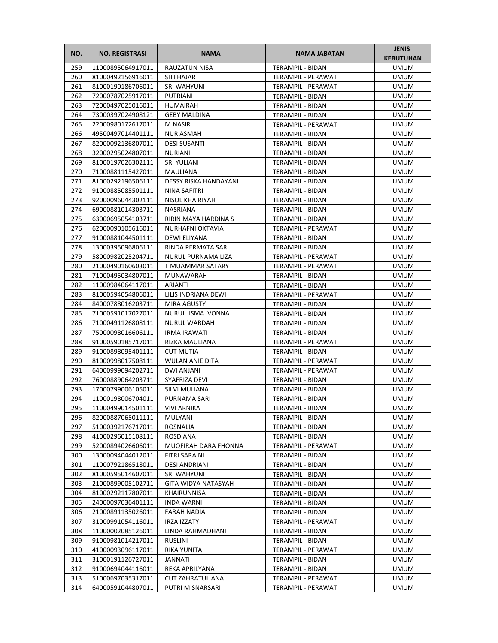| NO.        | <b>NO. REGISTRASI</b>                  | <b>NAMA</b>                               | <b>NAMA JABATAN</b>                    | <b>JENIS</b><br><b>KEBUTUHAN</b> |
|------------|----------------------------------------|-------------------------------------------|----------------------------------------|----------------------------------|
| 259        | 11000895064917011                      | <b>RAUZATUN NISA</b>                      | TERAMPIL - BIDAN                       | <b>UMUM</b>                      |
| 260        | 81000492156916011                      | SITI HAJAR                                | TERAMPIL - PERAWAT                     | <b>UMUM</b>                      |
| 261        | 81000190186706011                      | SRI WAHYUNI                               | TERAMPIL - PERAWAT                     | <b>UMUM</b>                      |
| 262        | 72000787025917011                      | PUTRIANI                                  | TERAMPIL - BIDAN                       | <b>UMUM</b>                      |
| 263        | 72000497025016011                      | HUMAIRAH                                  | TERAMPIL - BIDAN                       | <b>UMUM</b>                      |
| 264        | 73000397024908121                      | <b>GEBY MALDINA</b>                       | TERAMPIL - BIDAN                       | <b>UMUM</b>                      |
| 265        | 22000980172617011                      | M.NASIR                                   | TERAMPIL - PERAWAT                     | <b>UMUM</b>                      |
| 266        | 49500497014401111                      | <b>NUR ASMAH</b>                          | TERAMPIL - BIDAN                       | <b>UMUM</b>                      |
| 267        | 82000092136807011                      | <b>DESI SUSANTI</b>                       | TERAMPIL - BIDAN                       | <b>UMUM</b>                      |
| 268        | 32000295024807011                      | <b>NURIANI</b>                            | TERAMPIL - BIDAN                       | <b>UMUM</b>                      |
| 269        | 81000197026302111                      | <b>SRI YULIANI</b>                        | TERAMPIL - BIDAN                       | <b>UMUM</b>                      |
| 270        | 71000881115427011                      | MAULIANA                                  | TERAMPIL - BIDAN                       | <b>UMUM</b>                      |
| 271        | 81000292196506111                      | DESSY RISKA HANDAYANI                     | TERAMPIL - BIDAN                       | <b>UMUM</b>                      |
| 272        | 91000885085501111                      | NINA SAFITRI                              | TERAMPIL - BIDAN                       | UMUM                             |
| 273        | 92000096044302111                      | NISOL KHAIRIYAH                           | TERAMPIL - BIDAN                       | <b>UMUM</b>                      |
| 274        | 69000881014303711                      | <b>NASRIANA</b>                           | <b>TERAMPIL - BIDAN</b>                | <b>UMUM</b>                      |
| 275        | 63000695054103711                      | RIRIN MAYA HARDINA S                      | TERAMPIL - BIDAN                       | <b>UMUM</b>                      |
| 276        | 62000090105616011                      | NURHAFNI OKTAVIA                          | TERAMPIL - PERAWAT                     | <b>UMUM</b>                      |
| 277        | 91000881044501111                      | DEWI ELIYANA                              | TERAMPIL - BIDAN                       | <b>UMUM</b>                      |
| 278        | 13000395096806111                      | RINDA PERMATA SARI                        | TERAMPIL - BIDAN                       | <b>UMUM</b>                      |
| 279        | 58000982025204711                      | NURUL PURNAMA LIZA                        | TERAMPIL - PERAWAT                     | <b>UMUM</b>                      |
| 280        | 21000490160603011                      | T MUAMMAR SATARY                          | TERAMPIL - PERAWAT                     | <b>UMUM</b>                      |
| 281        | 71000495034807011                      | MUNAWARAH                                 | TERAMPIL - BIDAN                       | <b>UMUM</b>                      |
| 282        | 11000984064117011                      | ARIANTI                                   | TERAMPIL - BIDAN                       | <b>UMUM</b>                      |
| 283<br>284 | 81000594054806011<br>84000788016203711 | LILIS INDRIANA DEWI<br><b>MIRA AGUSTY</b> | TERAMPIL - PERAWAT<br>TERAMPIL - BIDAN | <b>UMUM</b><br><b>UMUM</b>       |
| 285        | 71000591017027011                      | NURUL ISMA VONNA                          | TERAMPIL - BIDAN                       | <b>UMUM</b>                      |
| 286        | 71000491126808111                      | <b>NURUL WARDAH</b>                       | TERAMPIL - BIDAN                       | <b>UMUM</b>                      |
| 287        | 75000098016606111                      | <b>IRMA IRAWATI</b>                       | TERAMPIL - BIDAN                       | <b>UMUM</b>                      |
| 288        | 91000590185717011                      | RIZKA MAULIANA                            | TERAMPIL - PERAWAT                     | UMUM                             |
| 289        | 91000898095401111                      | CUT MUTIA                                 | TERAMPIL - BIDAN                       | UMUM                             |
| 290        | 81000998017508111                      | WULAN ANIE DITA                           | TERAMPIL - PERAWAT                     | <b>UMUM</b>                      |
| 291        | 64000999094202711                      | DWI ANJANI                                | <b>TERAMPIL - PERAWAT</b>              | <b>UMUM</b>                      |
| 292        | 76000889064203711                      | SYAFRIZA DEVI                             | TERAMPIL - BIDAN                       | <b>UMUM</b>                      |
| 293        | 17000799006105011                      | SILVI MULIANA                             | <b>TERAMPIL - BIDAN</b>                | <b>UMUM</b>                      |
| 294        | 11000198006704011                      | PURNAMA SARI                              | TERAMPIL - BIDAN                       | <b>UMUM</b>                      |
| 295        | 11000499014501111                      | <b>VIVI ARNIKA</b>                        | TERAMPIL - BIDAN                       | <b>UMUM</b>                      |
| 296        | 82000887065011111                      | MULYANI                                   | TERAMPIL - BIDAN                       | <b>UMUM</b>                      |
| 297        | 51000392176717011                      | ROSNALIA                                  | TERAMPIL - BIDAN                       | <b>UMUM</b>                      |
| 298        | 41000296015108111                      | <b>ROSDIANA</b>                           | TERAMPIL - BIDAN                       | <b>UMUM</b>                      |
| 299        | 52000894026606011                      | MUQFIRAH DARA FHONNA                      | TERAMPIL - PERAWAT                     | <b>UMUM</b>                      |
| 300        | 13000094044012011                      | FITRI SARAINI                             | TERAMPIL - BIDAN                       | <b>UMUM</b>                      |
| 301        | 11000792186518011                      | <b>DESI ANDRIANI</b>                      | TERAMPIL - BIDAN                       | <b>UMUM</b>                      |
| 302        | 81000595014607011                      | SRI WAHYUNI                               | TERAMPIL - BIDAN                       | <b>UMUM</b>                      |
| 303        | 21000899005102711                      | GITA WIDYA NATASYAH                       | TERAMPIL - BIDAN                       | <b>UMUM</b>                      |
| 304        | 81000292117807011                      | KHAIRUNNISA                               | TERAMPIL - BIDAN                       | UMUM                             |
| 305        | 24000097036401111                      | INDA WARNI                                | TERAMPIL - BIDAN                       | <b>UMUM</b>                      |
| 306        | 21000891135026011                      | FARAH NADIA                               | TERAMPIL - BIDAN                       | <b>UMUM</b>                      |
| 307        | 31000991054116011                      | IRZA IZZATY                               | TERAMPIL - PERAWAT                     | UMUM                             |
| 308        | 11000002085126011                      | LINDA RAHMADHANI                          | TERAMPIL - BIDAN                       | <b>UMUM</b>                      |
| 309<br>310 | 91000981014217011                      | RUSLINI                                   | TERAMPIL - BIDAN                       | <b>UMUM</b><br><b>UMUM</b>       |
| 311        | 41000093096117011<br>31000191126727011 | RIKA YUNITA<br>JANNATI                    | TERAMPIL - PERAWAT<br>TERAMPIL - BIDAN | <b>UMUM</b>                      |
| 312        | 91000694044116011                      | REKA APRILYANA                            | TERAMPIL - BIDAN                       | <b>UMUM</b>                      |
| 313        | 51000697035317011                      | <b>CUT ZAHRATUL ANA</b>                   | TERAMPIL - PERAWAT                     | <b>UMUM</b>                      |
| 314        | 64000591044807011                      | PUTRI MISNARSARI                          | TERAMPIL - PERAWAT                     | UMUM                             |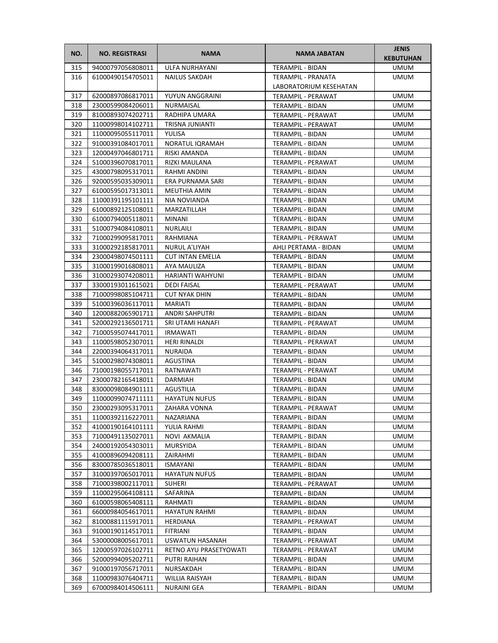| NO.        | <b>NO. REGISTRASI</b>                  | <b>NAMA</b>                            | <b>NAMA JABATAN</b>                    | <b>JENIS</b><br><b>KEBUTUHAN</b> |
|------------|----------------------------------------|----------------------------------------|----------------------------------------|----------------------------------|
| 315        | 94000797056808011                      | ULFA NURHAYANI                         | TERAMPIL - BIDAN                       | <b>UMUM</b>                      |
| 316        | 61000490154705011                      | <b>NAILUS SAKDAH</b>                   | TERAMPIL - PRANATA                     | <b>UMUM</b>                      |
|            |                                        |                                        | LABORATORIUM KESEHATAN                 |                                  |
| 317        | 62000897086817011                      | YUYUN ANGGRAINI                        | TERAMPIL - PERAWAT                     | <b>UMUM</b>                      |
| 318        | 23000599084206011                      | NURMAISAL                              | TERAMPIL - BIDAN                       | <b>UMUM</b>                      |
| 319        | 81000893074202711                      | RADHIPA UMARA                          | TERAMPIL - PERAWAT                     | <b>UMUM</b>                      |
| 320        | 11000998014102711                      | TRISNA JUNIANTI                        | TERAMPIL - PERAWAT                     | <b>UMUM</b>                      |
| 321        | 11000095055117011                      | YULISA                                 | TERAMPIL - BIDAN                       | <b>UMUM</b>                      |
| 322        | 91000391084017011                      | NORATUL IQRAMAH                        | TERAMPIL - BIDAN                       | <b>UMUM</b>                      |
| 323        | 12000497046801711                      | RISKI AMANDA                           | TERAMPIL - BIDAN                       | <b>UMUM</b>                      |
| 324        | 51000396070817011                      | RIZKI MAULANA                          | TERAMPIL - PERAWAT                     | <b>UMUM</b>                      |
| 325        | 43000798095317011                      | RAHMI ANDINI                           | TERAMPIL - BIDAN                       | <b>UMUM</b>                      |
| 326        | 92000595035309011                      | ERA PURNAMA SARI                       | TERAMPIL - BIDAN                       | <b>UMUM</b>                      |
| 327        | 61000595017313011                      | MEUTHIA AMIN                           | TERAMPIL - BIDAN                       | UMUM                             |
| 328        | 11000391195101111                      | NIA NOVIANDA                           | TERAMPIL - BIDAN                       | <b>UMUM</b>                      |
| 329        | 61000892125108011                      | MARZATILLAH                            | TERAMPIL - BIDAN                       | <b>UMUM</b>                      |
| 330        | 61000794005118011                      | <b>MINANI</b>                          | TERAMPIL - BIDAN                       | <b>UMUM</b>                      |
| 331        | 51000794084108011                      | <b>NURLAILI</b>                        | TERAMPIL - BIDAN                       | <b>UMUM</b>                      |
| 332        | 71000299095817011                      | RAHMIANA                               | TERAMPIL - PERAWAT                     | <b>UMUM</b>                      |
| 333        | 31000292185817011                      | NURUL A'LIYAH                          | AHLI PERTAMA - BIDAN                   | <b>UMUM</b>                      |
| 334        | 23000498074501111                      | <b>CUT INTAN EMELIA</b>                | TERAMPIL - BIDAN                       | <b>UMUM</b>                      |
| 335        | 31000199016808011                      | AYA MAULIZA                            | TERAMPIL - BIDAN                       | <b>UMUM</b>                      |
| 336        | 31000293074208011                      | HARIANTI WAHYUNI                       | TERAMPIL - BIDAN                       | <b>UMUM</b>                      |
| 337        | 33000193011615021                      | <b>DEDI FAISAL</b>                     | TERAMPIL - PERAWAT                     | <b>UMUM</b>                      |
| 338        | 71000998085104711                      | <b>CUT NYAK DHIN</b>                   | TERAMPIL - BIDAN                       | <b>UMUM</b>                      |
| 339        | 51000396036117011                      | MARIATI                                | TERAMPIL - BIDAN                       | <b>UMUM</b>                      |
| 340        | 12000882065901711                      | ANDRI SAHPUTRI                         | TERAMPIL - BIDAN                       | <b>UMUM</b>                      |
| 341        | 52000292136501711                      | SRI UTAMI HANAFI                       | TERAMPIL - PERAWAT                     | <b>UMUM</b>                      |
| 342<br>343 | 71000595074417011<br>11000598052307011 | <b>IRMAWATI</b><br><b>HERI RINALDI</b> | TERAMPIL - BIDAN                       | <b>UMUM</b>                      |
| 344        | 22000394064317011                      | NURAIDA                                | TERAMPIL - PERAWAT<br>TERAMPIL - BIDAN | UMUM<br>UMUM                     |
| 345        | 51000298074308011                      | AGUSTINA                               | <b>TERAMPIL - BIDAN</b>                | <b>UMUM</b>                      |
| 346        | 71000198055717011                      | RATNAWATI                              | TERAMPIL - PERAWAT                     | <b>UMUM</b>                      |
| 347        | 23000782165418011                      | <b>DARMIAH</b>                         | TERAMPIL - BIDAN                       | <b>UMUM</b>                      |
| 348        | 83000098084901111                      | AGUSTILIA                              | <b>TERAMPIL - BIDAN</b>                | <b>UMUM</b>                      |
| 349        | 11000099074711111                      | <b>HAYATUN NUFUS</b>                   | TERAMPIL - BIDAN                       | <b>UMUM</b>                      |
| 350        | 23000293095317011                      | ZAHARA VONNA                           | TERAMPIL - PERAWAT                     | <b>UMUM</b>                      |
| 351        | 11000392116227011                      | NAZARIANA                              | TERAMPIL - BIDAN                       | UMUM                             |
| 352        | 41000190164101111                      | YULIA RAHMI                            | TERAMPIL - BIDAN                       | <b>UMUM</b>                      |
| 353        | 71000491135027011                      | NOVI AKMALIA                           | TERAMPIL - BIDAN                       | <b>UMUM</b>                      |
| 354        | 24000192054303011                      | MURSYIDA                               | TERAMPIL - BIDAN                       | <b>UMUM</b>                      |
| 355        | 41000896094208111                      | ZAIRAHMI                               | TERAMPIL - BIDAN                       | <b>UMUM</b>                      |
| 356        | 83000785036518011                      | ISMAYANI                               | TERAMPIL - BIDAN                       | <b>UMUM</b>                      |
| 357        | 31000397065017011                      | <b>HAYATUN NUFUS</b>                   | TERAMPIL - BIDAN                       | <b>UMUM</b>                      |
| 358        | 71000398002117011                      | <b>SUHERI</b>                          | TERAMPIL - PERAWAT                     | <b>UMUM</b>                      |
| 359        | 11000295064108111                      | SAFARINA                               | TERAMPIL - BIDAN                       | UMUM                             |
| 360        | 61000598065408111                      | RAHMATI                                | TERAMPIL - BIDAN                       | <b>UMUM</b>                      |
| 361        | 66000984054617011                      | <b>HAYATUN RAHMI</b>                   | TERAMPIL - BIDAN                       | UMUM                             |
| 362        | 81000881115917011                      | HERDIANA                               | TERAMPIL - PERAWAT                     | UMUM                             |
| 363        | 91000190114517011                      | FITRIANI                               | TERAMPIL - BIDAN                       | <b>UMUM</b>                      |
| 364        | 53000008005617011                      | USWATUN HASANAH                        | TERAMPIL - PERAWAT                     | <b>UMUM</b>                      |
| 365        | 12000597026102711                      | RETNO AYU PRASETYOWATI                 | TERAMPIL - PERAWAT                     | <b>UMUM</b>                      |
| 366        | 52000994095202711                      | PUTRI RAIHAN                           | TERAMPIL - BIDAN                       | <b>UMUM</b>                      |
| 367        | 91000197056717011                      | NURSAKDAH                              | TERAMPIL - BIDAN                       | <b>UMUM</b>                      |
| 368        | 11000983076404711                      | WILLIA RAISYAH                         | TERAMPIL - BIDAN                       | <b>UMUM</b>                      |
| 369        | 67000984014506111                      | NURAINI GEA                            | TERAMPIL - BIDAN                       | UMUM                             |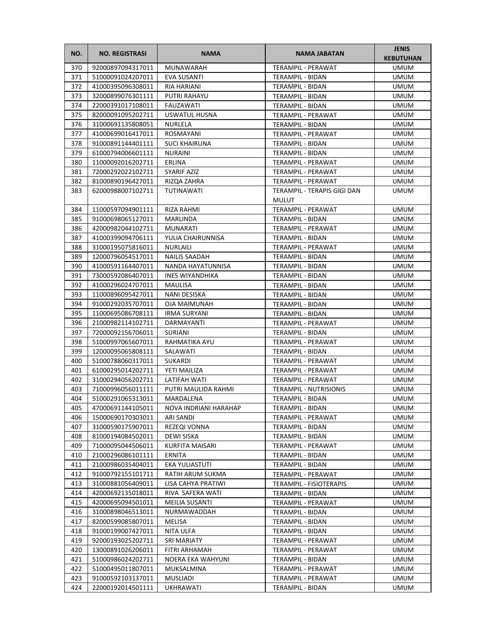| NO. | <b>NO. REGISTRASI</b> | <b>NAMA</b>            | <b>NAMA JABATAN</b>           | <b>JENIS</b><br><b>KEBUTUHAN</b> |
|-----|-----------------------|------------------------|-------------------------------|----------------------------------|
| 370 | 92000897094317011     | MUNAWARAH              | TERAMPIL - PERAWAT            | <b>UMUM</b>                      |
| 371 | 51000091024207011     | EVA SUSANTI            | TERAMPIL - BIDAN              | <b>UMUM</b>                      |
| 372 | 41000395096308011     | <b>RIA HARIANI</b>     | TERAMPIL - BIDAN              | <b>UMUM</b>                      |
| 373 | 32000899076301111     | PUTRI RAHAYU           | TERAMPIL - BIDAN              | <b>UMUM</b>                      |
| 374 | 22000391017108011     | FAUZAWATI              | TERAMPIL - BIDAN              | <b>UMUM</b>                      |
| 375 | 82000091095202711     | USWATUL HUSNA          | TERAMPIL - PERAWAT            | <b>UMUM</b>                      |
| 376 | 31000691135808051     | NURLELA                | TERAMPIL - BIDAN              | <b>UMUM</b>                      |
| 377 | 41000699016417011     | ROSMAYANI              | TERAMPIL - PERAWAT            | <b>UMUM</b>                      |
| 378 | 91000891144401111     | <b>SUCI KHAIRUNA</b>   | TERAMPIL - BIDAN              | <b>UMUM</b>                      |
| 379 | 61000794006601111     | <b>NURAINI</b>         | TERAMPIL - BIDAN              | <b>UMUM</b>                      |
| 380 | 11000092016202711     | ERLINA                 | TERAMPIL - PERAWAT            | <b>UMUM</b>                      |
| 381 | 72000292022102711     | <b>SYARIF AZIZ</b>     | TERAMPIL - PERAWAT            | <b>UMUM</b>                      |
| 382 | 81000890196427011     | RIZQA ZAHRA            | TERAMPIL - PERAWAT            | <b>UMUM</b>                      |
| 383 | 62000988007102711     | TUTINAWATI             | TERAMPIL - TERAPIS GIGI DAN   | UMUM                             |
|     |                       |                        | <b>MULUT</b>                  |                                  |
| 384 | 11000597094901111     | RIZA RAHMI             | TERAMPIL - PERAWAT            | <b>UMUM</b>                      |
| 385 | 91000698065127011     | MARLINDA               | TERAMPIL - BIDAN              | <b>UMUM</b>                      |
| 386 | 42000982044102711     | MUNARATI               | TERAMPIL - PERAWAT            | <b>UMUM</b>                      |
| 387 | 41000399094706111     | YULIA CHAIRUNNISA      | <b>TERAMPIL - BIDAN</b>       | <b>UMUM</b>                      |
| 388 | 31000195075816011     | <b>NURLAILI</b>        | TERAMPIL - PERAWAT            | <b>UMUM</b>                      |
| 389 | 12000796054517011     | <b>NAILIS SAADAH</b>   | TERAMPIL - BIDAN              | <b>UMUM</b>                      |
| 390 | 41000591164407011     | NANDA HAYATUNNISA      | TERAMPIL - BIDAN              | <b>UMUM</b>                      |
| 391 | 73000592086407011     | <b>INES WIYANDHIKA</b> | TERAMPIL - BIDAN              | <b>UMUM</b>                      |
| 392 | 41000296024707011     | MAULISA                | TERAMPIL - BIDAN              | <b>UMUM</b>                      |
| 393 | 11000896095427011     | NANI DESISKA           | TERAMPIL - BIDAN              | <b>UMUM</b>                      |
| 394 | 91000292035707011     | <b>OJA MAIMUNAH</b>    | TERAMPIL - BIDAN              | <b>UMUM</b>                      |
| 395 | 11000695086708111     | <b>IRMA SURYANI</b>    | TERAMPIL - BIDAN              | <b>UMUM</b>                      |
| 396 | 21000982114102711     | DARMAYANTI             | TERAMPIL - PERAWAT            | <b>UMUM</b>                      |
| 397 | 72000092156706011     | SURIANI                | TERAMPIL - BIDAN              | <b>UMUM</b>                      |
| 398 | 51000997065607011     | RAHMATIKA AYU          | TERAMPIL - PERAWAT            | <b>UMUM</b>                      |
| 399 | 12000095065808111     | SALAWATI               | TERAMPIL - BIDAN              | <b>UMUM</b>                      |
| 400 | 51000788060317011     | <b>SUKARDI</b>         | TERAMPIL - PERAWAT            | UMUM                             |
| 401 | 61000295014202711     | YETI MAILIZA           | TERAMPIL - PERAWAT            | <b>UMUM</b>                      |
| 402 | 31000294056202711     | LATIFAH WATI           | TERAMPIL - PERAWAT            | <b>UMUM</b>                      |
| 403 | 71000996056011111     | PUTRI MAULIDA RAHMI    | <b>TERAMPIL - NUTRISIONIS</b> | <b>UMUM</b>                      |
| 404 | 51000291065313011     | MARDALENA              | <b>TERAMPIL - BIDAN</b>       | <b>UMUM</b>                      |
| 405 | 47000691144105011     | NOVA INDRIANI HARAHAP  | TERAMPIL - BIDAN              | <b>UMUM</b>                      |
| 406 | 15000690170303011     | ARI SANDI              | TERAMPIL - PERAWAT            | <b>UMUM</b>                      |
| 407 | 31000590175907011     | REZEQI VONNA           | TERAMPIL - BIDAN              | <b>UMUM</b>                      |
| 408 | 81000194084502011     | DEWI SISKA             | TERAMPIL - BIDAN              | <b>UMUM</b>                      |
| 409 | 71000095044506011     | KURFITA MAISARI        | TERAMPIL - PERAWAT            | <b>UMUM</b>                      |
| 410 | 21000296086101111     | ERNITA                 | TERAMPIL - BIDAN              | <b>UMUM</b>                      |
| 411 | 21000986035404011     | EKA YULIASTUTI         | TERAMPIL - BIDAN              | <b>UMUM</b>                      |
| 412 | 91000792155101711     | RATIH ARUM SUKMA       | TERAMPIL - PERAWAT            | <b>UMUM</b>                      |
| 413 | 31000881056409011     | LISA CAHYA PRATIWI     | TERAMPIL - FISIOTERAPIS       | UMUM                             |
| 414 | 42000692135018011     | RIVA SAFERA WATI       | TERAMPIL - BIDAN              | <b>UMUM</b>                      |
| 415 | 42000695094501011     | MEILIA SUSANTI         | TERAMPIL - PERAWAT            | <b>UMUM</b>                      |
| 416 | 31000898046513011     | NURMAWADDAH            | TERAMPIL - BIDAN              | <b>UMUM</b>                      |
| 417 | 82000599085807011     | MELISA                 | TERAMPIL - BIDAN              | UMUM                             |
| 418 | 91000199007427011     | NITA ULFA              | TERAMPIL - BIDAN              | <b>UMUM</b>                      |
| 419 | 92000193025202711     | <b>SRI MARIATY</b>     | TERAMPIL - PERAWAT            | <b>UMUM</b>                      |
| 420 | 13000891026206011     | FITRI ARHAMAH          | TERAMPIL - PERAWAT            | <b>UMUM</b>                      |
| 421 | 51000986024202711     | NOERA EKA WAHYUNI      | TERAMPIL - BIDAN              | <b>UMUM</b>                      |
| 422 | 51000495011807011     | MUKSALMINA             | TERAMPIL - PERAWAT            | <b>UMUM</b>                      |
| 423 | 91000592103137011     | MUSLIADI               | TERAMPIL - PERAWAT            | <b>UMUM</b>                      |
| 424 | 22000192014501111     | <b>UKHRAWATI</b>       | TERAMPIL - BIDAN              | <b>UMUM</b>                      |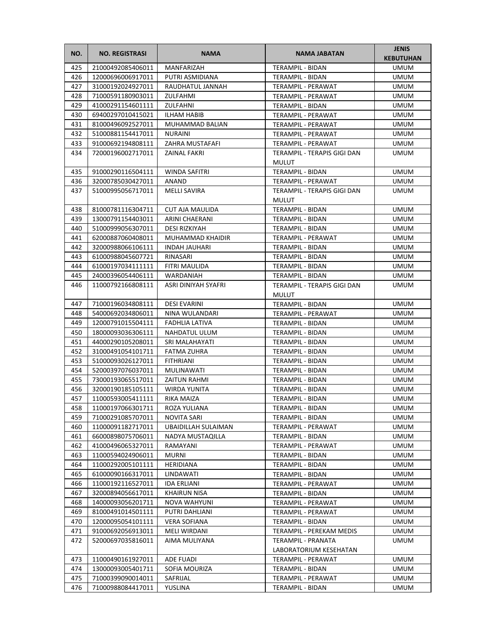| NO. | <b>NO. REGISTRASI</b> | <b>NAMA</b>            | <b>NAMA JABATAN</b>                          | <b>JENIS</b><br><b>KEBUTUHAN</b> |
|-----|-----------------------|------------------------|----------------------------------------------|----------------------------------|
| 425 | 21000492085406011     | <b>MANFARIZAH</b>      | TERAMPIL - BIDAN                             | <b>UMUM</b>                      |
| 426 | 12000696006917011     | PUTRI ASMIDIANA        | TERAMPIL - BIDAN                             | <b>UMUM</b>                      |
| 427 | 31000192024927011     | RAUDHATUL JANNAH       | TERAMPIL - PERAWAT                           | <b>UMUM</b>                      |
| 428 | 71000591180903011     | ZULFAHMI               | <b>TERAMPIL - PERAWAT</b>                    | <b>UMUM</b>                      |
| 429 | 41000291154601111     | ZULFAHNI               | TERAMPIL - BIDAN                             | <b>UMUM</b>                      |
| 430 | 69400297010415021     | ILHAM HABIB            | TERAMPIL - PERAWAT                           | <b>UMUM</b>                      |
| 431 | 81000496092527011     | MUHAMMAD BALIAN        | TERAMPIL - PERAWAT                           | UMUM                             |
| 432 | 51000881154417011     | <b>NURAINI</b>         | TERAMPIL - PERAWAT                           | <b>UMUM</b>                      |
| 433 | 91000692194808111     | ZAHRA MUSTAFAFI        | TERAMPIL - PERAWAT                           | <b>UMUM</b>                      |
| 434 | 72000196002717011     | ZAINAL FAKRI           | TERAMPIL - TERAPIS GIGI DAN                  | <b>UMUM</b>                      |
|     |                       |                        | <b>MULUT</b>                                 |                                  |
| 435 | 91000290116504111     | WINDA SAFITRI          | TERAMPIL - BIDAN                             | <b>UMUM</b>                      |
| 436 | 32000785030427011     | ANAND                  | TERAMPIL - PERAWAT                           | <b>UMUM</b>                      |
| 437 | 51000995056717011     | MELLI SAVIRA           | TERAMPIL - TERAPIS GIGI DAN                  | UMUM                             |
|     |                       |                        | <b>MULUT</b>                                 |                                  |
| 438 | 81000781116304711     | <b>CUT AJA MAULIDA</b> | TERAMPIL - BIDAN                             | <b>UMUM</b>                      |
| 439 | 13000791154403011     | ARINI CHAERANI         | <b>TERAMPIL - BIDAN</b>                      | <b>UMUM</b>                      |
| 440 | 51000999056307011     | DESI RIZKIYAH          | TERAMPIL - BIDAN                             | <b>UMUM</b>                      |
| 441 | 62000887060408011     | MUHAMMAD KHAIDIR       | TERAMPIL - PERAWAT                           | <b>UMUM</b>                      |
| 442 | 32000988066106111     | INDAH JAUHARI          | TERAMPIL - BIDAN                             | UMUM                             |
| 443 | 61000988045607721     | RINASARI               | TERAMPIL - BIDAN                             | <b>UMUM</b>                      |
| 444 | 61000197034111111     | FITRI MAULIDA          | TERAMPIL - BIDAN                             | <b>UMUM</b>                      |
| 445 | 24000396054406111     | WARDANIAH              | TERAMPIL - BIDAN                             | <b>UMUM</b>                      |
| 446 | 11000792166808111     | ASRI DINIYAH SYAFRI    | TERAMPIL - TERAPIS GIGI DAN<br>MULUT         | <b>UMUM</b>                      |
| 447 | 71000196034808111     | <b>DESI EVARINI</b>    | TERAMPIL - BIDAN                             | <b>UMUM</b>                      |
| 448 | 54000692034806011     | NINA WULANDARI         | TERAMPIL - PERAWAT                           | <b>UMUM</b>                      |
| 449 | 12000791015504111     | FADHLIA LATIVA         | TERAMPIL - BIDAN                             | <b>UMUM</b>                      |
| 450 | 18000093036306111     | NAHDATUL ULUM          | TERAMPIL - BIDAN                             | <b>UMUM</b>                      |
| 451 | 44000290105208011     | SRI MALAHAYATI         | TERAMPIL - BIDAN                             | UMUM                             |
| 452 | 31000491054101711     | <b>FATMA ZUHRA</b>     | TERAMPIL - BIDAN                             | UMUM                             |
| 453 | 51000093026127011     | <b>FITHRIANI</b>       | TERAMPIL - BIDAN                             | UMUM                             |
| 454 | 52000397076037011     | MULINAWATI             | <b>TERAMPIL - BIDAN</b>                      | UMUM                             |
| 455 | 73000193065517011     | <b>ZAITUN RAHMI</b>    | TERAMPIL - BIDAN                             | <b>UMUM</b>                      |
| 456 | 32000190185105111     | WIRDA YUNITA           | TERAMPIL - BIDAN                             | <b>UMUM</b>                      |
| 457 | 11000593005411111     | RIKA MAIZA             | TERAMPIL - BIDAN                             | <b>UMUM</b>                      |
| 458 | 11000197066301711     | ROZA YULIANA           | TERAMPIL - BIDAN                             | <b>UMUM</b>                      |
| 459 | 71000291085707011     | NOVITA SARI            | TERAMPIL - BIDAN                             | UMUM                             |
| 460 | 11000091182717011     | UBAIDILLAH SULAIMAN    | TERAMPIL - PERAWAT                           | UMUM                             |
| 461 | 66000898075706011     | NADYA MUSTAQILLA       | TERAMPIL - BIDAN                             | UMUM                             |
| 462 | 41000496065327011     | RAMAYANI               | TERAMPIL - PERAWAT                           | UMUM                             |
| 463 | 11000594024906011     | MURNI                  | TERAMPIL - BIDAN                             | UMUM                             |
| 464 | 11000292005101111     | HERIDIANA              | TERAMPIL - BIDAN                             | UMUM                             |
| 465 | 61000090166317011     | LINDAWATI              | TERAMPIL - BIDAN                             | UMUM                             |
| 466 | 11000192116527011     | <b>IDA ERLIANI</b>     | TERAMPIL - PERAWAT                           | UMUM                             |
| 467 | 32000894056617011     | KHAIRUN NISA           | TERAMPIL - BIDAN                             | UMUM                             |
| 468 | 14000093056201711     | NOVA WAHYUNI           | TERAMPIL - PERAWAT                           | UMUM                             |
| 469 | 81000491014501111     | PUTRI DAHLIANI         | TERAMPIL - PERAWAT                           | UMUM                             |
| 470 | 12000095054101111     | VERA SOFIANA           | TERAMPIL - BIDAN                             | UMUM                             |
| 471 | 91000692056913011     | MELI WIRDANI           | TERAMPIL - PEREKAM MEDIS                     | UMUM                             |
| 472 | 52000697035816011     | AIMA MULIYANA          | TERAMPIL - PRANATA<br>LABORATORIUM KESEHATAN | UMUM                             |
| 473 | 11000490161927011     | ADE FUADI              | TERAMPIL - PERAWAT                           | UMUM                             |
| 474 | 13000093005401711     | SOFIA MOURIZA          | TERAMPIL - BIDAN                             | UMUM                             |
| 475 | 71000399090014011     | SAFRIJAL               | TERAMPIL - PERAWAT                           | UMUM                             |
| 476 | 71000988084417011     | YUSLINA                | TERAMPIL - BIDAN                             | UMUM                             |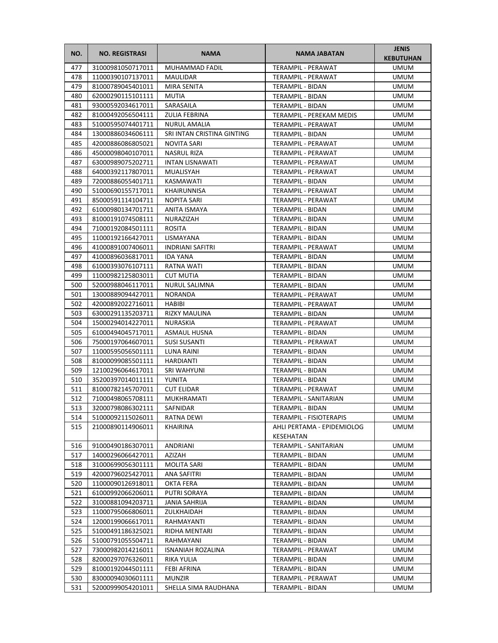| NO.        | <b>NO. REGISTRASI</b>                  | <b>NAMA</b>                 | <b>NAMA JABATAN</b>                      | <b>JENIS</b><br><b>KEBUTUHAN</b> |
|------------|----------------------------------------|-----------------------------|------------------------------------------|----------------------------------|
| 477        | 31000981050717011                      | MUHAMMAD FADIL              | TERAMPIL - PERAWAT                       | <b>UMUM</b>                      |
| 478        | 11000390107137011                      | MAULIDAR                    | TERAMPIL - PERAWAT                       | <b>UMUM</b>                      |
| 479        | 81000789045401011                      | MIRA SENITA                 | TERAMPIL - BIDAN                         | <b>UMUM</b>                      |
| 480        | 62000290115101111                      | MUTIA                       | TERAMPIL - BIDAN                         | <b>UMUM</b>                      |
| 481        | 93000592034617011                      | SARASAILA                   | TERAMPIL - BIDAN                         | <b>UMUM</b>                      |
| 482        | 81000492056504111                      | ZULIA FEBRINA               | TERAMPIL - PEREKAM MEDIS                 | <b>UMUM</b>                      |
| 483        | 51000595074401711                      | <b>NURUL AMALIA</b>         | <b>TERAMPIL - PERAWAT</b>                | <b>UMUM</b>                      |
| 484        | 13000886034606111                      | SRI INTAN CRISTINA GINTING  | TERAMPIL - BIDAN                         | <b>UMUM</b>                      |
| 485        | 42000886086805021                      | NOVITA SARI                 | <b>TERAMPIL - PERAWAT</b>                | <b>UMUM</b>                      |
| 486        | 45000098040107011                      | <b>NASRUL RIZA</b>          | TERAMPIL - PERAWAT                       | <b>UMUM</b>                      |
| 487        | 63000989075202711                      | INTAN LISNAWATI             | <b>TERAMPIL - PERAWAT</b>                | <b>UMUM</b>                      |
| 488        | 64000392117807011                      | MUALISYAH                   | TERAMPIL - PERAWAT                       | <b>UMUM</b>                      |
| 489        | 72000886055401711                      | KASMAWATI                   | TERAMPIL - BIDAN                         | <b>UMUM</b>                      |
| 490        | 51000690155717011                      | KHAIRUNNISA                 | TERAMPIL - PERAWAT                       | UMUM                             |
| 491        | 85000591114104711                      | <b>NOPITA SARI</b>          | TERAMPIL - PERAWAT                       | <b>UMUM</b>                      |
| 492        | 61000980134701711                      | <b>ANITA ISMAYA</b>         | <b>TERAMPIL - BIDAN</b>                  | <b>UMUM</b>                      |
| 493        | 81000191074508111                      | NURAZIZAH                   | <b>TERAMPIL - BIDAN</b>                  | <b>UMUM</b>                      |
| 494        | 71000192084501111                      | <b>ROSITA</b>               | TERAMPIL - BIDAN                         | <b>UMUM</b>                      |
| 495        | 11000192166427011                      | LISMAYANA                   | TERAMPIL - BIDAN                         | <b>UMUM</b>                      |
| 496        | 41000891007406011                      | <b>INDRIANI SAFITRI</b>     | <b>TERAMPIL - PERAWAT</b>                | <b>UMUM</b>                      |
| 497        | 41000896036817011                      | <b>IDA YANA</b>             | TERAMPIL - BIDAN                         | <b>UMUM</b>                      |
| 498        | 61000393076107111                      | RATNA WATI                  | TERAMPIL - BIDAN                         | <b>UMUM</b>                      |
| 499        | 11000982125803011                      | <b>CUT MUTIA</b>            | <b>TERAMPIL - BIDAN</b>                  | <b>UMUM</b>                      |
| 500        | 52000988046117011                      | <b>NURUL SALIMNA</b>        | TERAMPIL - BIDAN                         | <b>UMUM</b>                      |
| 501<br>502 | 13000889094427011<br>42000892022716011 | <b>NORANDA</b><br>HABIBI    | TERAMPIL - PERAWAT<br>TERAMPIL - PERAWAT | <b>UMUM</b><br><b>UMUM</b>       |
| 503        | 63000291135203711                      | <b>RIZKY MAULINA</b>        | TERAMPIL - BIDAN                         | <b>UMUM</b>                      |
| 504        | 15000294014227011                      | NURASKIA                    | TERAMPIL - PERAWAT                       | <b>UMUM</b>                      |
| 505        | 61000494045717011                      | ASMAUL HUSNA                | TERAMPIL - BIDAN                         | <b>UMUM</b>                      |
| 506        | 75000197064607011                      | <b>SUSI SUSANTI</b>         | TERAMPIL - PERAWAT                       | <b>UMUM</b>                      |
| 507        | 11000595056501111                      | LUNA RAINI                  | TERAMPIL - BIDAN                         | UMUM                             |
| 508        | 81000099085501111                      | <b>HARDIANTI</b>            | TERAMPIL - BIDAN                         | <b>UMUM</b>                      |
| 509        | 12100296064617011                      | <b>SRI WAHYUNI</b>          | TERAMPIL - BIDAN                         | <b>UMUM</b>                      |
| 510        | 35200397014011111                      | YUNITA                      | <b>TERAMPIL - BIDAN</b>                  | <b>UMUM</b>                      |
| 511        | 81000782145707011                      | <b>CUT ELIDAR</b>           | TERAMPIL - PERAWAT                       | <b>UMUM</b>                      |
| 512        | 71000498065708111                      | MUKHRAMATI                  | TERAMPIL - SANITARIAN                    | <b>UMUM</b>                      |
| 513        | 32000798086302111                      | SAFNIDAR                    | TERAMPIL - BIDAN                         | <b>UMUM</b>                      |
| 514        | 51000092115026011                      | RATNA DEWI                  | TERAMPIL - FISIOTERAPIS                  | UMUM                             |
| 515        | 21000890114906011                      | KHAIRINA                    | AHLI PERTAMA - EPIDEMIOLOG               | <b>UMUM</b>                      |
|            |                                        |                             | KESEHATAN                                |                                  |
| 516        | 91000490186307011                      | <b>ANDRIANI</b>             | TERAMPIL - SANITARIAN                    | <b>UMUM</b>                      |
| 517        | 14000296066427011                      | AZIZAH                      | TERAMPIL - BIDAN                         | <b>UMUM</b>                      |
| 518        | 31000699056301111                      | MOLITA SARI                 | TERAMPIL - BIDAN                         | <b>UMUM</b>                      |
| 519        | 42000796025427011                      | ANA SAFITRI                 | TERAMPIL - BIDAN                         | <b>UMUM</b>                      |
| 520        | 11000090126918011                      | OKTA FERA                   | TERAMPIL - BIDAN                         | <b>UMUM</b>                      |
| 521        | 61000992066206011                      | PUTRI SORAYA                | TERAMPIL - BIDAN                         | UMUM                             |
| 522<br>523 | 31000881094203711<br>11000795066806011 | JANIA SAHRIJA<br>ZULKHAIDAH | TERAMPIL - BIDAN<br>TERAMPIL - BIDAN     | <b>UMUM</b><br>UMUM              |
| 524        | 12000199066617011                      | RAHMAYANTI                  | TERAMPIL - BIDAN                         | UMUM                             |
| 525        | 51000491186325021                      | RIDHA MENTARI               | TERAMPIL - BIDAN                         | <b>UMUM</b>                      |
| 526        | 51000791055504711                      | RAHMAYANI                   | TERAMPIL - BIDAN                         | <b>UMUM</b>                      |
| 527        | 73000982014216011                      | ISNANIAH ROZALINA           | TERAMPIL - PERAWAT                       | <b>UMUM</b>                      |
| 528        | 82000297076326011                      | RIKA YULIA                  | TERAMPIL - BIDAN                         | <b>UMUM</b>                      |
| 529        | 81000192044501111                      | FEBI AFRINA                 | TERAMPIL - BIDAN                         | <b>UMUM</b>                      |
| 530        | 83000094030601111                      | <b>MUNZIR</b>               | TERAMPIL - PERAWAT                       | <b>UMUM</b>                      |
| 531        | 52000999054201011                      | SHELLA SIMA RAUDHANA        | TERAMPIL - BIDAN                         | UMUM                             |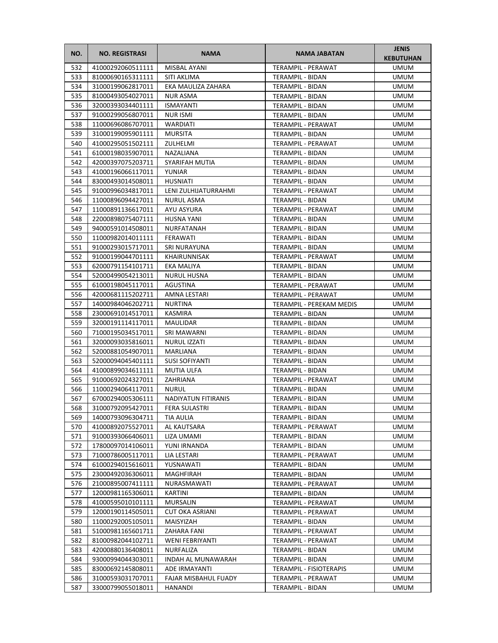| NO.        | <b>NO. REGISTRASI</b>                  | <b>NAMA</b>            | <b>NAMA JABATAN</b>                  | <b>JENIS</b><br><b>KEBUTUHAN</b> |
|------------|----------------------------------------|------------------------|--------------------------------------|----------------------------------|
| 532        | 41000292060511111                      | MISBAL AYANI           | <b>TERAMPIL - PERAWAT</b>            | <b>UMUM</b>                      |
| 533        | 81000690165311111                      | SITI AKLIMA            | TERAMPIL - BIDAN                     | <b>UMUM</b>                      |
| 534        | 31000199062817011                      | EKA MAULIZA ZAHARA     | TERAMPIL - BIDAN                     | <b>UMUM</b>                      |
| 535        | 81000493054027011                      | <b>NUR ASMA</b>        | <b>TERAMPIL - BIDAN</b>              | <b>UMUM</b>                      |
| 536        | 32000393034401111                      | <b>ISMAYANTI</b>       | TERAMPIL - BIDAN                     | <b>UMUM</b>                      |
| 537        | 91000299056807011                      | <b>NUR ISMI</b>        | TERAMPIL - BIDAN                     | <b>UMUM</b>                      |
| 538        | 11000696086707011                      | WARDIATI               | TERAMPIL - PERAWAT                   | <b>UMUM</b>                      |
| 539        | 31000199095901111                      | <b>MURSITA</b>         | <b>TERAMPIL - BIDAN</b>              | <b>UMUM</b>                      |
| 540        | 41000295051502111                      | ZULHELMI               | TERAMPIL - PERAWAT                   | <b>UMUM</b>                      |
| 541        | 61000198035907011                      | NAZALIANA              | <b>TERAMPIL - BIDAN</b>              | <b>UMUM</b>                      |
| 542        | 42000397075203711                      | SYARIFAH MUTIA         | TERAMPIL - BIDAN                     | <b>UMUM</b>                      |
| 543        | 41000196066117011                      | YUNIAR                 | TERAMPIL - BIDAN                     | <b>UMUM</b>                      |
| 544        | 83000493014508011                      | <b>HUSNIATI</b>        | TERAMPIL - BIDAN                     | <b>UMUM</b>                      |
| 545        | 91000996034817011                      | LENI ZULHIJATURRAHMI   | TERAMPIL - PERAWAT                   | <b>UMUM</b>                      |
| 546        | 11000896094427011                      | NURUL ASMA             | TERAMPIL - BIDAN                     | UMUM                             |
| 547        | 11000891136617011                      | AYU ASYURA             | TERAMPIL - PERAWAT                   | <b>UMUM</b>                      |
| 548        | 22000898075407111                      | <b>HUSNA YANI</b>      | TERAMPIL - BIDAN                     | <b>UMUM</b>                      |
| 549        | 94000591014508011                      | NURFATANAH             | <b>TERAMPIL - BIDAN</b>              | <b>UMUM</b>                      |
| 550        | 11000982014011111                      | FERAWATI               | TERAMPIL - BIDAN                     | <b>UMUM</b>                      |
| 551        | 91000293015717011                      | <b>SRI NURAYUNA</b>    | TERAMPIL - BIDAN                     | <b>UMUM</b>                      |
| 552        | 91000199044701111                      | <b>KHAIRUNNISAK</b>    | TERAMPIL - PERAWAT                   | <b>UMUM</b>                      |
| 553        | 62000791154101711                      | <b>EKA MALIYA</b>      | TERAMPIL - BIDAN                     | <b>UMUM</b>                      |
| 554        | 52000499054213011                      | <b>NURUL HUSNA</b>     | <b>TERAMPIL - BIDAN</b>              | <b>UMUM</b>                      |
| 555        | 61000198045117011                      | AGUSTINA               | TERAMPIL - PERAWAT                   | <b>UMUM</b>                      |
| 556        | 42000681115202711                      | AMNA LESTARI           | TERAMPIL - PERAWAT                   | <b>UMUM</b>                      |
| 557<br>558 | 14000984046202711                      | <b>NURTINA</b>         | TERAMPIL - PEREKAM MEDIS             | <b>UMUM</b><br><b>UMUM</b>       |
| 559        | 23000691014517011<br>32000191114117011 | KASMIRA<br>MAULIDAR    | TERAMPIL - BIDAN<br>TERAMPIL - BIDAN | <b>UMUM</b>                      |
| 560        | 71000195034517011                      | SRI MAWARNI            | TERAMPIL - BIDAN                     | <b>UMUM</b>                      |
| 561        | 32000093035816011                      | <b>NURUL IZZATI</b>    | TERAMPIL - BIDAN                     | <b>UMUM</b>                      |
| 562        | 52000881054907011                      | MARLIANA               | TERAMPIL - BIDAN                     | <b>UMUM</b>                      |
| 563        | 52000094045401111                      | <b>SUSI SOFIYANTI</b>  | TERAMPIL - BIDAN                     | UMUM                             |
| 564        | 41000899034611111                      | <b>MUTIA ULFA</b>      | TERAMPIL - BIDAN                     | <b>UMUM</b>                      |
| 565        | 91000692024327011                      | ZAHRIANA               | TERAMPIL - PERAWAT                   | <b>UMUM</b>                      |
| 566        | 11000294064117011                      | <b>NURUL</b>           | TERAMPIL - BIDAN                     | <b>UMUM</b>                      |
| 567        | 67000294005306111                      | NADIYATUN FITIRANIS    | TERAMPIL - BIDAN                     | <b>UMUM</b>                      |
| 568        | 31000792095427011                      | FERA SULASTRI          | TERAMPIL - BIDAN                     | <b>UMUM</b>                      |
| 569        | 14000793096304711                      | TIA AULIA              | TERAMPIL - BIDAN                     | <b>UMUM</b>                      |
| 570        | 41000892075527011                      | AL KAUTSARA            | TERAMPIL - PERAWAT                   | <b>UMUM</b>                      |
| 571        | 91000393066406011                      | LIZA UMAMI             | TERAMPIL - BIDAN                     | <b>UMUM</b>                      |
| 572        | 17800097014106011                      | YUNI IRNANDA           | TERAMPIL - BIDAN                     | <b>UMUM</b>                      |
| 573        | 71000786005117011                      | LIA LESTARI            | TERAMPIL - PERAWAT                   | <b>UMUM</b>                      |
| 574        | 61000294015616011                      | YUSNAWATI              | TERAMPIL - BIDAN                     | <b>UMUM</b>                      |
| 575        | 23000492036306011                      | MAGHFIRAH              | TERAMPIL - BIDAN                     | <b>UMUM</b>                      |
| 576        | 21000895007411111                      | NURASMAWATI            | TERAMPIL - PERAWAT                   | UMUM                             |
| 577        | 12000981165306011                      | KARTINI                | TERAMPIL - BIDAN                     | <b>UMUM</b>                      |
| 578        | 41000595010101111                      | <b>MURSALIN</b>        | TERAMPIL - PERAWAT                   | <b>UMUM</b>                      |
| 579        | 12000190114505011                      | <b>CUT OKA ASRIANI</b> | TERAMPIL - PERAWAT                   | <b>UMUM</b>                      |
| 580        | 11000292005105011                      | MAISYIZAH              | TERAMPIL - BIDAN                     | UMUM                             |
| 581        | 51000981165601711                      | ZAHARA FANI            | TERAMPIL - PERAWAT                   | <b>UMUM</b>                      |
| 582        | 81000982044102711                      | <b>WENI FEBRIYANTI</b> | TERAMPIL - PERAWAT                   | <b>UMUM</b>                      |
| 583        | 42000880136408011                      | NURFALIZA              | TERAMPIL - BIDAN                     | <b>UMUM</b>                      |
| 584        | 93000994044303011                      | INDAH AL MUNAWARAH     | TERAMPIL - BIDAN                     | UMUM                             |
| 585        | 83000692145808011                      | ADE IRMAYANTI          | TERAMPIL - FISIOTERAPIS              | <b>UMUM</b>                      |
| 586        | 31000593031707011                      | FAJAR MISBAHUL FUADY   | TERAMPIL - PERAWAT                   | <b>UMUM</b>                      |
| 587        | 33000799055018011                      | HANANDI                | TERAMPIL - BIDAN                     | <b>UMUM</b>                      |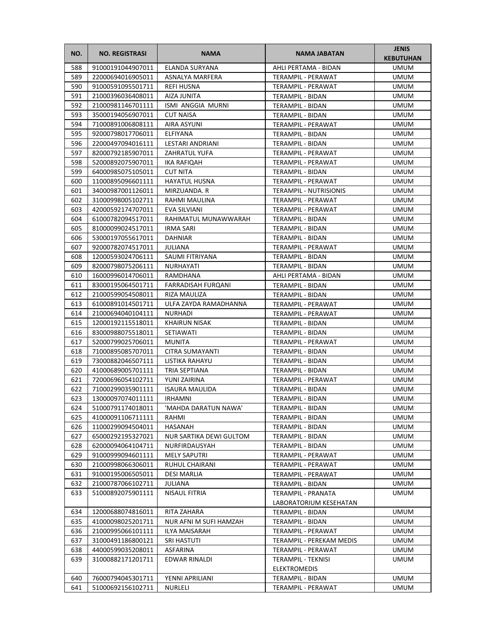| NO. | <b>NO. REGISTRASI</b> | <b>NAMA</b>             | <b>NAMA JABATAN</b>           | <b>JENIS</b><br><b>KEBUTUHAN</b> |
|-----|-----------------------|-------------------------|-------------------------------|----------------------------------|
| 588 | 91000191044907011     | ELANDA SURYANA          | AHLI PERTAMA - BIDAN          | <b>UMUM</b>                      |
| 589 | 22000694016905011     | ASNALYA MARFERA         | TERAMPIL - PERAWAT            | <b>UMUM</b>                      |
| 590 | 91000591095501711     | <b>REFI HUSNA</b>       | TERAMPIL - PERAWAT            | <b>UMUM</b>                      |
| 591 | 21000396036408011     | AIZA JUNITA             | TERAMPIL - BIDAN              | <b>UMUM</b>                      |
| 592 | 21000981146701111     | ISMI ANGGIA MURNI       | TERAMPIL - BIDAN              | <b>UMUM</b>                      |
| 593 | 35000194056907011     | <b>CUT NAISA</b>        | TERAMPIL - BIDAN              | <b>UMUM</b>                      |
| 594 | 71000891006808111     | AIRA ASYUNI             | TERAMPIL - PERAWAT            | <b>UMUM</b>                      |
| 595 | 92000798017706011     | ELFIYANA                | <b>TERAMPIL - BIDAN</b>       | <b>UMUM</b>                      |
| 596 | 22000497094016111     | LESTARI ANDRIANI        | TERAMPIL - BIDAN              | <b>UMUM</b>                      |
| 597 | 82000792185907011     | <b>ZAHRATUL YUFA</b>    | TERAMPIL - PERAWAT            | <b>UMUM</b>                      |
| 598 | 52000892075907011     | IKA RAFIQAH             | TERAMPIL - PERAWAT            | <b>UMUM</b>                      |
| 599 | 64000985075105011     | <b>CUT NITA</b>         | TERAMPIL - BIDAN              | <b>UMUM</b>                      |
| 600 | 11000895096601111     | <b>HAYATUL HUSNA</b>    | TERAMPIL - PERAWAT            | <b>UMUM</b>                      |
| 601 | 34000987001126011     | MIRZUANDA. R            | <b>TERAMPIL - NUTRISIONIS</b> | <b>UMUM</b>                      |
| 602 | 31000998005102711     | RAHMI MAULINA           | TERAMPIL - PERAWAT            | UMUM                             |
| 603 | 42000592174707011     | <b>EVA SILVIANI</b>     | TERAMPIL - PERAWAT            | <b>UMUM</b>                      |
| 604 | 61000782094517011     | RAHIMATUL MUNAWWARAH    | TERAMPIL - BIDAN              | <b>UMUM</b>                      |
| 605 | 81000099024517011     | <b>IRMA SARI</b>        | TERAMPIL - BIDAN              | <b>UMUM</b>                      |
| 606 | 53000197055617011     | <b>DAHNIAR</b>          | <b>TERAMPIL - BIDAN</b>       | <b>UMUM</b>                      |
| 607 | 92000782074517011     | JULIANA                 | <b>TERAMPIL - PERAWAT</b>     | <b>UMUM</b>                      |
| 608 | 12000593024706111     | SAUMI FITRIYANA         | TERAMPIL - BIDAN              | <b>UMUM</b>                      |
| 609 | 82000798075206111     | NURHAYATI               | TERAMPIL - BIDAN              | <b>UMUM</b>                      |
| 610 | 16000996014706011     | RAMDHANA                | AHLI PERTAMA - BIDAN          | <b>UMUM</b>                      |
| 611 | 83000195064501711     | FARRADISAH FURQANI      | TERAMPIL - BIDAN              | <b>UMUM</b>                      |
| 612 | 21000599054508011     | RIZA MAULIZA            | TERAMPIL - BIDAN              | <b>UMUM</b>                      |
| 613 | 61000891014501711     | ULFA ZAYDA RAMADHANNA   | TERAMPIL - PERAWAT            | <b>UMUM</b>                      |
| 614 | 21000694040104111     | NURHADI                 | TERAMPIL - PERAWAT            | <b>UMUM</b>                      |
| 615 | 12000192115518011     | <b>KHAIRUN NISAK</b>    | TERAMPIL - BIDAN              | <b>UMUM</b>                      |
| 616 | 83000988075518011     | SETIAWATI               | TERAMPIL - BIDAN              | <b>UMUM</b>                      |
| 617 | 52000799025706011     | <b>MUNITA</b>           | TERAMPIL - PERAWAT            | <b>UMUM</b>                      |
| 618 | 71000895085707011     | CITRA SUMAYANTI         | TERAMPIL - BIDAN              | <b>UMUM</b>                      |
| 619 | 73000882046507111     | LISTIKA RAHAYU          | TERAMPIL - BIDAN              | <b>UMUM</b>                      |
| 620 | 41000689005701111     | TRIA SEPTIANA           | TERAMPIL - BIDAN              | <b>UMUM</b>                      |
| 621 | 72000696054102711     | YUNI ZAIRINA            | <b>TERAMPIL - PERAWAT</b>     | <b>UMUM</b>                      |
| 622 | 71000299035901111     | <b>ISAURA MAULIDA</b>   | TERAMPIL - BIDAN              | <b>UMUM</b>                      |
| 623 | 13000097074011111     | <b>IRHAMNI</b>          | <b>TERAMPIL - BIDAN</b>       | <b>UMUM</b>                      |
| 624 | 51000791174018011     | 'MAHDA DARATUN NAWA'    | TERAMPIL - BIDAN              | <b>UMUM</b>                      |
| 625 | 41000091106711111     | RAHMI                   | TERAMPIL - BIDAN              | <b>UMUM</b>                      |
| 626 | 11000299094504011     | HASANAH                 | TERAMPIL - BIDAN              | <b>UMUM</b>                      |
| 627 | 65000292195327021     | NUR SARTIKA DEWI GULTOM | TERAMPIL - BIDAN              | <b>UMUM</b>                      |
| 628 | 62000094064104711     | NURFIRDAUSYAH           | TERAMPIL - BIDAN              | <b>UMUM</b>                      |
| 629 | 91000999094601111     | <b>MELY SAPUTRI</b>     | TERAMPIL - PERAWAT            | <b>UMUM</b>                      |
| 630 | 21000998066306011     | RUHUL CHAIRANI          | TERAMPIL - PERAWAT            | <b>UMUM</b>                      |
| 631 | 91000195006505011     | <b>DESI MARLIA</b>      | TERAMPIL - PERAWAT            | <b>UMUM</b>                      |
| 632 | 21000787066102711     | JULIANA                 | TERAMPIL - BIDAN              | <b>UMUM</b>                      |
| 633 | 51000892075901111     | NISAUL FITRIA           | TERAMPIL - PRANATA            | <b>UMUM</b>                      |
|     |                       |                         | LABORATORIUM KESEHATAN        |                                  |
| 634 | 12000688074816011     | RITA ZAHARA             | TERAMPIL - BIDAN              | UMUM                             |
| 635 | 41000098025201711     | NUR AFNI M SUFI HAMZAH  | TERAMPIL - BIDAN              | UMUM                             |
| 636 | 21000995066101111     | ILYA MAISARAH           | TERAMPIL - PERAWAT            | <b>UMUM</b>                      |
| 637 | 31000491186800121     | <b>SRI HASTUTI</b>      | TERAMPIL - PEREKAM MEDIS      | <b>UMUM</b>                      |
| 638 | 44000599035208011     | ASFARINA                | TERAMPIL - PERAWAT            | <b>UMUM</b>                      |
| 639 | 31000882171201711     | EDWAR RINALDI           | TERAMPIL - TEKNISI            | UMUM                             |
|     |                       |                         | <b>ELEKTROMEDIS</b>           |                                  |
| 640 | 76000794045301711     | YENNI APRILIANI         | TERAMPIL - BIDAN              | <b>UMUM</b>                      |
| 641 | 51000692156102711     | NURLELI                 | TERAMPIL - PERAWAT            | <b>UMUM</b>                      |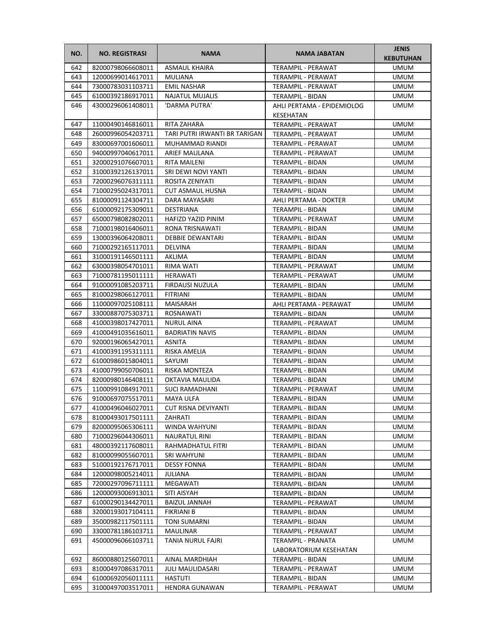| NO.        | <b>NO. REGISTRASI</b>                  | <b>NAMA</b>                                | <b>NAMA JABATAN</b>                           | <b>JENIS</b><br><b>KEBUTUHAN</b> |
|------------|----------------------------------------|--------------------------------------------|-----------------------------------------------|----------------------------------|
| 642        | 82000798066608011                      | <b>ASMAUL KHAIRA</b>                       | TERAMPIL - PERAWAT                            | <b>UMUM</b>                      |
| 643        | 12000699014617011                      | MULIANA                                    | TERAMPIL - PERAWAT                            | <b>UMUM</b>                      |
| 644        | 73000783031103711                      | <b>EMIL NASHAR</b>                         | <b>TERAMPIL - PERAWAT</b>                     | <b>UMUM</b>                      |
| 645        | 61000392186917011                      | <b>NAJATUL MUJALIS</b>                     | TERAMPIL - BIDAN                              | <b>UMUM</b>                      |
| 646        | 43000296061408011                      | 'DARMA PUTRA'                              | AHLI PERTAMA - EPIDEMIOLOG                    | <b>UMUM</b>                      |
|            |                                        |                                            | KESEHATAN                                     |                                  |
| 647        | 11000490146816011                      | RITA ZAHARA                                | TERAMPIL - PERAWAT                            | <b>UMUM</b>                      |
| 648        | 26000996054203711                      | TARI PUTRI IRWANTI BR TARIGAN              | TERAMPIL - PERAWAT                            | <b>UMUM</b>                      |
| 649        | 83000697001606011<br>94000997040617011 | MUHAMMAD RIANDI<br><b>ARIEF MAULANA</b>    | TERAMPIL - PERAWAT                            | <b>UMUM</b>                      |
| 650        |                                        |                                            | TERAMPIL - PERAWAT                            | <b>UMUM</b>                      |
| 651        | 32000291076607011                      | RITA MAILENI                               | TERAMPIL - BIDAN                              | <b>UMUM</b>                      |
| 652        | 31000392126137011                      | SRI DEWI NOVI YANTI                        | TERAMPIL - BIDAN                              | <b>UMUM</b>                      |
| 653        | 72000296076311111                      | ROSITA ZENIYATI                            | TERAMPIL - BIDAN                              | <b>UMUM</b>                      |
| 654        | 71000295024317011                      | CUT ASMAUL HUSNA                           | TERAMPIL - BIDAN                              | UMUM                             |
| 655        | 81000091124304711<br>61000092175309011 | DARA MAYASARI                              | AHLI PERTAMA - DOKTER                         | <b>UMUM</b>                      |
| 656        | 65000798082802011                      | DESTRIANA                                  | TERAMPIL - BIDAN<br><b>TERAMPIL - PERAWAT</b> | <b>UMUM</b>                      |
| 657        | 71000198016406011                      | HAFIZD YAZID PINIM                         |                                               | <b>UMUM</b>                      |
| 658        | 13000396064208011                      | RONA TRISNAWATI<br><b>DEBBIE DEWANTARI</b> | <b>TERAMPIL - BIDAN</b>                       | <b>UMUM</b>                      |
| 659        |                                        |                                            | TERAMPIL - BIDAN                              | <b>UMUM</b>                      |
| 660        | 71000292165117011                      | DELVINA                                    | TERAMPIL - BIDAN                              | <b>UMUM</b>                      |
| 661<br>662 | 31000191146501111                      | AKLIMA                                     | <b>TERAMPIL - BIDAN</b>                       | <b>UMUM</b>                      |
|            | 63000398054701011<br>71000781195011111 | RIMA WATI<br><b>HERAWATI</b>               | TERAMPIL - PERAWAT                            | <b>UMUM</b>                      |
| 663        | 91000091085203711                      | FIRDAUSI NUZULA                            | <b>TERAMPIL - PERAWAT</b>                     | <b>UMUM</b><br><b>UMUM</b>       |
| 664        |                                        |                                            | TERAMPIL - BIDAN                              |                                  |
| 665        | 81000298066127011                      | <b>FITRIANI</b>                            | TERAMPIL - BIDAN                              | <b>UMUM</b>                      |
| 666        | 11000097025108111                      | MAISARAH                                   | AHLI PERTAMA - PERAWAT                        | <b>UMUM</b>                      |
| 667        | 33000887075303711                      | ROSNAWATI                                  | TERAMPIL - BIDAN                              | <b>UMUM</b>                      |
| 668        | 41000398017427011                      | <b>NURUL AINA</b>                          | TERAMPIL - PERAWAT                            | <b>UMUM</b>                      |
| 669<br>670 | 41000491035616011<br>92000196065427011 | <b>BADRIATIN NAVIS</b><br>ASNITA           | TERAMPIL - BIDAN                              | <b>UMUM</b><br><b>UMUM</b>       |
| 671        | 41000391195311111                      | RISKA AMELIA                               | TERAMPIL - BIDAN<br>TERAMPIL - BIDAN          | UMUM                             |
| 672        | 61000986015804011                      | SAYUMI                                     | TERAMPIL - BIDAN                              | <b>UMUM</b>                      |
| 673        | 41000799050706011                      | RISKA MONTEZA                              | TERAMPIL - BIDAN                              | <b>UMUM</b>                      |
| 674        | 82000980146408111                      | OKTAVIA MAULIDA                            | TERAMPIL - BIDAN                              | <b>UMUM</b>                      |
| 675        | 11000991084917011                      | <b>SUCI RAMADHANI</b>                      | TERAMPIL - PERAWAT                            | <b>UMUM</b>                      |
| 676        | 91000697075517011                      | MAYA ULFA                                  | TERAMPIL - BIDAN                              | <b>UMUM</b>                      |
| 677        | 41000496046027011                      | CUT RISNA DEVIYANTI                        | TERAMPIL - BIDAN                              | <b>UMUM</b>                      |
| 678        | 81000493017501111                      | ZAHRATI                                    | TERAMPIL - BIDAN                              | <b>UMUM</b>                      |
| 679        | 82000095065306111                      | WINDA WAHYUNI                              | TERAMPIL - BIDAN                              | <b>UMUM</b>                      |
| 680        | 71000296044306011                      | NAURATUL RINI                              | TERAMPIL - BIDAN                              | <b>UMUM</b>                      |
| 681        | 48000392117608011                      | RAHMADHATUL FITRI                          | TERAMPIL - BIDAN                              | <b>UMUM</b>                      |
| 682        | 81000099055607011                      | SRI WAHYUNI                                | TERAMPIL - BIDAN                              | <b>UMUM</b>                      |
| 683        | 51000192176717011                      | <b>DESSY FONNA</b>                         | TERAMPIL - BIDAN                              | <b>UMUM</b>                      |
| 684        | 12000098005214011                      | JULIANA                                    | TERAMPIL - BIDAN                              | UMUM                             |
| 685        | 72000297096711111                      | MEGAWATI                                   | TERAMPIL - BIDAN                              | <b>UMUM</b>                      |
| 686        | 12000093006913011                      | SITI AISYAH                                | TERAMPIL - BIDAN                              | <b>UMUM</b>                      |
| 687        | 61000290134427011                      | <b>BAIZUL JANNAH</b>                       | TERAMPIL - PERAWAT                            | UMUM                             |
| 688        | 32000193017104111                      | FIKRIANI B                                 | TERAMPIL - BIDAN                              | UMUM                             |
| 689        | 35000982117501111                      | TONI SUMARNI                               | TERAMPIL - BIDAN                              | <b>UMUM</b>                      |
| 690        | 33000781186103711                      | MAULINAR                                   | TERAMPIL - PERAWAT                            | <b>UMUM</b>                      |
| 691        | 45000096066103711                      | TANIA NURUL FAJRI                          | TERAMPIL - PRANATA                            | <b>UMUM</b>                      |
|            |                                        |                                            | LABORATORIUM KESEHATAN                        |                                  |
| 692        | 86000880125607011                      | AINAL MARDHIAH                             | TERAMPIL - BIDAN                              | <b>UMUM</b>                      |
| 693        | 81000497086317011                      | JULI MAULIDASARI                           | TERAMPIL - PERAWAT                            | <b>UMUM</b>                      |
| 694        | 61000692056011111                      | HASTUTI                                    | TERAMPIL - BIDAN                              | <b>UMUM</b>                      |
| 695        | 31000497003517011                      | HENDRA GUNAWAN                             | TERAMPIL - PERAWAT                            | UMUM                             |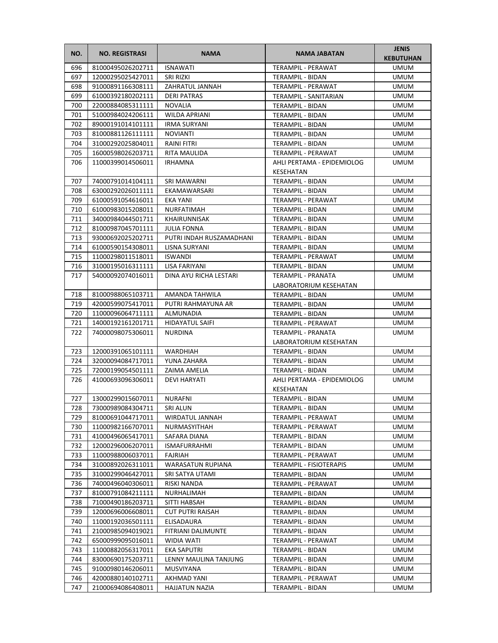| NO.        | <b>NO. REGISTRASI</b>                  | <b>NAMA</b>                      | <b>NAMA JABATAN</b>                                 | <b>JENIS</b><br><b>KEBUTUHAN</b> |
|------------|----------------------------------------|----------------------------------|-----------------------------------------------------|----------------------------------|
| 696        | 81000495026202711                      | <b>ISNAWATI</b>                  | <b>TERAMPIL - PERAWAT</b>                           | <b>UMUM</b>                      |
| 697        | 12000295025427011                      | SRI RIZKI                        | TERAMPIL - BIDAN                                    | <b>UMUM</b>                      |
| 698        | 91000891166308111                      | ZAHRATUL JANNAH                  | <b>TERAMPIL - PERAWAT</b>                           | <b>UMUM</b>                      |
| 699        | 61000392180202111                      | <b>DERI PATRAS</b>               | TERAMPIL - SANITARIAN                               | <b>UMUM</b>                      |
| 700        | 22000884085311111                      | <b>NOVALIA</b>                   | TERAMPIL - BIDAN                                    | <b>UMUM</b>                      |
| 701        | 51000984024206111                      | <b>WILDA APRIANI</b>             | TERAMPIL - BIDAN                                    | <b>UMUM</b>                      |
| 702        | 89000191014101111                      | <b>IRMA SURYANI</b>              | TERAMPIL - BIDAN                                    | <b>UMUM</b>                      |
| 703        | 81000881126111111                      | <b>NOVIANTI</b>                  | TERAMPIL - BIDAN                                    | <b>UMUM</b>                      |
| 704        | 31000292025804011                      | <b>RAINI FITRI</b>               | TERAMPIL - BIDAN                                    | <b>UMUM</b>                      |
| 705        | 16000598026203711                      | <b>RITA MAULIDA</b>              | <b>TERAMPIL - PERAWAT</b>                           | <b>UMUM</b>                      |
| 706        | 11000399014506011                      | <b>IRHAMNA</b>                   | AHLI PERTAMA - EPIDEMIOLOG<br>KESEHATAN             | <b>UMUM</b>                      |
| 707        | 74000791014104111                      | <b>SRI MAWARNI</b>               | TERAMPIL - BIDAN                                    | <b>UMUM</b>                      |
| 708        | 63000292026011111                      | EKAMAWARSARI                     | TERAMPIL - BIDAN                                    | <b>UMUM</b>                      |
| 709        | 61000591054616011                      | EKA YANI                         | TERAMPIL - PERAWAT                                  | UMUM                             |
| 710        | 61000983015208011                      | NURFATIMAH                       | TERAMPIL - BIDAN                                    | <b>UMUM</b>                      |
| 711        | 34000984044501711                      | KHAIRUNNISAK                     | TERAMPIL - BIDAN                                    | <b>UMUM</b>                      |
| 712        | 81000987045701111                      | <b>JULIA FONNA</b>               | TERAMPIL - BIDAN                                    | <b>UMUM</b>                      |
| 713        | 93000692025202711                      | PUTRI INDAH RUSZAMADHANI         | TERAMPIL - BIDAN                                    | <b>UMUM</b>                      |
| 714        | 61000590154308011                      | LISNA SURYANI                    | TERAMPIL - BIDAN                                    | <b>UMUM</b>                      |
| 715        | 11000298011518011                      | <b>ISWANDI</b>                   | TERAMPIL - PERAWAT                                  | <b>UMUM</b>                      |
| 716        | 31000195016311111                      | LISA FARIYANI                    | TERAMPIL - BIDAN                                    | <b>UMUM</b>                      |
| 717        | 54000092074016011                      | DINA AYU RICHA LESTARI           | TERAMPIL - PRANATA                                  | <b>UMUM</b>                      |
|            |                                        |                                  | LABORATORIUM KESEHATAN                              |                                  |
| 718        | 81000988065103711                      | AMANDA TAHWILA                   | TERAMPIL - BIDAN                                    | <b>UMUM</b>                      |
| 719        | 42000599075417011                      | PUTRI RAHMAYUNA AR               | TERAMPIL - BIDAN                                    | <b>UMUM</b>                      |
| 720        | 11000096064711111                      | ALMUNADIA                        | TERAMPIL - BIDAN                                    | <b>UMUM</b>                      |
| 721        | 14000192161201711                      | HIDAYATUL SAIFI                  | TERAMPIL - PERAWAT                                  | <b>UMUM</b>                      |
| 722        | 74000098075306011                      | <b>NURDINA</b>                   | <b>TERAMPIL - PRANATA</b><br>LABORATORIUM KESEHATAN | <b>UMUM</b>                      |
| 723        | 12000391065101111                      | <b>WARDHIAH</b>                  | TERAMPIL - BIDAN                                    | <b>UMUM</b>                      |
| 724        | 32000094084717011                      | YUNA ZAHARA                      | TERAMPIL - BIDAN                                    | <b>UMUM</b>                      |
| 725        | 72000199054501111                      | ZAIMA AMELIA                     | <b>TERAMPIL - BIDAN</b>                             | <b>UMUM</b>                      |
| 726        | 41000693096306011                      | DEVI HARYATI                     | AHLI PERTAMA - EPIDEMIOLOG                          | <b>UMUM</b>                      |
|            |                                        |                                  | KESEHATAN                                           |                                  |
| 727        | 13000299015607011                      | <b>NURAFNI</b>                   | TERAMPIL - BIDAN                                    | <b>UMUM</b>                      |
| 728        | 73000989084304711                      | SRI ALUN                         | TERAMPIL - BIDAN                                    | <b>UMUM</b>                      |
| 729        | 81000691044717011                      | WIRDATUL JANNAH                  | TERAMPIL - PERAWAT                                  | <b>UMUM</b>                      |
| 730        | 11000982166707011                      | NURMASYITHAH                     | TERAMPIL - PERAWAT                                  | <b>UMUM</b>                      |
| 731        | 41000496065417011                      | SAFARA DIANA                     | TERAMPIL - BIDAN                                    | <b>UMUM</b>                      |
| 732        | 12000296006207011                      | <b>ISMAFURRAHMI</b>              | TERAMPIL - BIDAN                                    | <b>UMUM</b>                      |
| 733        | 11000988006037011                      | FAJRIAH                          | TERAMPIL - PERAWAT                                  | <b>UMUM</b>                      |
| 734        | 31000892026311011                      | <b>WARASATUN RUPIANA</b>         | TERAMPIL - FISIOTERAPIS                             | <b>UMUM</b>                      |
| 735        | 31000299046427011                      | SRI SATYA UTAMI                  | TERAMPIL - BIDAN                                    | <b>UMUM</b>                      |
| 736        | 74000496040306011                      | RISKI NANDA                      | TERAMPIL - PERAWAT                                  | UMUM                             |
| 737        | 81000791084211111                      | NURHALIMAH                       | TERAMPIL - BIDAN                                    | <b>UMUM</b>                      |
| 738        | 71000490186203711                      | SITTI HABSAH                     | TERAMPIL - BIDAN                                    | <b>UMUM</b>                      |
| 739        | 12000696006608011                      | <b>CUT PUTRI RAISAH</b>          | TERAMPIL - BIDAN                                    | <b>UMUM</b>                      |
| 740<br>741 | 11000192036501111                      | ELISADAURA                       | TERAMPIL - BIDAN                                    | UMUM                             |
| 742        | 21000985094019021<br>65000999095016011 | FITRIANI DALIMUNTE<br>WIDIA WATI | TERAMPIL - BIDAN<br>TERAMPIL - PERAWAT              | <b>UMUM</b><br><b>UMUM</b>       |
| 743        | 11000882056317011                      | EKA SAPUTRI                      | TERAMPIL - BIDAN                                    | <b>UMUM</b>                      |
| 744        | 83000690175203711                      | LENNY MAULINA TANJUNG            | TERAMPIL - BIDAN                                    | <b>UMUM</b>                      |
| 745        | 91000980146206011                      | MUSVIYANA                        | TERAMPIL - BIDAN                                    | <b>UMUM</b>                      |
| 746        | 42000880140102711                      | AKHMAD YANI                      | TERAMPIL - PERAWAT                                  | <b>UMUM</b>                      |
| 747        | 21000694086408011                      | HAJJATUN NAZIA                   | TERAMPIL - BIDAN                                    | <b>UMUM</b>                      |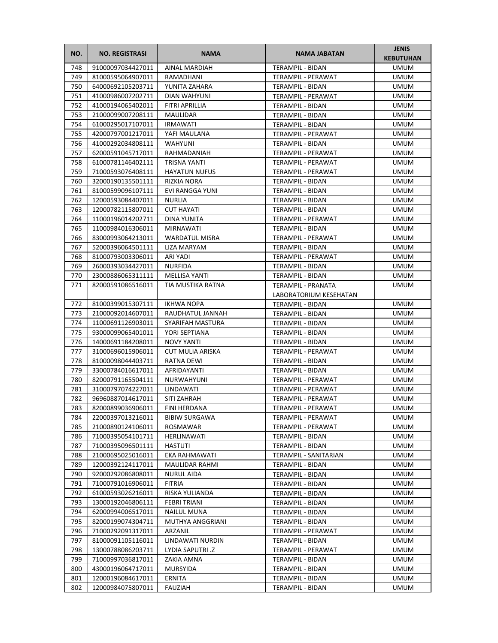| NO. | <b>NO. REGISTRASI</b> | <b>NAMA</b>           | <b>NAMA JABATAN</b>       | <b>JENIS</b><br><b>KEBUTUHAN</b> |
|-----|-----------------------|-----------------------|---------------------------|----------------------------------|
| 748 | 91000097034427011     | AINAL MARDIAH         | <b>TERAMPIL - BIDAN</b>   | <b>UMUM</b>                      |
| 749 | 81000595064907011     | RAMADHANI             | TERAMPIL - PERAWAT        | <b>UMUM</b>                      |
| 750 | 64000692105203711     | YUNITA ZAHARA         | TERAMPIL - BIDAN          | <b>UMUM</b>                      |
| 751 | 41000986007202711     | <b>DIAN WAHYUNI</b>   | TERAMPIL - PERAWAT        | <b>UMUM</b>                      |
| 752 | 41000194065402011     | FITRI APRILLIA        | TERAMPIL - BIDAN          | <b>UMUM</b>                      |
| 753 | 21000099007208111     | MAULIDAR              | TERAMPIL - BIDAN          | <b>UMUM</b>                      |
| 754 | 61000295017107011     | <b>IRMAWATI</b>       | <b>TERAMPIL - BIDAN</b>   | <b>UMUM</b>                      |
| 755 | 42000797001217011     | YAFI MAULANA          | TERAMPIL - PERAWAT        | <b>UMUM</b>                      |
| 756 | 41000292034808111     | <b>WAHYUNI</b>        | TERAMPIL - BIDAN          | <b>UMUM</b>                      |
| 757 | 62000591045717011     | RAHMADANIAH           | TERAMPIL - PERAWAT        | <b>UMUM</b>                      |
| 758 | 61000781146402111     | TRISNA YANTI          | TERAMPIL - PERAWAT        | <b>UMUM</b>                      |
| 759 | 71000593076408111     | <b>HAYATUN NUFUS</b>  | TERAMPIL - PERAWAT        | <b>UMUM</b>                      |
| 760 | 32000190135501111     | RIZKIA NORA           | TERAMPIL - BIDAN          | <b>UMUM</b>                      |
| 761 | 81000599096107111     | EVI RANGGA YUNI       | TERAMPIL - BIDAN          | <b>UMUM</b>                      |
| 762 | 12000593084407011     | <b>NURLIA</b>         | TERAMPIL - BIDAN          | UMUM                             |
| 763 | 12000782115807011     | <b>CUT HAYATI</b>     | TERAMPIL - BIDAN          | <b>UMUM</b>                      |
| 764 | 11000196014202711     | DINA YUNITA           | TERAMPIL - PERAWAT        | <b>UMUM</b>                      |
| 765 | 11000984016306011     | MIRNAWATI             | TERAMPIL - BIDAN          | <b>UMUM</b>                      |
| 766 | 83000993064213011     | <b>WARDATUL MISRA</b> | <b>TERAMPIL - PERAWAT</b> | <b>UMUM</b>                      |
| 767 | 52000396064501111     | LIZA MARYAM           | TERAMPIL - BIDAN          | <b>UMUM</b>                      |
| 768 | 81000793003306011     | ARI YADI              | <b>TERAMPIL - PERAWAT</b> | <b>UMUM</b>                      |
| 769 | 26000393034427011     | <b>NURFIDA</b>        | <b>TERAMPIL - BIDAN</b>   | <b>UMUM</b>                      |
| 770 | 23000886065311111     | <b>MELLISA YANTI</b>  | TERAMPIL - BIDAN          | <b>UMUM</b>                      |
| 771 | 82000591086516011     | TIA MUSTIKA RATNA     | TERAMPIL - PRANATA        | <b>UMUM</b>                      |
|     |                       |                       | LABORATORIUM KESEHATAN    |                                  |
| 772 | 81000399015307111     | <b>IKHWA NOPA</b>     | TERAMPIL - BIDAN          | <b>UMUM</b>                      |
| 773 | 21000092014607011     | RAUDHATUL JANNAH      | TERAMPIL - BIDAN          | <b>UMUM</b>                      |
| 774 | 11000691126903011     | SYARIFAH MASTURA      | TERAMPIL - BIDAN          | <b>UMUM</b>                      |
| 775 | 93000099065401011     | YORI SEPTIANA         | TERAMPIL - BIDAN          | <b>UMUM</b>                      |
| 776 | 14000691184208011     | <b>NOVY YANTI</b>     | TERAMPIL - BIDAN          | <b>UMUM</b>                      |
| 777 | 31000696015906011     | CUT MULIA ARISKA      | TERAMPIL - PERAWAT        | <b>UMUM</b>                      |
| 778 | 81000098044403711     | RATNA DEWI            | TERAMPIL - BIDAN          | UMUM                             |
| 779 | 33000784016617011     | AFRIDAYANTI           | TERAMPIL - BIDAN          | <b>UMUM</b>                      |
| 780 | 82000791165504111     | NURWAHYUNI            | TERAMPIL - PERAWAT        | <b>UMUM</b>                      |
| 781 | 31000797074227011     | LINDAWATI             | TERAMPIL - PERAWAT        | <b>UMUM</b>                      |
| 782 | 96960887014617011     | SITI ZAHRAH           | TERAMPIL - PERAWAT        | <b>UMUM</b>                      |
| 783 | 82000899036906011     | FINI HERDANA          | TERAMPIL - PERAWAT        | <b>UMUM</b>                      |
| 784 | 22000397013216011     | <b>BIBIW SURGAWA</b>  | TERAMPIL - PERAWAT        | <b>UMUM</b>                      |
| 785 | 21000890124106011     | ROSMAWAR              | TERAMPIL - PERAWAT        | <b>UMUM</b>                      |
| 786 | 71000395054101711     | HERLINAWATI           | TERAMPIL - BIDAN          | <b>UMUM</b>                      |
| 787 | 71000395096501111     | <b>HASTUTI</b>        | TERAMPIL - BIDAN          | <b>UMUM</b>                      |
| 788 | 21000695025016011     | EKA RAHMAWATI         | TERAMPIL - SANITARIAN     | <b>UMUM</b>                      |
| 789 | 12000392124117011     | MAULIDAR RAHMI        | TERAMPIL - BIDAN          | <b>UMUM</b>                      |
| 790 | 92000292086808011     | <b>NURUL AIDA</b>     | TERAMPIL - BIDAN          | <b>UMUM</b>                      |
| 791 | 71000791016906011     | FITRIA                | TERAMPIL - BIDAN          | UMUM                             |
| 792 | 61000593026216011     | RISKA YULIANDA        | TERAMPIL - BIDAN          | <b>UMUM</b>                      |
| 793 | 13000192046806111     | FEBRI TRIANI          | TERAMPIL - BIDAN          | <b>UMUM</b>                      |
| 794 | 62000994006517011     | NAILUL MUNA           | TERAMPIL - BIDAN          | <b>UMUM</b>                      |
| 795 | 82000199074304711     | MUTHYA ANGGRIANI      | TERAMPIL - BIDAN          | UMUM                             |
| 796 | 71000292091317011     | ARZANIL               | TERAMPIL - PERAWAT        | <b>UMUM</b>                      |
| 797 | 81000091105116011     | LINDAWATI NURDIN      | TERAMPIL - BIDAN          | <b>UMUM</b>                      |
| 798 | 13000788086203711     | LYDIA SAPUTRI .Z      | TERAMPIL - PERAWAT        | <b>UMUM</b>                      |
| 799 | 71000997036817011     | ZAKIA AMNA            | TERAMPIL - BIDAN          | <b>UMUM</b>                      |
| 800 | 43000196064717011     | MURSYIDA              | TERAMPIL - BIDAN          | <b>UMUM</b>                      |
| 801 | 12000196084617011     | ERNITA                | TERAMPIL - BIDAN          | <b>UMUM</b>                      |
| 802 | 12000984075807011     | FAUZIAH               | TERAMPIL - BIDAN          | <b>UMUM</b>                      |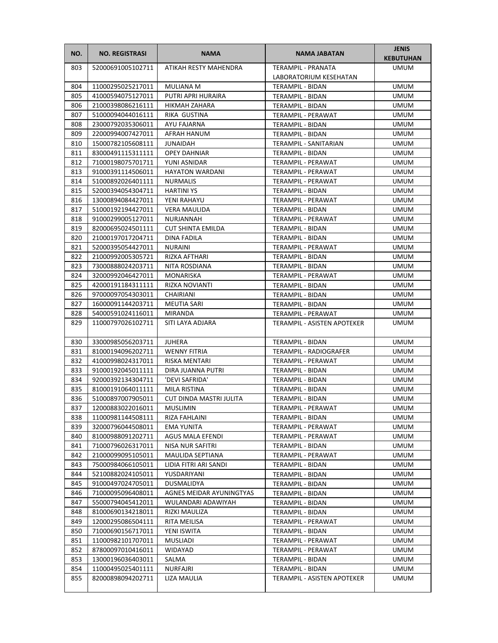| NO.        | <b>NO. REGISTRASI</b>                  | <b>NAMA</b>              | <b>NAMA JABATAN</b>                      | <b>JENIS</b><br><b>KEBUTUHAN</b> |
|------------|----------------------------------------|--------------------------|------------------------------------------|----------------------------------|
| 803        | 52000691005102711                      | ATIKAH RESTY MAHENDRA    | <b>TERAMPIL - PRANATA</b>                | <b>UMUM</b>                      |
|            |                                        |                          | LABORATORIUM KESEHATAN                   |                                  |
| 804        | 11000295025217011                      | <b>MULIANA M</b>         | TERAMPIL - BIDAN                         | <b>UMUM</b>                      |
| 805        | 41000594075127011                      | PUTRI APRI HURAIRA       | TERAMPIL - BIDAN                         | <b>UMUM</b>                      |
| 806        | 21000398086216111                      | HIKMAH ZAHARA            | TERAMPIL - BIDAN                         | <b>UMUM</b>                      |
| 807        | 51000094044016111                      | RIKA GUSTINA             | TERAMPIL - PERAWAT                       | <b>UMUM</b>                      |
| 808        | 23000792035306011                      | AYU FAJARNA              | TERAMPIL - BIDAN                         | <b>UMUM</b>                      |
| 809        | 22000994007427011                      | AFRAH HANUM              | TERAMPIL - BIDAN                         | <b>UMUM</b>                      |
| 810        | 15000782105608111                      | <b>JUNAIDAH</b>          | TERAMPIL - SANITARIAN                    | <b>UMUM</b>                      |
| 811        | 83000491115311111                      | <b>OPEY DAHNIAR</b>      | <b>TERAMPIL - BIDAN</b>                  | <b>UMUM</b>                      |
| 812        | 71000198075701711                      | YUNI ASNIDAR             | TERAMPIL - PERAWAT                       | <b>UMUM</b>                      |
| 813        | 91000391114506011                      | <b>HAYATON WARDANI</b>   | TERAMPIL - PERAWAT                       | <b>UMUM</b>                      |
| 814        | 51000892026401111                      | <b>NURMALIS</b>          | TERAMPIL - PERAWAT                       | <b>UMUM</b>                      |
| 815        | 52000394054304711                      | <b>HARTINI YS</b>        | TERAMPIL - BIDAN                         | <b>UMUM</b>                      |
| 816        | 13000894084427011                      | YENI RAHAYU              | TERAMPIL - PERAWAT                       | UMUM                             |
| 817        | 51000192194427011                      | <b>VERA MAULIDA</b>      | TERAMPIL - BIDAN                         | <b>UMUM</b>                      |
| 818        | 91000299005127011                      | NURJANNAH                | TERAMPIL - PERAWAT                       | <b>UMUM</b>                      |
| 819        | 82000695024501111                      | <b>CUT SHINTA EMILDA</b> | <b>TERAMPIL - BIDAN</b>                  | <b>UMUM</b>                      |
| 820        | 21000197017204711                      | DINA FADILA              | TERAMPIL - BIDAN                         | <b>UMUM</b>                      |
| 821        | 52000395054427011                      | <b>NURAINI</b>           | TERAMPIL - PERAWAT                       | UMUM                             |
| 822        | 21000992005305721                      | RIZKA AFTHARI            | TERAMPIL - BIDAN                         | <b>UMUM</b>                      |
| 823        | 73000888024203711                      | <b>NITA ROSDIANA</b>     | TERAMPIL - BIDAN                         | <b>UMUM</b>                      |
| 824        | 32000992046427011                      | MONARISKA                | TERAMPIL - PERAWAT                       | <b>UMUM</b>                      |
| 825        | 42000191184311111                      | RIZKA NOVIANTI           | TERAMPIL - BIDAN                         | <b>UMUM</b>                      |
| 826        | 97000097054303011                      | CHAIRIANI                | TERAMPIL - BIDAN                         | <b>UMUM</b>                      |
| 827        | 16000091144203711                      | <b>MEUTIA SARI</b>       | TERAMPIL - BIDAN                         | <b>UMUM</b>                      |
| 828        | 54000591024116011                      | MIRANDA                  | TERAMPIL - PERAWAT                       | <b>UMUM</b>                      |
| 829        | 11000797026102711                      | SITI LAYA ADJARA         | TERAMPIL - ASISTEN APOTEKER              | <b>UMUM</b>                      |
| 830        | 33000985056203711                      | <b>JUHERA</b>            | TERAMPIL - BIDAN                         | <b>UMUM</b>                      |
| 831        | 81000194096202711                      | <b>WENNY FITRIA</b>      | TERAMPIL - RADIOGRAFER                   | UMUM                             |
| 832        | 41000998024317011                      | RISKA MENTARI            | TERAMPIL - PERAWAT                       | UMUM                             |
| 833        | 91000192045011111                      | DIRA JUANNA PUTRI        | <b>TERAMPIL - BIDAN</b>                  | <b>UMUM</b>                      |
| 834        | 92000392134304711                      | 'DEVI SAFRIDA'           | TERAMPIL - BIDAN                         | <b>UMUM</b>                      |
| 835        | 81000191064011111                      | MILA RISTINA             | TERAMPIL - BIDAN                         | <b>UMUM</b>                      |
| 836        | 51000897007905011                      | CUT DINDA MASTRI JULITA  | TERAMPIL - BIDAN                         | <b>UMUM</b>                      |
| 837        | 12000883022016011                      | MUSLIMIN                 | TERAMPIL - PERAWAT                       | <b>UMUM</b>                      |
| 838        | 11000981144508111                      | RIZA FAHLAINI            | TERAMPIL - BIDAN                         | UMUM                             |
| 839        | 32000796044508011                      | EMA YUNITA               | TERAMPIL - PERAWAT                       | <b>UMUM</b>                      |
| 840        | 81000988091202711                      | AGUS MALA EFENDI         | TERAMPIL - PERAWAT                       | <b>UMUM</b>                      |
| 841        | 71000796026317011                      | NISA NUR SAFITRI         | TERAMPIL - BIDAN                         | <b>UMUM</b>                      |
| 842        | 21000099095105011                      | MAULIDA SEPTIANA         | TERAMPIL - PERAWAT                       | <b>UMUM</b>                      |
| 843        | 75000984066105011                      | LIDIA FITRI ARI SANDI    | TERAMPIL - BIDAN                         | <b>UMUM</b>                      |
| 844        | 52100882024105011                      | YUSDARIYANI              | TERAMPIL - BIDAN                         | <b>UMUM</b>                      |
| 845        | 91000497024705011                      | DUSMALIDYA               | TERAMPIL - BIDAN                         | <b>UMUM</b>                      |
| 846        | 71000095096408011                      | AGNES MEIDAR AYUNINGTYAS | TERAMPIL - BIDAN                         | <b>UMUM</b>                      |
| 847        | 55000794045412011                      | WULANDARI ADAWIYAH       | TERAMPIL - BIDAN                         | <b>UMUM</b>                      |
| 848        | 81000690134218011                      | RIZKI MAULIZA            | TERAMPIL - BIDAN                         | UMUM                             |
| 849        | 12000295086504111                      | RITA MEILISA             | TERAMPIL - PERAWAT                       | UMUM                             |
| 850        | 71000690156717011                      | YENI ISWITA              | TERAMPIL - BIDAN                         | <b>UMUM</b>                      |
| 851<br>852 | 11000982101707011                      | MUSLIADI<br>WIDAYAD      | TERAMPIL - PERAWAT<br>TERAMPIL - PERAWAT | <b>UMUM</b>                      |
| 853        | 87800097010416011<br>13000196036403011 | SALMA                    |                                          | <b>UMUM</b><br><b>UMUM</b>       |
| 854        | 11000495025401111                      | NURFAJRI                 | TERAMPIL - BIDAN<br>TERAMPIL - BIDAN     | <b>UMUM</b>                      |
| 855        | 82000898094202711                      | LIZA MAULIA              | TERAMPIL - ASISTEN APOTEKER              | UMUM                             |
|            |                                        |                          |                                          |                                  |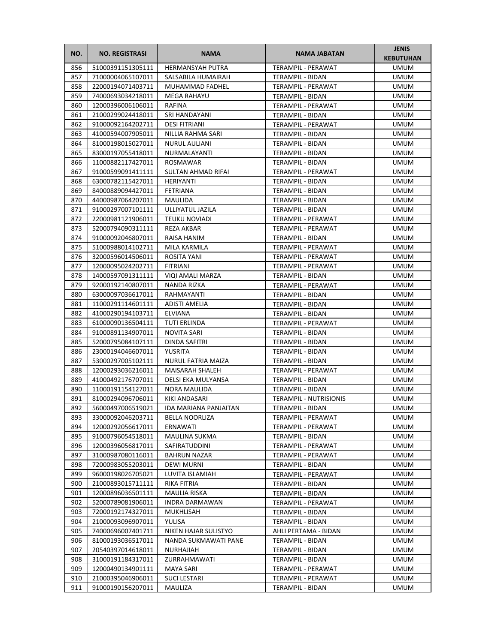| NO.        | <b>NO. REGISTRASI</b>                  | <b>NAMA</b>                     | <b>NAMA JABATAN</b>                    | <b>JENIS</b><br><b>KEBUTUHAN</b> |
|------------|----------------------------------------|---------------------------------|----------------------------------------|----------------------------------|
| 856        | 51000391151305111                      | <b>HERMANSYAH PUTRA</b>         | TERAMPIL - PERAWAT                     | <b>UMUM</b>                      |
| 857        | 71000004065107011                      | SALSABILA HUMAIRAH              | TERAMPIL - BIDAN                       | <b>UMUM</b>                      |
| 858        | 22000194071403711                      | MUHAMMAD FADHEL                 | TERAMPIL - PERAWAT                     | <b>UMUM</b>                      |
| 859        | 74000693034218011                      | MEGA RAHAYU                     | TERAMPIL - BIDAN                       | <b>UMUM</b>                      |
| 860        | 12000396006106011                      | RAFINA                          | TERAMPIL - PERAWAT                     | <b>UMUM</b>                      |
| 861        | 21000299024418011                      | SRI HANDAYANI                   | TERAMPIL - BIDAN                       | <b>UMUM</b>                      |
| 862        | 91000092164202711                      | <b>DESI FITRIANI</b>            | <b>TERAMPIL - PERAWAT</b>              | <b>UMUM</b>                      |
| 863        | 41000594007905011                      | NILLIA RAHMA SARI               | TERAMPIL - BIDAN                       | <b>UMUM</b>                      |
| 864        | 81000198015027011                      | <b>NURUL AULIANI</b>            | <b>TERAMPIL - BIDAN</b>                | <b>UMUM</b>                      |
| 865        | 83000197055418011                      | NURMALAYANTI                    | TERAMPIL - BIDAN                       | <b>UMUM</b>                      |
| 866        | 11000882117427011                      | ROSMAWAR                        | TERAMPIL - BIDAN                       | <b>UMUM</b>                      |
| 867        | 91000599091411111                      | SULTAN AHMAD RIFAI              | TERAMPIL - PERAWAT                     | <b>UMUM</b>                      |
| 868        | 63000782115427011                      | HERIYANTI                       | TERAMPIL - BIDAN                       | <b>UMUM</b>                      |
| 869        | 84000889094427011                      | FETRIANA                        | TERAMPIL - BIDAN                       | <b>UMUM</b>                      |
| 870        | 44000987064207011                      | MAULIDA                         | TERAMPIL - BIDAN                       | UMUM                             |
| 871        | 91000297007101111                      | ULLIYATUL JAZILA                | TERAMPIL - BIDAN                       | <b>UMUM</b>                      |
| 872        | 22000981121906011                      | <b>TEUKU NOVIADI</b>            | TERAMPIL - PERAWAT                     | <b>UMUM</b>                      |
| 873        | 52000794090311111                      | REZA AKBAR                      | TERAMPIL - PERAWAT                     | <b>UMUM</b>                      |
| 874        | 91000092046807011                      | RAISA HANIM                     | <b>TERAMPIL - BIDAN</b>                | <b>UMUM</b>                      |
| 875        | 51000988014102711                      | MILA KARMILA                    | TERAMPIL - PERAWAT                     | UMUM                             |
| 876        | 32000596014506011                      | ROSITA YANI                     | <b>TERAMPIL - PERAWAT</b>              | <b>UMUM</b>                      |
| 877        | 12000095024202711                      | FITRIANI                        | TERAMPIL - PERAWAT                     | <b>UMUM</b>                      |
| 878<br>879 | 14000597091311111<br>92000192140807011 | VIQI AMALI MARZA<br>NANDA RIZKA | TERAMPIL - BIDAN                       | <b>UMUM</b><br><b>UMUM</b>       |
| 880        | 63000097036617011                      | RAHMAYANTI                      | TERAMPIL - PERAWAT<br>TERAMPIL - BIDAN | <b>UMUM</b>                      |
| 881        | 11000291114601111                      | <b>ADISTI AMELIA</b>            | TERAMPIL - BIDAN                       | <b>UMUM</b>                      |
| 882        | 41000290194103711                      | ELVIANA                         | TERAMPIL - BIDAN                       | <b>UMUM</b>                      |
| 883        | 61000090136504111                      | TUTI ERLINDA                    | TERAMPIL - PERAWAT                     | <b>UMUM</b>                      |
| 884        | 91000891134907011                      | NOVITA SARI                     | TERAMPIL - BIDAN                       | <b>UMUM</b>                      |
| 885        | 52000795084107111                      | DINDA SAFITRI                   | TERAMPIL - BIDAN                       | <b>UMUM</b>                      |
| 886        | 23000194046607011                      | YUSRITA                         | TERAMPIL - BIDAN                       | <b>UMUM</b>                      |
| 887        | 53000297005102111                      | NURUL FATRIA MAIZA              | TERAMPIL - BIDAN                       | UMUM                             |
| 888        | 12000293036216011                      | MAISARAH SHALEH                 | TERAMPIL - PERAWAT                     | <b>UMUM</b>                      |
| 889        | 41000492176707011                      | DELSI EKA MULYANSA              | TERAMPIL - BIDAN                       | <b>UMUM</b>                      |
| 890        | 11000191154127011                      | NORA MAULIDA                    | <b>TERAMPIL - BIDAN</b>                | <b>UMUM</b>                      |
| 891        | 81000294096706011                      | KIKI ANDASARI                   | <b>TERAMPIL - NUTRISIONIS</b>          | <b>UMUM</b>                      |
| 892        | 56000497006519021                      | IDA MARIANA PANJAITAN           | TERAMPIL - BIDAN                       | <b>UMUM</b>                      |
| 893        | 33000092046203711                      | BELLA NOORLIZA                  | TERAMPIL - PERAWAT                     | UMUM                             |
| 894        | 12000292056617011                      | ERNAWATI                        | TERAMPIL - PERAWAT                     | <b>UMUM</b>                      |
| 895        | 91000796054518011                      | MAULINA SUKMA                   | TERAMPIL - BIDAN                       | <b>UMUM</b>                      |
| 896        | 12000396056817011                      | SAFIRATUDDINI                   | TERAMPIL - PERAWAT                     | <b>UMUM</b>                      |
| 897        | 31000987080116011                      | BAHRUN NAZAR                    | TERAMPIL - PERAWAT                     | <b>UMUM</b>                      |
| 898        | 72000983055203011                      | DEWI MURNI                      | TERAMPIL - BIDAN                       | <b>UMUM</b>                      |
| 899        | 96000198026705021                      | LUVITA ISLAMIAH                 | TERAMPIL - PERAWAT                     | <b>UMUM</b>                      |
| 900<br>901 | 21000893015711111<br>12000896036501111 | RIKA FITRIA<br>MAULIA RISKA     | TERAMPIL - BIDAN<br>TERAMPIL - BIDAN   | UMUM<br><b>UMUM</b>              |
| 902        | 52000789081906011                      | <b>INDRA DARMAWAN</b>           | TERAMPIL - PERAWAT                     | <b>UMUM</b>                      |
| 903        | 72000192174327011                      | MUKHLISAH                       | TERAMPIL - BIDAN                       | UMUM                             |
| 904        | 21000093096907011                      | YULISA                          | TERAMPIL - BIDAN                       | UMUM                             |
| 905        | 74000696007401711                      | NIKEN HAJAR SULISTYO            | AHLI PERTAMA - BIDAN                   | <b>UMUM</b>                      |
| 906        | 81000193036517011                      | NANDA SUKMAWATI PANE            | TERAMPIL - BIDAN                       | <b>UMUM</b>                      |
| 907        | 20540397014618011                      | NURHAJIAH                       | TERAMPIL - BIDAN                       | <b>UMUM</b>                      |
| 908        | 31000191184317011                      | ZURRAHMAWATI                    | TERAMPIL - BIDAN                       | <b>UMUM</b>                      |
| 909        | 12000490134901111                      | MAYA SARI                       | TERAMPIL - PERAWAT                     | <b>UMUM</b>                      |
| 910        | 21000395046906011                      | SUCI LESTARI                    | TERAMPIL - PERAWAT                     | <b>UMUM</b>                      |
| 911        | 91000190156207011                      | MAULIZA                         | TERAMPIL - BIDAN                       | <b>UMUM</b>                      |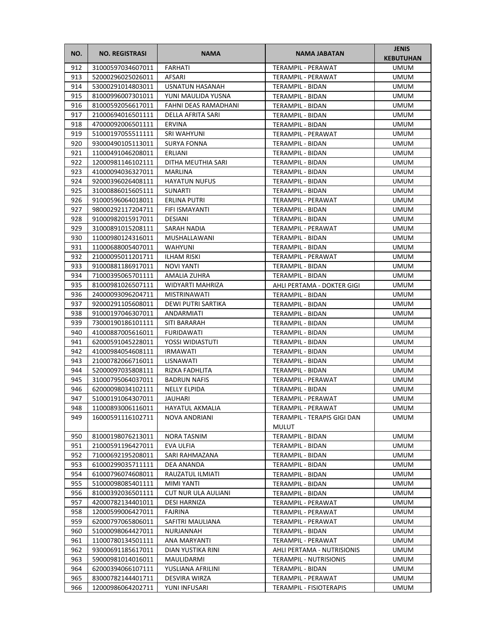| NO. | <b>NO. REGISTRASI</b> | <b>NAMA</b>          | NAMA JABATAN                  | <b>JENIS</b><br><b>KEBUTUHAN</b> |
|-----|-----------------------|----------------------|-------------------------------|----------------------------------|
| 912 | 31000597034607011     | <b>FARHATI</b>       | TERAMPIL - PERAWAT            | <b>UMUM</b>                      |
| 913 | 52000296025026011     | AFSARI               | TERAMPIL - PERAWAT            | <b>UMUM</b>                      |
| 914 | 53000291014803011     | USNATUN HASANAH      | TERAMPIL - BIDAN              | <b>UMUM</b>                      |
| 915 | 81000996007301011     | YUNI MAULIDA YUSNA   | <b>TERAMPIL - BIDAN</b>       | <b>UMUM</b>                      |
| 916 | 81000592056617011     | FAHNI DEAS RAMADHANI | TERAMPIL - BIDAN              | <b>UMUM</b>                      |
| 917 | 21000694016501111     | DELLA AFRITA SARI    | TERAMPIL - BIDAN              | <b>UMUM</b>                      |
| 918 | 47000092006501111     | ERVINA               | TERAMPIL - BIDAN              | <b>UMUM</b>                      |
| 919 | 51000197055511111     | <b>SRI WAHYUNI</b>   | TERAMPIL - PERAWAT            | <b>UMUM</b>                      |
| 920 | 93000490105113011     | <b>SURYA FONNA</b>   | TERAMPIL - BIDAN              | <b>UMUM</b>                      |
| 921 | 11000491046208011     | ERLIANI              | TERAMPIL - BIDAN              | <b>UMUM</b>                      |
| 922 | 12000981146102111     | DITHA MEUTHIA SARI   | TERAMPIL - BIDAN              | <b>UMUM</b>                      |
| 923 | 41000094036327011     | MARLINA              | TERAMPIL - BIDAN              | <b>UMUM</b>                      |
| 924 | 92000396026408111     | <b>HAYATUN NUFUS</b> | TERAMPIL - BIDAN              | <b>UMUM</b>                      |
| 925 | 31000886015605111     | SUNARTI              | TERAMPIL - BIDAN              | <b>UMUM</b>                      |
| 926 | 91000596064018011     | ERLINA PUTRI         | TERAMPIL - PERAWAT            | UMUM                             |
| 927 | 98000292117204711     | FIFI ISMAYANTI       | TERAMPIL - BIDAN              | <b>UMUM</b>                      |
| 928 | 91000982015917011     | DESIANI              | TERAMPIL - BIDAN              | <b>UMUM</b>                      |
| 929 | 31000891015208111     | SARAH NADIA          | TERAMPIL - PERAWAT            | <b>UMUM</b>                      |
| 930 | 11000980124316011     | MUSHALLAWANI         | TERAMPIL - BIDAN              | <b>UMUM</b>                      |
| 931 | 11000688005407011     | <b>WAHYUNI</b>       | TERAMPIL - BIDAN              | <b>UMUM</b>                      |
| 932 | 21000095011201711     | <b>ILHAM RISKI</b>   | TERAMPIL - PERAWAT            | <b>UMUM</b>                      |
| 933 | 91000881186917011     | <b>NOVI YANTI</b>    | <b>TERAMPIL - BIDAN</b>       | <b>UMUM</b>                      |
| 934 | 71000395065701111     | AMALIA ZUHRA         | TERAMPIL - BIDAN              | <b>UMUM</b>                      |
| 935 | 81000981026507111     | WIDYARTI MAHRIZA     | AHLI PERTAMA - DOKTER GIGI    | <b>UMUM</b>                      |
| 936 | 24000093096204711     | <b>MISTRINAWATI</b>  | TERAMPIL - BIDAN              | <b>UMUM</b>                      |
| 937 | 92000291105608011     | DEWI PUTRI SARTIKA   | TERAMPIL - BIDAN              | <b>UMUM</b>                      |
| 938 | 91000197046307011     | ANDARMIATI           | TERAMPIL - BIDAN              | <b>UMUM</b>                      |
| 939 | 73000190186101111     | SITI BARARAH         | TERAMPIL - BIDAN              | <b>UMUM</b>                      |
| 940 | 41000887005616011     | <b>FURIDAWATI</b>    | TERAMPIL - BIDAN              | <b>UMUM</b>                      |
| 941 | 62000591045228011     | YOSSI WIDIASTUTI     | TERAMPIL - BIDAN              | <b>UMUM</b>                      |
| 942 | 41000984054608111     | <b>IRMAWATI</b>      | TERAMPIL - BIDAN              | <b>UMUM</b>                      |
| 943 | 21000782066716011     | LISNAWATI            | <b>TERAMPIL - BIDAN</b>       | UMUM                             |
| 944 | 52000097035808111     | RIZKA FADHLITA       | TERAMPIL - BIDAN              | <b>UMUM</b>                      |
| 945 | 31000795064037011     | <b>BADRUN NAFIS</b>  | TERAMPIL - PERAWAT            | <b>UMUM</b>                      |
| 946 | 62000098034102111     | NELLY ELPIDA         | TERAMPIL - BIDAN              | <b>UMUM</b>                      |
| 947 | 51000191064307011     | JAUHARI              | TERAMPIL - PERAWAT            | <b>UMUM</b>                      |
| 948 | 11000893006116011     | HAYATUL AKMALIA      | TERAMPIL - PERAWAT            | <b>UMUM</b>                      |
| 949 | 16000591116102711     | NOVA ANDRIANI        | TERAMPIL - TERAPIS GIGI DAN   | <b>UMUM</b>                      |
|     |                       |                      | <b>MULUT</b>                  |                                  |
| 950 | 81000198076213011     | <b>NORA TASNIM</b>   | TERAMPIL - BIDAN              | <b>UMUM</b>                      |
| 951 | 21000591196427011     | EVA ULFIA            | TERAMPIL - BIDAN              | <b>UMUM</b>                      |
| 952 | 71000692195208011     | SARI RAHMAZANA       | TERAMPIL - BIDAN              | <b>UMUM</b>                      |
| 953 | 61000299035711111     | DEA ANANDA           | TERAMPIL - BIDAN              | <b>UMUM</b>                      |
| 954 | 61000796074608011     | RAUZATUL ILMIATI     | TERAMPIL - BIDAN              | <b>UMUM</b>                      |
| 955 | 51000098085401111     | MIMI YANTI           | TERAMPIL - BIDAN              | <b>UMUM</b>                      |
| 956 | 81000392036501111     | CUT NUR ULA AULIANI  | TERAMPIL - BIDAN              | <b>UMUM</b>                      |
| 957 | 42000782134401011     | <b>DESI HARNIZA</b>  | TERAMPIL - PERAWAT            | <b>UMUM</b>                      |
| 958 | 12000599006427011     | <b>FAJRINA</b>       | TERAMPIL - PERAWAT            | <b>UMUM</b>                      |
| 959 | 62000797065806011     | SAFITRI MAULIANA     | TERAMPIL - PERAWAT            | UMUM                             |
| 960 | 51000098064427011     | NURJANNAH            | TERAMPIL - BIDAN              | <b>UMUM</b>                      |
| 961 | 11000780134501111     | ANA MARYANTI         | TERAMPIL - PERAWAT            | <b>UMUM</b>                      |
| 962 | 93000691185617011     | DIAN YUSTIKA RINI    | AHLI PERTAMA - NUTRISIONIS    | <b>UMUM</b>                      |
| 963 | 59000981014016011     | MAULIDARMI           | <b>TERAMPIL - NUTRISIONIS</b> | <b>UMUM</b>                      |
| 964 | 62000394066107111     | YUSLIANA AFRILINI    | TERAMPIL - BIDAN              | <b>UMUM</b>                      |
| 965 | 83000782144401711     | DESVIRA WIRZA        | TERAMPIL - PERAWAT            | <b>UMUM</b>                      |
| 966 | 12000986064202711     | YUNI INFUSARI        | TERAMPIL - FISIOTERAPIS       | <b>UMUM</b>                      |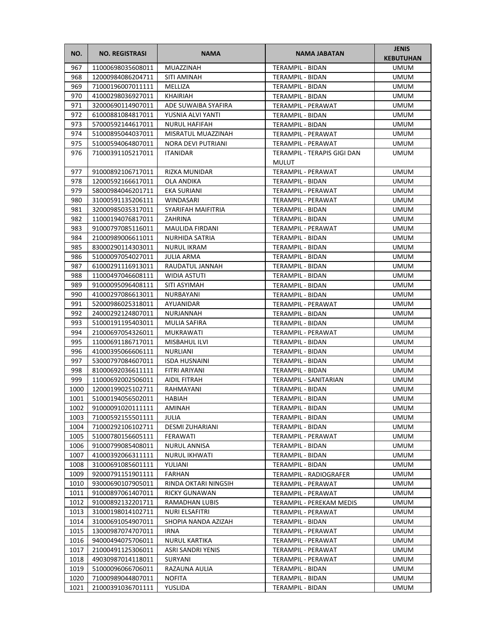| NO.  | <b>NO. REGISTRASI</b>  | <b>NAMA</b>           | <b>NAMA JABATAN</b>         | <b>JENIS</b><br><b>KEBUTUHAN</b> |
|------|------------------------|-----------------------|-----------------------------|----------------------------------|
| 967  | 11000698035608011      | MUAZZINAH             | <b>TERAMPIL - BIDAN</b>     | <b>UMUM</b>                      |
| 968  | 12000984086204711      | SITI AMINAH           | TERAMPIL - BIDAN            | <b>UMUM</b>                      |
| 969  | 71000196007011111      | MELLIZA               | TERAMPIL - BIDAN            | <b>UMUM</b>                      |
| 970  | 41000298036927011      | <b>KHAIRIAH</b>       | <b>TERAMPIL - BIDAN</b>     | <b>UMUM</b>                      |
| 971  | 32000690114907011      | ADE SUWAIBA SYAFIRA   | TERAMPIL - PERAWAT          | <b>UMUM</b>                      |
| 972  | 61000881084817011      | YUSNIA ALVI YANTI     | TERAMPIL - BIDAN            | <b>UMUM</b>                      |
| 973  | 57000592144617011      | <b>NURUL HAFIFAH</b>  | <b>TERAMPIL - BIDAN</b>     | <b>UMUM</b>                      |
| 974  | 51000895044037011      | MISRATUL MUAZZINAH    | <b>TERAMPIL - PERAWAT</b>   | <b>UMUM</b>                      |
| 975  | 51000594064807011      | NORA DEVI PUTRIANI    | TERAMPIL - PERAWAT          | <b>UMUM</b>                      |
| 976  | 71000391105217011      | <b>ITANIDAR</b>       | TERAMPIL - TERAPIS GIGI DAN | <b>UMUM</b>                      |
|      |                        |                       | <b>MULUT</b>                |                                  |
| 977  | 91000892106717011      | RIZKA MUNIDAR         | TERAMPIL - PERAWAT          | <b>UMUM</b>                      |
| 978  | 12000592166617011      | OLA ANDIKA            | TERAMPIL - BIDAN            | <b>UMUM</b>                      |
| 979  | 58000984046201711      | EKA SURIANI           | TERAMPIL - PERAWAT          | <b>UMUM</b>                      |
| 980  | 31000591135206111      | WINDASARI             | TERAMPIL - PERAWAT          | UMUM                             |
| 981  | 32000985035317011      | SYARIFAH MAIFITRIA    | TERAMPIL - BIDAN            | <b>UMUM</b>                      |
| 982  | 11000194076817011      | ZAHRINA               | <b>TERAMPIL - BIDAN</b>     | <b>UMUM</b>                      |
| 983  | 91000797085116011      | MAULIDA FIRDANI       | TERAMPIL - PERAWAT          | <b>UMUM</b>                      |
| 984  | 21000989006611011      | <b>NURHIDA SATRIA</b> | <b>TERAMPIL - BIDAN</b>     | <b>UMUM</b>                      |
| 985  | 83000290114303011      | <b>NURUL IKRAM</b>    | TERAMPIL - BIDAN            | <b>UMUM</b>                      |
| 986  | 51000097054027011      | <b>JULIA ARMA</b>     | <b>TERAMPIL - BIDAN</b>     | <b>UMUM</b>                      |
| 987  | 61000291116913011      | RAUDATUL JANNAH       | TERAMPIL - BIDAN            | <b>UMUM</b>                      |
| 988  | 11000497046608111      | <b>WIDIA ASTUTI</b>   | <b>TERAMPIL - BIDAN</b>     | <b>UMUM</b>                      |
| 989  | 91000095096408111      | SITI ASYIMAH          | TERAMPIL - BIDAN            | <b>UMUM</b>                      |
| 990  | 41000297086613011      | NURBAYANI             | TERAMPIL - BIDAN            | <b>UMUM</b>                      |
| 991  | 52000986025318011      | AYUANIDAR             | TERAMPIL - PERAWAT          | <b>UMUM</b>                      |
| 992  | 24000292124807011      | NURJANNAH             | TERAMPIL - BIDAN            | <b>UMUM</b>                      |
| 993  | 51000191195403011      | <b>MULIA SAFIRA</b>   | TERAMPIL - BIDAN            | <b>UMUM</b>                      |
| 994  | 21000697054326011      | MUKRAWATI             | TERAMPIL - PERAWAT          | <b>UMUM</b>                      |
| 995  | 11000691186717011      | MISBAHUL ILVI         | TERAMPIL - BIDAN            | <b>UMUM</b>                      |
| 996  | 41000395066606111      | <b>NURLIANI</b>       | TERAMPIL - BIDAN            | <b>UMUM</b>                      |
| 997  | 53000797084607011      | <b>ISDA HUSNAINI</b>  | TERAMPIL - BIDAN            | UMUM                             |
| 998  | 81000692036611111      | FITRI ARIYANI         | TERAMPIL - BIDAN            | <b>UMUM</b>                      |
| 999  | 11000692002506011      | AIDIL FITRAH          | TERAMPIL - SANITARIAN       | <b>UMUM</b>                      |
| 1000 | 12000199025102711      | RAHMAYANI             | TERAMPIL - BIDAN            | <b>UMUM</b>                      |
| 1001 | 51000194056502011      | HABIAH                | TERAMPIL - BIDAN            | <b>UMUM</b>                      |
|      | 1002 91000091020111111 | AMINAH                | TERAMPIL - BIDAN            | <b>UMUM</b>                      |
| 1003 | 71000592155501111      | JULIA                 | TERAMPIL - BIDAN            | <b>UMUM</b>                      |
| 1004 | 71000292106102711      | DESMI ZUHARIANI       | TERAMPIL - BIDAN            | <b>UMUM</b>                      |
| 1005 | 51000780156605111      | FERAWATI              | TERAMPIL - PERAWAT          | <b>UMUM</b>                      |
| 1006 | 91000799085408011      | <b>NURUL ANNISA</b>   | TERAMPIL - BIDAN            | <b>UMUM</b>                      |
| 1007 | 41000392066311111      | <b>NURUL IKHWATI</b>  | TERAMPIL - BIDAN            | <b>UMUM</b>                      |
| 1008 | 31000691085601111      | YULIANI               | TERAMPIL - BIDAN            | <b>UMUM</b>                      |
| 1009 | 92000791151901111      | FARHAN                | TERAMPIL - RADIOGRAFER      | <b>UMUM</b>                      |
| 1010 | 93000690107905011      | RINDA OKTARI NINGSIH  | TERAMPIL - PERAWAT          | <b>UMUM</b>                      |
| 1011 | 91000897061407011      | RICKY GUNAWAN         | TERAMPIL - PERAWAT          | <b>UMUM</b>                      |
| 1012 | 91000892132201711      | RAMADHAN LUBIS        | TERAMPIL - PEREKAM MEDIS    | <b>UMUM</b>                      |
| 1013 | 31000198014102711      | NURI ELSAFITRI        | TERAMPIL - PERAWAT          | <b>UMUM</b>                      |
| 1014 | 31000691054907011      | SHOPIA NANDA AZIZAH   | TERAMPIL - BIDAN            | UMUM                             |
| 1015 | 13000987074707011      | IRNA                  | TERAMPIL - PERAWAT          | <b>UMUM</b>                      |
| 1016 | 94000494075706011      | NURUL KARTIKA         | TERAMPIL - PERAWAT          | <b>UMUM</b>                      |
| 1017 | 21000491125306011      | ASRI SANDRI YENIS     | TERAMPIL - PERAWAT          | <b>UMUM</b>                      |
| 1018 | 49030987014118011      | SURYANI               | TERAMPIL - PERAWAT          | <b>UMUM</b>                      |
| 1019 | 51000096066706011      | RAZAUNA AULIA         | TERAMPIL - BIDAN            | <b>UMUM</b>                      |
| 1020 | 71000989044807011      | <b>NOFITA</b>         | TERAMPIL - BIDAN            | <b>UMUM</b>                      |
| 1021 | 21000391036701111      | YUSLIDA               | TERAMPIL - BIDAN            | <b>UMUM</b>                      |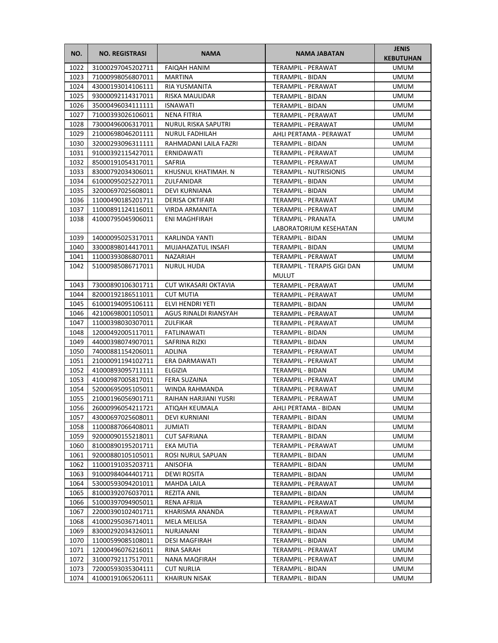| NO.          | <b>NO. REGISTRASI</b>                  | <b>NAMA</b>                | <b>NAMA JABATAN</b>                  | <b>JENIS</b><br><b>KEBUTUHAN</b> |
|--------------|----------------------------------------|----------------------------|--------------------------------------|----------------------------------|
| 1022         | 31000297045202711                      | <b>FAIQAH HANIM</b>        | <b>TERAMPIL - PERAWAT</b>            | <b>UMUM</b>                      |
| 1023         | 71000998056807011                      | <b>MARTINA</b>             | TERAMPIL - BIDAN                     | <b>UMUM</b>                      |
| 1024         | 43000193014106111                      | RIA YUSMANITA              | <b>TERAMPIL - PERAWAT</b>            | <b>UMUM</b>                      |
| 1025         | 93000092114317011                      | RISKA MAULIDAR             | TERAMPIL - BIDAN                     | <b>UMUM</b>                      |
| 1026         | 35000496034111111                      | <b>ISNAWATI</b>            | TERAMPIL - BIDAN                     | <b>UMUM</b>                      |
| 1027         | 71000393026106011                      | <b>NENA FITRIA</b>         | TERAMPIL - PERAWAT                   | <b>UMUM</b>                      |
| 1028         | 73000496006317011                      | <b>NURUL RISKA SAPUTRI</b> | TERAMPIL - PERAWAT                   | <b>UMUM</b>                      |
| 1029         | 21000698046201111                      | <b>NURUL FADHILAH</b>      | AHLI PERTAMA - PERAWAT               | <b>UMUM</b>                      |
| 1030         | 32000293096311111                      | RAHMADANI LAILA FAZRI      | TERAMPIL - BIDAN                     | <b>UMUM</b>                      |
| 1031         | 91000392115427011                      | ERNIDAWATI                 | TERAMPIL - PERAWAT                   | <b>UMUM</b>                      |
| 1032         | 85000191054317011                      | SAFRIA                     | TERAMPIL - PERAWAT                   | <b>UMUM</b>                      |
| 1033         | 83000792034306011                      | KHUSNUL KHATIMAH. N        | <b>TERAMPIL - NUTRISIONIS</b>        | <b>UMUM</b>                      |
| 1034         | 61000095025227011                      | ZULFANIDAR                 | TERAMPIL - BIDAN                     | <b>UMUM</b>                      |
| 1035         | 32000697025608011                      | DEVI KURNIANA              | TERAMPIL - BIDAN                     | UMUM                             |
| 1036         | 11000490185201711                      | DERISA OKTIFARI            | TERAMPIL - PERAWAT                   | <b>UMUM</b>                      |
| 1037         | 11000891124116011                      | VIRDA ARMANITA             | TERAMPIL - PERAWAT                   | <b>UMUM</b>                      |
| 1038         | 41000795045906011                      | ENI MAGHFIRAH              | TERAMPIL - PRANATA                   | <b>UMUM</b>                      |
|              |                                        |                            | LABORATORIUM KESEHATAN               |                                  |
| 1039         | 14000095025317011                      | KARLINDA YANTI             | TERAMPIL - BIDAN                     | <b>UMUM</b>                      |
| 1040         | 33000898014417011                      | MUJAHAZATUL INSAFI         | TERAMPIL - BIDAN                     | <b>UMUM</b>                      |
| 1041         | 11000393086807011                      | NAZARIAH                   | TERAMPIL - PERAWAT                   | UMUM                             |
| 1042         | 51000985086717011                      | <b>NURUL HUDA</b>          | TERAMPIL - TERAPIS GIGI DAN          | UMUM                             |
|              |                                        |                            | MULUT                                |                                  |
| 1043         | 73000890106301711                      | CUT WIKASARI OKTAVIA       | TERAMPIL - PERAWAT                   | <b>UMUM</b>                      |
| 1044         | 82000192186511011                      | <b>CUT MUTIA</b>           | TERAMPIL - PERAWAT                   | <b>UMUM</b>                      |
| 1045         | 61000194095106111                      | ELVI HENDRI YETI           | TERAMPIL - BIDAN                     | <b>UMUM</b>                      |
| 1046         | 42100698001105011                      | AGUS RINALDI RIANSYAH      | TERAMPIL - PERAWAT                   | <b>UMUM</b>                      |
| 1047         | 11000398030307011                      | ZULFIKAR                   | TERAMPIL - PERAWAT                   | <b>UMUM</b>                      |
| 1048         | 12000492005117011                      | FATLINAWATI                | TERAMPIL - BIDAN                     | <b>UMUM</b>                      |
| 1049         | 44000398074907011                      | SAFRINA RIZKI              | TERAMPIL - BIDAN                     | <b>UMUM</b>                      |
| 1050         | 74000881154206011                      | ADLINA                     | TERAMPIL - PERAWAT                   | UMUM                             |
| 1051         | 21000091194102711                      | ERA DARMAWATI              | <b>TERAMPIL - PERAWAT</b>            | <b>UMUM</b>                      |
| 1052         | 41000893095711111                      | ELGIZIA                    | TERAMPIL - BIDAN                     | <b>UMUM</b>                      |
| 1053         | 41000987005817011                      | FERA SUZAINA               | TERAMPIL - PERAWAT                   | <b>UMUM</b>                      |
| 1054         | 52000695095105011                      | WINDA RAHMANDA             | TERAMPIL - PERAWAT                   | <b>UMUM</b>                      |
| 1055         | 21000196056901711                      | RAIHAN HARJIANI YUSRI      | TERAMPIL - PERAWAT                   | <b>UMUM</b>                      |
| 1056         | 26000996054211721                      | ATIQAH KEUMALA             | AHLI PERTAMA - BIDAN                 | <b>UMUM</b>                      |
| 1057         | 43000697025608011                      | <b>DEVI KURNIANI</b>       | TERAMPIL - BIDAN                     | <b>UMUM</b>                      |
| 1058         | 11000887066408011                      | JUMIATI                    | TERAMPIL - BIDAN                     | <b>UMUM</b>                      |
| 1059         | 92000090155218011                      | <b>CUT SAFRIANA</b>        | TERAMPIL - BIDAN                     | <b>UMUM</b>                      |
| 1060         | 81000890195201711                      | EKA MUTIA                  | TERAMPIL - PERAWAT                   | <b>UMUM</b>                      |
| 1061         | 92000880105105011                      | ROSI NURUL SAPUAN          | TERAMPIL - BIDAN                     | <b>UMUM</b>                      |
| 1062         | 11000191035203711                      | ANISOFIA                   | TERAMPIL - BIDAN                     | <b>UMUM</b>                      |
| 1063         | 91000984044401711                      | DEWI ROSITA                | TERAMPIL - BIDAN                     | <b>UMUM</b>                      |
| 1064         | 53000593094201011                      | MAHDA LAILA                | TERAMPIL - PERAWAT                   | <b>UMUM</b>                      |
| 1065         | 81000392076037011                      | REZITA ANIL                | TERAMPIL - BIDAN                     | <b>UMUM</b>                      |
| 1066         | 51000397094905011                      | RENA AFRIJA                | TERAMPIL - PERAWAT                   | UMUM                             |
| 1067<br>1068 | 22000390102401711                      | KHARISMA ANANDA            | TERAMPIL - PERAWAT                   | <b>UMUM</b>                      |
| 1069         | 41000295036714011<br>83000292034326011 | MELA MEILISA<br>NURJANANI  | TERAMPIL - BIDAN<br>TERAMPIL - BIDAN | UMUM<br><b>UMUM</b>              |
| 1070         | 11000599085108011                      | <b>DESI MAGFIRAH</b>       | TERAMPIL - BIDAN                     | <b>UMUM</b>                      |
| 1071         | 12000496076216011                      | RINA SARAH                 | TERAMPIL - PERAWAT                   | <b>UMUM</b>                      |
| 1072         | 31000792117517011                      | <b>NANA MAQFIRAH</b>       | TERAMPIL - PERAWAT                   | <b>UMUM</b>                      |
| 1073         | 72000593035304111                      | <b>CUT NURLIA</b>          | TERAMPIL - BIDAN                     | <b>UMUM</b>                      |
| 1074         | 41000191065206111                      | <b>KHAIRUN NISAK</b>       | TERAMPIL - BIDAN                     | <b>UMUM</b>                      |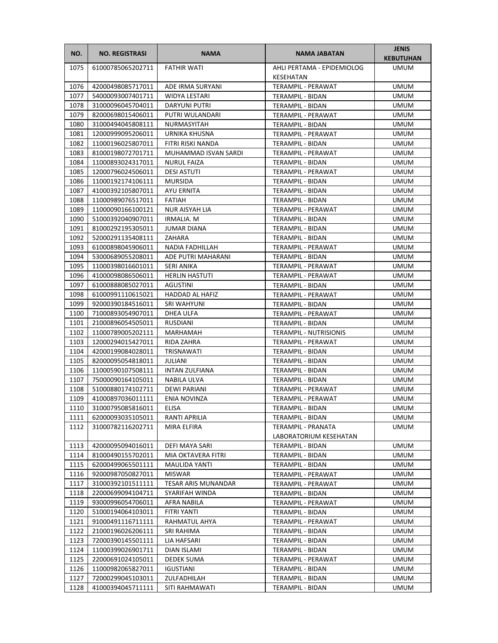| NO.          | <b>NO. REGISTRASI</b>                  | <b>NAMA</b>                           | NAMA JABATAN                           | <b>JENIS</b><br><b>KEBUTUHAN</b> |
|--------------|----------------------------------------|---------------------------------------|----------------------------------------|----------------------------------|
| 1075         | 61000785065202711                      | <b>FATHIR WATI</b>                    | AHLI PERTAMA - EPIDEMIOLOG             | <b>UMUM</b>                      |
|              |                                        |                                       | KESEHATAN                              |                                  |
| 1076         | 42000498085717011                      | ADE IRMA SURYANI                      | <b>TERAMPIL - PERAWAT</b>              | <b>UMUM</b>                      |
| 1077         | 54000093007401711                      | WIDYA LESTARI                         | TERAMPIL - BIDAN                       | <b>UMUM</b>                      |
| 1078         | 31000096045704011                      | DARYUNI PUTRI                         | TERAMPIL - BIDAN                       | UMUM                             |
| 1079         | 82000698015406011                      | PUTRI WULANDARI                       | TERAMPIL - PERAWAT                     | UMUM                             |
| 1080         | 31000494045808111                      | NURMASYITAH                           | TERAMPIL - BIDAN                       | UMUM                             |
| 1081         | 12000999095206011                      | URNIKA KHUSNA                         | TERAMPIL - PERAWAT                     | <b>UMUM</b>                      |
| 1082         | 11000196025807011                      | FITRI RISKI NANDA                     | <b>TERAMPIL - BIDAN</b>                | <b>UMUM</b>                      |
| 1083         | 81000198072701711                      | MUHAMMAD ISVAN SARDI                  | <b>TERAMPIL - PERAWAT</b>              | <b>UMUM</b>                      |
| 1084         | 11000893024317011                      | <b>NURUL FAIZA</b>                    | TERAMPIL - BIDAN                       | <b>UMUM</b>                      |
| 1085         | 12000796024506011                      | <b>DESI ASTUTI</b>                    | TERAMPIL - PERAWAT                     | <b>UMUM</b>                      |
| 1086         | 11000192174106111                      | <b>MURSIDA</b>                        | TERAMPIL - BIDAN                       | UMUM                             |
| 1087         | 41000392105807011                      | AYU ERNITA                            | TERAMPIL - BIDAN                       | UMUM                             |
| 1088         | 11000989076517011                      | <b>FATIAH</b>                         | TERAMPIL - BIDAN                       | UMUM                             |
| 1089         | 11000090166100121                      | NUR AISYAH LIA                        | TERAMPIL - PERAWAT                     | <b>UMUM</b>                      |
| 1090         | 51000392040907011                      | <b>IRMALIA, M</b>                     | <b>TERAMPIL - BIDAN</b>                | UMUM                             |
| 1091         | 81000292195305011                      | <b>JUMAR DIANA</b>                    | TERAMPIL - BIDAN                       | <b>UMUM</b>                      |
| 1092         | 52000291135408111                      | ZAHARA                                | TERAMPIL - BIDAN                       | <b>UMUM</b>                      |
| 1093<br>1094 | 61000898045906011<br>53000689055208011 | NADIA FADHILLAH<br>ADE PUTRI MAHARANI | <b>TERAMPIL - PERAWAT</b>              | <b>UMUM</b><br><b>UMUM</b>       |
| 1095         | 11000398016601011                      | SERI ANIKA                            | TERAMPIL - BIDAN<br>TERAMPIL - PERAWAT | UMUM                             |
| 1096         | 41000098086506011                      | <b>HERLIN HASTUTI</b>                 | TERAMPIL - PERAWAT                     | UMUM                             |
| 1097         | 61000888085027011                      | <b>AGUSTINI</b>                       | TERAMPIL - BIDAN                       | UMUM                             |
| 1098         | 61000991110615021                      | HADDAD AL HAFIZ                       | TERAMPIL - PERAWAT                     | <b>UMUM</b>                      |
| 1099         | 92000390184516011                      | <b>SRI WAHYUNI</b>                    | TERAMPIL - BIDAN                       | <b>UMUM</b>                      |
| 1100         | 71000893054907011                      | DHEA ULFA                             | TERAMPIL - PERAWAT                     | <b>UMUM</b>                      |
| 1101         | 21000896054505011                      | <b>RUSDIANI</b>                       | TERAMPIL - BIDAN                       | <b>UMUM</b>                      |
| 1102         | 11000789005202111                      | MARHAMAH                              | <b>TERAMPIL - NUTRISIONIS</b>          | <b>UMUM</b>                      |
| 1103         | 12000294015427011                      | RIDA ZAHRA                            | TERAMPIL - PERAWAT                     | UMUM                             |
| 1104         | 42000199084028011                      | TRISNAWATI                            | TERAMPIL - BIDAN                       | UMUM                             |
| 1105         | 82000095054818011                      | JULIANI                               | TERAMPIL - BIDAN                       | UMUM                             |
| 1106         | 11000590107508111                      | <b>INTAN ZULFIANA</b>                 | TERAMPIL - BIDAN                       | <b>UMUM</b>                      |
| 1107         | 75000090164105011                      | NABILA ULVA                           | TERAMPIL - BIDAN                       | <b>UMUM</b>                      |
| 1108         | 51000880174102711                      | DEWI PARIANI                          | <b>TERAMPIL - PERAWAT</b>              | <b>UMUM</b>                      |
| 1109         | 41000897036011111                      | ENIA NOVINZA                          | TERAMPIL - PERAWAT                     | <b>UMUM</b>                      |
| 1110         | 31000795085816011                      | ELISA                                 | TERAMPIL - BIDAN                       | <b>UMUM</b>                      |
| 1111         | 62000093035105011                      | RANTI APRILIA                         | TERAMPIL - BIDAN                       | <b>UMUM</b>                      |
| 1112         | 31000782116202711                      | MIRA ELFIRA                           | TERAMPIL - PRANATA                     | UMUM                             |
|              |                                        |                                       | LABORATORIUM KESEHATAN                 |                                  |
| 1113         | 42000095094016011                      | DEFI MAYA SARI                        | TERAMPIL - BIDAN                       | <b>UMUM</b>                      |
| 1114         | 81000490155702011                      | MIA OKTAVERA FITRI                    | TERAMPIL - BIDAN                       | <b>UMUM</b>                      |
| 1115         | 62000499065501111                      | <b>MAULIDA YANTI</b>                  | TERAMPIL - BIDAN                       | <b>UMUM</b>                      |
| 1116         | 92000987050827011                      | <b>MISWAR</b>                         | TERAMPIL - PERAWAT                     | <b>UMUM</b>                      |
| 1117         | 31000392101511111                      | <b>TESAR ARIS MUNANDAR</b>            | TERAMPIL - PERAWAT                     | <b>UMUM</b>                      |
| 1118         | 22000699094104711                      | SYARIFAH WINDA                        | TERAMPIL - BIDAN                       | UMUM                             |
| 1119         | 93000996054706011                      | AFRA NABILA                           | TERAMPIL - PERAWAT                     | UMUM                             |
| 1120         | 51000194064103011                      | FITRI YANTI                           | TERAMPIL - BIDAN                       | UMUM                             |
| 1121         | 91000491116711111                      | RAHMATUL AHYA                         | TERAMPIL - PERAWAT                     | UMUM                             |
| 1122         | 21000196026206111                      | SRI RAHIMA                            | TERAMPIL - BIDAN                       | UMUM                             |
| 1123         | 72000390145501111                      | LIA HAFSARI                           | TERAMPIL - BIDAN                       | UMUM                             |
| 1124         | 11000399026901711                      | DIAN ISLAMI                           | TERAMPIL - BIDAN                       | <b>UMUM</b>                      |
| 1125         | 22000691024105011                      | DEDEK SUMA                            | TERAMPIL - PERAWAT                     | UMUM                             |
| 1126         | 11000982065827011                      | <b>IGUSTIANI</b>                      | TERAMPIL - BIDAN                       | UMUM                             |
| 1127         | 72000299045103011                      | ZULFADHILAH                           | TERAMPIL - BIDAN                       | UMUM                             |
| 1128         | 41000394045711111                      | SITI RAHMAWATI                        | TERAMPIL - BIDAN                       | UMUM                             |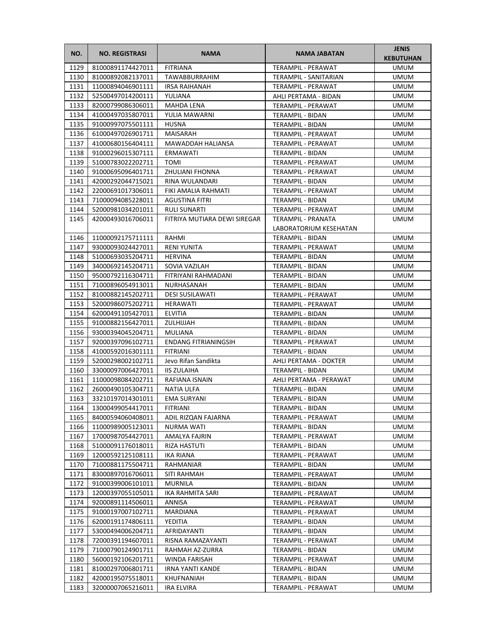| NO.          | <b>NO. REGISTRASI</b>                  | <b>NAMA</b>                            | <b>NAMA JABATAN</b>                       | <b>JENIS</b><br><b>KEBUTUHAN</b> |
|--------------|----------------------------------------|----------------------------------------|-------------------------------------------|----------------------------------|
| 1129         | 81000891174427011                      | <b>FITRIANA</b>                        | TERAMPIL - PERAWAT                        | <b>UMUM</b>                      |
| 1130         | 81000892082137011                      | <b>TAWABBURRAHIM</b>                   | TERAMPIL - SANITARIAN                     | <b>UMUM</b>                      |
| 1131         | 11000894046901111                      | IRSA RAIHANAH                          | <b>TERAMPIL - PERAWAT</b>                 | <b>UMUM</b>                      |
| 1132         | 52500497014200111                      | YULIANA                                | AHLI PERTAMA - BIDAN                      | <b>UMUM</b>                      |
| 1133         | 82000799086306011                      | MAHDA LENA                             | TERAMPIL - PERAWAT                        | UMUM                             |
| 1134         | 41000497035807011                      | YULIA MAWARNI                          | TERAMPIL - BIDAN                          | UMUM                             |
| 1135         | 91000997075501111                      | <b>HUSNA</b>                           | TERAMPIL - BIDAN                          | <b>UMUM</b>                      |
| 1136         | 61000497026901711                      | MAISARAH                               | TERAMPIL - PERAWAT                        | <b>UMUM</b>                      |
| 1137         | 41000680156404111                      | <b>MAWADDAH HALIANSA</b>               | <b>TERAMPIL - PERAWAT</b>                 | <b>UMUM</b>                      |
| 1138         | 91000296015307111                      | ERMAWATI                               | TERAMPIL - BIDAN                          | <b>UMUM</b>                      |
| 1139         | 51000783022202711                      | <b>TOMI</b>                            | TERAMPIL - PERAWAT                        | UMUM                             |
| 1140         | 91000695096401711                      | ZHULIANI FHONNA                        | TERAMPIL - PERAWAT                        | UMUM                             |
| 1141         | 42000292044715021                      | RINA WULANDARI                         | TERAMPIL - BIDAN                          | UMUM                             |
| 1142         | 22000691017306011                      | FIKI AMALIA RAHMATI                    | TERAMPIL - PERAWAT                        | UMUM                             |
| 1143         | 71000094085228011                      | AGUSTINA FITRI                         | TERAMPIL - BIDAN                          | UMUM                             |
| 1144         | 52000981034201011                      | RULI SUNARTI                           | TERAMPIL - PERAWAT                        | UMUM                             |
| 1145         | 42000493016706011                      | FITRIYA MUTIARA DEWI SIREGAR           | TERAMPIL - PRANATA                        | <b>UMUM</b>                      |
|              |                                        |                                        | LABORATORIUM KESEHATAN                    |                                  |
| 1146         | 11000092175711111                      | RAHMI                                  | TERAMPIL - BIDAN                          | <b>UMUM</b>                      |
| 1147         | 93000093024427011                      | <b>RENI YUNITA</b>                     | <b>TERAMPIL - PERAWAT</b>                 | <b>UMUM</b>                      |
| 1148         | 51000693035204711                      | <b>HERVINA</b>                         | TERAMPIL - BIDAN                          | <b>UMUM</b>                      |
| 1149         | 34000692145204711                      | SOVIA VAZILAH                          | <b>TERAMPIL - BIDAN</b>                   | UMUM                             |
| 1150         | 95000792116304711                      | FITRIYANI RAHMADANI                    | TERAMPIL - BIDAN                          | UMUM                             |
| 1151         | 71000896054913011                      | NURHASANAH                             | TERAMPIL - BIDAN                          | <b>UMUM</b>                      |
| 1152         | 81000882145202711                      | <b>DESI SUSILAWATI</b>                 | TERAMPIL - PERAWAT                        | UMUM                             |
| 1153         | 52000986075202711                      | HERAWATI                               | TERAMPIL - PERAWAT                        | <b>UMUM</b>                      |
| 1154         | 62000491105427011                      | <b>ELVITIA</b>                         | TERAMPIL - BIDAN                          | <b>UMUM</b>                      |
| 1155         | 91000882156427011                      | ZULHIJJAH                              | TERAMPIL - BIDAN                          | UMUM                             |
| 1156         | 93000394045204711                      | <b>MULIANA</b>                         | TERAMPIL - BIDAN                          | UMUM                             |
| 1157         | 92000397096102711                      | <b>ENDANG FITRIANINGSIH</b>            | TERAMPIL - PERAWAT                        | UMUM                             |
| 1158<br>1159 | 41000592016301111<br>52000298002102711 | <b>FITRIANI</b><br>Jevo Rifan Sandikta | TERAMPIL - BIDAN<br>AHLI PERTAMA - DOKTER | UMUM                             |
| 1160         | 33000097006427011                      | <b>IIS ZULAIHA</b>                     | TERAMPIL - BIDAN                          | UMUM<br><b>UMUM</b>              |
| 1161         | 11000098084202711                      | RAFIANA ISNAIN                         | AHLI PERTAMA - PERAWAT                    | <b>UMUM</b>                      |
| 1162         | 26000490105304711                      | <b>NATIA ULFA</b>                      | TERAMPIL - BIDAN                          | <b>UMUM</b>                      |
| 1163         | 33210197014301011                      | EMA SURYANI                            | <b>TERAMPIL - BIDAN</b>                   | <b>UMUM</b>                      |
| 1164         | 13000499054417011                      | <b>FITRIANI</b>                        | TERAMPIL - BIDAN                          | <b>UMUM</b>                      |
| 1165         | 84000594060408011                      | ADIL RIZQAN FAJARNA                    | TERAMPIL - PERAWAT                        | UMUM                             |
| 1166         | 11000989005123011                      | NURMA WATI                             | TERAMPIL - BIDAN                          | UMUM                             |
| 1167         | 17000987054427011                      | AMALYA FAJRIN                          | TERAMPIL - PERAWAT                        | UMUM                             |
| 1168         | 51000091176018011                      | RIZA HASTUTI                           | TERAMPIL - BIDAN                          | UMUM                             |
| 1169         | 12000592125108111                      | IKA RIANA                              | TERAMPIL - PERAWAT                        | UMUM                             |
| 1170         | 71000881175504711                      | RAHMANIAR                              | TERAMPIL - BIDAN                          | UMUM                             |
| 1171         | 83000897016706011                      | SITI RAHMAH                            | TERAMPIL - PERAWAT                        | UMUM                             |
| 1172         | 91000399006101011                      | MURNILA                                | TERAMPIL - BIDAN                          | UMUM                             |
| 1173         | 12000397055105011                      | IKA RAHMITA SARI                       | TERAMPIL - PERAWAT                        | UMUM                             |
| 1174         | 92000891114506011                      | ANNISA                                 | TERAMPIL - PERAWAT                        | UMUM                             |
| 1175         | 91000197007102711                      | MARDIANA                               | TERAMPIL - PERAWAT                        | UMUM                             |
| 1176         | 62000191174806111                      | YEDITIA                                | TERAMPIL - BIDAN                          | UMUM                             |
| 1177         | 53000494006204711                      | AFRIDAYANTI                            | TERAMPIL - BIDAN                          | UMUM                             |
| 1178         | 72000391194607011                      | RISNA RAMAZAYANTI                      | TERAMPIL - PERAWAT                        | UMUM                             |
| 1179         | 71000790124901711                      | RAHMAH AZ-ZURRA                        | TERAMPIL - BIDAN                          | UMUM                             |
| 1180         | 56000192106201711                      | WINDA FARISAH                          | TERAMPIL - PERAWAT                        | UMUM                             |
| 1181         | 81000297006801711                      | <b>IRNA YANTI KANDE</b>                | TERAMPIL - BIDAN                          | UMUM                             |
| 1182         | 42000195075518011                      | KHUFNANIAH                             | TERAMPIL - BIDAN                          | UMUM                             |
| 1183         | 32000007065216011                      | IRA ELVIRA                             | TERAMPIL - PERAWAT                        | UMUM                             |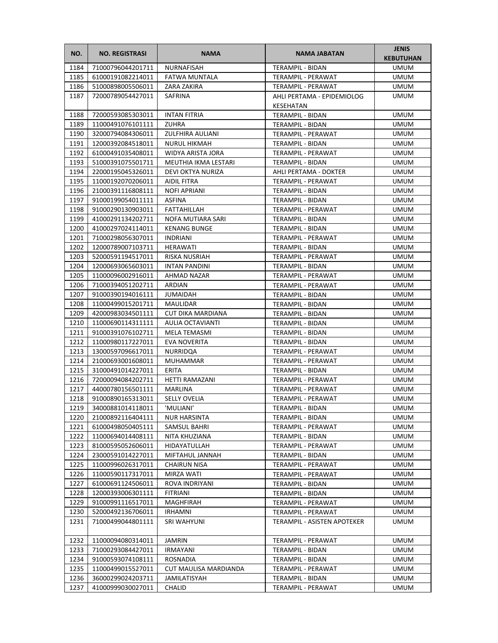| NO.          | <b>NO. REGISTRASI</b>                  | <b>NAMA</b>           | NAMA JABATAN                           | <b>JENIS</b><br><b>KEBUTUHAN</b> |
|--------------|----------------------------------------|-----------------------|----------------------------------------|----------------------------------|
| 1184         | 71000796044201711                      | NURNAFISAH            | <b>TERAMPIL - BIDAN</b>                | <b>UMUM</b>                      |
| 1185         | 61000191082214011                      | FATWA MUNTALA         | TERAMPIL - PERAWAT                     | <b>UMUM</b>                      |
| 1186         | 51000898005506011                      | ZARA ZAKIRA           | TERAMPIL - PERAWAT                     | <b>UMUM</b>                      |
| 1187         | 72000789054427011                      | SAFRINA               | AHLI PERTAMA - EPIDEMIOLOG             | <b>UMUM</b>                      |
|              |                                        |                       | KESEHATAN                              |                                  |
| 1188         | 72000593085303011                      | <b>INTAN FITRIA</b>   | TERAMPIL - BIDAN                       | UMUM                             |
| 1189         | 11000491076101111                      | <b>ZUHRA</b>          | TERAMPIL - BIDAN                       | <b>UMUM</b>                      |
| 1190         | 32000794084306011                      | ZULFHIRA AULIANI      | <b>TERAMPIL - PERAWAT</b>              | <b>UMUM</b>                      |
| 1191         | 12000392084518011                      | <b>NURUL HIKMAH</b>   | TERAMPIL - BIDAN                       | <b>UMUM</b>                      |
| 1192         | 61000491035408011                      | WIDYA ARISTA JORA     | TERAMPIL - PERAWAT                     | <b>UMUM</b>                      |
| 1193         | 51000391075501711                      | MEUTHIA IKMA LESTARI  | TERAMPIL - BIDAN                       | <b>UMUM</b>                      |
| 1194         | 22000195045326011                      | DEVI OKTYA NURIZA     | AHLI PERTAMA - DOKTER                  | UMUM                             |
| 1195         | 11000192070206011                      | <b>AIDIL FITRA</b>    | TERAMPIL - PERAWAT                     | UMUM                             |
| 1196         | 21000391116808111                      | NOFI APRIANI          | TERAMPIL - BIDAN                       | UMUM                             |
| 1197         | 91000199054011111                      | ASFINA                | TERAMPIL - BIDAN                       | UMUM                             |
| 1198         | 91000290130903011                      | FATTAHILLAH           | TERAMPIL - PERAWAT                     | UMUM                             |
| 1199         | 41000291134202711                      | NOFA MUTIARA SARI     | TERAMPIL - BIDAN                       | UMUM                             |
| 1200         | 41000297024114011                      | <b>KENANG BUNGE</b>   | TERAMPIL - BIDAN                       | <b>UMUM</b>                      |
| 1201         | 71000298056307011                      | <b>INDRIANI</b>       | TERAMPIL - PERAWAT                     | UMUM                             |
| 1202         | 12000789007103711                      | <b>HERAWATI</b>       | <b>TERAMPIL - BIDAN</b>                | UMUM                             |
| 1203         | 52000591194517011<br>12000693065603011 | RISKA NUSRIAH         | TERAMPIL - PERAWAT                     | UMUM                             |
| 1204<br>1205 | 11000096002916011                      | <b>INTAN PANDINI</b>  | TERAMPIL - BIDAN                       | UMUM                             |
| 1206         | 71000394051202711                      | AHMAD NAZAR<br>ARDIAN | TERAMPIL - PERAWAT                     | UMUM<br><b>UMUM</b>              |
| 1207         | 91000390194016111                      | <b>JUMAIDAH</b>       | TERAMPIL - PERAWAT<br>TERAMPIL - BIDAN | UMUM                             |
| 1208         | 11000499015201711                      | MAULIDAR              | TERAMPIL - BIDAN                       | <b>UMUM</b>                      |
| 1209         | 42000983034501111                      | CUT DIKA MARDIANA     | TERAMPIL - BIDAN                       | UMUM                             |
| 1210         | 11000690114311111                      | AULIA OCTAVIANTI      | TERAMPIL - BIDAN                       | UMUM                             |
| 1211         | 91000391076102711                      | MELA TEMASMI          | TERAMPIL - BIDAN                       | UMUM                             |
| 1212         | 11000980117227011                      | EVA NOVERITA          | TERAMPIL - BIDAN                       | UMUM                             |
| 1213         | 13000597096617011                      | NURRIDQA              | TERAMPIL - PERAWAT                     | UMUM                             |
| 1214         | 21000693001608011                      | <b>MUHAMMAR</b>       | TERAMPIL - PERAWAT                     | UMUM                             |
| 1215         | 31000491014227011                      | <b>ERITA</b>          | TERAMPIL - BIDAN                       | UMUM                             |
| 1216         | 72000094084202711                      | <b>HETTI RAMAZANI</b> | TERAMPIL - PERAWAT                     | UMUM                             |
| 1217         | 44000780156501111                      | MARLINA               | TERAMPIL - PERAWAT                     | <b>UMUM</b>                      |
| 1218         | 91000890165313011                      | <b>SELLY OVELIA</b>   | TERAMPIL - PERAWAT                     | <b>UMUM</b>                      |
| 1219         | 34000881014118011                      | 'MULIANI'             | TERAMPIL - BIDAN                       | <b>UMUM</b>                      |
| 1220         | 21000892116404111                      | NUR HARSINTA          | TERAMPIL - BIDAN                       | UMUM                             |
| 1221         | 61000498050405111                      | SAMSUL BAHRI          | TERAMPIL - PERAWAT                     | UMUM                             |
| 1222         | 11000694014408111                      | NITA KHUZIANA         | TERAMPIL - BIDAN                       | UMUM                             |
| 1223         | 81000595052606011                      | HIDAYATULLAH          | TERAMPIL - PERAWAT                     | UMUM                             |
| 1224         | 23000591014227011                      | MIFTAHUL JANNAH       | TERAMPIL - BIDAN                       | UMUM                             |
| 1225         | 11000996026317011                      | <b>CHAIRUN NISA</b>   | TERAMPIL - PERAWAT                     | UMUM                             |
| 1226         | 11000590117317011                      | MIRZA WATI            | TERAMPIL - PERAWAT                     | UMUM                             |
| 1227         | 61000691124506011                      | ROVA INDRIYANI        | TERAMPIL - BIDAN                       | UMUM                             |
| 1228         | 12000393006301111                      | FITRIANI              | TERAMPIL - BIDAN                       | UMUM                             |
| 1229         | 91000991116517011                      | MAGHFIRAH             | TERAMPIL - PERAWAT                     | UMUM                             |
| 1230         | 52000492136706011                      | IRHAMNI               | TERAMPIL - PERAWAT                     | UMUM                             |
| 1231         | 71000499044801111                      | SRI WAHYUNI           | TERAMPIL - ASISTEN APOTEKER            | UMUM                             |
| 1232         | 11000094080314011                      | JAMRIN                | TERAMPIL - PERAWAT                     | UMUM                             |
| 1233         | 71000293084427011                      | IRMAYANI              | TERAMPIL - BIDAN                       | UMUM                             |
| 1234         | 91000593074108111                      | ROSNADIA              | TERAMPIL - BIDAN                       | UMUM                             |
| 1235         | 11000499015527011                      | CUT MAULISA MARDIANDA | TERAMPIL - PERAWAT                     | UMUM                             |
| 1236         | 36000299024203711                      | JAMILATISYAH          | TERAMPIL - BIDAN                       | UMUM                             |
| 1237         | 41000999030027011                      | <b>CHALID</b>         | TERAMPIL - PERAWAT                     | UMUM                             |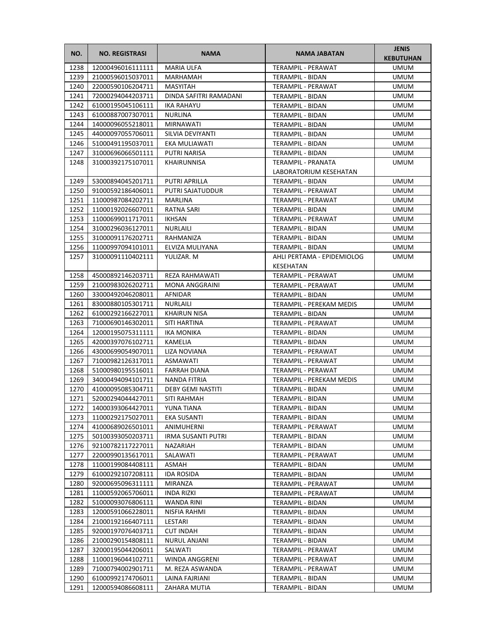| NO.          | <b>NO. REGISTRASI</b>                  | <b>NAMA</b>                     | NAMA JABATAN                                 | <b>JENIS</b><br><b>KEBUTUHAN</b> |
|--------------|----------------------------------------|---------------------------------|----------------------------------------------|----------------------------------|
| 1238         | 12000496016111111                      | <b>MARIA ULFA</b>               | TERAMPIL - PERAWAT                           | <b>UMUM</b>                      |
| 1239         | 21000596015037011                      | MARHAMAH                        | TERAMPIL - BIDAN                             | <b>UMUM</b>                      |
| 1240         | 22000590106204711                      | MASYITAH                        | TERAMPIL - PERAWAT                           | UMUM                             |
| 1241         | 72000294044203711                      | DINDA SAFITRI RAMADANI          | TERAMPIL - BIDAN                             | UMUM                             |
| 1242         | 61000195045106111                      | <b>IKA RAHAYU</b>               | TERAMPIL - BIDAN                             | UMUM                             |
| 1243         | 61000887007307011                      | <b>NURLINA</b>                  | TERAMPIL - BIDAN                             | UMUM                             |
| 1244         | 14000096055218011                      | MIRNAWATI                       | TERAMPIL - BIDAN                             | <b>UMUM</b>                      |
| 1245         | 44000097055706011                      | SILVIA DEVIYANTI                | TERAMPIL - BIDAN                             | <b>UMUM</b>                      |
| 1246         | 51000491195037011                      | EKA MULIAWATI                   | TERAMPIL - BIDAN                             | <b>UMUM</b>                      |
| 1247         | 31000696066501111                      | <b>PUTRI NARISA</b>             | TERAMPIL - BIDAN                             | <b>UMUM</b>                      |
| 1248         | 31000392175107011                      | KHAIRUNNISA                     | TERAMPIL - PRANATA                           | <b>UMUM</b>                      |
|              |                                        |                                 | LABORATORIUM KESEHATAN                       |                                  |
| 1249         | 53000894045201711                      | PUTRI APRILLA                   | TERAMPIL - BIDAN                             | UMUM                             |
| 1250         | 91000592186406011                      | PUTRI SAJATUDDUR                | TERAMPIL - PERAWAT                           | UMUM                             |
| 1251         | 11000987084202711                      | MARLINA                         | TERAMPIL - PERAWAT                           | UMUM                             |
| 1252         | 11000192026607011                      | RATNA SARI                      | <b>TERAMPIL - BIDAN</b>                      | UMUM                             |
| 1253         | 11000699011717011                      | IKHSAN                          | <b>TERAMPIL - PERAWAT</b>                    | UMUM                             |
| 1254         | 31000296036127011                      | <b>NURLAILI</b>                 | TERAMPIL - BIDAN                             | <b>UMUM</b>                      |
| 1255         | 31000091176202711                      | RAHMANIZA                       | TERAMPIL - BIDAN                             | <b>UMUM</b>                      |
| 1256         | 11000997094101011                      | ELVIZA MULIYANA                 | TERAMPIL - BIDAN                             | <b>UMUM</b>                      |
| 1257         | 31000091110402111                      | YULIZAR. M                      | AHLI PERTAMA - EPIDEMIOLOG                   | UMUM                             |
|              |                                        |                                 | KESEHATAN                                    |                                  |
| 1258         | 45000892146203711                      | REZA RAHMAWATI                  | TERAMPIL - PERAWAT                           | <b>UMUM</b>                      |
| 1259         | 21000983026202711                      | MONA ANGGRAINI                  | TERAMPIL - PERAWAT                           | <b>UMUM</b>                      |
| 1260         | 33000492046208011                      | AFNIDAR                         | TERAMPIL - BIDAN                             | UMUM                             |
| 1261<br>1262 | 83000880105301711<br>61000292166227011 | NURLAILI<br><b>KHAIRUN NISA</b> | TERAMPIL - PEREKAM MEDIS<br>TERAMPIL - BIDAN | <b>UMUM</b><br>UMUM              |
| 1263         | 71000690146302011                      | SITI HARTINA                    | TERAMPIL - PERAWAT                           | UMUM                             |
| 1264         | 12000195075311111                      | IKA MONIKA                      | TERAMPIL - BIDAN                             | UMUM                             |
| 1265         | 42000397076102711                      | KAMELIA                         | TERAMPIL - BIDAN                             | UMUM                             |
| 1266         | 43000699054907011                      | LIZA NOVIANA                    | TERAMPIL - PERAWAT                           | UMUM                             |
| 1267         | 71000982126317011                      | ASMAWATI                        | TERAMPIL - PERAWAT                           | <b>UMUM</b>                      |
| 1268         | 51000980195516011                      | <b>FARRAH DIANA</b>             | TERAMPIL - PERAWAT                           | UMUM                             |
| 1269         | 34000494094101711                      | NANDA FITRIA                    | TERAMPIL - PEREKAM MEDIS                     | UMUM                             |
| 1270         | 41000095085304711                      | <b>DEBY GEMI NASTITI</b>        | TERAMPIL - BIDAN                             | <b>UMUM</b>                      |
| 1271         | 52000294044427011                      | SITI RAHMAH                     | TERAMPIL - BIDAN                             | <b>UMUM</b>                      |
| 1272         | 14000393064427011                      | YUNA TIANA                      | TERAMPIL - BIDAN                             | <b>UMUM</b>                      |
| 1273         | 11000292175027011                      | EKA SUSANTI                     | TERAMPIL - BIDAN                             | UMUM                             |
| 1274         | 41000689026501011                      | ANIMUHERNI                      | TERAMPIL - PERAWAT                           | UMUM                             |
| 1275         | 50100393050203711                      | <b>IRMA SUSANTI PUTRI</b>       | TERAMPIL - BIDAN                             | UMUM                             |
| 1276         | 92100782117227011                      | NAZARIAH                        | TERAMPIL - BIDAN                             | UMUM                             |
| 1277         | 22000990135617011                      | SALAWATI                        | TERAMPIL - PERAWAT                           | UMUM                             |
| 1278         | 11000199084408111                      | ASMAH                           | TERAMPIL - BIDAN                             | UMUM                             |
| 1279         | 61000292107208111                      | <b>IDA ROSIDA</b>               | TERAMPIL - BIDAN                             | UMUM                             |
| 1280         | 92000695096311111                      | MIRANZA                         | TERAMPIL - PERAWAT                           | UMUM                             |
| 1281         | 11000592065706011                      | INDA RIZKI                      | TERAMPIL - PERAWAT                           | UMUM                             |
| 1282         | 51000093076806111                      | WANDA RINI                      | TERAMPIL - BIDAN                             | UMUM                             |
| 1283         | 12000591066228011                      | NISFIA RAHMI                    | TERAMPIL - BIDAN                             | UMUM                             |
| 1284         | 21000192166407111                      | LESTARI                         | TERAMPIL - BIDAN                             | UMUM                             |
| 1285         | 92000197076403711                      | <b>CUT INDAH</b>                | TERAMPIL - BIDAN                             | UMUM                             |
| 1286         | 21000290154808111                      | NURUL ANJANI                    | TERAMPIL - BIDAN                             | UMUM                             |
| 1287         | 32000195044206011                      | SALWATI                         | TERAMPIL - PERAWAT                           | UMUM                             |
| 1288         | 11000196044102711                      | WINDA ANGGRENI                  | TERAMPIL - PERAWAT                           | UMUM                             |
| 1289         | 71000794002901711                      | M. REZA ASWANDA                 | TERAMPIL - PERAWAT                           | UMUM                             |
| 1290         | 61000992174706011                      | LAINA FAJRIANI                  | TERAMPIL - BIDAN                             | UMUM                             |
| 1291         | 12000594086608111                      | ZAHARA MUTIA                    | TERAMPIL - BIDAN                             | UMUM                             |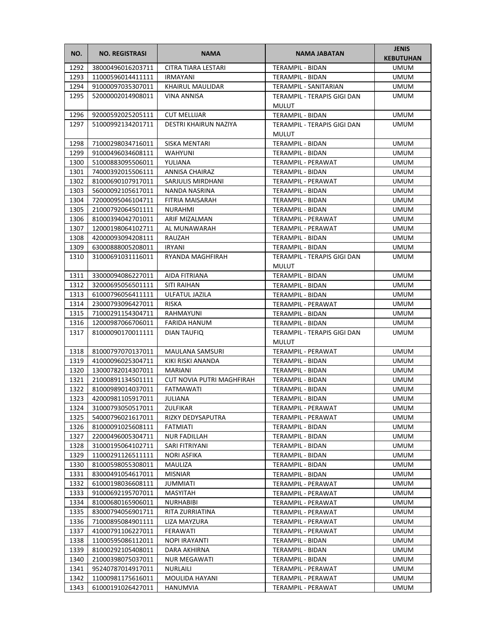| NO.          | <b>NO. REGISTRASI</b>                  | <b>NAMA</b>                      | NAMA JABATAN                                | <b>JENIS</b><br><b>KEBUTUHAN</b> |
|--------------|----------------------------------------|----------------------------------|---------------------------------------------|----------------------------------|
| 1292         | 38000496016203711                      | <b>CITRA TIARA LESTARI</b>       | TERAMPIL - BIDAN                            | <b>UMUM</b>                      |
| 1293         | 11000596014411111                      | <b>IRMAYANI</b>                  | TERAMPIL - BIDAN                            | <b>UMUM</b>                      |
| 1294         | 91000097035307011                      | KHAIRUL MAULIDAR                 | <b>TERAMPIL - SANITARIAN</b>                | <b>UMUM</b>                      |
| 1295         | 52000002014908011                      | <b>VINA ANNISA</b>               | TERAMPIL - TERAPIS GIGI DAN                 | <b>UMUM</b>                      |
|              |                                        |                                  | <b>MULUT</b>                                |                                  |
| 1296         | 92000592025205111                      | <b>CUT MELLIJAR</b>              | TERAMPIL - BIDAN                            | <b>UMUM</b>                      |
| 1297         | 51000992134201711                      | DESTRI KHAIRUN NAZIYA            | TERAMPIL - TERAPIS GIGI DAN<br>MULUT        | <b>UMUM</b>                      |
| 1298         | 71000298034716011                      | SISKA MENTARI                    | TERAMPIL - BIDAN                            | <b>UMUM</b>                      |
| 1299         | 91000496034608111                      | <b>WAHYUNI</b>                   | TERAMPIL - BIDAN                            | <b>UMUM</b>                      |
| 1300         | 51000883095506011                      | YULIANA                          | TERAMPIL - PERAWAT                          | <b>UMUM</b>                      |
| 1301         | 74000392015506111                      | ANNISA CHAIRAZ                   | TERAMPIL - BIDAN                            | <b>UMUM</b>                      |
| 1302         | 81000690107917011                      | SARJULIS MIRDHANI                | TERAMPIL - PERAWAT                          | <b>UMUM</b>                      |
| 1303         | 56000092105617011                      | NANDA NASRINA                    | TERAMPIL - BIDAN                            | UMUM                             |
| 1304         | 72000095046104711                      | FITRIA MAISARAH                  | TERAMPIL - BIDAN                            | <b>UMUM</b>                      |
| 1305         | 21000792064501111                      | NURAHMI                          | TERAMPIL - BIDAN                            | <b>UMUM</b>                      |
| 1306         | 81000394042701011                      | ARIF MIZALMAN                    | TERAMPIL - PERAWAT                          | <b>UMUM</b>                      |
| 1307         | 12000198064102711                      | AL MUNAWARAH                     | TERAMPIL - PERAWAT                          | <b>UMUM</b>                      |
| 1308         | 42000093094208111                      | RAUZAH                           | <b>TERAMPIL - BIDAN</b>                     | <b>UMUM</b>                      |
| 1309         | 63000888005208011                      | IRYANI                           | TERAMPIL - BIDAN                            | <b>UMUM</b>                      |
| 1310         | 31000691031116011                      | RYANDA MAGHFIRAH                 | TERAMPIL - TERAPIS GIGI DAN                 | <b>UMUM</b>                      |
|              |                                        |                                  | <b>MULUT</b>                                |                                  |
| 1311         | 33000094086227011                      | AIDA FITRIANA                    | TERAMPIL - BIDAN                            | <b>UMUM</b>                      |
| 1312         | 32000695056501111                      | SITI RAIHAN                      | TERAMPIL - BIDAN                            | <b>UMUM</b>                      |
| 1313         | 61000796056411111                      | ULFATUL JAZILA                   | TERAMPIL - BIDAN                            | <b>UMUM</b>                      |
| 1314         | 23000793096427011                      | RISKA                            | TERAMPIL - PERAWAT                          | <b>UMUM</b>                      |
| 1315         | 71000291154304711                      | RAHMAYUNI                        | TERAMPIL - BIDAN                            | <b>UMUM</b>                      |
| 1316         | 12000987066706011                      | FARIDA HANUM                     | TERAMPIL - BIDAN                            | <b>UMUM</b>                      |
| 1317         | 81000090170011111                      | DIAN TAUFIQ                      | TERAMPIL - TERAPIS GIGI DAN<br><b>MULUT</b> | <b>UMUM</b>                      |
| 1318         | 81000797070137011                      | MAULANA SAMSURI                  | TERAMPIL - PERAWAT                          | <b>UMUM</b>                      |
| 1319         | 41000096025304711                      | KIKI RISKI ANANDA                | TERAMPIL - BIDAN                            | <b>UMUM</b>                      |
| 1320         | 13000782014307011                      | MARIANI                          | TERAMPIL - BIDAN                            | <b>UMUM</b>                      |
| 1321         | 21000891134501111                      | <b>CUT NOVIA PUTRI MAGHFIRAH</b> | TERAMPIL - BIDAN                            | <b>UMUM</b>                      |
| 1322         | 81000989014037011                      | FATMAWATI                        | TERAMPIL - BIDAN                            | <b>UMUM</b>                      |
| 1323         | 42000981105917011                      | JULIANA                          | <b>TERAMPIL - BIDAN</b>                     | <b>UMUM</b>                      |
| 1324         | 31000793050517011                      | ZULFIKAR                         | TERAMPIL - PERAWAT                          | <b>UMUM</b>                      |
| 1325         | 54000796021617011                      | RIZKY DEDYSAPUTRA                | TERAMPIL - PERAWAT                          | UMUM                             |
| 1326         | 81000091025608111                      | <b>FATMIATI</b>                  | TERAMPIL - BIDAN                            | <b>UMUM</b>                      |
| 1327         | 22000496005304711                      | <b>NUR FADILLAH</b>              | TERAMPIL - BIDAN                            | <b>UMUM</b>                      |
| 1328         | 31000195064102711                      | SARI FITRIYANI                   | TERAMPIL - BIDAN                            | <b>UMUM</b>                      |
| 1329         | 11000291126511111                      | NORI ASFIKA                      | TERAMPIL - BIDAN                            | <b>UMUM</b>                      |
| 1330         | 81000598055308011                      | MAULIZA                          | TERAMPIL - BIDAN                            | <b>UMUM</b>                      |
| 1331         | 83000491054617011                      | MISNIAR                          | TERAMPIL - BIDAN                            | <b>UMUM</b>                      |
| 1332         | 61000198036608111                      | <b>JUMMIATI</b>                  | TERAMPIL - PERAWAT                          | <b>UMUM</b>                      |
| 1333         | 91000692195707011                      | MASYITAH                         | TERAMPIL - PERAWAT                          | UMUM                             |
| 1334         | 81000680165906011                      | <b>NURHABIBI</b>                 | TERAMPIL - PERAWAT                          | <b>UMUM</b>                      |
| 1335<br>1336 | 83000794056901711<br>71000895084901111 | RITA ZURRIATINA<br>LIZA MAYZURA  | TERAMPIL - PERAWAT<br>TERAMPIL - PERAWAT    | UMUM<br>UMUM                     |
| 1337         | 41000791106227011                      | FERAWATI                         | TERAMPIL - PERAWAT                          | <b>UMUM</b>                      |
| 1338         | 11000595086112011                      | NOPI IRAYANTI                    | TERAMPIL - BIDAN                            | <b>UMUM</b>                      |
| 1339         | 81000292105408011                      | DARA AKHIRNA                     | TERAMPIL - BIDAN                            | <b>UMUM</b>                      |
| 1340         | 21000398075037011                      | NUR MEGAWATI                     | TERAMPIL - BIDAN                            | <b>UMUM</b>                      |
| 1341         | 95240787014917011                      | NURLAILI                         | TERAMPIL - PERAWAT                          | <b>UMUM</b>                      |
| 1342         | 11000981175616011                      | MOULIDA HAYANI                   | TERAMPIL - PERAWAT                          | <b>UMUM</b>                      |
| 1343         | 61000191026427011                      | HANUMVIA                         | TERAMPIL - PERAWAT                          | UMUM                             |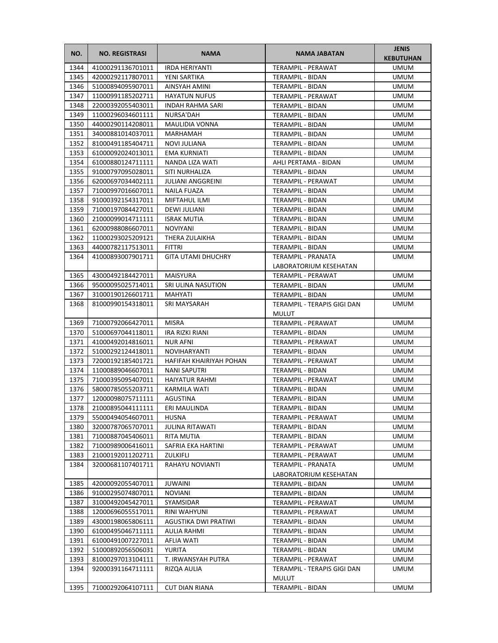| NO.          | <b>NO. REGISTRASI</b>  | <b>NAMA</b>               | <b>NAMA JABATAN</b>                         | <b>JENIS</b><br><b>KEBUTUHAN</b> |
|--------------|------------------------|---------------------------|---------------------------------------------|----------------------------------|
| 1344         | 41000291136701011      | <b>IRDA HERIYANTI</b>     | TERAMPIL - PERAWAT                          | <b>UMUM</b>                      |
| 1345         | 42000292117807011      | YENI SARTIKA              | TERAMPIL - BIDAN                            | <b>UMUM</b>                      |
| 1346         | 51000894095907011      | AINSYAH AMINI             | TERAMPIL - BIDAN                            | <b>UMUM</b>                      |
| 1347         | 11000991185202711      | <b>HAYATUN NUFUS</b>      | TERAMPIL - PERAWAT                          | <b>UMUM</b>                      |
| 1348         | 22000392055403011      | <b>INDAH RAHMA SARI</b>   | TERAMPIL - BIDAN                            | <b>UMUM</b>                      |
| 1349         | 11000296034601111      | NURSA'DAH                 | TERAMPIL - BIDAN                            | UMUM                             |
| 1350         | 44000290114208011      | <b>MAULIDIA VONNA</b>     | TERAMPIL - BIDAN                            | UMUM                             |
| 1351         | 34000881014037011      | MARHAMAH                  | <b>TERAMPIL - BIDAN</b>                     | <b>UMUM</b>                      |
| 1352         | 81000491185404711      | <b>NOVI JULIANA</b>       | TERAMPIL - BIDAN                            | <b>UMUM</b>                      |
| 1353         | 61000092024013011      | <b>EMA KURNIATI</b>       | <b>TERAMPIL - BIDAN</b>                     | <b>UMUM</b>                      |
| 1354         | 61000880124711111      | NANDA LIZA WATI           | AHLI PERTAMA - BIDAN                        | <b>UMUM</b>                      |
| 1355         | 91000797095028011      | SITI NURHALIZA            | TERAMPIL - BIDAN                            | <b>UMUM</b>                      |
| 1356         | 62000697034402111      | <b>JULIANI ANGGREINI</b>  | TERAMPIL - PERAWAT                          | UMUM                             |
| 1357         | 71000997016607011      | NAILA FUAZA               | TERAMPIL - BIDAN                            | UMUM                             |
| 1358         | 91000392154317011      | MIFTAHUL ILMI             | TERAMPIL - BIDAN                            | UMUM                             |
| 1359         | 71000197084427011      | DEWI JULIANI              | TERAMPIL - BIDAN                            | UMUM                             |
| 1360         | 21000099014711111      | <b>ISRAK MUTIA</b>        | TERAMPIL - BIDAN                            | UMUM                             |
| 1361         | 62000988086607011      | <b>NOVIYANI</b>           | TERAMPIL - BIDAN                            | <b>UMUM</b>                      |
| 1362         | 11000293025209121      | THERA ZULAIKHA            | <b>TERAMPIL - BIDAN</b>                     | <b>UMUM</b>                      |
| 1363         | 44000782117513011      | FITTRI                    | TERAMPIL - BIDAN                            | UMUM                             |
| 1364         | 41000893007901711      | <b>GITA UTAMI DHUCHRY</b> | TERAMPIL - PRANATA                          | <b>UMUM</b>                      |
|              |                        |                           | LABORATORIUM KESEHATAN                      |                                  |
|              | 43000492184427011      | <b>MAISYURA</b>           | <b>TERAMPIL - PERAWAT</b>                   | <b>UMUM</b>                      |
| 1365<br>1366 | 95000095025714011      | SRI ULINA NASUTION        |                                             | UMUM                             |
| 1367         | 31000190126601711      | MAHYATI                   | TERAMPIL - BIDAN                            | <b>UMUM</b>                      |
|              |                        |                           | TERAMPIL - BIDAN                            |                                  |
| 1368         | 81000990154318011      | SRI MAYSARAH              | TERAMPIL - TERAPIS GIGI DAN<br><b>MULUT</b> | <b>UMUM</b>                      |
| 1369         | 71000792066427011      | <b>MISRA</b>              | TERAMPIL - PERAWAT                          | <b>UMUM</b>                      |
| 1370         | 51000697044118011      | IRA RIZKI RIANI           | TERAMPIL - BIDAN                            | <b>UMUM</b>                      |
| 1371         | 41000492014816011      | <b>NUR AFNI</b>           | TERAMPIL - PERAWAT                          | UMUM                             |
| 1372         | 51000292124418011      | <b>NOVIHARYANTI</b>       | TERAMPIL - BIDAN                            | UMUM                             |
| 1373         | 72000192185401721      | HAFIFAH KHAIRIYAH POHAN   | TERAMPIL - PERAWAT                          | UMUM                             |
| 1374         | 11000889046607011      | <b>NANI SAPUTRI</b>       | TERAMPIL - BIDAN                            | UMUM                             |
| 1375         | 71000395095407011      | <b>HAIYATUR RAHMI</b>     | <b>TERAMPIL - PERAWAT</b>                   | <b>UMUM</b>                      |
| 1376         | 58000785055203711      | KARMILA WATI              | TERAMPIL - BIDAN                            | <b>UMUM</b>                      |
| 1377         | 12000098075711111      | AGUSTINA                  | TERAMPIL - BIDAN                            | <b>UMUM</b>                      |
|              | 1378 21000895044111111 | ERI MAULINDA              | TERAMPIL - BIDAN                            | <b>UMUM</b>                      |
| 1379         | 55000494054607011      | HUSNA                     | TERAMPIL - PERAWAT                          | <b>UMUM</b>                      |
| 1380         | 32000787065707011      | <b>JULINA RITAWATI</b>    | TERAMPIL - BIDAN                            | UMUM                             |
| 1381         | 71000887045406011      | RITA MUTIA                | TERAMPIL - BIDAN                            | UMUM                             |
| 1382         | 71000989006416011      | SAFRIA EKA HARTINI        | TERAMPIL - PERAWAT                          | UMUM                             |
| 1383         | 21000192011202711      | ZULKIFLI                  | TERAMPIL - PERAWAT                          | <b>UMUM</b>                      |
| 1384         | 32000681107401711      | RAHAYU NOVIANTI           | TERAMPIL - PRANATA                          | UMUM                             |
|              |                        |                           | LABORATORIUM KESEHATAN                      |                                  |
| 1385         | 42000092055407011      | JUWAINI                   | TERAMPIL - BIDAN                            | <b>UMUM</b>                      |
| 1386         | 91000295074807011      | NOVIANI                   | TERAMPIL - BIDAN                            | UMUM                             |
| 1387         | 31000492045427011      | SYAMSIDAR                 | TERAMPIL - PERAWAT                          | UMUM                             |
| 1388         | 12000696055517011      | RINI WAHYUNI              | TERAMPIL - PERAWAT                          | UMUM                             |
| 1389         | 43000198065806111      | AGUSTIKA DWI PRATIWI      | TERAMPIL - BIDAN                            | UMUM                             |
| 1390         | 61000495046711111      | AULIA RAHMI               | TERAMPIL - BIDAN                            | UMUM                             |
| 1391         | 61000491007227011      | AFLIA WATI                | TERAMPIL - BIDAN                            | UMUM                             |
| 1392         | 51000892056506031      | YURITA                    | TERAMPIL - BIDAN                            | UMUM                             |
| 1393         | 81000297013104111      | T. IRWANSYAH PUTRA        | TERAMPIL - PERAWAT                          | <b>UMUM</b>                      |
| 1394         | 92000391164711111      | RIZQA AULIA               | TERAMPIL - TERAPIS GIGI DAN                 | UMUM                             |
|              |                        |                           | <b>MULUT</b>                                |                                  |
| 1395         | 71000292064107111      | <b>CUT DIAN RIANA</b>     | TERAMPIL - BIDAN                            | UMUM                             |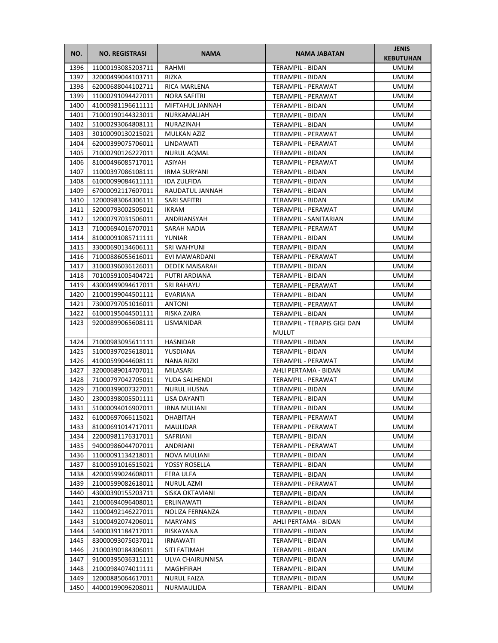| NO.  | <b>NO. REGISTRASI</b>     | <b>NAMA</b>         | NAMA JABATAN                                | <b>JENIS</b><br><b>KEBUTUHAN</b> |
|------|---------------------------|---------------------|---------------------------------------------|----------------------------------|
| 1396 | 11000193085203711         | RAHMI               | <b>TERAMPIL - BIDAN</b>                     | <b>UMUM</b>                      |
| 1397 | 32000499044103711         | <b>RIZKA</b>        | TERAMPIL - BIDAN                            | <b>UMUM</b>                      |
| 1398 | 62000688044102711         | RICA MARLENA        | TERAMPIL - PERAWAT                          | <b>UMUM</b>                      |
| 1399 | 11000291094427011         | <b>NORA SAFITRI</b> | <b>TERAMPIL - PERAWAT</b>                   | <b>UMUM</b>                      |
| 1400 | 41000981196611111         | MIFTAHUL JANNAH     | TERAMPIL - BIDAN                            | <b>UMUM</b>                      |
| 1401 | 71000190144323011         | NURKAMALIAH         | TERAMPIL - BIDAN                            | <b>UMUM</b>                      |
| 1402 | 51000293064808111         | NURAZINAH           | TERAMPIL - BIDAN                            | <b>UMUM</b>                      |
| 1403 | 30100090130215021         | MULKAN AZIZ         | TERAMPIL - PERAWAT                          | <b>UMUM</b>                      |
| 1404 | 62000399075706011         | LINDAWATI           | TERAMPIL - PERAWAT                          | <b>UMUM</b>                      |
| 1405 | 71000290126227011         | NURUL AQMAL         | <b>TERAMPIL - BIDAN</b>                     | <b>UMUM</b>                      |
| 1406 | 81000496085717011         | ASIYAH              | TERAMPIL - PERAWAT                          | <b>UMUM</b>                      |
| 1407 | 11000397086108111         | IRMA SURYANI        | TERAMPIL - BIDAN                            | <b>UMUM</b>                      |
| 1408 | 61000099084611111         | <b>IDA ZULFIDA</b>  | TERAMPIL - BIDAN                            | UMUM                             |
| 1409 | 67000092117607011         | RAUDATUL JANNAH     | TERAMPIL - BIDAN                            | UMUM                             |
| 1410 | 12000983064306111         | SARI SAFITRI        | TERAMPIL - BIDAN                            | UMUM                             |
| 1411 | 52000793002505011         | IKRAM               | TERAMPIL - PERAWAT                          | UMUM                             |
| 1412 | 12000797031506011         | ANDRIANSYAH         | <b>TERAMPIL - SANITARIAN</b>                | UMUM                             |
| 1413 | 71000694016707011         | SARAH NADIA         | TERAMPIL - PERAWAT                          | <b>UMUM</b>                      |
| 1414 | 81000091085711111         | YUNIAR              | <b>TERAMPIL - BIDAN</b>                     | <b>UMUM</b>                      |
| 1415 | 33000690134606111         | <b>SRI WAHYUNI</b>  | TERAMPIL - BIDAN                            | <b>UMUM</b>                      |
| 1416 | 71000886055616011         | EVI MAWARDANI       | TERAMPIL - PERAWAT                          | <b>UMUM</b>                      |
| 1417 | 31000396036126011         | DEDEK MAISARAH      | TERAMPIL - BIDAN                            | <b>UMUM</b>                      |
| 1418 | 70100591005404721         | PUTRI ARDIANA       | TERAMPIL - BIDAN                            | UMUM                             |
| 1419 | 43000499094617011         | <b>SRI RAHAYU</b>   | TERAMPIL - PERAWAT                          | UMUM                             |
| 1420 | 21000199044501111         | EVARIANA            | TERAMPIL - BIDAN                            | <b>UMUM</b>                      |
| 1421 | 73000797051016011         | <b>ANTONI</b>       | TERAMPIL - PERAWAT                          | <b>UMUM</b>                      |
| 1422 | 61000195044501111         | RISKA ZAIRA         | TERAMPIL - BIDAN                            | <b>UMUM</b>                      |
| 1423 | 92000899065608111         | LISMANIDAR          | TERAMPIL - TERAPIS GIGI DAN<br><b>MULUT</b> | <b>UMUM</b>                      |
| 1424 | 71000983095611111         | <b>HASNIDAR</b>     | TERAMPIL - BIDAN                            | UMUM                             |
| 1425 | 51000397025618011         | YUSDIANA            | TERAMPIL - BIDAN                            | UMUM                             |
| 1426 | 41000599044608111         | NANA RIZKI          | TERAMPIL - PERAWAT                          | UMUM                             |
| 1427 | 32000689014707011         | MILASARI            | AHLI PERTAMA - BIDAN                        | UMUM                             |
| 1428 | 71000797042705011         | YUDA SALHENDI       | TERAMPIL - PERAWAT                          | <b>UMUM</b>                      |
| 1429 | 71000399007327011         | <b>NURUL HUSNA</b>  | TERAMPIL - BIDAN                            | <b>UMUM</b>                      |
| 1430 | 23000398005501111         | LISA DAYANTI        | TERAMPIL - BIDAN                            | <b>UMUM</b>                      |
|      | 1431    51000094016907011 | <b>IRNA MULIANI</b> | TERAMPIL - BIDAN                            | <b>UMUM</b>                      |
| 1432 | 61000697066115021         | DHABITAH            | TERAMPIL - PERAWAT                          | UMUM                             |
| 1433 | 81000691014717011         | MAULIDAR            | TERAMPIL - PERAWAT                          | UMUM                             |
| 1434 | 22000981176317011         | SAFRIANI            | TERAMPIL - BIDAN                            | UMUM                             |
| 1435 | 94000986044707011         | ANDRIANI            | TERAMPIL - PERAWAT                          | UMUM                             |
| 1436 | 11000091134218011         | NOVA MULIANI        | TERAMPIL - BIDAN                            | UMUM                             |
| 1437 | 81000591016515021         | YOSSY ROSELLA       | TERAMPIL - BIDAN                            | UMUM                             |
| 1438 | 42000599024608011         | FERA ULFA           | TERAMPIL - BIDAN                            | UMUM                             |
| 1439 | 21000599082618011         | NURUL AZMI          | TERAMPIL - PERAWAT                          | UMUM                             |
| 1440 | 43000390155203711         | SISKA OKTAVIANI     | TERAMPIL - BIDAN                            | UMUM                             |
| 1441 | 21000694096408011         | ERLINAWATI          | TERAMPIL - BIDAN                            | UMUM                             |
| 1442 | 11000492146227011         | NOLIZA FERNANZA     | TERAMPIL - BIDAN                            | UMUM                             |
| 1443 | 51000492074206011         | MARYANIS            | AHLI PERTAMA - BIDAN                        | UMUM                             |
| 1444 | 54000391184717011         | RISKAYANA           | TERAMPIL - BIDAN                            | UMUM                             |
| 1445 | 83000093075037011         | <b>IRNAWATI</b>     | TERAMPIL - BIDAN                            | UMUM                             |
| 1446 | 21000390184306011         | SITI FATIMAH        | TERAMPIL - BIDAN                            | UMUM                             |
| 1447 | 91000395036311111         | ULVA CHAIRUNNISA    | TERAMPIL - BIDAN                            | UMUM                             |
| 1448 | 21000984074011111         | MAGHFIRAH           | TERAMPIL - BIDAN                            | UMUM                             |
| 1449 | 12000885064617011         | <b>NURUL FAIZA</b>  | TERAMPIL - BIDAN                            | UMUM                             |
| 1450 | 44000199096208011         | NURMAULIDA          | TERAMPIL - BIDAN                            | UMUM                             |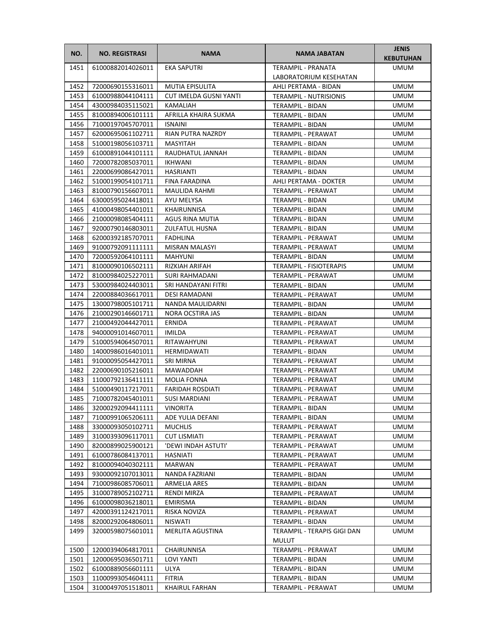| NO.  | <b>NO. REGISTRASI</b> | <b>NAMA</b>                   | NAMA JABATAN                                | <b>JENIS</b><br><b>KEBUTUHAN</b> |
|------|-----------------------|-------------------------------|---------------------------------------------|----------------------------------|
| 1451 | 61000882014026011     | <b>EKA SAPUTRI</b>            | <b>TERAMPIL - PRANATA</b>                   | <b>UMUM</b>                      |
|      |                       |                               | LABORATORIUM KESEHATAN                      |                                  |
| 1452 | 72000690155316011     | <b>MUTIA EPISULITA</b>        | AHLI PERTAMA - BIDAN                        | <b>UMUM</b>                      |
| 1453 | 61000988044104111     | <b>CUT IMELDA GUSNI YANTI</b> | <b>TERAMPIL - NUTRISIONIS</b>               | <b>UMUM</b>                      |
| 1454 | 43000984035115021     | KAMALIAH                      | TERAMPIL - BIDAN                            | <b>UMUM</b>                      |
| 1455 | 81000894006101111     | AFRILLA KHAIRA SUKMA          | TERAMPIL - BIDAN                            | <b>UMUM</b>                      |
| 1456 | 71000197045707011     | <b>ISNAINI</b>                | TERAMPIL - BIDAN                            | UMUM                             |
| 1457 | 62000695061102711     | RIAN PUTRA NAZRDY             | TERAMPIL - PERAWAT                          | <b>UMUM</b>                      |
| 1458 | 51000198056103711     | <b>MASYITAH</b>               | <b>TERAMPIL - BIDAN</b>                     | <b>UMUM</b>                      |
| 1459 | 61000891044101111     | RAUDHATUL JANNAH              | TERAMPIL - BIDAN                            | <b>UMUM</b>                      |
| 1460 | 72000782085037011     | <b>IKHWANI</b>                | TERAMPIL - BIDAN                            | <b>UMUM</b>                      |
| 1461 | 22000699086427011     | HASRIANTI                     | TERAMPIL - BIDAN                            | <b>UMUM</b>                      |
| 1462 | 51000199054101711     | <b>FINA FARADINA</b>          | AHLI PERTAMA - DOKTER                       | UMUM                             |
| 1463 | 81000790156607011     | <b>MAULIDA RAHMI</b>          | TERAMPIL - PERAWAT                          | UMUM                             |
| 1464 | 63000595024418011     | AYU MELYSA                    | TERAMPIL - BIDAN                            | UMUM                             |
| 1465 | 41000498054401011     | KHAIRUNNISA                   | TERAMPIL - BIDAN                            | UMUM                             |
| 1466 | 21000098085404111     | <b>AGUS RINA MUTIA</b>        | <b>TERAMPIL - BIDAN</b>                     | <b>UMUM</b>                      |
| 1467 | 92000790146803011     | ZULFATUL HUSNA                | TERAMPIL - BIDAN                            | UMUM                             |
| 1468 | 62000392185707011     | <b>FADHLINA</b>               | TERAMPIL - PERAWAT                          | <b>UMUM</b>                      |
| 1469 | 91000792091111111     | MISRAN MALASYI                | TERAMPIL - PERAWAT                          | <b>UMUM</b>                      |
| 1470 | 72000592064101111     | <b>MAHYUNI</b>                | TERAMPIL - BIDAN                            | <b>UMUM</b>                      |
| 1471 | 81000090106502111     | <b>RIZKIAH ARIFAH</b>         | <b>TERAMPIL - FISIOTERAPIS</b>              | <b>UMUM</b>                      |
| 1472 | 81000984025227011     | SURI RAHMADANI                | TERAMPIL - PERAWAT                          | UMUM                             |
| 1473 | 53000984024403011     | SRI HANDAYANI FITRI           | TERAMPIL - BIDAN                            | UMUM                             |
| 1474 | 22000884036617011     | DESI RAMADANI                 | TERAMPIL - PERAWAT                          | <b>UMUM</b>                      |
| 1475 | 13000798005101711     | NANDA MAULIDARNI              | TERAMPIL - BIDAN                            | <b>UMUM</b>                      |
| 1476 | 21000290146601711     | NORA OCSTIRA JAS              | TERAMPIL - BIDAN                            | <b>UMUM</b>                      |
| 1477 | 21000492044427011     | ERNIDA                        | TERAMPIL - PERAWAT                          | <b>UMUM</b>                      |
| 1478 | 94000091014607011     | IMILDA                        | TERAMPIL - PERAWAT                          | <b>UMUM</b>                      |
| 1479 | 51000594064507011     | RITAWAHYUNI                   | TERAMPIL - PERAWAT                          | UMUM                             |
| 1480 | 14000986016401011     | HERMIDAWATI                   | TERAMPIL - BIDAN                            | UMUM                             |
| 1481 | 91000095054427011     | SRI MIRNA                     | TERAMPIL - PERAWAT                          | UMUM                             |
| 1482 | 22000690105216011     | MAWADDAH                      | TERAMPIL - PERAWAT                          | UMUM                             |
| 1483 | 11000792136411111     | <b>MOLIA FONNA</b>            | <b>TERAMPIL - PERAWAT</b>                   | <b>UMUM</b>                      |
| 1484 | 51000490117217011     | <b>FARIDAH ROSDIATI</b>       | TERAMPIL - PERAWAT                          | <b>UMUM</b>                      |
| 1485 | 71000782045401011     | <b>SUSI MARDIANI</b>          | TERAMPIL - PERAWAT                          | <b>UMUM</b>                      |
| 1486 | 32000292094411111     | VINORITA                      | TERAMPIL - BIDAN                            | <b>UMUM</b>                      |
| 1487 | 71000991065206111     | ADE YULIA DEFANI              | TERAMPIL - BIDAN                            | <b>UMUM</b>                      |
| 1488 | 33000093050102711     | <b>MUCHLIS</b>                | TERAMPIL - PERAWAT                          | UMUM                             |
| 1489 | 31000393096117011     | <b>CUT LISMIATI</b>           | TERAMPIL - PERAWAT                          | UMUM                             |
| 1490 | 82000899025900121     | 'DEWI INDAH ASTUTI'           | TERAMPIL - PERAWAT                          | UMUM                             |
| 1491 | 61000786084137011     | HASNIATI                      | TERAMPIL - PERAWAT                          | UMUM                             |
| 1492 | 81000094040302111     | MARWAN                        | TERAMPIL - PERAWAT                          | UMUM                             |
| 1493 | 93000092107013011     | NANDA FAZRIANI                | TERAMPIL - BIDAN                            | UMUM                             |
| 1494 | 71000986085706011     | ARMELIA ARES                  | TERAMPIL - BIDAN                            | UMUM                             |
| 1495 | 31000789052102711     | RENDI MIRZA                   | TERAMPIL - PERAWAT                          | UMUM                             |
| 1496 | 61000098036218011     | EMIRISMA                      | TERAMPIL - BIDAN                            | UMUM                             |
| 1497 | 42000391124217011     | RISKA NOVIZA                  | TERAMPIL - PERAWAT                          | UMUM                             |
| 1498 | 82000292064806011     | <b>NISWATI</b>                | TERAMPIL - BIDAN                            | UMUM                             |
| 1499 | 32000598075601011     | MERLITA AGUSTINA              | TERAMPIL - TERAPIS GIGI DAN<br><b>MULUT</b> | UMUM                             |
| 1500 | 12000394064817011     | CHAIRUNNISA                   | TERAMPIL - PERAWAT                          | <b>UMUM</b>                      |
| 1501 | 12000695036501711     | LOVI YANTI                    | TERAMPIL - BIDAN                            | <b>UMUM</b>                      |
| 1502 | 61000889056601111     | ULYA                          | TERAMPIL - BIDAN                            | <b>UMUM</b>                      |
| 1503 | 11000993054604111     | <b>FITRIA</b>                 | TERAMPIL - BIDAN                            | UMUM                             |
| 1504 | 31000497051518011     | KHAIRUL FARHAN                | TERAMPIL - PERAWAT                          | UMUM                             |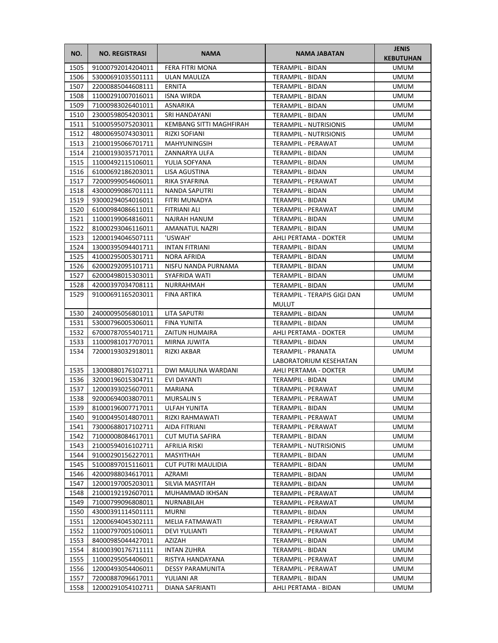| NO.          | <b>NO. REGISTRASI</b>                  | <b>NAMA</b>                              | <b>NAMA JABATAN</b>                  | <b>JENIS</b><br><b>KEBUTUHAN</b> |
|--------------|----------------------------------------|------------------------------------------|--------------------------------------|----------------------------------|
| 1505         | 91000792014204011                      | <b>FERA FITRI MONA</b>                   | TERAMPIL - BIDAN                     | <b>UMUM</b>                      |
| 1506         | 53000691035501111                      | ULAN MAULIZA                             | TERAMPIL - BIDAN                     | <b>UMUM</b>                      |
| 1507         | 22000885044608111                      | ERNITA                                   | TERAMPIL - BIDAN                     | <b>UMUM</b>                      |
| 1508         | 11000291007016011                      | <b>ISNA WIRDA</b>                        | TERAMPIL - BIDAN                     | <b>UMUM</b>                      |
| 1509         | 71000983026401011                      | ASNARIKA                                 | TERAMPIL - BIDAN                     | UMUM                             |
| 1510         | 23000598054203011                      | SRI HANDAYANI                            | TERAMPIL - BIDAN                     | UMUM                             |
| 1511         | 51000595075203011                      | KEMBANG SITTI MAGHFIRAH                  | <b>TERAMPIL - NUTRISIONIS</b>        | <b>UMUM</b>                      |
| 1512         | 48000695074303011                      | RIZKI SOFIANI                            | <b>TERAMPIL - NUTRISIONIS</b>        | <b>UMUM</b>                      |
| 1513         | 21000195066701711                      | <b>MAHYUNINGSIH</b>                      | TERAMPIL - PERAWAT                   | <b>UMUM</b>                      |
| 1514         | 21000193035717011                      | ZANNARYA ULFA                            | TERAMPIL - BIDAN                     | <b>UMUM</b>                      |
| 1515         | 11000492115106011                      | YULIA SOFYANA                            | TERAMPIL - BIDAN                     | UMUM                             |
| 1516         | 61000692186203011                      | LISA AGUSTINA                            | TERAMPIL - BIDAN                     | UMUM                             |
| 1517         | 72000999054606011                      | RIKA SYAFRINA                            | TERAMPIL - PERAWAT                   | UMUM                             |
| 1518         | 43000099086701111                      | NANDA SAPUTRI                            | TERAMPIL - BIDAN                     | UMUM                             |
| 1519         | 93000294054016011                      | FITRI MUNADYA                            | TERAMPIL - BIDAN                     | UMUM                             |
| 1520         | 61000984086611011                      | FITRIANI ALI                             | TERAMPIL - PERAWAT                   | <b>UMUM</b>                      |
| 1521         | 11000199064816011                      | NAJRAH HANUM                             | TERAMPIL - BIDAN                     | UMUM                             |
| 1522         | 81000293046116011                      | AMANATUL NAZRI                           | TERAMPIL - BIDAN                     | UMUM                             |
| 1523         | 12000194046507111                      | 'USWAH'                                  | AHLI PERTAMA - DOKTER                | <b>UMUM</b>                      |
| 1524         | 13000395094401711                      | <b>INTAN FITRIANI</b>                    | TERAMPIL - BIDAN                     | <b>UMUM</b>                      |
| 1525         | 41000295005301711                      | NORA AFRIDA                              | <b>TERAMPIL - BIDAN</b>              | UMUM                             |
| 1526         | 62000292095101711                      | NISFU NANDA PURNAMA                      | TERAMPIL - BIDAN                     | UMUM                             |
| 1527         | 62000498015303011                      | SYAFRIDA WATI                            | TERAMPIL - BIDAN                     | <b>UMUM</b>                      |
| 1528         | 42000397034708111                      | NURRAHMAH                                |                                      | <b>UMUM</b>                      |
| 1529         | 91000691165203011                      | FINA ARTIKA                              | TERAMPIL - BIDAN                     | <b>UMUM</b>                      |
|              |                                        |                                          | TERAMPIL - TERAPIS GIGI DAN          |                                  |
|              |                                        |                                          | <b>MULUT</b>                         |                                  |
| 1530<br>1531 | 24000095056801011<br>53000796005306011 | LITA SAPUTRI<br><b>FINA YUNITA</b>       | TERAMPIL - BIDAN<br>TERAMPIL - BIDAN | <b>UMUM</b><br><b>UMUM</b>       |
| 1532         | 67000787055401711                      | <b>ZAITUN HUMAIRA</b>                    | AHLI PERTAMA - DOKTER                | UMUM                             |
|              | 11000981017707011                      | MIRNA JUWITA                             | TERAMPIL - BIDAN                     | UMUM                             |
| 1533<br>1534 | 72000193032918011                      | RIZKI AKBAR                              | TERAMPIL - PRANATA                   | UMUM                             |
|              |                                        |                                          | LABORATORIUM KESEHATAN               |                                  |
|              | 13000880176102711                      | DWI MAULINA WARDANI                      | AHLI PERTAMA - DOKTER                | UMUM                             |
| 1535<br>1536 | 32000196015304711                      | EVI DAYANTI                              | TERAMPIL - BIDAN                     | <b>UMUM</b>                      |
| 1537         | 12000393025607011                      |                                          |                                      |                                  |
| 1538         | 92000694003807011                      | MARIANA                                  | TERAMPIL - PERAWAT                   | <b>UMUM</b>                      |
| 1539         | 81000196007717011                      | <b>MURSALIN S</b><br><b>ULFAH YUNITA</b> | TERAMPIL - PERAWAT                   | <b>UMUM</b><br><b>UMUM</b>       |
|              |                                        |                                          | TERAMPIL - BIDAN                     |                                  |
| 1540         | 91000495014807011                      | RIZKI RAHMAWATI                          | TERAMPIL - PERAWAT                   | UMUM                             |
| 1541         | 73000688017102711                      | AIDA FITRIANI                            | TERAMPIL - PERAWAT                   | UMUM                             |
| 1542         | 71000008084617011                      | <b>CUT MUTIA SAFIRA</b>                  | TERAMPIL - BIDAN                     | UMUM                             |
| 1543         | 21000594016102711                      | AFRILIA RISKI                            | <b>TERAMPIL - NUTRISIONIS</b>        | UMUM                             |
| 1544         | 91000290156227011                      | MASYITHAH                                | TERAMPIL - BIDAN                     | UMUM                             |
| 1545         | 51000897015116011                      | <b>CUT PUTRI MAULIDIA</b>                | TERAMPIL - BIDAN                     | UMUM                             |
| 1546         | 42000988034617011                      | AZRAMI                                   | TERAMPIL - BIDAN                     | UMUM                             |
| 1547         | 12000197005203011                      | SILVIA MASYITAH                          | TERAMPIL - BIDAN                     | UMUM                             |
| 1548         | 21000192192607011                      | MUHAMMAD IKHSAN                          | TERAMPIL - PERAWAT                   | UMUM                             |
| 1549         | 71000799096808011                      | NURNABILAH                               | TERAMPIL - PERAWAT                   | UMUM                             |
| 1550         | 43000391114501111                      | MURNI                                    | TERAMPIL - BIDAN                     | UMUM                             |
| 1551         | 12000694045302111                      | MELIA FATMAWATI                          | TERAMPIL - PERAWAT                   | UMUM                             |
| 1552         | 11000797005106011                      | <b>DEVI YULIANTI</b>                     | TERAMPIL - PERAWAT                   | UMUM                             |
| 1553         | 84000985044427011                      | AZIZAH                                   | TERAMPIL - BIDAN                     | UMUM                             |
| 1554         | 81000390176711111                      | <b>INTAN ZUHRA</b>                       | TERAMPIL - BIDAN                     | UMUM                             |
| 1555         | 11000295054406011                      | RISTYA HANDAYANA                         | TERAMPIL - PERAWAT                   | UMUM                             |
| 1556         | 12000493054406011                      | <b>DESSY PARAMUNITA</b>                  | TERAMPIL - PERAWAT                   | UMUM                             |
| 1557         | 72000887096617011                      | YULIANI AR                               | TERAMPIL - BIDAN                     | UMUM                             |
| 1558         | 12000291054102711                      | DIANA SAFRIANTI                          | AHLI PERTAMA - BIDAN                 | UMUM                             |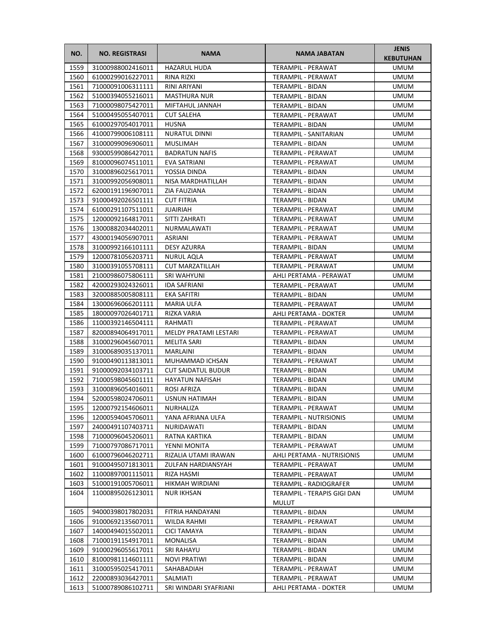| NO.          | <b>NO. REGISTRASI</b>                  | <b>NAMA</b>                          | <b>NAMA JABATAN</b>                                   | <b>JENIS</b><br><b>KEBUTUHAN</b> |
|--------------|----------------------------------------|--------------------------------------|-------------------------------------------------------|----------------------------------|
| 1559         | 31000988002416011                      | <b>HAZARUL HUDA</b>                  | TERAMPIL - PERAWAT                                    | UMUM                             |
| 1560         | 61000299016227011                      | RINA RIZKI                           | TERAMPIL - PERAWAT                                    | <b>UMUM</b>                      |
| 1561         | 71000091006311111                      | RINI ARIYANI                         | TERAMPIL - BIDAN                                      | <b>UMUM</b>                      |
| 1562         | 51000394055216011                      | <b>MASTHURA NUR</b>                  | <b>TERAMPIL - BIDAN</b>                               | <b>UMUM</b>                      |
| 1563         | 71000098075427011                      | MIFTAHUL JANNAH                      | TERAMPIL - BIDAN                                      | UMUM                             |
| 1564         | 51000495055407011                      | <b>CUT SALEHA</b>                    | TERAMPIL - PERAWAT                                    | UMUM                             |
| 1565         | 61000297054017011                      | HUSNA                                | TERAMPIL - BIDAN                                      | UMUM                             |
| 1566         | 41000799006108111                      | <b>NURATUL DINNI</b>                 | TERAMPIL - SANITARIAN                                 | <b>UMUM</b>                      |
| 1567         | 31000099096906011                      | <b>MUSLIMAH</b>                      | <b>TERAMPIL - BIDAN</b>                               | <b>UMUM</b>                      |
| 1568         | 93000599086427011                      | <b>BADRATUN NAFIS</b>                | TERAMPIL - PERAWAT                                    | <b>UMUM</b>                      |
| 1569         | 81000096074511011                      | EVA SATRIANI                         | TERAMPIL - PERAWAT                                    | <b>UMUM</b>                      |
| 1570         | 31000896025617011                      | YOSSIA DINDA                         | TERAMPIL - BIDAN                                      | <b>UMUM</b>                      |
| 1571         | 31000992056908011                      | NISA MARDHATILLAH                    | TERAMPIL - BIDAN                                      | UMUM                             |
| 1572         | 62000191196907011                      | ZIA FAUZIANA                         | TERAMPIL - BIDAN                                      | UMUM                             |
| 1573         | 91000492026501111                      | <b>CUT FITRIA</b>                    | TERAMPIL - BIDAN                                      | UMUM                             |
| 1574         | 61000291107511011                      | JUAIRIAH                             | TERAMPIL - PERAWAT                                    | <b>UMUM</b>                      |
| 1575         | 12000092164817011                      | SITTI ZAHRATI                        | <b>TERAMPIL - PERAWAT</b>                             | UMUM                             |
| 1576         | 13000882034402011                      | <b>NURMALAWATI</b>                   | TERAMPIL - PERAWAT                                    | <b>UMUM</b>                      |
| 1577         | 43000194056907011                      | <b>ASRIANI</b>                       | TERAMPIL - PERAWAT                                    | <b>UMUM</b>                      |
| 1578         | 31000992166101111                      | DESY AZURRA                          | TERAMPIL - BIDAN                                      | <b>UMUM</b>                      |
| 1579         | 12000781056203711                      | NURUL AQLA                           | TERAMPIL - PERAWAT                                    | <b>UMUM</b>                      |
| 1580         | 31000391055708111                      | <b>CUT MARZATILLAH</b>               | TERAMPIL - PERAWAT                                    | UMUM                             |
| 1581         | 21000986075806111                      | <b>SRI WAHYUNI</b>                   | AHLI PERTAMA - PERAWAT                                | UMUM                             |
| 1582         | 42000293024326011                      | <b>IDA SAFRIANI</b>                  | TERAMPIL - PERAWAT                                    | UMUM                             |
| 1583         | 32000885005808111                      | EKA SAFITRI                          | TERAMPIL - BIDAN                                      | UMUM                             |
| 1584         | 13000696066201111                      | <b>MARIA ULFA</b>                    | TERAMPIL - PERAWAT                                    | <b>UMUM</b>                      |
| 1585         | 18000097026401711                      | RIZKA VARIA                          | AHLI PERTAMA - DOKTER                                 | <b>UMUM</b>                      |
| 1586         | 11000392146504111                      | RAHMATI                              | TERAMPIL - PERAWAT                                    | <b>UMUM</b>                      |
| 1587         | 82000894064917011                      | MELDY PRATAMI LESTARI                | TERAMPIL - PERAWAT                                    | <b>UMUM</b>                      |
| 1588         | 31000296045607011                      | <b>MELITA SARI</b>                   | TERAMPIL - BIDAN                                      | UMUM                             |
| 1589         | 31000689035137011                      | MARLAINI                             | TERAMPIL - BIDAN                                      | UMUM                             |
| 1590         | 91000490113813011                      | MUHAMMAD ICHSAN                      | TERAMPIL - PERAWAT                                    | UMUM                             |
| 1591         | 91000092034103711                      | <b>CUT SAIDATUL BUDUR</b>            | TERAMPIL - BIDAN                                      | <b>UMUM</b>                      |
| 1592         | 71000598045601111                      | <b>HAYATUN NAFISAH</b>               | TERAMPIL - BIDAN                                      | <b>UMUM</b>                      |
| 1593         | 31000896054016011                      | ROSI AFRIZA                          | TERAMPIL - BIDAN                                      | <b>UMUM</b>                      |
| 1594         | 52000598024706011                      | USNUN HATIMAH                        | TERAMPIL - BIDAN                                      | <b>UMUM</b>                      |
|              | 1595 12000792154606011                 | NURHALIZA                            | TERAMPIL - PERAWAT                                    | <b>UMUM</b>                      |
| 1596         | 12000594045706011                      | YANA AFRIANA ULFA                    | <b>TERAMPIL - NUTRISIONIS</b>                         | UMUM                             |
| 1597         | 24000491107403711                      | NURIDAWATI                           | TERAMPIL - BIDAN                                      | UMUM                             |
| 1598         | 71000096045206011                      | RATNA KARTIKA                        | TERAMPIL - BIDAN                                      | UMUM                             |
| 1599<br>1600 | 71000797086717011                      | YENNI MONITA<br>RIZALIA UTAMI IRAWAN | TERAMPIL - PERAWAT                                    | UMUM                             |
| 1601         | 61000796046202711<br>91000495071813011 | ZULFAN HARDIANSYAH                   | AHLI PERTAMA - NUTRISIONIS<br>TERAMPIL - PERAWAT      | UMUM<br><b>UMUM</b>              |
| 1602         | 11000897001115011                      | RIZA HASMI                           |                                                       | <b>UMUM</b>                      |
| 1603         | 51000191005706011                      | HIKMAH WIRDIANI                      | TERAMPIL - PERAWAT                                    | <b>UMUM</b>                      |
| 1604         | 11000895026123011                      | <b>NUR IKHSAN</b>                    | TERAMPIL - RADIOGRAFER<br>TERAMPIL - TERAPIS GIGI DAN | UMUM                             |
|              |                                        |                                      | <b>MULUT</b>                                          |                                  |
| 1605         | 94000398017802031                      | FITRIA HANDAYANI                     | TERAMPIL - BIDAN                                      | UMUM                             |
| 1606         | 91000692135607011                      | WILDA RAHMI                          | TERAMPIL - PERAWAT                                    | UMUM                             |
| 1607         | 14000494015502011                      | CICI TAMAYA                          | TERAMPIL - BIDAN                                      | <b>UMUM</b>                      |
| 1608         | 71000191154917011                      | MONALISA                             | TERAMPIL - BIDAN                                      | UMUM                             |
| 1609         | 91000296055617011                      | SRI RAHAYU                           | TERAMPIL - BIDAN                                      | <b>UMUM</b>                      |
| 1610         | 81000981114601111                      | <b>NOVI PRATIWI</b>                  | TERAMPIL - BIDAN                                      | UMUM                             |
| 1611         | 31000595025417011                      | SAHABADIAH                           | TERAMPIL - PERAWAT                                    | <b>UMUM</b>                      |
| 1612         | 22000893036427011                      | SALMIATI                             | TERAMPIL - PERAWAT                                    | UMUM                             |
| 1613         | 51000789086102711                      | SRI WINDARI SYAFRIANI                | AHLI PERTAMA - DOKTER                                 | UMUM                             |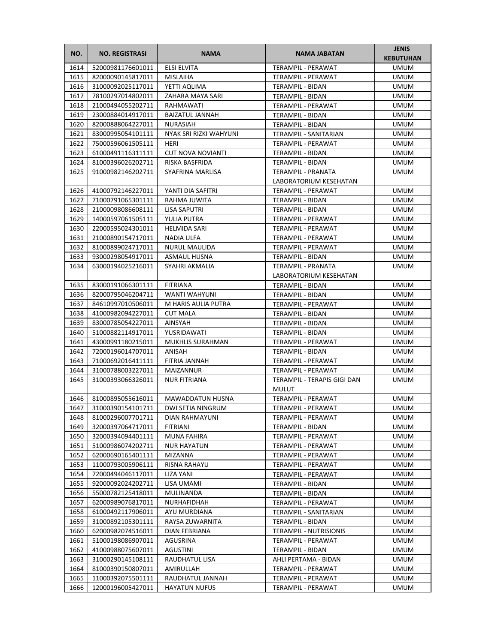| NO.  | <b>NO. REGISTRASI</b> | <b>NAMA</b>              | <b>NAMA JABATAN</b>                          | <b>JENIS</b><br><b>KEBUTUHAN</b> |
|------|-----------------------|--------------------------|----------------------------------------------|----------------------------------|
| 1614 | 52000981176601011     | <b>ELSI ELVITA</b>       | TERAMPIL - PERAWAT                           | <b>UMUM</b>                      |
| 1615 | 82000090145817011     | <b>MISLAIHA</b>          | TERAMPIL - PERAWAT                           | UMUM                             |
| 1616 | 31000092025117011     | YETTI AQLIMA             | <b>TERAMPIL - BIDAN</b>                      | UMUM                             |
| 1617 | 78100297014802011     | ZAHARA MAYA SARI         | TERAMPIL - BIDAN                             | <b>UMUM</b>                      |
| 1618 | 21000494055202711     | RAHMAWATI                | TERAMPIL - PERAWAT                           | UMUM                             |
| 1619 | 23000884014917011     | <b>BAIZATUL JANNAH</b>   | TERAMPIL - BIDAN                             | UMUM                             |
| 1620 | 82000888064227011     | <b>NURASIAH</b>          | TERAMPIL - BIDAN                             | <b>UMUM</b>                      |
| 1621 | 83000995054101111     | NYAK SRI RIZKI WAHYUNI   | TERAMPIL - SANITARIAN                        | <b>UMUM</b>                      |
| 1622 | 75000596061505111     | <b>HERI</b>              | TERAMPIL - PERAWAT                           | <b>UMUM</b>                      |
| 1623 | 61000491116311111     | <b>CUT NOVA NOVIANTI</b> | TERAMPIL - BIDAN                             | <b>UMUM</b>                      |
| 1624 | 81000396026202711     | RISKA BASFRIDA           | <b>TERAMPIL - BIDAN</b>                      | <b>UMUM</b>                      |
| 1625 | 91000982146202711     | SYAFRINA MARLISA         | TERAMPIL - PRANATA<br>LABORATORIUM KESEHATAN | UMUM                             |
| 1626 | 41000792146227011     | YANTI DIA SAFITRI        | TERAMPIL - PERAWAT                           | UMUM                             |
| 1627 | 71000791065301111     | RAHMA JUWITA             | TERAMPIL - BIDAN                             | <b>UMUM</b>                      |
| 1628 | 21000098086608111     | <b>LISA SAPUTRI</b>      | TERAMPIL - BIDAN                             | UMUM                             |
| 1629 | 14000597061505111     | YULIA PUTRA              | TERAMPIL - PERAWAT                           | UMUM                             |
| 1630 | 22000595024301011     | <b>HELMIDA SARI</b>      | TERAMPIL - PERAWAT                           | <b>UMUM</b>                      |
| 1631 | 21000890154717011     | NADIA ULFA               | TERAMPIL - PERAWAT                           | <b>UMUM</b>                      |
| 1632 | 81000899024717011     | <b>NURUL MAULIDA</b>     | TERAMPIL - PERAWAT                           | UMUM                             |
| 1633 | 93000298054917011     | ASMAUL HUSNA             | TERAMPIL - BIDAN                             | <b>UMUM</b>                      |
| 1634 | 63000194025216011     | SYAHRI AKMALIA           | <b>TERAMPIL - PRANATA</b>                    | UMUM                             |
|      |                       |                          | LABORATORIUM KESEHATAN                       |                                  |
| 1635 | 83000191066301111     | <b>FITRIANA</b>          | TERAMPIL - BIDAN                             | <b>UMUM</b>                      |
| 1636 | 82000795046204711     | WANTI WAHYUNI            | TERAMPIL - BIDAN                             | <b>UMUM</b>                      |
| 1637 | 84610997010506011     | M HARIS AULIA PUTRA      | TERAMPIL - PERAWAT                           | <b>UMUM</b>                      |
| 1638 | 41000982094227011     | <b>CUT MALA</b>          | TERAMPIL - BIDAN                             | UMUM                             |
| 1639 | 83000785054227011     | AINSYAH                  | TERAMPIL - BIDAN                             | <b>UMUM</b>                      |
| 1640 | 51000882114917011     | YUSRIDAWATI              | TERAMPIL - BIDAN                             | UMUM                             |
| 1641 | 43000991180215011     | <b>MUKHLIS SURAHMAN</b>  | TERAMPIL - PERAWAT                           | UMUM                             |
| 1642 | 72000196014707011     | ANISAH                   | TERAMPIL - BIDAN                             | UMUM                             |
| 1643 | 71000692016411111     | FITRIA JANNAH            | TERAMPIL - PERAWAT                           | <b>UMUM</b>                      |
| 1644 | 31000788003227011     | MAIZANNUR                | TERAMPIL - PERAWAT                           | <b>UMUM</b>                      |
| 1645 | 31000393066326011     | <b>NUR FITRIANA</b>      | TERAMPIL - TERAPIS GIGI DAN<br><b>MULUT</b>  | <b>UMUM</b>                      |
| 1646 | 81000895055616011     | MAWADDATUN HUSNA         | TERAMPIL - PERAWAT                           | <b>UMUM</b>                      |
| 1647 | 31000390154101711     | DWI SETIA NINGRUM        | TERAMPIL - PERAWAT                           | <b>UMUM</b>                      |
| 1648 | 81000296007701711     | DIAN RAHMAYUNI           | TERAMPIL - PERAWAT                           | UMUM                             |
| 1649 | 32000397064717011     | <b>FITRIANI</b>          | TERAMPIL - BIDAN                             | UMUM                             |
| 1650 | 32000394094401111     | MUNA FAHIRA              | TERAMPIL - PERAWAT                           | UMUM                             |
| 1651 | 51000986074202711     | <b>NUR HAYATUN</b>       | TERAMPIL - PERAWAT                           | UMUM                             |
| 1652 | 62000690165401111     | MIZANNA                  | TERAMPIL - PERAWAT                           | UMUM                             |
| 1653 | 11000793005906111     | RISNA RAHAYU             | TERAMPIL - PERAWAT                           | UMUM                             |
| 1654 | 72000494046117011     | LIZA YANI                | TERAMPIL - PERAWAT                           | UMUM                             |
| 1655 | 92000092024202711     | LISA UMAMI               | TERAMPIL - BIDAN                             | UMUM                             |
| 1656 | 55000782125418011     | MULINANDA                | TERAMPIL - BIDAN                             | UMUM                             |
| 1657 | 62000989076817011     | NURHAFIDHAH              | TERAMPIL - PERAWAT                           | UMUM                             |
| 1658 | 61000492117906011     | AYU MURDIANA             | TERAMPIL - SANITARIAN                        | UMUM                             |
| 1659 | 31000892105301111     | RAYSA ZUWARNITA          | TERAMPIL - BIDAN                             | UMUM                             |
| 1660 | 62000982074516011     | DIAN FEBRIANA            | <b>TERAMPIL - NUTRISIONIS</b>                | UMUM                             |
| 1661 | 51000198086907011     | AGUSRINA                 | TERAMPIL - PERAWAT                           | UMUM                             |
| 1662 | 41000988075607011     | AGUSTINI                 | TERAMPIL - BIDAN                             | UMUM                             |
| 1663 | 31000290145108111     | RAUDHATUL LISA           | AHLI PERTAMA - BIDAN                         | UMUM                             |
| 1664 | 81000390150807011     | AMIRULLAH                | TERAMPIL - PERAWAT                           | UMUM                             |
| 1665 | 11000392075501111     | RAUDHATUL JANNAH         | TERAMPIL - PERAWAT                           | UMUM                             |
| 1666 | 12000196005427011     | <b>HAYATUN NUFUS</b>     | TERAMPIL - PERAWAT                           | UMUM                             |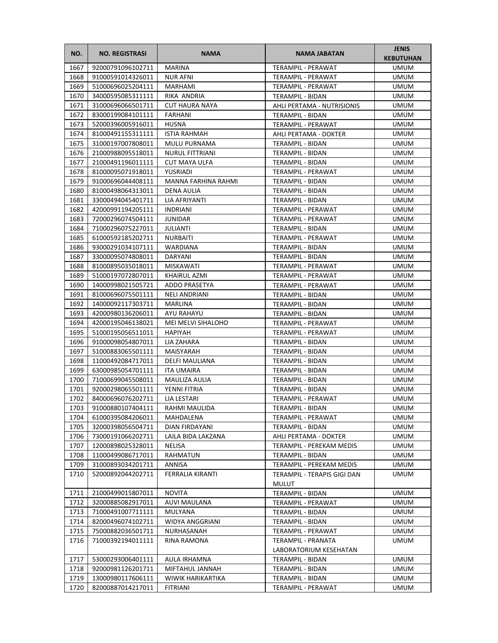| NO.  | <b>NO. REGISTRASI</b> | <b>NAMA</b>            | <b>NAMA JABATAN</b>         | <b>JENIS</b><br><b>KEBUTUHAN</b> |
|------|-----------------------|------------------------|-----------------------------|----------------------------------|
| 1667 | 92000791096102711     | <b>MARINA</b>          | TERAMPIL - PERAWAT          | <b>UMUM</b>                      |
| 1668 | 91000591014326011     | <b>NUR AFNI</b>        | TERAMPIL - PERAWAT          | <b>UMUM</b>                      |
| 1669 | 51000696025204111     | MARHAMI                | <b>TERAMPIL - PERAWAT</b>   | <b>UMUM</b>                      |
| 1670 | 34000595085311111     | RIKA ANDRIA            | <b>TERAMPIL - BIDAN</b>     | UMUM                             |
| 1671 | 31000696066501711     | <b>CUT HAURA NAYA</b>  | AHLI PERTAMA - NUTRISIONIS  | UMUM                             |
| 1672 | 83000199084101111     | FARHANI                | TERAMPIL - BIDAN            | UMUM                             |
| 1673 | 52000396005916011     | HUSNA                  | TERAMPIL - PERAWAT          | UMUM                             |
| 1674 | 81000491155311111     | <b>ISTIA RAHMAH</b>    | AHLI PERTAMA - DOKTER       | UMUM                             |
| 1675 | 31000197007808011     | MULU PURNAMA           | <b>TERAMPIL - BIDAN</b>     | <b>UMUM</b>                      |
| 1676 | 21000988095518011     | <b>NURUL FITTRIANI</b> | TERAMPIL - BIDAN            | <b>UMUM</b>                      |
| 1677 | 21000491196011111     | <b>CUT MAYA ULFA</b>   | TERAMPIL - BIDAN            | UMUM                             |
| 1678 | 81000095071918011     | YUSRIADI               | TERAMPIL - PERAWAT          | UMUM                             |
| 1679 | 91000696044408111     | MANNA FARHINA RAHMI    | TERAMPIL - BIDAN            | UMUM                             |
| 1680 | 81000498064313011     | DENA AULIA             | TERAMPIL - BIDAN            | UMUM                             |
| 1681 | 33000494045401711     | LIA AFRIYANTI          | TERAMPIL - BIDAN            | UMUM                             |
| 1682 | 42000991194205111     | <b>INDRIANI</b>        | TERAMPIL - PERAWAT          | <b>UMUM</b>                      |
| 1683 | 72000296074504111     | <b>JUNIDAR</b>         | TERAMPIL - PERAWAT          | UMUM                             |
| 1684 | 71000296075227011     | <b>JULIANTI</b>        | TERAMPIL - BIDAN            | UMUM                             |
| 1685 | 61000592185202711     | NURBAITI               | TERAMPIL - PERAWAT          | <b>UMUM</b>                      |
| 1686 | 93000291034107111     | WARDIANA               | <b>TERAMPIL - BIDAN</b>     | <b>UMUM</b>                      |
| 1687 | 33000095074808011     | DARYANI                | TERAMPIL - BIDAN            | UMUM                             |
| 1688 | 81000895035018011     | MISKAWATI              | TERAMPIL - PERAWAT          | UMUM                             |
| 1689 | 51000197072807011     | KHAIRUL AZMI           | TERAMPIL - PERAWAT          | UMUM                             |
| 1690 | 14000998021505721     | ADDO PRASETYA          | TERAMPIL - PERAWAT          | <b>UMUM</b>                      |
| 1691 | 81000696075501111     | <b>NELI ANDRIANI</b>   | TERAMPIL - BIDAN            | UMUM                             |
| 1692 | 14000092117303711     | MARLINA                | TERAMPIL - BIDAN            | <b>UMUM</b>                      |
| 1693 | 42000980136206011     | AYU RAHAYU             | TERAMPIL - BIDAN            | <b>UMUM</b>                      |
| 1694 | 42000195046138021     | MEI MELVI SIHALOHO     | TERAMPIL - PERAWAT          | UMUM                             |
| 1695 | 51000195056511011     | <b>HAPIYAH</b>         | TERAMPIL - PERAWAT          | UMUM                             |
| 1696 | 91000098054807011     | LIA ZAHARA             | TERAMPIL - BIDAN            | UMUM                             |
| 1697 | 51000883065501111     | MAISYARAH              | TERAMPIL - BIDAN            | UMUM                             |
| 1698 | 11000492084717011     | <b>DELFI MAULIANA</b>  | TERAMPIL - BIDAN            | UMUM                             |
| 1699 | 63000985054701111     | <b>ITA UMAIRA</b>      | <b>TERAMPIL - BIDAN</b>     | UMUM                             |
| 1700 | 71000699045508011     | MAULIZA AULIA          | TERAMPIL - BIDAN            | <b>UMUM</b>                      |
| 1701 | 92000298065501111     | YENNI FITRIA           | <b>TERAMPIL - BIDAN</b>     | <b>UMUM</b>                      |
| 1702 | 84000696076202711     | LIA LESTARI            | TERAMPIL - PERAWAT          | <b>UMUM</b>                      |
| 1703 | 91000880107404111     | RAHMI MAULIDA          | TERAMPIL - BIDAN            | <b>UMUM</b>                      |
| 1704 | 61000395084206011     | MAHDALENA              | TERAMPIL - PERAWAT          | UMUM                             |
| 1705 | 32000398056504711     | DIAN FIRDAYANI         | TERAMPIL - BIDAN            | UMUM                             |
| 1706 | 73000191066202711     | LAILA BIDA LAKZANA     | AHLI PERTAMA - DOKTER       | UMUM                             |
| 1707 | 12000898025328011     | NELISA                 | TERAMPIL - PEREKAM MEDIS    | UMUM                             |
| 1708 | 11000499086717011     | RAHMATUN               | <b>TERAMPIL - BIDAN</b>     | UMUM                             |
| 1709 | 31000893034201711     | ANNISA                 | TERAMPIL - PEREKAM MEDIS    | <b>UMUM</b>                      |
| 1710 | 52000892044202711     | FERRALIA KIRANTI       | TERAMPIL - TERAPIS GIGI DAN | UMUM                             |
|      |                       |                        | <b>MULUT</b>                |                                  |
| 1711 | 21000499015807011     | <b>NOVITA</b>          | TERAMPIL - BIDAN            | UMUM                             |
| 1712 | 32000885082917011     | AUVI MAULANA           | TERAMPIL - PERAWAT          | UMUM                             |
| 1713 | 71000491007711111     | MULYANA                | TERAMPIL - BIDAN            | UMUM                             |
| 1714 | 82000496074102711     | WIDYA ANGGRIANI        | TERAMPIL - BIDAN            | UMUM                             |
| 1715 | 75000882036501711     | NURHASANAH             | TERAMPIL - PERAWAT          | UMUM                             |
| 1716 | 71000392194011111     | RINA RAMONA            | TERAMPIL - PRANATA          | UMUM                             |
|      |                       |                        | LABORATORIUM KESEHATAN      |                                  |
| 1717 | 53000293006401111     | AULA IRHAMNA           | TERAMPIL - BIDAN            | UMUM                             |
| 1718 | 92000981126201711     | MIFTAHUL JANNAH        | TERAMPIL - BIDAN            | UMUM                             |
| 1719 | 13000980117606111     | WIWIK HARIKARTIKA      | TERAMPIL - BIDAN            | UMUM                             |
| 1720 | 82000887014217011     | FITRIANI               | TERAMPIL - PERAWAT          | UMUM                             |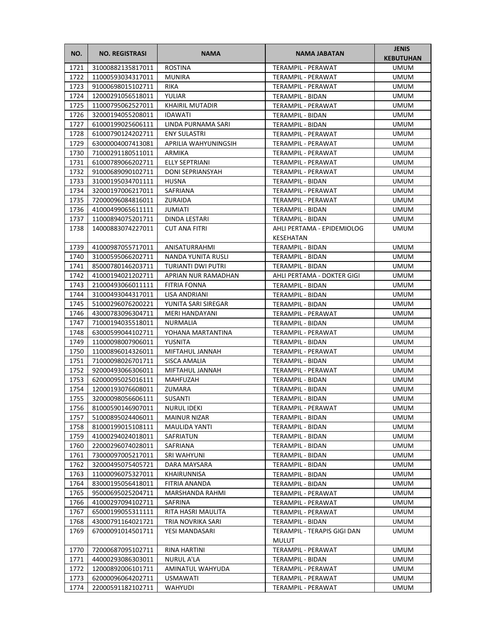| NO.          | <b>NO. REGISTRASI</b>                  | <b>NAMA</b>            | <b>NAMA JABATAN</b>                      | <b>JENIS</b><br><b>KEBUTUHAN</b> |
|--------------|----------------------------------------|------------------------|------------------------------------------|----------------------------------|
| 1721         | 31000882135817011                      | <b>ROSTINA</b>         | TERAMPIL - PERAWAT                       | <b>UMUM</b>                      |
| 1722         | 11000593034317011                      | <b>MUNIRA</b>          | TERAMPIL - PERAWAT                       | <b>UMUM</b>                      |
| 1723         | 91000698015102711                      | <b>RIKA</b>            | TERAMPIL - PERAWAT                       | UMUM                             |
| 1724         | 12000291056518011                      | YULIAR                 | TERAMPIL - BIDAN                         | UMUM                             |
| 1725         | 11000795062527011                      | <b>KHAIRIL MUTADIR</b> | TERAMPIL - PERAWAT                       | UMUM                             |
| 1726         | 32000194055208011                      | <b>IDAWATI</b>         | TERAMPIL - BIDAN                         | UMUM                             |
| 1727         | 61000199025606111                      | LINDA PURNAMA SARI     | TERAMPIL - BIDAN                         | <b>UMUM</b>                      |
| 1728         | 61000790124202711                      | <b>ENY SULASTRI</b>    | TERAMPIL - PERAWAT                       | <b>UMUM</b>                      |
| 1729         | 63000004007413081                      | APRILIA WAHYUNINGSIH   | <b>TERAMPIL - PERAWAT</b>                | <b>UMUM</b>                      |
| 1730         | 71000291180511011                      | ARMIKA                 | <b>TERAMPIL - PERAWAT</b>                | <b>UMUM</b>                      |
| 1731         | 61000789066202711                      | ELLY SEPTRIANI         | TERAMPIL - PERAWAT                       | <b>UMUM</b>                      |
| 1732         | 91000689090102711                      | DONI SEPRIANSYAH       | TERAMPIL - PERAWAT                       | UMUM                             |
| 1733         | 31000195034701111                      | <b>HUSNA</b>           | TERAMPIL - BIDAN                         | UMUM                             |
| 1734         | 32000197006217011                      | SAFRIANA               | TERAMPIL - PERAWAT                       | UMUM                             |
| 1735         | 72000096084816011                      | ZURAIDA                | TERAMPIL - PERAWAT                       | <b>UMUM</b>                      |
| 1736         | 41000499065611111                      | <b>JUMIATI</b>         | TERAMPIL - BIDAN                         | UMUM                             |
| 1737         | 11000894075201711                      | DINDA LESTARI          | <b>TERAMPIL - BIDAN</b>                  | <b>UMUM</b>                      |
| 1738         | 14000883074227011                      | <b>CUT ANA FITRI</b>   | AHLI PERTAMA - EPIDEMIOLOG               | <b>UMUM</b>                      |
|              |                                        |                        | KESEHATAN                                |                                  |
| 1739         | 41000987055717011                      | ANISATURRAHMI          | TERAMPIL - BIDAN                         | UMUM                             |
| 1740         | 31000595066202711                      | NANDA YUNITA RUSLI     | TERAMPIL - BIDAN                         | UMUM                             |
| 1741         | 85000780146203711                      | TURIANTI DWI PUTRI     | TERAMPIL - BIDAN                         | UMUM                             |
| 1742         | 41000194021202711                      | APRIAN NUR RAMADHAN    | AHLI PERTAMA - DOKTER GIGI               | UMUM                             |
| 1743         | 21000493066011111                      | FITRIA FONNA           | TERAMPIL - BIDAN                         | UMUM                             |
| 1744         | 31000493044317011                      | LISA ANDRIANI          | TERAMPIL - BIDAN                         | UMUM                             |
| 1745         | 51000296076200221                      | YUNITA SARI SIREGAR    | TERAMPIL - BIDAN                         | <b>UMUM</b>                      |
| 1746         | 43000783096304711                      | MERI HANDAYANI         | TERAMPIL - PERAWAT                       | <b>UMUM</b>                      |
| 1747         | 71000194035518011                      | <b>NURMALIA</b>        | TERAMPIL - BIDAN                         | <b>UMUM</b>                      |
| 1748         | 63000599044102711                      | YOHANA MARTANTINA      | TERAMPIL - PERAWAT                       | UMUM                             |
| 1749         | 11000098007906011                      | YUSNITA                | TERAMPIL - BIDAN                         | UMUM                             |
| 1750         | 11000896014326011                      | MIFTAHUL JANNAH        | TERAMPIL - PERAWAT                       | UMUM                             |
| 1751         | 71000098026701711                      | SISCA AMALIA           | TERAMPIL - BIDAN                         | <b>UMUM</b>                      |
| 1752         | 92000493066306011                      | MIFTAHUL JANNAH        | <b>TERAMPIL - PERAWAT</b>                | UMUM                             |
| 1753         | 62000095025016111                      | <b>MAHFUZAH</b>        | <b>TERAMPIL - BIDAN</b>                  | UMUM                             |
| 1754         | 12000193076608011                      | ZUMARA                 | TERAMPIL - BIDAN                         | <b>UMUM</b>                      |
| 1755         | 32000098056606111                      | SUSANTI                | <b>TERAMPIL - BIDAN</b>                  | <b>UMUM</b>                      |
| 1756         | 81000590146907011                      | NURUL IDEKI            | TERAMPIL - PERAWAT                       | <b>UMUM</b>                      |
| 1757         | 51000895024406011                      | MAINUR NIZAR           | TERAMPIL - BIDAN                         | UMUM                             |
| 1758         | 81000199015108111                      | MAULIDA YANTI          | TERAMPIL - BIDAN                         | UMUM                             |
| 1759         | 41000294024018011                      | SAFRIATUN              | TERAMPIL - BIDAN                         | UMUM                             |
| 1760         | 22000296074028011                      | SAFRIANA               | TERAMPIL - BIDAN                         | UMUM                             |
| 1761         | 73000097005217011                      | SRI WAHYUNI            | TERAMPIL - BIDAN                         | UMUM                             |
| 1762         | 32000495075405721                      | DARA MAYSARA           | TERAMPIL - BIDAN                         | UMUM                             |
| 1763         | 11000096075327011                      | KHAIRUNNISA            | TERAMPIL - BIDAN                         | UMUM                             |
| 1764         | 83000195056418011                      | <b>FITRIA ANANDA</b>   | TERAMPIL - BIDAN                         | UMUM                             |
| 1765         | 95000695025204711                      | MARSHANDA RAHMI        | TERAMPIL - PERAWAT                       | UMUM                             |
| 1766         | 41000297094102711                      | SAFRINA                | TERAMPIL - PERAWAT                       | UMUM                             |
| 1767         | 65000199055311111                      | RITA HASRI MAULITA     | TERAMPIL - PERAWAT                       | UMUM                             |
| 1768         | 43000791164021721                      | TRIA NOVRIKA SARI      | TERAMPIL - BIDAN                         | UMUM                             |
| 1769         | 67000091014501711                      | YESI MANDASARI         | TERAMPIL - TERAPIS GIGI DAN              | UMUM                             |
|              |                                        |                        | <b>MULUT</b>                             |                                  |
| 1770         | 72000687095102711                      | RINA HARTINI           | <b>TERAMPIL - PERAWAT</b>                | UMUM                             |
| 1771         | 44000293086303011                      | NURUL A'LA             | TERAMPIL - BIDAN                         | UMUM                             |
| 1772         | 12000892006101711                      | AMINATUL WAHYUDA       | TERAMPIL - PERAWAT                       | UMUM                             |
| 1773<br>1774 | 62000096064202711<br>22000591182102711 | <b>USMAWATI</b>        | TERAMPIL - PERAWAT<br>TERAMPIL - PERAWAT | UMUM<br>UMUM                     |
|              |                                        | WAHYUDI                |                                          |                                  |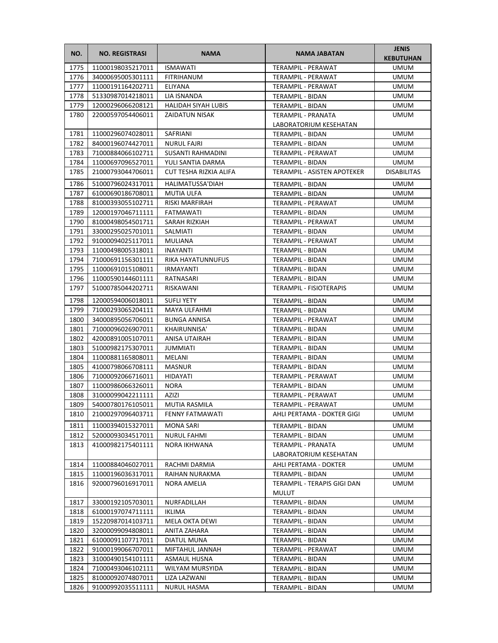| NO.  | <b>NO. REGISTRASI</b> | <b>NAMA</b>                | NAMA JABATAN                                | <b>JENIS</b><br><b>KEBUTUHAN</b> |
|------|-----------------------|----------------------------|---------------------------------------------|----------------------------------|
| 1775 | 11000198035217011     | <b>ISMAWATI</b>            | TERAMPIL - PERAWAT                          | <b>UMUM</b>                      |
| 1776 | 34000695005301111     | <b>FITRIHANUM</b>          | TERAMPIL - PERAWAT                          | <b>UMUM</b>                      |
| 1777 | 11000191164202711     | ELIYANA                    | TERAMPIL - PERAWAT                          | UMUM                             |
| 1778 | 51330987014218011     | LIA ISNANDA                | TERAMPIL - BIDAN                            | UMUM                             |
| 1779 | 12000296066208121     | <b>HALIDAH SIYAH LUBIS</b> | TERAMPIL - BIDAN                            | UMUM                             |
| 1780 | 22000597054406011     | ZAIDATUN NISAK             | TERAMPIL - PRANATA                          | UMUM                             |
|      |                       |                            | LABORATORIUM KESEHATAN                      |                                  |
| 1781 | 11000296074028011     | SAFRIANI                   | <b>TERAMPIL - BIDAN</b>                     | <b>UMUM</b>                      |
| 1782 | 84000196074427011     | <b>NURUL FAJRI</b>         | <b>TERAMPIL - BIDAN</b>                     | UMUM                             |
| 1783 | 71000884066102711     | SUSANTI RAHMADINI          | <b>TERAMPIL - PERAWAT</b>                   | <b>UMUM</b>                      |
| 1784 | 11000697096527011     | YULI SANTIA DARMA          | TERAMPIL - BIDAN                            | <b>UMUM</b>                      |
| 1785 | 21000793044706011     | CUT TESHA RIZKIA ALIFA     | TERAMPIL - ASISTEN APOTEKER                 | <b>DISABILITAS</b>               |
| 1786 | 51000796024317011     | HALIMATUSSA'DIAH           | TERAMPIL - BIDAN                            | UMUM                             |
| 1787 | 61000690186708011     | MUTIA ULFA                 | TERAMPIL - BIDAN                            | UMUM                             |
| 1788 | 81000393055102711     | RISKI MARFIRAH             | <b>TERAMPIL - PERAWAT</b>                   | UMUM                             |
| 1789 | 12000197046711111     | FATMAWATI                  | TERAMPIL - BIDAN                            | UMUM                             |
| 1790 | 81000498054501711     | SARAH RIZKIAH              | <b>TERAMPIL - PERAWAT</b>                   | <b>UMUM</b>                      |
| 1791 | 33000295025701011     | SALMIATI                   | <b>TERAMPIL - BIDAN</b>                     | UMUM                             |
| 1792 | 91000094025117011     | MULIANA                    | TERAMPIL - PERAWAT                          | <b>UMUM</b>                      |
| 1793 | 11000498005318011     | <b>INAYANTI</b>            | TERAMPIL - BIDAN                            | <b>UMUM</b>                      |
| 1794 | 71000691156301111     | RIKA HAYATUNNUFUS          | TERAMPIL - BIDAN                            | <b>UMUM</b>                      |
| 1795 | 11000691015108011     | <b>IRMAYANTI</b>           | TERAMPIL - BIDAN                            | UMUM                             |
| 1796 | 11000590144601111     | RATNASARI                  | TERAMPIL - BIDAN                            | UMUM                             |
| 1797 | 51000785044202711     | RISKAWANI                  | TERAMPIL - FISIOTERAPIS                     | UMUM                             |
| 1798 | 12000594006018011     | <b>SUFLI YETY</b>          | TERAMPIL - BIDAN                            | UMUM                             |
| 1799 | 71000293065204111     | MAYA ULFAHMI               | TERAMPIL - BIDAN                            | UMUM                             |
| 1800 | 34000895056706011     | <b>BUNGA ANNISA</b>        | TERAMPIL - PERAWAT                          | UMUM                             |
| 1801 | 71000096026907011     | KHAIRUNNISA'               | TERAMPIL - BIDAN                            | UMUM                             |
| 1802 | 42000891005107011     | ANISA UTAIRAH              | TERAMPIL - BIDAN                            | <b>UMUM</b>                      |
| 1803 | 51000982175307011     | JUMMIATI                   | TERAMPIL - BIDAN                            | UMUM                             |
| 1804 | 11000881165808011     | MELANI                     | TERAMPIL - BIDAN                            | UMUM                             |
| 1805 | 41000798066708111     | <b>MASNUR</b>              | TERAMPIL - BIDAN                            | <b>UMUM</b>                      |
| 1806 | 71000092066716011     | HIDAYATI                   | <b>TERAMPIL - PERAWAT</b>                   | UMUM                             |
| 1807 | 11000986066326011     | <b>NORA</b>                | TERAMPIL - BIDAN                            | <b>UMUM</b>                      |
| 1808 | 31000099042211111     | AZIZI                      | <b>TERAMPIL - PERAWAT</b>                   | UMUM                             |
| 1809 | 54000780176105011     | <b>MUTIA RASMILA</b>       | TERAMPIL - PERAWAT                          | <b>UMUM</b>                      |
| 1810 | 21000297096403711     | <b>FENNY FATMAWATI</b>     | AHLI PERTAMA - DOKTER GIGI                  | <b>UMUM</b>                      |
| 1811 | 11000394015327011     | <b>MONA SARI</b>           | TERAMPIL - BIDAN                            | <b>UMUM</b>                      |
| 1812 | 52000093034517011     | <b>NURUL FAHMI</b>         | TERAMPIL - BIDAN                            | <b>UMUM</b>                      |
| 1813 | 41000982175401111     | NORA IKHWANA               | <b>TERAMPIL - PRANATA</b>                   | UMUM                             |
|      |                       |                            | LABORATORIUM KESEHATAN                      |                                  |
| 1814 | 11000884046027011     | RACHMI DARMIA              | AHLI PERTAMA - DOKTER                       | <b>UMUM</b>                      |
| 1815 | 11000196036317011     | RAIHAN NURAKMA             | TERAMPIL - BIDAN                            | <b>UMUM</b>                      |
| 1816 | 92000796016917011     | NORA AMELIA                | TERAMPIL - TERAPIS GIGI DAN<br><b>MULUT</b> | UMUM                             |
| 1817 | 33000192105703011     | NURFADILLAH                | TERAMPIL - BIDAN                            | UMUM                             |
| 1818 | 61000197074711111     | IKLIMA                     | TERAMPIL - BIDAN                            | <b>UMUM</b>                      |
| 1819 | 15220987014103711     | <b>MELA OKTA DEWI</b>      | TERAMPIL - BIDAN                            | UMUM                             |
| 1820 | 32000099094808011     | ANITA ZAHARA               | TERAMPIL - BIDAN                            | UMUM                             |
| 1821 | 61000091107717011     | DIATUL MUNA                | TERAMPIL - BIDAN                            | UMUM                             |
| 1822 | 91000199066707011     | MIFTAHUL JANNAH            | TERAMPIL - PERAWAT                          | <b>UMUM</b>                      |
| 1823 | 31000490154101111     | <b>ASMAUL HUSNA</b>        | TERAMPIL - BIDAN                            | UMUM                             |
| 1824 | 71000493046102111     | WILYAM MURSYIDA            | TERAMPIL - BIDAN                            | UMUM                             |
| 1825 | 81000092074807011     | LIZA LAZWANI               | TERAMPIL - BIDAN                            | UMUM                             |
| 1826 | 91000992035511111     | NURUL HASMA                | TERAMPIL - BIDAN                            | UMUM                             |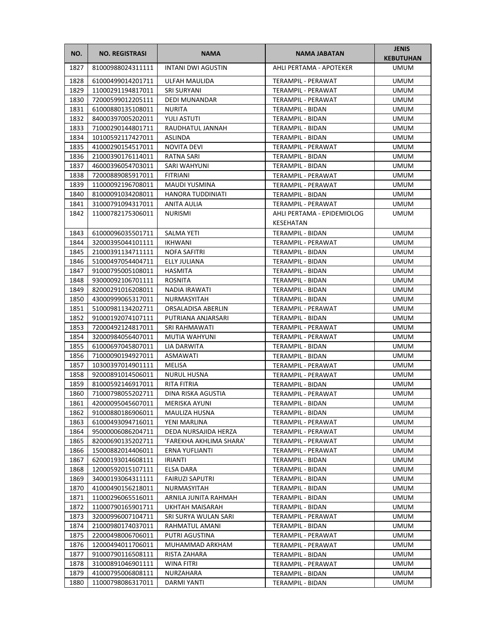| NO.          | <b>NO. REGISTRASI</b>                  | <b>NAMA</b>                 | NAMA JABATAN                         | <b>JENIS</b><br><b>KEBUTUHAN</b> |
|--------------|----------------------------------------|-----------------------------|--------------------------------------|----------------------------------|
| 1827         | 81000988024311111                      | <b>INTANI DWI AGUSTIN</b>   | AHLI PERTAMA - APOTEKER              | <b>UMUM</b>                      |
| 1828         | 61000499014201711                      | ULFAH MAULIDA               | TERAMPIL - PERAWAT                   | <b>UMUM</b>                      |
| 1829         | 11000291194817011                      | <b>SRI SURYANI</b>          | TERAMPIL - PERAWAT                   | <b>UMUM</b>                      |
| 1830         | 72000599012205111                      | <b>DEDI MUNANDAR</b>        | TERAMPIL - PERAWAT                   | <b>UMUM</b>                      |
| 1831         | 61000880135108011                      | <b>NURITA</b>               | TERAMPIL - BIDAN                     | <b>UMUM</b>                      |
| 1832         | 84000397005202011                      | <b>YULI ASTUTI</b>          | TERAMPIL - BIDAN                     | <b>UMUM</b>                      |
| 1833         | 71000290144801711                      | RAUDHATUL JANNAH            | TERAMPIL - BIDAN                     | <b>UMUM</b>                      |
| 1834         | 10100592117427011                      | <b>ASLINDA</b>              | TERAMPIL - BIDAN                     | <b>UMUM</b>                      |
| 1835         | 41000290154517011                      | NOVITA DEVI                 | TERAMPIL - PERAWAT                   | <b>UMUM</b>                      |
| 1836         | 21000390176114011                      | <b>RATNA SARI</b>           | TERAMPIL - BIDAN                     | <b>UMUM</b>                      |
| 1837         | 46000396054703011                      | SARI WAHYUNI                | TERAMPIL - BIDAN                     | UMUM                             |
| 1838         | 72000889085917011                      | FITRIANI                    | TERAMPIL - PERAWAT                   | <b>UMUM</b>                      |
| 1839         | 11000092196708011                      | <b>MAUDI YUSMINA</b>        | TERAMPIL - PERAWAT                   | <b>UMUM</b>                      |
| 1840         | 81000091034208011                      | HANORA TUDDINIATI           | TERAMPIL - BIDAN                     | <b>UMUM</b>                      |
| 1841         | 31000791094317011                      | ANITA AULIA                 | TERAMPIL - PERAWAT                   | <b>UMUM</b>                      |
| 1842         | 11000782175306011                      | <b>NURISMI</b>              | AHLI PERTAMA - EPIDEMIOLOG           | <b>UMUM</b>                      |
|              |                                        |                             | KESEHATAN                            |                                  |
| 1843         | 61000096035501711                      | <b>SALMA YETI</b>           | TERAMPIL - BIDAN                     | <b>UMUM</b>                      |
| 1844         | 32000395044101111                      | <b>IKHWANI</b>              | TERAMPIL - PERAWAT                   | <b>UMUM</b>                      |
| 1845         | 21000391134711111                      | <b>NOFA SAFITRI</b>         | TERAMPIL - BIDAN                     | <b>UMUM</b>                      |
| 1846         | 51000497054404711                      | ELLY JULIANA                | TERAMPIL - BIDAN                     | <b>UMUM</b>                      |
| 1847         | 91000795005108011                      | HASMITA                     | TERAMPIL - BIDAN                     | <b>UMUM</b>                      |
| 1848         | 93000092106701111                      | ROSNITA                     | TERAMPIL - BIDAN                     | <b>UMUM</b>                      |
| 1849         | 82000291016208011                      | <b>NADIA IRAWATI</b>        | TERAMPIL - BIDAN                     | <b>UMUM</b>                      |
| 1850         | 43000999065317011                      | NURMASYITAH                 | TERAMPIL - BIDAN                     | <b>UMUM</b>                      |
| 1851         | 51000981134202711                      | ORSALADISA ABERLIN          | TERAMPIL - PERAWAT                   | <b>UMUM</b>                      |
| 1852         | 91000192074107111                      | PUTRIANA ANJARSARI          | TERAMPIL - BIDAN                     | <b>UMUM</b>                      |
| 1853         | 72000492124817011                      | SRI RAHMAWATI               | TERAMPIL - PERAWAT                   | <b>UMUM</b>                      |
| 1854         | 32000984056407011                      | MUTIA WAHYUNI               | TERAMPIL - PERAWAT                   | <b>UMUM</b>                      |
| 1855         | 61000697045807011                      | LIA DARWITA                 | TERAMPIL - BIDAN                     | UMUM                             |
| 1856         | 71000090194927011                      | ASMAWATI                    | TERAMPIL - BIDAN                     | UMUM                             |
| 1857         | 10300397014901111                      | MELISA                      | TERAMPIL - PERAWAT                   | <b>UMUM</b>                      |
| 1858         | 92000891014506011                      | <b>NURUL HUSNA</b>          | TERAMPIL - PERAWAT                   | <b>UMUM</b>                      |
| 1859         | 81000592146917011                      | RITA FITRIA                 | TERAMPIL - BIDAN                     | <b>UMUM</b>                      |
| 1860         | 71000798055202711                      | DINA RISKA AGUSTIA          | TERAMPIL - PERAWAT                   | <b>UMUM</b>                      |
| 1861         | 42000095045607011                      | MERISKA AYUNI               | TERAMPIL - BIDAN                     | <b>UMUM</b>                      |
| 1862         | 91000880186906011                      | MAULIZA HUSNA               | TERAMPIL - BIDAN                     | <b>UMUM</b>                      |
| 1863         | 61000493094716011                      | YENI MARLINA                | TERAMPIL - PERAWAT                   | <b>UMUM</b>                      |
| 1864         | 95000006086204711                      | DEDA NURSAJIDA HERZA        | TERAMPIL - PERAWAT                   | <b>UMUM</b>                      |
| 1865         | 82000690135202711<br>15000882014406011 | 'FAREKHA AKHLIMA SHARA'     | TERAMPIL - PERAWAT                   | <b>UMUM</b>                      |
| 1866<br>1867 |                                        | ERNA YUFLIANTI              | TERAMPIL - PERAWAT                   | <b>UMUM</b>                      |
| 1868         | 62000193014608111<br>12000592015107111 | <b>IRIANTI</b><br>ELSA DARA | TERAMPIL - BIDAN<br>TERAMPIL - BIDAN | <b>UMUM</b><br><b>UMUM</b>       |
| 1869         | 34000193064311111                      | <b>FAIRUZI SAPUTRI</b>      | TERAMPIL - BIDAN                     | <b>UMUM</b>                      |
| 1870         | 41000490156218011                      | NURMASYITAH                 | TERAMPIL - BIDAN                     | <b>UMUM</b>                      |
| 1871         | 11000296065516011                      | ARNILA JUNITA RAHMAH        | TERAMPIL - BIDAN                     | <b>UMUM</b>                      |
| 1872         | 11000790165901711                      | UKHTAH MAISARAH             | TERAMPIL - BIDAN                     | UMUM                             |
| 1873         | 32000996007104711                      | SRI SURYA WULAN SARI        | TERAMPIL - PERAWAT                   | UMUM                             |
| 1874         | 21000980174037011                      | RAHMATUL AMANI              | TERAMPIL - BIDAN                     | <b>UMUM</b>                      |
| 1875         | 22000498006706011                      | PUTRI AGUSTINA              | TERAMPIL - PERAWAT                   | <b>UMUM</b>                      |
| 1876         | 12000494011706011                      | MUHAMMAD ARKHAM             | TERAMPIL - PERAWAT                   | <b>UMUM</b>                      |
| 1877         | 91000790116508111                      | RISTA ZAHARA                | TERAMPIL - BIDAN                     | <b>UMUM</b>                      |
| 1878         | 31000891046901111                      | <b>WINA FITRI</b>           | TERAMPIL - PERAWAT                   | <b>UMUM</b>                      |
| 1879         | 41000795006808111                      | NURZAHARA                   | TERAMPIL - BIDAN                     | <b>UMUM</b>                      |
| 1880         | 11000798086317011                      | DARMI YANTI                 | TERAMPIL - BIDAN                     | <b>UMUM</b>                      |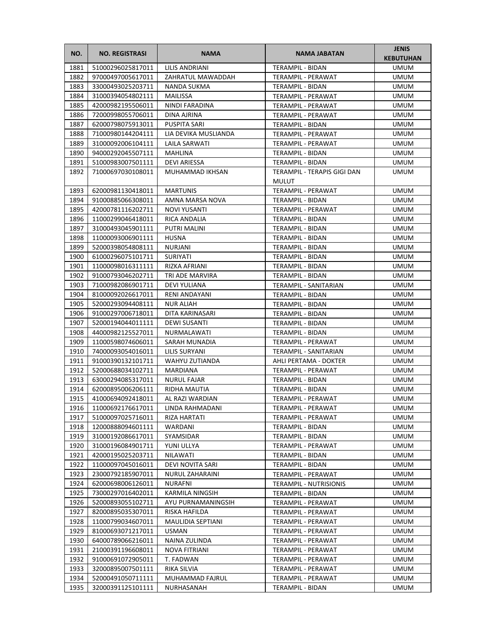| NO.          | <b>NO. REGISTRASI</b>                  | <b>NAMA</b>                     | <b>NAMA JABATAN</b>                         | <b>JENIS</b><br><b>KEBUTUHAN</b> |
|--------------|----------------------------------------|---------------------------------|---------------------------------------------|----------------------------------|
| 1881         | 51000296025817011                      | LILIS ANDRIANI                  | TERAMPIL - BIDAN                            | <b>UMUM</b>                      |
| 1882         | 97000497005617011                      | ZAHRATUL MAWADDAH               | TERAMPIL - PERAWAT                          | <b>UMUM</b>                      |
| 1883         | 33000493025203711                      | NANDA SUKMA                     | TERAMPIL - BIDAN                            | <b>UMUM</b>                      |
| 1884         | 31000394054802111                      | MAILISSA                        | <b>TERAMPIL - PERAWAT</b>                   | <b>UMUM</b>                      |
| 1885         | 42000982195506011                      | NINDI FARADINA                  | TERAMPIL - PERAWAT                          | <b>UMUM</b>                      |
| 1886         | 72000998055706011                      | DINA AJRINA                     | TERAMPIL - PERAWAT                          | <b>UMUM</b>                      |
| 1887         | 62000798075913011                      | PUSPITA SARI                    | TERAMPIL - BIDAN                            | UMUM                             |
| 1888         | 71000980144204111                      | LIA DEVIKA MUSLIANDA            | TERAMPIL - PERAWAT                          | <b>UMUM</b>                      |
| 1889         | 31000092006104111                      | LAILA SARWATI                   | TERAMPIL - PERAWAT                          | <b>UMUM</b>                      |
| 1890         | 94000292045507111                      | MAHLINA                         | TERAMPIL - BIDAN                            | <b>UMUM</b>                      |
| 1891         | 51000983007501111                      | <b>DEVI ARIESSA</b>             | TERAMPIL - BIDAN                            | <b>UMUM</b>                      |
| 1892         | 71000697030108011                      | MUHAMMAD IKHSAN                 | TERAMPIL - TERAPIS GIGI DAN<br><b>MULUT</b> | <b>UMUM</b>                      |
| 1893         | 62000981130418011                      | <b>MARTUNIS</b>                 | TERAMPIL - PERAWAT                          | UMUM                             |
| 1894         | 91000885066308011                      | AMNA MARSA NOVA                 | TERAMPIL - BIDAN                            | UMUM                             |
| 1895         | 42000781116202711                      | <b>NOVI YUSANTI</b>             | <b>TERAMPIL - PERAWAT</b>                   | UMUM                             |
| 1896         | 11000299046418011                      | RICA ANDALIA                    | TERAMPIL - BIDAN                            | UMUM                             |
| 1897         | 31000493045901111                      | PUTRI MALINI                    | TERAMPIL - BIDAN                            | UMUM                             |
| 1898         | 11000093006901111                      | <b>HUSNA</b>                    | TERAMPIL - BIDAN                            | <b>UMUM</b>                      |
| 1899         | 52000398054808111                      | NURJANI                         | TERAMPIL - BIDAN                            | UMUM                             |
| 1900         | 61000296075101711                      | SURIYATI                        | TERAMPIL - BIDAN                            | <b>UMUM</b>                      |
| 1901         | 11000098016311111                      | RIZKA AFRIANI                   | TERAMPIL - BIDAN                            | <b>UMUM</b>                      |
| 1902         | 91000793046202711                      | TRI ADE MARVIRA                 | <b>TERAMPIL - BIDAN</b>                     | UMUM                             |
| 1903         | 71000982086901711                      | DEVI YULIANA                    | TERAMPIL - SANITARIAN                       | UMUM                             |
| 1904         | 81000092026617011                      | RENI ANDAYANI                   | TERAMPIL - BIDAN                            | <b>UMUM</b>                      |
| 1905         | 52000293094408111                      | <b>NUR ALIAH</b>                | TERAMPIL - BIDAN                            | <b>UMUM</b>                      |
| 1906         | 91000297006718011                      | DITA KARINASARI                 | TERAMPIL - BIDAN                            | <b>UMUM</b>                      |
| 1907         | 52000194044011111                      | <b>DEWI SUSANTI</b>             | TERAMPIL - BIDAN                            | <b>UMUM</b>                      |
| 1908         | 44000982125527011                      | NURMALAWATI                     | TERAMPIL - BIDAN                            | <b>UMUM</b>                      |
| 1909         | 11000598074606011                      | SARAH MUNADIA                   | TERAMPIL - PERAWAT                          | UMUM                             |
| 1910         | 74000093054016011                      | LILIS SURYANI                   | TERAMPIL - SANITARIAN                       | UMUM                             |
| 1911         | 91000390132101711                      | WAHYU ZUTIANDA                  | AHLI PERTAMA - DOKTER                       | UMUM                             |
| 1912         | 52000688034102711                      | MARDIANA                        | TERAMPIL - PERAWAT                          | UMUM                             |
| 1913<br>1914 | 63000294085317011                      | <b>NURUL FAJAR</b>              | TERAMPIL - BIDAN                            | <b>UMUM</b><br><b>UMUM</b>       |
| 1915         | 62000895006206111<br>41000694092418011 | RIDHA MAUTIA<br>AL RAZI WARDIAN | TERAMPIL - BIDAN<br>TERAMPIL - PERAWAT      | <b>UMUM</b>                      |
|              | 1916 11000692176617011                 | LINDA RAHMADANI                 | TERAMPIL - PERAWAT                          | <b>UMUM</b>                      |
| 1917         | 51000097025716011                      | RIZA HARTATI                    | TERAMPIL - PERAWAT                          | UMUM                             |
| 1918         | 12000888094601111                      | WARDANI                         | TERAMPIL - BIDAN                            | UMUM                             |
| 1919         | 31000192086617011                      | SYAMSIDAR                       | TERAMPIL - BIDAN                            | UMUM                             |
| 1920         | 31000196084901711                      | YUNI ULLYA                      | TERAMPIL - PERAWAT                          | UMUM                             |
| 1921         | 42000195025203711                      | NILAWATI                        | TERAMPIL - BIDAN                            | UMUM                             |
| 1922         | 11000097045016011                      | <b>DEVI NOVITA SARI</b>         | TERAMPIL - BIDAN                            | UMUM                             |
| 1923         | 23000792185907011                      | <b>NURUL ZAHARAINI</b>          | TERAMPIL - PERAWAT                          | UMUM                             |
| 1924         | 62000698006126011                      | <b>NURAFNI</b>                  | <b>TERAMPIL - NUTRISIONIS</b>               | UMUM                             |
| 1925         | 73000297016402011                      | KARMILA NINGSIH                 | TERAMPIL - BIDAN                            | UMUM                             |
| 1926         | 52000893055102711                      | AYU PURNAMANINGSIH              | TERAMPIL - PERAWAT                          | UMUM                             |
| 1927         | 82000895035307011                      | RISKA HAFILDA                   | TERAMPIL - PERAWAT                          | UMUM                             |
| 1928         | 11000799034607011                      | MAULIDIA SEPTIANI               | TERAMPIL - PERAWAT                          | UMUM                             |
| 1929         | 81000693071217011                      | USMAN                           | TERAMPIL - PERAWAT                          | UMUM                             |
| 1930         | 64000789066216011                      | NAINA ZULINDA                   | TERAMPIL - PERAWAT                          | UMUM                             |
| 1931         | 21000391196608011                      | NOVA FITRIANI                   | TERAMPIL - PERAWAT                          | UMUM                             |
| 1932         | 91000691072905011                      | T. FADWAN                       | TERAMPIL - PERAWAT                          | UMUM                             |
| 1933         | 32000895007501111                      | RIKA SILVIA                     | TERAMPIL - PERAWAT                          | UMUM                             |
| 1934         | 52000491050711111                      | MUHAMMAD FAJRUL                 | TERAMPIL - PERAWAT                          | UMUM                             |
| 1935         | 32000391125101111                      | NURHASANAH                      | TERAMPIL - BIDAN                            | UMUM                             |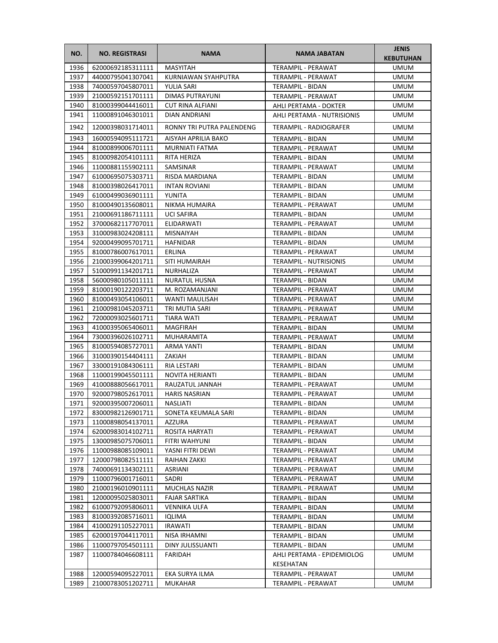| NO.          | <b>NO. REGISTRASI</b>                  | <b>NAMA</b>                      | <b>NAMA JABATAN</b>                  | <b>JENIS</b><br><b>KEBUTUHAN</b> |
|--------------|----------------------------------------|----------------------------------|--------------------------------------|----------------------------------|
| 1936         | 62000692185311111                      | <b>MASYITAH</b>                  | TERAMPIL - PERAWAT                   | <b>UMUM</b>                      |
| 1937         | 44000795041307041                      | KURNIAWAN SYAHPUTRA              | TERAMPIL - PERAWAT                   | <b>UMUM</b>                      |
| 1938         | 74000597045807011                      | YULIA SARI                       | TERAMPIL - BIDAN                     | <b>UMUM</b>                      |
| 1939         | 21000592151701111                      | DIMAS PUTRAYUNI                  | TERAMPIL - PERAWAT                   | <b>UMUM</b>                      |
| 1940         | 81000399044416011                      | <b>CUT RINA ALFIANI</b>          | AHLI PERTAMA - DOKTER                | <b>UMUM</b>                      |
| 1941         | 11000891046301011                      | DIAN ANDRIANI                    | AHLI PERTAMA - NUTRISIONIS           | UMUM                             |
| 1942         | 12000398031714011                      | RONNY TRI PUTRA PALENDENG        | TERAMPIL - RADIOGRAFER               | UMUM                             |
| 1943         | 16000594095111721                      | AISYAH APRILIA BAKO              | <b>TERAMPIL - BIDAN</b>              | <b>UMUM</b>                      |
| 1944         | 81000899006701111                      | <b>MURNIATI FATMA</b>            | <b>TERAMPIL - PERAWAT</b>            | <b>UMUM</b>                      |
| 1945         | 81000982054101111                      | RITA HERIZA                      | TERAMPIL - BIDAN                     | <b>UMUM</b>                      |
| 1946         | 11000881155902111                      | SAMSINAR                         | TERAMPIL - PERAWAT                   | <b>UMUM</b>                      |
| 1947         | 61000695075303711                      | RISDA MARDIANA                   | TERAMPIL - BIDAN                     | UMUM                             |
| 1948         | 81000398026417011                      | <b>INTAN ROVIANI</b>             | TERAMPIL - BIDAN                     | UMUM                             |
| 1949         | 61000499036901111                      | YUNITA                           | TERAMPIL - BIDAN                     | UMUM                             |
| 1950         | 81000490135608011                      | NIKMA HUMAIRA                    | TERAMPIL - PERAWAT                   | UMUM                             |
| 1951         | 21000691186711111                      | <b>UCI SAFIRA</b>                | <b>TERAMPIL - BIDAN</b>              | UMUM                             |
| 1952         | 37000682117707011                      | ELIDARWATI                       | TERAMPIL - PERAWAT                   | UMUM                             |
| 1953         | 31000983024208111                      | <b>MISNAIYAH</b>                 | <b>TERAMPIL - BIDAN</b>              | UMUM                             |
| 1954         | 92000499095701711                      | <b>HAFNIDAR</b>                  | TERAMPIL - BIDAN                     | <b>UMUM</b>                      |
| 1955         | 81000786007617011                      | ERLINA                           | <b>TERAMPIL - PERAWAT</b>            | <b>UMUM</b>                      |
| 1956         | 21000399064201711                      | SITI HUMAIRAH                    | <b>TERAMPIL - NUTRISIONIS</b>        | UMUM                             |
| 1957         | 51000991134201711                      | NURHALIZA                        | TERAMPIL - PERAWAT                   | <b>UMUM</b>                      |
| 1958         | 56000980105011111                      | NURATUL HUSNA                    | TERAMPIL - BIDAN                     | UMUM                             |
| 1959         | 81000190122203711                      | M. ROZAMANJANI                   | TERAMPIL - PERAWAT                   | <b>UMUM</b>                      |
| 1960         | 81000493054106011                      | WANTI MAULISAH                   | TERAMPIL - PERAWAT                   | <b>UMUM</b>                      |
| 1961         | 21000981045203711                      | TRI MUTIA SARI                   | TERAMPIL - PERAWAT                   | <b>UMUM</b>                      |
| 1962         | 72000093025601711                      | TIARA WATI                       | TERAMPIL - PERAWAT                   | <b>UMUM</b>                      |
| 1963         | 41000395065406011                      | MAGFIRAH                         | TERAMPIL - BIDAN                     | UMUM                             |
| 1964         | 73000396026102711                      | MUHARAMITA                       | TERAMPIL - PERAWAT                   | UMUM                             |
| 1965         | 81000594085727011                      | ARMA YANTI                       | TERAMPIL - BIDAN                     | UMUM                             |
| 1966         | 31000390154404111                      | ZAKIAH                           | TERAMPIL - BIDAN                     | UMUM                             |
| 1967         | 33000191084306111                      | RIA LESTARI                      | TERAMPIL - BIDAN                     | <b>UMUM</b>                      |
| 1968         | 11000199045501111                      | NOVITA HERIANTI                  | TERAMPIL - BIDAN                     | UMUM                             |
| 1969         | 41000888056617011                      | RAUZATUL JANNAH                  | TERAMPIL - PERAWAT                   | <b>UMUM</b>                      |
| 1970         | 92000798052617011                      | <b>HARIS NASRIAN</b>             | TERAMPIL - PERAWAT                   | <b>UMUM</b>                      |
| 1971         | 92000395007206011                      | NASLIATI                         | TERAMPIL - BIDAN                     | <b>UMUM</b>                      |
| 1972         | 83000982126901711                      | SONETA KEUMALA SARI              | TERAMPIL - BIDAN                     | <b>UMUM</b>                      |
| 1973         | 11000898054137011                      | AZZURA                           | TERAMPIL - PERAWAT                   | UMUM                             |
| 1974         | 62000983014102711                      | ROSITA HARYATI                   | TERAMPIL - PERAWAT                   | <b>UMUM</b>                      |
| 1975         | 13000985075706011                      | FITRI WAHYUNI                    | TERAMPIL - BIDAN                     | <b>UMUM</b>                      |
| 1976         | 11000988085109011                      | YASNI FITRI DEWI                 | TERAMPIL - PERAWAT                   | <b>UMUM</b>                      |
| 1977         | 12000798082511111                      | RAIHAN ZAKKI                     | TERAMPIL - PERAWAT                   | UMUM                             |
| 1978         | 74000691134302111                      | ASRIANI                          | TERAMPIL - PERAWAT                   | UMUM                             |
| 1979         | 11000796001716011                      | SADRI                            | TERAMPIL - PERAWAT                   | UMUM                             |
| 1980         | 21000196010901111                      | MUCHLAS NAZIR                    | TERAMPIL - PERAWAT                   | UMUM                             |
| 1981         | 12000095025803011                      | <b>FAJAR SARTIKA</b>             | TERAMPIL - BIDAN                     | UMUM                             |
| 1982<br>1983 | 61000792095806011                      | VENNIKA ULFA                     | TERAMPIL - BIDAN                     | UMUM                             |
| 1984         | 81000392085716011                      | IQLIMA                           | TERAMPIL - BIDAN                     | UMUM                             |
| 1985         | 41000291105227011                      | <b>IRAWATI</b>                   | TERAMPIL - BIDAN                     | UMUM                             |
| 1986         | 62000197044117011<br>11000797054501111 | NISA IRHAMNI<br>DINY JULISSUANTI | TERAMPIL - BIDAN<br>TERAMPIL - BIDAN | UMUM<br>UMUM                     |
| 1987         | 11000784046608111                      | FARIDAH                          | AHLI PERTAMA - EPIDEMIOLOG           | UMUM                             |
|              |                                        |                                  | KESEHATAN                            |                                  |
| 1988         | 12000594095227011                      | EKA SURYA ILMA                   | TERAMPIL - PERAWAT                   | <b>UMUM</b>                      |
| 1989         | 21000783051202711                      | MUKAHAR                          | TERAMPIL - PERAWAT                   | UMUM                             |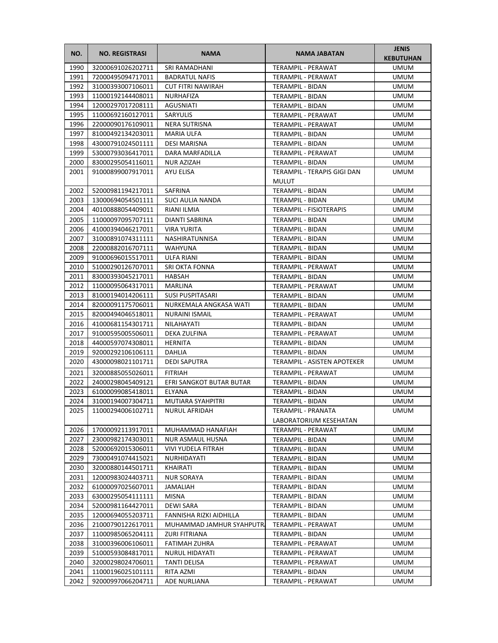| NO.  | <b>NO. REGISTRASI</b> | <b>NAMA</b>               | NAMA JABATAN                                 | <b>JENIS</b><br><b>KEBUTUHAN</b> |
|------|-----------------------|---------------------------|----------------------------------------------|----------------------------------|
| 1990 | 32000691026202711     | <b>SRI RAMADHANI</b>      | <b>TERAMPIL - PERAWAT</b>                    | UMUM                             |
| 1991 | 72000495094717011     | <b>BADRATUL NAFIS</b>     | TERAMPIL - PERAWAT                           | UMUM                             |
| 1992 | 31000393007106011     | <b>CUT FITRI NAWIRAH</b>  | <b>TERAMPIL - BIDAN</b>                      | <b>UMUM</b>                      |
| 1993 | 11000192144408011     | NURHAFIZA                 | TERAMPIL - BIDAN                             | <b>UMUM</b>                      |
| 1994 | 12000297017208111     | AGUSNIATI                 | TERAMPIL - BIDAN                             | <b>UMUM</b>                      |
| 1995 | 11000692160127011     | SARYULIS                  | TERAMPIL - PERAWAT                           | <b>UMUM</b>                      |
| 1996 | 22000090176109011     | NERA SUTRISNA             | <b>TERAMPIL - PERAWAT</b>                    | <b>UMUM</b>                      |
| 1997 | 81000492134203011     | <b>MARIA ULFA</b>         | TERAMPIL - BIDAN                             | UMUM                             |
| 1998 | 43000791024501111     | <b>DESI MARISNA</b>       | TERAMPIL - BIDAN                             | <b>UMUM</b>                      |
| 1999 | 53000793036417011     | <b>DARA MARFADILLA</b>    | <b>TERAMPIL - PERAWAT</b>                    | <b>UMUM</b>                      |
| 2000 | 83000295054116011     | NUR AZIZAH                | TERAMPIL - BIDAN                             | <b>UMUM</b>                      |
| 2001 | 91000899007917011     | AYU ELISA                 | TERAMPIL - TERAPIS GIGI DAN<br><b>MULUT</b>  | <b>UMUM</b>                      |
| 2002 | 52000981194217011     | <b>SAFRINA</b>            | TERAMPIL - BIDAN                             | <b>UMUM</b>                      |
| 2003 | 13000694054501111     | SUCI AULIA NANDA          | TERAMPIL - BIDAN                             | UMUM                             |
| 2004 | 40100888054409011     | RIANI ILMIA               | TERAMPIL - FISIOTERAPIS                      | UMUM                             |
| 2005 | 11000097095707111     | DIANTI SABRINA            | <b>TERAMPIL - BIDAN</b>                      | <b>UMUM</b>                      |
| 2006 | 41000394046217011     | <b>VIRA YURITA</b>        | TERAMPIL - BIDAN                             | UMUM                             |
| 2007 | 31000891074311111     | NASHIRATUNNISA            | TERAMPIL - BIDAN                             | <b>UMUM</b>                      |
| 2008 | 22000882016707111     | <b>WAHYUNA</b>            | TERAMPIL - BIDAN                             | UMUM                             |
| 2009 | 91000696015517011     | ULFA RIANI                | TERAMPIL - BIDAN                             | <b>UMUM</b>                      |
| 2010 | 51000290126707011     | SRI OKTA FONNA            | TERAMPIL - PERAWAT                           | <b>UMUM</b>                      |
| 2011 | 83000393045217011     | <b>HABSAH</b>             | TERAMPIL - BIDAN                             | UMUM                             |
| 2012 | 11000095064317011     | MARLINA                   | TERAMPIL - PERAWAT                           | UMUM                             |
| 2013 | 81000194014206111     | <b>SUSI PUSPITASARI</b>   | TERAMPIL - BIDAN                             | <b>UMUM</b>                      |
| 2014 | 82000091175706011     | NURKEMALA ANGKASA WATI    | TERAMPIL - BIDAN                             | UMUM                             |
| 2015 | 82000494046518011     | <b>NURAINI ISMAIL</b>     | TERAMPIL - PERAWAT                           | UMUM                             |
| 2016 | 41000681154301711     | NILAHAYATI                | TERAMPIL - BIDAN                             | UMUM                             |
| 2017 | 91000595005506011     | DEKA ZULFINA              | TERAMPIL - PERAWAT                           | UMUM                             |
| 2018 | 44000597074308011     | <b>HERNITA</b>            | TERAMPIL - BIDAN                             | <b>UMUM</b>                      |
| 2019 | 92000292106106111     | DAHLIA                    | TERAMPIL - BIDAN                             | <b>UMUM</b>                      |
| 2020 | 43000098021101711     | <b>DEDI SAPUTRA</b>       | TERAMPIL - ASISTEN APOTEKER                  | <b>UMUM</b>                      |
| 2021 | 32000885055026011     | <b>FITRIAH</b>            | TERAMPIL - PERAWAT                           | UMUM                             |
| 2022 | 24000298045409121     | EFRI SANGKOT BUTAR BUTAR  | TERAMPIL - BIDAN                             | UMUM                             |
| 2023 | 61000099085418011     | ELYANA                    | <b>TERAMPIL - BIDAN</b>                      | UMUM                             |
| 2024 | 31000194007304711     | <b>MUTIARA SYAHPITRI</b>  | TERAMPIL - BIDAN                             | <b>UMUM</b>                      |
| 2025 | 11000294006102711     | NURUL AFRIDAH             | TERAMPIL - PRANATA<br>LABORATORIUM KESEHATAN | UMUM                             |
| 2026 | 17000092113917011     | MUHAMMAD HANAFIAH         | TERAMPIL - PERAWAT                           | UMUM                             |
| 2027 | 23000982174303011     | NUR ASMAUL HUSNA          | TERAMPIL - BIDAN                             | <b>UMUM</b>                      |
| 2028 | 52000692015306011     | <b>VIVI YUDELA FITRAH</b> | TERAMPIL - BIDAN                             | UMUM                             |
| 2029 | 73000491074415021     | NURHIDAYATI               | TERAMPIL - BIDAN                             | UMUM                             |
| 2030 | 32000880144501711     | KHAIRATI                  | TERAMPIL - BIDAN                             | UMUM                             |
| 2031 | 12000983024403711     | NUR SORAYA                | TERAMPIL - BIDAN                             | UMUM                             |
| 2032 | 61000097025607011     | JAMALIAH                  | TERAMPIL - BIDAN                             | UMUM                             |
| 2033 | 63000295054111111     | MISNA                     | TERAMPIL - BIDAN                             | UMUM                             |
| 2034 | 52000981164427011     | DEWI SARA                 | TERAMPIL - BIDAN                             | <b>UMUM</b>                      |
| 2035 | 12000694055203711     | FANNISHA RIZKI AIDHILLA   | TERAMPIL - BIDAN                             | UMUM                             |
| 2036 | 21000790122617011     | MUHAMMAD JAMHUR SYAHPUTR. | TERAMPIL - PERAWAT                           | UMUM                             |
| 2037 | 11000985065204111     | ZURI FITRIANA             | TERAMPIL - BIDAN                             | UMUM                             |
| 2038 | 31000396006106011     | FATIMAH ZUHRA             | TERAMPIL - PERAWAT                           | UMUM                             |
| 2039 | 51000593084817011     | NURUL HIDAYATI            | TERAMPIL - PERAWAT                           | UMUM                             |
| 2040 | 32000298024706011     | TANTI DELISA              | TERAMPIL - PERAWAT                           | UMUM                             |
| 2041 | 11000196025101111     | RITA AZMI                 | TERAMPIL - BIDAN                             | UMUM                             |
| 2042 | 92000997066204711     | ADE NURLIANA              | TERAMPIL - PERAWAT                           | UMUM                             |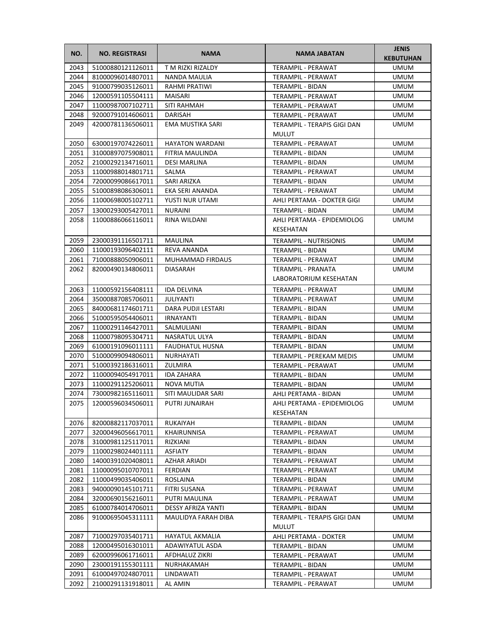| NO.  | <b>NO. REGISTRASI</b> | <b>NAMA</b>             | NAMA JABATAN                                | <b>JENIS</b><br><b>KEBUTUHAN</b> |
|------|-----------------------|-------------------------|---------------------------------------------|----------------------------------|
| 2043 | 51000880121126011     | T M RIZKI RIZALDY       | <b>TERAMPIL - PERAWAT</b>                   | <b>UMUM</b>                      |
| 2044 | 81000096014807011     | NANDA MAULIA            | TERAMPIL - PERAWAT                          | <b>UMUM</b>                      |
| 2045 | 91000799035126011     | RAHMI PRATIWI           | TERAMPIL - BIDAN                            | <b>UMUM</b>                      |
| 2046 | 12000591105504111     | MAISARI                 | TERAMPIL - PERAWAT                          | <b>UMUM</b>                      |
| 2047 | 11000987007102711     | SITI RAHMAH             | TERAMPIL - PERAWAT                          | <b>UMUM</b>                      |
| 2048 | 92000791014606011     | DARISAH                 | TERAMPIL - PERAWAT                          | <b>UMUM</b>                      |
| 2049 | 42000781136506011     | EMA MUSTIKA SARI        | TERAMPIL - TERAPIS GIGI DAN                 | UMUM                             |
|      |                       |                         | <b>MULUT</b>                                |                                  |
| 2050 | 63000197074226011     | <b>HAYATON WARDANI</b>  | TERAMPIL - PERAWAT                          | <b>UMUM</b>                      |
| 2051 | 31000897075908011     | FITRIA MAULINDA         | TERAMPIL - BIDAN                            | <b>UMUM</b>                      |
| 2052 | 21000292134716011     | DESI MARLINA            | TERAMPIL - BIDAN                            | <b>UMUM</b>                      |
| 2053 | 11000988014801711     | SALMA                   | TERAMPIL - PERAWAT                          | <b>UMUM</b>                      |
| 2054 | 72000099086617011     | SARI ARIZKA             | TERAMPIL - BIDAN                            | <b>UMUM</b>                      |
| 2055 | 51000898086306011     | EKA SERI ANANDA         | TERAMPIL - PERAWAT                          | UMUM                             |
| 2056 | 11000698005102711     | YUSTI NUR UTAMI         | AHLI PERTAMA - DOKTER GIGI                  | UMUM                             |
| 2057 | 13000293005427011     | <b>NURAINI</b>          | TERAMPIL - BIDAN                            | <b>UMUM</b>                      |
| 2058 | 11000886066116011     | RINA WILDANI            | AHLI PERTAMA - EPIDEMIOLOG                  | UMUM                             |
|      |                       |                         | KESEHATAN                                   |                                  |
| 2059 | 23000391116501711     | <b>MAULINA</b>          | <b>TERAMPIL - NUTRISIONIS</b>               | <b>UMUM</b>                      |
| 2060 | 11000193096402111     | REVA ANANDA             | TERAMPIL - BIDAN                            | <b>UMUM</b>                      |
| 2061 | 71000888050906011     | <b>MUHAMMAD FIRDAUS</b> | TERAMPIL - PERAWAT                          | <b>UMUM</b>                      |
| 2062 | 82000490134806011     | <b>DIASARAH</b>         | TERAMPIL - PRANATA                          | <b>UMUM</b>                      |
|      |                       |                         | LABORATORIUM KESEHATAN                      |                                  |
| 2063 | 11000592156408111     | <b>IDA DELVINA</b>      | TERAMPIL - PERAWAT                          | <b>UMUM</b>                      |
| 2064 | 35000887085706011     | <b>JULIYANTI</b>        | TERAMPIL - PERAWAT                          | <b>UMUM</b>                      |
| 2065 | 84000681174601711     | DARA PUDJI LESTARI      | TERAMPIL - BIDAN                            | <b>UMUM</b>                      |
| 2066 | 51000595054406011     | <b>IRNAYANTI</b>        | TERAMPIL - BIDAN                            | <b>UMUM</b>                      |
| 2067 | 11000291146427011     | SALMULIANI              | TERAMPIL - BIDAN                            | <b>UMUM</b>                      |
| 2068 | 11000798095304711     | NASRATUL ULYA           | TERAMPIL - BIDAN                            | <b>UMUM</b>                      |
| 2069 | 61000191096011111     | FAUDHATUL HUSNA         | TERAMPIL - BIDAN                            | UMUM                             |
| 2070 | 51000099094806011     | NURHAYATI               | TERAMPIL - PEREKAM MEDIS                    | UMUM                             |
| 2071 | 51000392186316011     | ZULMIRA                 | TERAMPIL - PERAWAT                          | UMUM                             |
| 2072 | 11000094054917011     | <b>IDA ZAHARA</b>       | TERAMPIL - BIDAN                            | UMUM                             |
| 2073 | 11000291125206011     | NOVA MUTIA              | TERAMPIL - BIDAN                            | <b>UMUM</b>                      |
| 2074 | 73000982165116011     | SITI MAULIDAR SARI      | AHLI PERTAMA - BIDAN                        | <b>UMUM</b>                      |
| 2075 | 12000596034506011     | PUTRI JUNAIRAH          | AHLI PERTAMA - EPIDEMIOLOG                  | <b>UMUM</b>                      |
|      |                       |                         | KESEHATAN                                   |                                  |
| 2076 | 82000882117037011     | RUKAIYAH                | TERAMPIL - BIDAN                            | UMUM                             |
| 2077 | 32000496056617011     | KHAIRUNNISA             | TERAMPIL - PERAWAT                          | <b>UMUM</b>                      |
| 2078 | 31000981125117011     | RIZKIANI                | TERAMPIL - BIDAN                            | <b>UMUM</b>                      |
| 2079 | 11000298024401111     | ASFIATY                 | TERAMPIL - BIDAN                            | UMUM                             |
| 2080 | 14000391020408011     | AZHAR ARIADI            | TERAMPIL - PERAWAT                          | UMUM                             |
| 2081 | 11000095010707011     | <b>FERDIAN</b>          | TERAMPIL - PERAWAT                          | UMUM                             |
| 2082 | 11000499035406011     | ROSLAINA                | TERAMPIL - BIDAN                            | UMUM                             |
| 2083 | 94000090145101711     | <b>FITRI SUSANA</b>     | TERAMPIL - PERAWAT                          | <b>UMUM</b>                      |
| 2084 | 32000690156216011     | PUTRI MAULINA           | TERAMPIL - PERAWAT                          | <b>UMUM</b>                      |
| 2085 | 61000784014706011     | DESSY AFRIZA YANTI      | TERAMPIL - BIDAN                            | <b>UMUM</b>                      |
| 2086 | 91000695045311111     | MAULIDYA FARAH DIBA     | TERAMPIL - TERAPIS GIGI DAN<br><b>MULUT</b> | UMUM                             |
| 2087 | 71000297035401711     | HAYATUL AKMALIA         | AHLI PERTAMA - DOKTER                       | UMUM                             |
| 2088 | 12000495016301011     | ADAWIYATUL ASDA         | TERAMPIL - BIDAN                            | UMUM                             |
| 2089 | 62000996061716011     | AFDHALUZ ZIKRI          | TERAMPIL - PERAWAT                          | UMUM                             |
| 2090 | 23000191155301111     | NURHAKAMAH              | TERAMPIL - BIDAN                            | UMUM                             |
| 2091 | 61000497024807011     | LINDAWATI               | TERAMPIL - PERAWAT                          | <b>UMUM</b>                      |
| 2092 | 21000291131918011     | AL AMIN                 | TERAMPIL - PERAWAT                          | <b>UMUM</b>                      |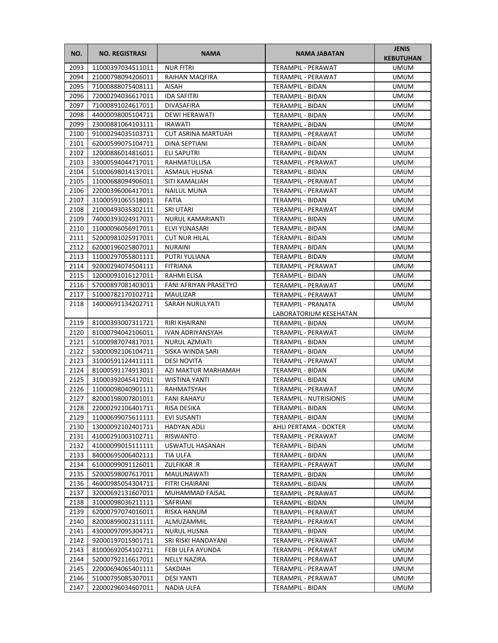| NO.  | <b>NO. REGISTRASI</b> | <b>NAMA</b>               | <b>NAMA JABATAN</b>                                 | <b>JENIS</b><br><b>KEBUTUHAN</b> |
|------|-----------------------|---------------------------|-----------------------------------------------------|----------------------------------|
| 2093 | 11000397034511011     | <b>NUR FITRI</b>          | <b>TERAMPIL - PERAWAT</b>                           | <b>UMUM</b>                      |
| 2094 | 21000798094206011     | RAIHAN MAQFIRA            | TERAMPIL - PERAWAT                                  | <b>UMUM</b>                      |
| 2095 | 71000888075408111     | AISAH                     | TERAMPIL - BIDAN                                    | <b>UMUM</b>                      |
| 2096 | 72000294036617011     | <b>IDA SAFITRI</b>        | TERAMPIL - BIDAN                                    | <b>UMUM</b>                      |
| 2097 | 71000891024617011     | DIVASAFIRA                | TERAMPIL - BIDAN                                    | UMUM                             |
| 2098 | 44000098005104711     | DEWI HERAWATI             | TERAMPIL - BIDAN                                    | UMUM                             |
| 2099 | 23000881064103111     | <b>IRAWATI</b>            | <b>TERAMPIL - BIDAN</b>                             | <b>UMUM</b>                      |
| 2100 | 91000294035103711     | <b>CUT ASRINA MARTUAH</b> | TERAMPIL - PERAWAT                                  | <b>UMUM</b>                      |
| 2101 | 62000599075104711     | DINA SEPTIANI             | <b>TERAMPIL - BIDAN</b>                             | <b>UMUM</b>                      |
| 2102 | 12000886014816011     | <b>ELI SAPUTRI</b>        | <b>TERAMPIL - BIDAN</b>                             | <b>UMUM</b>                      |
| 2103 | 33000594044717011     | RAHMATULLISA              | TERAMPIL - PERAWAT                                  | <b>UMUM</b>                      |
| 2104 | 51000698014137011     | <b>ASMAUL HUSNA</b>       | TERAMPIL - BIDAN                                    | UMUM                             |
| 2105 | 11000688094906011     | SITI KAMALIAH             | TERAMPIL - PERAWAT                                  | UMUM                             |
| 2106 | 22000396006417011     | NAILUL MUNA               | TERAMPIL - PERAWAT                                  | UMUM                             |
| 2107 | 31000591065518011     | <b>FATIA</b>              | TERAMPIL - BIDAN                                    | UMUM                             |
| 2108 | 21000493035302111     | SRI UTARI                 | TERAMPIL - PERAWAT                                  | UMUM                             |
| 2109 | 74000393024917011     | <b>NURUL KAMARIANTI</b>   | TERAMPIL - BIDAN                                    | UMUM                             |
| 2110 | 11000096056917011     | ELVI YUNASARI             | TERAMPIL - BIDAN                                    | UMUM                             |
| 2111 | 52000981025917011     | <b>CUT NUR HILAL</b>      | TERAMPIL - BIDAN                                    | <b>UMUM</b>                      |
| 2112 | 62000196025807011     | NURAINI                   | TERAMPIL - BIDAN                                    | <b>UMUM</b>                      |
| 2113 | 11000297055801111     | PUTRI YULIANA             | TERAMPIL - BIDAN                                    | <b>UMUM</b>                      |
| 2114 | 92000294074504111     | <b>FITRIANA</b>           | TERAMPIL - PERAWAT                                  | UMUM                             |
| 2115 | 12000091016127011     | RAHMI ELISA               | TERAMPIL - BIDAN                                    | UMUM                             |
| 2116 | 57000897081403011     | FANI AFRIYAN PRASETYO     | TERAMPIL - PERAWAT                                  | <b>UMUM</b>                      |
| 2117 | 51000782170102711     | MAULIZAR                  | TERAMPIL - PERAWAT                                  | <b>UMUM</b>                      |
| 2118 | 14000691134202711     | SARAH NURULYATI           | TERAMPIL - PRANATA                                  | UMUM                             |
|      |                       |                           | LABORATORIUM KESEHATAN                              |                                  |
| 2119 | 81000393007311721     | RIRI KHAIRANI             | TERAMPIL - BIDAN                                    | UMUM                             |
| 2120 | 81000794042106011     | IVAN ADRIYANSYAH          | TERAMPIL - PERAWAT                                  | UMUM                             |
| 2121 | 51000987074817011     | NURUL AZMIATI             | TERAMPIL - BIDAN                                    |                                  |
| 2122 | 53000092106104711     | SISKA WINDA SARI          | TERAMPIL - BIDAN                                    | UMUM                             |
| 2123 | 31000591124411111     | <b>DESI NOVITA</b>        |                                                     | UMUM                             |
| 2124 | 81000591174913011     | AZI MAKTUR MARHAMAH       | TERAMPIL - PERAWAT                                  | UMUM<br><b>UMUM</b>              |
| 2125 | 31000392045417011     | WISTINA YANTI             | TERAMPIL - BIDAN<br>TERAMPIL - BIDAN                | <b>UMUM</b>                      |
| 2126 | 11000098040901111     | RAHMATSYAH                |                                                     |                                  |
| 2127 | 82000198007801011     |                           | TERAMPIL - PERAWAT<br><b>TERAMPIL - NUTRISIONIS</b> | <b>UMUM</b>                      |
|      |                       | <b>FANI RAHAYU</b>        |                                                     | <b>UMUM</b><br><b>UMUM</b>       |
| 2128 | 22000292106401711     | RISA DESIKA               | TERAMPIL - BIDAN                                    |                                  |
| 2129 | 11000699075611111     | EVI SUSANTI               | TERAMPIL - BIDAN                                    | UMUM                             |
| 2130 | 13000092102401711     | HADYAN ADLI               | AHLI PERTAMA - DOKTER                               | UMUM                             |
| 2131 | 41000291003102711     | RISWANTO                  | TERAMPIL - PERAWAT                                  | UMUM                             |
| 2132 | 41000099015111111     | USWATUL HASANAH           | TERAMPIL - BIDAN                                    | UMUM                             |
| 2133 | 84000695006402111     | TIA ULFA                  | TERAMPIL - BIDAN                                    | UMUM                             |
| 2134 | 61000099091126011     | ZULFIKAR .R               | TERAMPIL - PERAWAT                                  | UMUM                             |
| 2135 | 52000598007617011     | MAULINAWATI               | TERAMPIL - BIDAN                                    | UMUM                             |
| 2136 | 46000985054304711     | FITRI CHAIRANI            | TERAMPIL - BIDAN                                    | UMUM                             |
| 2137 | 32000692131607011     | MUHAMMAD FAISAL           | TERAMPIL - PERAWAT                                  | UMUM                             |
| 2138 | 31000098036211111     | SAFRIANI                  | TERAMPIL - BIDAN                                    | UMUM                             |
| 2139 | 62000797074016011     | RISKA HANUM               | TERAMPIL - PERAWAT                                  | UMUM                             |
| 2140 | 82000899002311111     | ALMUZAMMIL                | TERAMPIL - PERAWAT                                  | UMUM                             |
| 2141 | 43000097095304711     | NURUL HUSNA               | TERAMPIL - BIDAN                                    | UMUM                             |
| 2142 | 92000197015901711     | SRI RISKI HANDAYANI       | TERAMPIL - PERAWAT                                  | UMUM                             |
| 2143 | 81000692054102711     | FEBI ULFA AYUNDA          | TERAMPIL - PERAWAT                                  | UMUM                             |
| 2144 | 52000792116617011     | <b>NELLY NAZIRA</b>       | TERAMPIL - PERAWAT                                  | UMUM                             |
| 2145 | 22000694065401111     | SAKDIAH                   | TERAMPIL - PERAWAT                                  | UMUM                             |
| 2146 | 51000795085307011     | DESI YANTI                | TERAMPIL - PERAWAT                                  | UMUM                             |
| 2147 | 22000296034607011     | NADIA ULFA                | TERAMPIL - BIDAN                                    | UMUM                             |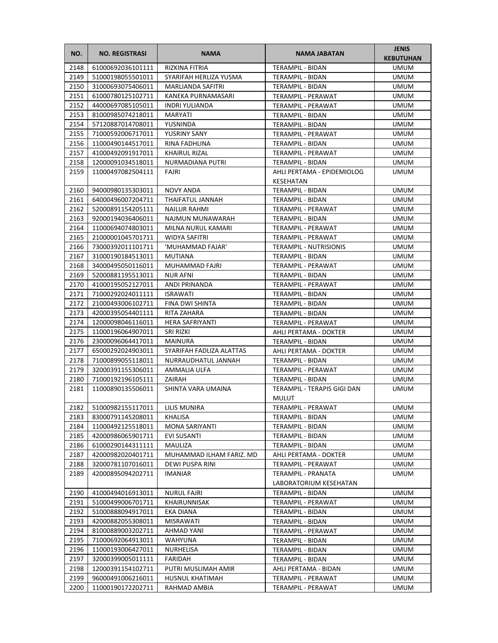| NO.          | <b>NO. REGISTRASI</b>                   | <b>NAMA</b>                    | NAMA JABATAN                               | <b>JENIS</b><br><b>KEBUTUHAN</b> |
|--------------|-----------------------------------------|--------------------------------|--------------------------------------------|----------------------------------|
| 2148         | 61000692036101111                       | <b>RIZKINA FITRIA</b>          | TERAMPIL - BIDAN                           | <b>UMUM</b>                      |
| 2149         | 51000198055501011                       | SYARIFAH HERLIZA YUSMA         | TERAMPIL - BIDAN                           | <b>UMUM</b>                      |
| 2150         | 31000693075406011                       | MARLIANDA SAFITRI              | TERAMPIL - BIDAN                           | <b>UMUM</b>                      |
| 2151         | 61000780125102711                       | KANEKA PURNAMASARI             | TERAMPIL - PERAWAT                         | <b>UMUM</b>                      |
| 2152         | 44000697085105011                       | <b>INDRI YULIANDA</b>          | TERAMPIL - PERAWAT                         | <b>UMUM</b>                      |
| 2153         | 81000985074218011                       | MARYATI                        | TERAMPIL - BIDAN                           | <b>UMUM</b>                      |
| 2154         | 57120887014708011                       | YUSNINDA                       | TERAMPIL - BIDAN                           | <b>UMUM</b>                      |
| 2155         | 71000592006717011                       | YUSRINY SANY                   | TERAMPIL - PERAWAT                         | <b>UMUM</b>                      |
| 2156         | 11000490144517011                       | RINA FADHLINA                  | TERAMPIL - BIDAN                           | <b>UMUM</b>                      |
| 2157         | 41000492091917011                       | <b>KHAIRUL RIZAL</b>           | TERAMPIL - PERAWAT                         | <b>UMUM</b>                      |
| 2158         | 12000091034518011                       | NURMADIANA PUTRI               | TERAMPIL - BIDAN                           | <b>UMUM</b>                      |
| 2159         | 11000497082504111                       | FAJRI                          | AHLI PERTAMA - EPIDEMIOLOG<br>KESEHATAN    | <b>UMUM</b>                      |
| 2160         | 94000980135303011                       | <b>NOVY ANDA</b>               | TERAMPIL - BIDAN                           | <b>UMUM</b>                      |
| 2161         | 64000496007204711                       | THAIFATUL JANNAH               | TERAMPIL - BIDAN                           | <b>UMUM</b>                      |
| 2162         | 52000891154205111                       | <b>NAILUR RAHMI</b>            | TERAMPIL - PERAWAT                         | <b>UMUM</b>                      |
| 2163         | 92000194036406011                       | NAJMUN MUNAWARAH               | TERAMPIL - BIDAN                           | <b>UMUM</b>                      |
| 2164         | 11000694074803011                       | MILNA NURUL KAMARI             | <b>TERAMPIL - PERAWAT</b>                  | <b>UMUM</b>                      |
| 2165         | 21000001045701711                       | WIDYA SAFITRI                  | TERAMPIL - PERAWAT                         | <b>UMUM</b>                      |
| 2166         | 73000392011101711                       | 'MUHAMMAD FAJAR'               | <b>TERAMPIL - NUTRISIONIS</b>              | <b>UMUM</b>                      |
| 2167         | 31000190184513011                       | <b>MUTIANA</b>                 | TERAMPIL - BIDAN                           | <b>UMUM</b>                      |
| 2168         | 34000495050116011                       | MUHAMMAD FAJRI                 | <b>TERAMPIL - PERAWAT</b>                  | <b>UMUM</b>                      |
| 2169         | 52000881195513011                       | <b>NUR AFNI</b>                | TERAMPIL - BIDAN                           | <b>UMUM</b>                      |
| 2170         | 41000195052127011                       | ANDI PRINANDA                  | TERAMPIL - PERAWAT                         | <b>UMUM</b>                      |
| 2171         | 71000292024011111                       | <b>ISRAWATI</b>                | TERAMPIL - BIDAN                           | <b>UMUM</b>                      |
| 2172         | 21000493006102711                       | FINA DWI SHINTA                | TERAMPIL - BIDAN                           | <b>UMUM</b>                      |
| 2173         | 42000395054401111                       | RITA ZAHARA                    | TERAMPIL - BIDAN                           | <b>UMUM</b>                      |
| 2174         | 12000098046116011                       | HERA SAFRIYANTI                | TERAMPIL - PERAWAT                         | <b>UMUM</b>                      |
| 2175         | 11000196064907011                       | SRI RIZKI                      | AHLI PERTAMA - DOKTER                      | <b>UMUM</b>                      |
| 2176         | 23000096064417011                       | MAINURA                        | TERAMPIL - BIDAN                           | UMUM                             |
| 2177         | 65000292024903011                       | SYARIFAH FADLIZA ALATTAS       | AHLI PERTAMA - DOKTER                      | <b>UMUM</b>                      |
| 2178         | 71000899055118011                       | NURRAUDHATUL JANNAH            | TERAMPIL - BIDAN                           | <b>UMUM</b>                      |
| 2179         | 32000391155306011                       | AMMALIA ULFA                   | TERAMPIL - PERAWAT                         | <b>UMUM</b>                      |
| 2180         | 71000192196105111                       | ZAIRAH                         | <b>TERAMPIL - BIDAN</b>                    | <b>UMUM</b>                      |
| 2181         | 11000890135506011                       | SHINTA VARA UMAINA             | TERAMPIL - TERAPIS GIGI DAN<br>MULUT       | <b>UMUM</b>                      |
|              | 2182   51000982155117011   LILIS MUNIRA |                                | TERAMPIL - PERAWAT                         | <b>UMUM</b>                      |
| 2183         | 83000791145208011                       | KHALISA                        | TERAMPIL - BIDAN                           | UMUM                             |
| 2184         | 11000492125518011                       | MONA SARIYANTI                 | TERAMPIL - BIDAN                           | <b>UMUM</b>                      |
| 2185         | 42000986065901711                       | EVI SUSANTI                    | TERAMPIL - BIDAN                           | <b>UMUM</b>                      |
| 2186         | 61000290144311111                       | MAULIZA                        | TERAMPIL - BIDAN                           | <b>UMUM</b>                      |
| 2187         | 42000982020401711                       | MUHAMMAD ILHAM FARIZ. MD       | AHLI PERTAMA - DOKTER                      | <b>UMUM</b>                      |
| 2188         | 32000781107016011                       | DEWI PUSPA RINI                | TERAMPIL - PERAWAT                         | <b>UMUM</b>                      |
| 2189         | 42000895094202711                       | <b>IMANIAR</b>                 | TERAMPIL - PRANATA                         | <b>UMUM</b>                      |
|              |                                         |                                | LABORATORIUM KESEHATAN                     |                                  |
| 2190         | 41000494016913011                       | <b>NURUL FAJRI</b>             | TERAMPIL - BIDAN                           | <b>UMUM</b>                      |
| 2191         | 51000499006701711                       | KHAIRUNNISAK                   | TERAMPIL - PERAWAT                         | <b>UMUM</b>                      |
| 2192         | 51000888094917011                       | EKA DIANA                      | TERAMPIL - BIDAN                           | UMUM                             |
| 2193         | 42000882055308011                       | MISRAWATI                      | TERAMPIL - BIDAN                           | UMUM                             |
| 2194         | 81000889003202711                       | AHMAD YANI                     | TERAMPIL - PERAWAT                         | <b>UMUM</b>                      |
| 2195         | 71000692064913011                       | <b>WAHYUNA</b>                 | TERAMPIL - BIDAN                           | <b>UMUM</b>                      |
| 2196         | 11000193006427011                       | NURHELISA                      | TERAMPIL - BIDAN                           | <b>UMUM</b>                      |
| 2197<br>2198 | 32000399005011111<br>12000391154102711  | FARIDAH<br>PUTRI MUSLIMAH AMIR | TERAMPIL - BIDAN                           | UMUM<br><b>UMUM</b>              |
| 2199         | 96000491006216011                       | HUSNUL KHATIMAH                | AHLI PERTAMA - BIDAN<br>TERAMPIL - PERAWAT | <b>UMUM</b>                      |
| 2200         | 11000190172202711                       | RAHMAD AMBIA                   | TERAMPIL - PERAWAT                         | <b>UMUM</b>                      |
|              |                                         |                                |                                            |                                  |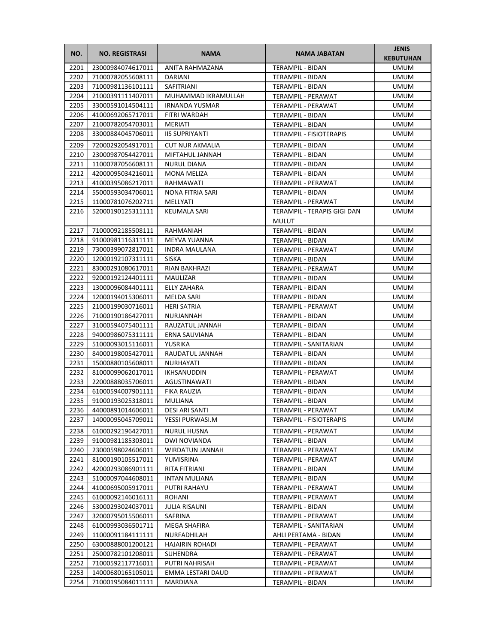| NO.  | <b>NO. REGISTRASI</b> | <b>NAMA</b>            | NAMA JABATAN                   | <b>JENIS</b><br><b>KEBUTUHAN</b> |
|------|-----------------------|------------------------|--------------------------------|----------------------------------|
| 2201 | 23000984074617011     | ANITA RAHMAZANA        | <b>TERAMPIL - BIDAN</b>        | <b>UMUM</b>                      |
| 2202 | 71000782055608111     | <b>DARIANI</b>         | TERAMPIL - BIDAN               | <b>UMUM</b>                      |
| 2203 | 71000981136101111     | SAFITRIANI             | TERAMPIL - BIDAN               | <b>UMUM</b>                      |
| 2204 | 21000391111407011     | MUHAMMAD IKRAMULLAH    | TERAMPIL - PERAWAT             | <b>UMUM</b>                      |
| 2205 | 33000591014504111     | <b>IRNANDA YUSMAR</b>  | TERAMPIL - PERAWAT             | <b>UMUM</b>                      |
| 2206 | 41000692065717011     | FITRI WARDAH           | TERAMPIL - BIDAN               | <b>UMUM</b>                      |
| 2207 | 21000782054703011     | MERIATI                | TERAMPIL - BIDAN               | <b>UMUM</b>                      |
| 2208 | 33000884045706011     | <b>IIS SUPRIYANTI</b>  | <b>TERAMPIL - FISIOTERAPIS</b> | <b>UMUM</b>                      |
| 2209 | 72000292054917011     | <b>CUT NUR AKMALIA</b> | TERAMPIL - BIDAN               | UMUM                             |
| 2210 | 23000987054427011     | MIFTAHUL JANNAH        | TERAMPIL - BIDAN               | <b>UMUM</b>                      |
| 2211 | 11000787056608111     | <b>NURUL DIANA</b>     | TERAMPIL - BIDAN               | <b>UMUM</b>                      |
| 2212 | 42000095034216011     | <b>MONA MELIZA</b>     | TERAMPIL - BIDAN               | <b>UMUM</b>                      |
| 2213 | 41000395086217011     | RAHMAWATI              | TERAMPIL - PERAWAT             | <b>UMUM</b>                      |
| 2214 | 55000593034706011     | NONA FITRIA SARI       | TERAMPIL - BIDAN               | <b>UMUM</b>                      |
| 2215 | 11000781076202711     | MELLYATI               | TERAMPIL - PERAWAT             | <b>UMUM</b>                      |
| 2216 | 52000190125311111     | KEUMALA SARI           | TERAMPIL - TERAPIS GIGI DAN    | <b>UMUM</b>                      |
|      |                       |                        | <b>MULUT</b>                   |                                  |
| 2217 | 71000092185508111     | RAHMANIAH              | <b>TERAMPIL - BIDAN</b>        | <b>UMUM</b>                      |
| 2218 | 91000981116311111     | MEYVA YUANNA           | TERAMPIL - BIDAN               | <b>UMUM</b>                      |
| 2219 | 73000399072817011     | <b>INDRA MAULANA</b>   | TERAMPIL - PERAWAT             | <b>UMUM</b>                      |
| 2220 | 12000192107311111     | <b>SISKA</b>           | TERAMPIL - BIDAN               | <b>UMUM</b>                      |
| 2221 | 83000291080617011     | RIAN BAKHRAZI          | TERAMPIL - PERAWAT             | <b>UMUM</b>                      |
| 2222 | 92000192124401111     | <b>MAULIZAR</b>        | TERAMPIL - BIDAN               | UMUM                             |
| 2223 | 13000096084401111     | ELLY ZAHARA            | TERAMPIL - BIDAN               | <b>UMUM</b>                      |
| 2224 | 12000194015306011     | MELDA SARI             | TERAMPIL - BIDAN               | <b>UMUM</b>                      |
| 2225 | 21000199030716011     | <b>HERI SATRIA</b>     | TERAMPIL - PERAWAT             | <b>UMUM</b>                      |
| 2226 | 71000190186427011     | NURJANNAH              | TERAMPIL - BIDAN               | <b>UMUM</b>                      |
| 2227 | 31000594075401111     | RAUZATUL JANNAH        | TERAMPIL - BIDAN               | <b>UMUM</b>                      |
| 2228 | 94000986075311111     | ERNA SAUVIANA          | TERAMPIL - BIDAN               | <b>UMUM</b>                      |
| 2229 | 51000093015116011     | YUSRIKA                | TERAMPIL - SANITARIAN          | <b>UMUM</b>                      |
| 2230 | 84000198005427011     | RAUDATUL JANNAH        | TERAMPIL - BIDAN               | UMUM                             |
| 2231 | 15000880105608011     | NURHAYATI              | TERAMPIL - BIDAN               | <b>UMUM</b>                      |
| 2232 | 81000099062017011     | <b>IKHSANUDDIN</b>     | TERAMPIL - PERAWAT             | <b>UMUM</b>                      |
| 2233 | 22000888035706011     | AGUSTINAWATI           | <b>TERAMPIL - BIDAN</b>        | <b>UMUM</b>                      |
| 2234 | 61000594007901111     | <b>FIKA RAUZIA</b>     | TERAMPIL - BIDAN               | <b>UMUM</b>                      |
| 2235 | 91000193025318011     | MULIANA                | TERAMPIL - BIDAN               | <b>UMUM</b>                      |
| 2236 | 44000891014606011     | DESI ARI SANTI         | TERAMPIL - PERAWAT             | <b>UMUM</b>                      |
| 2237 | 14000095045709011     | YESSI PURWASI.M        | TERAMPIL - FISIOTERAPIS        | UMUM                             |
| 2238 | 61000292196427011     | <b>NURUL HUSNA</b>     | TERAMPIL - PERAWAT             | <b>UMUM</b>                      |
| 2239 | 91000981185303011     | <b>DWI NOVIANDA</b>    | TERAMPIL - BIDAN               | <b>UMUM</b>                      |
| 2240 | 23000598024606011     | WIRDATUN JANNAH        | TERAMPIL - PERAWAT             | <b>UMUM</b>                      |
| 2241 | 81000190105517011     | YUMISRINA              | TERAMPIL - PERAWAT             | <b>UMUM</b>                      |
| 2242 | 42000293086901111     | RITA FITRIANI          | TERAMPIL - BIDAN               | <b>UMUM</b>                      |
| 2243 | 51000097044608011     | INTAN MULIANA          | TERAMPIL - BIDAN               | <b>UMUM</b>                      |
| 2244 | 41000695005917011     | PUTRI RAHAYU           | TERAMPIL - PERAWAT             | <b>UMUM</b>                      |
| 2245 | 61000092146016111     | ROHANI                 | TERAMPIL - PERAWAT             | UMUM                             |
| 2246 | 53000293024037011     | JULIA RISAUNI          | TERAMPIL - BIDAN               | <b>UMUM</b>                      |
| 2247 | 32000795015506011     | SAFRINA                | TERAMPIL - PERAWAT             | <b>UMUM</b>                      |
| 2248 | 61000993036501711     | MEGA SHAFIRA           | TERAMPIL - SANITARIAN          | <b>UMUM</b>                      |
| 2249 | 11000091184111111     | NURFADHILAH            | AHLI PERTAMA - BIDAN           | <b>UMUM</b>                      |
| 2250 | 63000888001200121     | HAJAIRIN ROHADI        | TERAMPIL - PERAWAT             | <b>UMUM</b>                      |
| 2251 | 25000782101208011     | SUHENDRA               | TERAMPIL - PERAWAT             | <b>UMUM</b>                      |
| 2252 | 71000592117716011     | PUTRI NAHRISAH         | TERAMPIL - PERAWAT             | <b>UMUM</b>                      |
| 2253 | 14000680165105011     | EMMA LESTARI DAUD      | TERAMPIL - PERAWAT             | UMUM                             |
| 2254 | 71000195084011111     | MARDIANA               | TERAMPIL - BIDAN               | <b>UMUM</b>                      |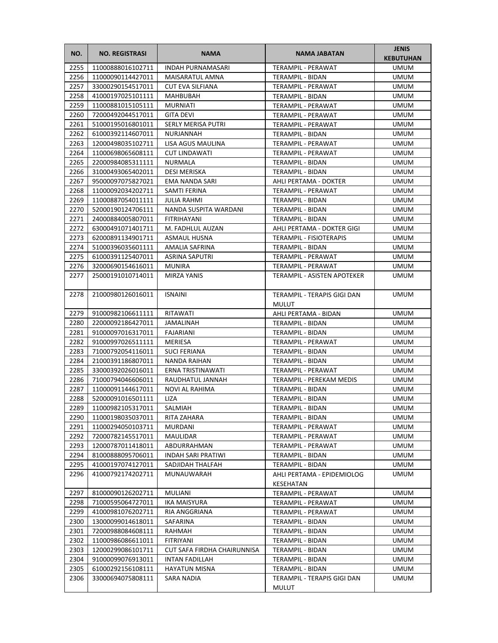| NO.  | <b>NO. REGISTRASI</b>  | <b>NAMA</b>                 | <b>NAMA JABATAN</b>                         | <b>JENIS</b><br><b>KEBUTUHAN</b> |
|------|------------------------|-----------------------------|---------------------------------------------|----------------------------------|
| 2255 | 11000888016102711      | <b>INDAH PURNAMASARI</b>    | TERAMPIL - PERAWAT                          | <b>UMUM</b>                      |
| 2256 | 11000090114427011      | MAISARATUL AMNA             | TERAMPIL - BIDAN                            | <b>UMUM</b>                      |
| 2257 | 33000290154517011      | <b>CUT EVA SILFIANA</b>     | TERAMPIL - PERAWAT                          | <b>UMUM</b>                      |
| 2258 | 41000197025101111      | MAHBUBAH                    | <b>TERAMPIL - BIDAN</b>                     | <b>UMUM</b>                      |
| 2259 | 11000881015105111      | <b>MURNIATI</b>             | TERAMPIL - PERAWAT                          | <b>UMUM</b>                      |
| 2260 | 72000492044517011      | GITA DEVI                   | TERAMPIL - PERAWAT                          | UMUM                             |
| 2261 | 51000195016801011      | SERLY MERISA PUTRI          | TERAMPIL - PERAWAT                          | UMUM                             |
| 2262 | 61000392114607011      | NURJANNAH                   | TERAMPIL - BIDAN                            | <b>UMUM</b>                      |
| 2263 | 12000498035102711      | LISA AGUS MAULINA           | TERAMPIL - PERAWAT                          | <b>UMUM</b>                      |
| 2264 | 11000698065608111      | <b>CUT LINDAWATI</b>        | TERAMPIL - PERAWAT                          | <b>UMUM</b>                      |
| 2265 | 22000984085311111      | NURMALA                     | TERAMPIL - BIDAN                            | <b>UMUM</b>                      |
| 2266 | 31000493065402011      | DESI MERISKA                | TERAMPIL - BIDAN                            | <b>UMUM</b>                      |
| 2267 | 95000097075827021      | EMA NANDA SARI              | AHLI PERTAMA - DOKTER                       | UMUM                             |
| 2268 | 11000092034202711      | SAMTI FERINA                | TERAMPIL - PERAWAT                          | UMUM                             |
| 2269 | 11000887054011111      | JULIA RAHMI                 | TERAMPIL - BIDAN                            | UMUM                             |
| 2270 | 52000190124706111      | NANDA SUSPITA WARDANI       | TERAMPIL - BIDAN                            | UMUM                             |
| 2271 | 24000884005807011      | FITRIHAYANI                 | TERAMPIL - BIDAN                            | UMUM                             |
| 2272 | 63000491071401711      | M. FADHLUL AUZAN            | AHLI PERTAMA - DOKTER GIGI                  | UMUM                             |
| 2273 | 62000891134901711      | ASMAUL HUSNA                | <b>TERAMPIL - FISIOTERAPIS</b>              | UMUM                             |
| 2274 | 51000396035601111      | AMALIA SAFRINA              | <b>TERAMPIL - BIDAN</b>                     | <b>UMUM</b>                      |
| 2275 | 61000391125407011      | ASRINA SAPUTRI              | TERAMPIL - PERAWAT                          | <b>UMUM</b>                      |
| 2276 | 32000690154616011      | <b>MUNIRA</b>               | TERAMPIL - PERAWAT                          | <b>UMUM</b>                      |
| 2277 | 25000191010714011      | MIRZA YANIS                 | <b>TERAMPIL - ASISTEN APOTEKER</b>          | <b>UMUM</b>                      |
| 2278 | 21000980126016011      | <b>ISNAINI</b>              | TERAMPIL - TERAPIS GIGI DAN<br><b>MULUT</b> | <b>UMUM</b>                      |
| 2279 | 91000982106611111      | RITAWATI                    | AHLI PERTAMA - BIDAN                        | <b>UMUM</b>                      |
| 2280 | 22000092186427011      | JAMALINAH                   | TERAMPIL - BIDAN                            | <b>UMUM</b>                      |
| 2281 | 91000097016317011      | FAJARIANI                   | TERAMPIL - BIDAN                            | UMUM                             |
| 2282 | 91000997026511111      | MERIESA                     | TERAMPIL - PERAWAT                          | UMUM                             |
| 2283 | 71000792054116011      | <b>SUCI FERIANA</b>         | TERAMPIL - BIDAN                            | UMUM                             |
| 2284 | 21000391186807011      | NANDA RAIHAN                | TERAMPIL - BIDAN                            | UMUM                             |
| 2285 | 33000392026016011      | ERNA TRISTINAWATI           | TERAMPIL - PERAWAT                          | UMUM                             |
| 2286 | 71000794046606011      | RAUDHATUL JANNAH            | TERAMPIL - PEREKAM MEDIS                    | UMUM                             |
| 2287 | 11000091144617011      | NOVI AL RAHIMA              | TERAMPIL - BIDAN                            | <b>UMUM</b>                      |
| 2288 | 52000091016501111      | LIZA                        | TERAMPIL - BIDAN                            | <b>UMUM</b>                      |
|      | 2289 11000982105317011 | SALMIAH                     | TERAMPIL - BIDAN                            | <b>UMUM</b>                      |
| 2290 | 11000198035037011      | RITA ZAHARA                 | TERAMPIL - BIDAN                            | <b>UMUM</b>                      |
| 2291 | 11000294050103711      | MURDANI                     | TERAMPIL - PERAWAT                          | UMUM                             |
| 2292 | 72000782145517011      | MAULIDAR                    | TERAMPIL - PERAWAT                          | UMUM                             |
| 2293 | 12000787011418011      | ABDURRAHMAN                 | TERAMPIL - PERAWAT                          | UMUM                             |
| 2294 | 81000888095706011      | <b>INDAH SARI PRATIWI</b>   | TERAMPIL - BIDAN                            | UMUM                             |
| 2295 | 41000197074127011      | SADJIDAH THALFAH            | TERAMPIL - BIDAN                            | UMUM                             |
| 2296 | 41000792174202711      | MUNAUWARAH                  | AHLI PERTAMA - EPIDEMIOLOG<br>KESEHATAN     | UMUM                             |
| 2297 | 81000090126202711      | MULIANI                     | TERAMPIL - PERAWAT                          | <b>UMUM</b>                      |
| 2298 | 71000595064727011      | IKA MAISYURA                | TERAMPIL - PERAWAT                          | UMUM                             |
| 2299 | 41000981076202711      | RIA ANGGRIANA               | TERAMPIL - PERAWAT                          | UMUM                             |
| 2300 | 13000099014618011      | SAFARINA                    | TERAMPIL - BIDAN                            | UMUM                             |
| 2301 | 72000988084608111      | RAHMAH                      | TERAMPIL - BIDAN                            | UMUM                             |
| 2302 | 11000986086611011      | FITRIYANI                   | TERAMPIL - BIDAN                            | UMUM                             |
| 2303 | 12000299086101711      | CUT SAFA FIRDHA CHAIRUNNISA | TERAMPIL - BIDAN                            | UMUM                             |
| 2304 | 91000099076913011      | INTAN FADILLAH              | TERAMPIL - BIDAN                            | UMUM                             |
| 2305 | 61000292156108111      | <b>HAYATUN MISNA</b>        | TERAMPIL - BIDAN                            | UMUM                             |
| 2306 | 33000694075808111      | SARA NADIA                  | TERAMPIL - TERAPIS GIGI DAN<br><b>MULUT</b> | UMUM                             |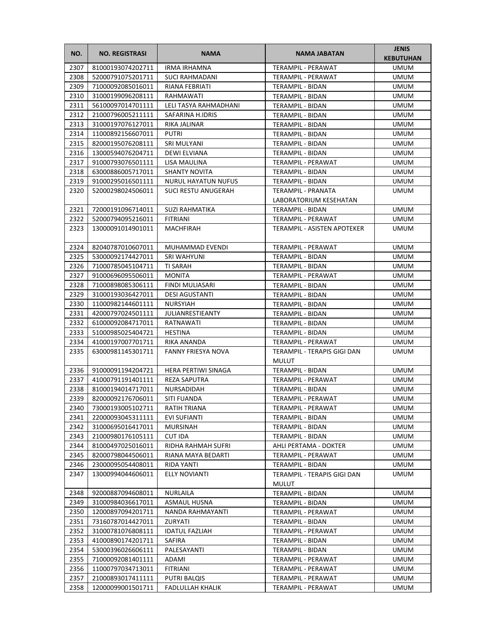| NO.  | <b>NO. REGISTRASI</b>  | <b>NAMA</b>                | <b>NAMA JABATAN</b>                         | <b>JENIS</b><br><b>KEBUTUHAN</b> |
|------|------------------------|----------------------------|---------------------------------------------|----------------------------------|
| 2307 | 81000193074202711      | <b>IRMA IRHAMNA</b>        | <b>TERAMPIL - PERAWAT</b>                   | UMUM                             |
| 2308 | 52000791075201711      | <b>SUCI RAHMADANI</b>      | TERAMPIL - PERAWAT                          | <b>UMUM</b>                      |
| 2309 | 71000092085016011      | <b>RIANA FEBRIATI</b>      | TERAMPIL - BIDAN                            | <b>UMUM</b>                      |
| 2310 | 31000199096208111      | RAHMAWATI                  | TERAMPIL - BIDAN                            | <b>UMUM</b>                      |
| 2311 | 56100097014701111      | LELI TASYA RAHMADHANI      | TERAMPIL - BIDAN                            | UMUM                             |
| 2312 | 21000796005211111      | SAFARINA H.IDRIS           | TERAMPIL - BIDAN                            | UMUM                             |
| 2313 | 31000197076127011      | RIKA JALINAR               | TERAMPIL - BIDAN                            | UMUM                             |
| 2314 | 11000892156607011      | <b>PUTRI</b>               | TERAMPIL - BIDAN                            | <b>UMUM</b>                      |
| 2315 | 82000195076208111      | SRI MULYANI                | TERAMPIL - BIDAN                            | <b>UMUM</b>                      |
| 2316 | 13000594076204711      | DEWI ELVIANA               | TERAMPIL - BIDAN                            | <b>UMUM</b>                      |
| 2317 | 91000793076501111      | LISA MAULINA               | TERAMPIL - PERAWAT                          | <b>UMUM</b>                      |
| 2318 | 63000886005717011      | <b>SHANTY NOVITA</b>       | TERAMPIL - BIDAN                            | <b>UMUM</b>                      |
| 2319 | 91000295016501111      | <b>NURUL HAYATUN NUFUS</b> | TERAMPIL - BIDAN                            | <b>UMUM</b>                      |
| 2320 | 52000298024506011      | SUCI RESTU ANUGERAH        | TERAMPIL - PRANATA                          | UMUM                             |
|      |                        |                            | LABORATORIUM KESEHATAN                      |                                  |
| 2321 | 72000191096714011      | <b>SUZI RAHMATIKA</b>      | TERAMPIL - BIDAN                            | <b>UMUM</b>                      |
| 2322 | 52000794095216011      | <b>FITRIANI</b>            | <b>TERAMPIL - PERAWAT</b>                   | <b>UMUM</b>                      |
| 2323 | 13000091014901011      | <b>MACHFIRAH</b>           | TERAMPIL - ASISTEN APOTEKER                 | <b>UMUM</b>                      |
| 2324 | 82040787010607011      | MUHAMMAD EVENDI            | <b>TERAMPIL - PERAWAT</b>                   | <b>UMUM</b>                      |
| 2325 | 53000092174427011      | SRI WAHYUNI                | TERAMPIL - BIDAN                            | <b>UMUM</b>                      |
| 2326 | 71000785045104711      | TI SARAH                   | TERAMPIL - BIDAN                            | UMUM                             |
| 2327 | 91000696095506011      | <b>MONITA</b>              | TERAMPIL - PERAWAT                          | UMUM                             |
| 2328 | 71000898085306111      | FINDI MULIASARI            | TERAMPIL - BIDAN                            | UMUM                             |
| 2329 | 31000193036427011      | <b>DESI AGUSTANTI</b>      | TERAMPIL - BIDAN                            | <b>UMUM</b>                      |
| 2330 | 11000982144601111      | <b>NURSYIAH</b>            | TERAMPIL - BIDAN                            | <b>UMUM</b>                      |
| 2331 | 42000797024501111      | <b>JULIANRESTIEANTY</b>    | TERAMPIL - BIDAN                            | <b>UMUM</b>                      |
| 2332 | 61000092084717011      | RATNAWATI                  | TERAMPIL - BIDAN                            | <b>UMUM</b>                      |
| 2333 | 51000985025404721      | <b>HESTINA</b>             | TERAMPIL - BIDAN                            | <b>UMUM</b>                      |
| 2334 | 41000197007701711      | RIKA ANANDA                | TERAMPIL - PERAWAT                          | <b>UMUM</b>                      |
| 2335 | 63000981145301711      | <b>FANNY FRIESYA NOVA</b>  | TERAMPIL - TERAPIS GIGI DAN<br><b>MULUT</b> | UMUM                             |
| 2336 | 91000091194204721      | HERA PERTIWI SINAGA        | TERAMPIL - BIDAN                            | <b>UMUM</b>                      |
| 2337 | 41000791191401111      | <b>REZA SAPUTRA</b>        | TERAMPIL - PERAWAT                          | <b>UMUM</b>                      |
| 2338 | 81000194014717011      | NURSADIDAH                 | TERAMPIL - BIDAN                            | <b>UMUM</b>                      |
| 2339 | 82000092176706011      | SITI FUANDA                | TERAMPIL - PERAWAT                          | <b>UMUM</b>                      |
|      | 2340 73000193005102711 | RATIH TRIANA               | TERAMPIL - PERAWAT                          | <b>UMUM</b>                      |
| 2341 | 22000093045311111      | EVI SUFIANTI               | TERAMPIL - BIDAN                            | UMUM                             |
| 2342 | 31000695016417011      | <b>MURSINAH</b>            | TERAMPIL - BIDAN                            | UMUM                             |
| 2343 | 21000980176105111      | CUT IDA                    | TERAMPIL - BIDAN                            | UMUM                             |
| 2344 | 81000497025016011      | RIDHA RAHMAH SUFRI         | AHLI PERTAMA - DOKTER                       | UMUM                             |
| 2345 | 82000798044506011      | RIANA MAYA BEDARTI         | TERAMPIL - PERAWAT                          | <b>UMUM</b>                      |
| 2346 | 23000095054408011      | RIDA YANTI                 | TERAMPIL - BIDAN                            | <b>UMUM</b>                      |
| 2347 | 13000994044606011      | <b>ELLY NOVIANTI</b>       | TERAMPIL - TERAPIS GIGI DAN<br><b>MULUT</b> | UMUM                             |
| 2348 | 92000887094608011      | NURLAILA                   | TERAMPIL - BIDAN                            | <b>UMUM</b>                      |
| 2349 | 31000984036617011      | ASMAUL HUSNA               | TERAMPIL - BIDAN                            | UMUM                             |
| 2350 | 12000897094201711      | NANDA RAHMAYANTI           | TERAMPIL - PERAWAT                          | UMUM                             |
| 2351 | 73160787014427011      | ZURYATI                    | TERAMPIL - BIDAN                            | UMUM                             |
| 2352 | 31000781076808111      | <b>IDATUL FAZLIAH</b>      | TERAMPIL - PERAWAT                          | UMUM                             |
| 2353 | 41000890174201711      | SAFIRA                     | TERAMPIL - BIDAN                            | UMUM                             |
| 2354 | 53000396026606111      | PALESAYANTI                | TERAMPIL - BIDAN                            | <b>UMUM</b>                      |
| 2355 | 71000092081401111      | ADAMI                      | TERAMPIL - PERAWAT                          | UMUM                             |
| 2356 | 11000797034713011      | <b>FITRIANI</b>            | TERAMPIL - PERAWAT                          | UMUM                             |
| 2357 | 21000893017411111      | PUTRI BALQIS               | TERAMPIL - PERAWAT                          | UMUM                             |
| 2358 | 12000099001501711      | <b>FADLULLAH KHALIK</b>    | TERAMPIL - PERAWAT                          | UMUM                             |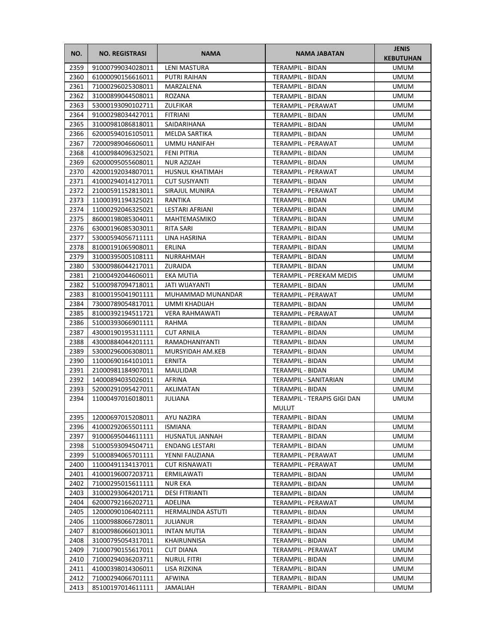| NO.          | <b>NO. REGISTRASI</b>                  | <b>NAMA</b>                 | <b>NAMA JABATAN</b>                             | <b>JENIS</b><br><b>KEBUTUHAN</b> |
|--------------|----------------------------------------|-----------------------------|-------------------------------------------------|----------------------------------|
| 2359         | 91000799034028011                      | <b>LENI MASTURA</b>         | <b>TERAMPIL - BIDAN</b>                         | <b>UMUM</b>                      |
| 2360         | 61000090156616011                      | PUTRI RAIHAN                | TERAMPIL - BIDAN                                | <b>UMUM</b>                      |
| 2361         | 71000296025308011                      | MARZALENA                   | <b>TERAMPIL - BIDAN</b>                         | <b>UMUM</b>                      |
| 2362         | 31000899044508011                      | ROZANA                      | TERAMPIL - BIDAN                                | UMUM                             |
| 2363         | 53000193090102711                      | ZULFIKAR                    | TERAMPIL - PERAWAT                              | UMUM                             |
| 2364         | 91000298034427011                      | FITRIANI                    | TERAMPIL - BIDAN                                | UMUM                             |
| 2365         | 31000981086818011                      | SAIDARIHANA                 | TERAMPIL - BIDAN                                | UMUM                             |
| 2366         | 62000594016105011                      | MELDA SARTIKA               | <b>TERAMPIL - BIDAN</b>                         | UMUM                             |
| 2367         | 72000989046606011                      | UMMU HANIFAH                | TERAMPIL - PERAWAT                              | UMUM                             |
| 2368         | 41000984096325021                      | <b>FENI PITRIA</b>          | TERAMPIL - BIDAN                                | <b>UMUM</b>                      |
| 2369         | 62000095055608011                      | NUR AZIZAH                  | TERAMPIL - BIDAN                                | UMUM                             |
| 2370         | 42000192034807011                      | HUSNUL KHATIMAH             | TERAMPIL - PERAWAT                              | UMUM                             |
| 2371         | 41000294014127011                      | <b>CUT SUSIYANTI</b>        | TERAMPIL - BIDAN                                | UMUM                             |
| 2372         | 21000591152813011                      | SIRAJUL MUNIRA              | TERAMPIL - PERAWAT                              | UMUM                             |
| 2373         | 11000391194325021                      | RANTIKA                     | TERAMPIL - BIDAN                                | UMUM                             |
| 2374         | 11000292046325021                      | LESTARI AFRIANI             | <b>TERAMPIL - BIDAN</b>                         | UMUM                             |
| 2375         | 86000198085304011                      | MAHTEMASMIKO                | <b>TERAMPIL - BIDAN</b>                         | UMUM                             |
| 2376         | 63000196085303011                      | RITA SARI                   | TERAMPIL - BIDAN                                | UMUM                             |
| 2377         | 53000594056711111                      | LINA HASRINA                | TERAMPIL - BIDAN                                | UMUM                             |
| 2378         | 81000191065908011                      | ERLINA                      | TERAMPIL - BIDAN                                | <b>UMUM</b>                      |
| 2379         | 31000395005108111                      | NURRAHMAH                   | TERAMPIL - BIDAN                                | UMUM                             |
| 2380         | 53000986044217011                      | ZURAIDA                     | <b>TERAMPIL - BIDAN</b>                         | UMUM                             |
| 2381         | 21000492044606011                      | <b>EKA MUTIA</b>            | TERAMPIL - PEREKAM MEDIS                        | <b>UMUM</b>                      |
| 2382         | 51000987094718011                      | JATI WIJAYANTI              | TERAMPIL - BIDAN                                | UMUM                             |
| 2383         | 81000195041901111                      | MUHAMMAD MUNANDAR           | TERAMPIL - PERAWAT                              | UMUM                             |
| 2384         | 73000789054817011                      | UMMI KHADIJAH               | TERAMPIL - BIDAN                                | <b>UMUM</b>                      |
| 2385         | 81000392194511721                      | <b>VERA RAHMAWATI</b>       | TERAMPIL - PERAWAT                              | <b>UMUM</b>                      |
| 2386         | 51000393066901111                      | RAHMA                       | TERAMPIL - BIDAN                                | UMUM                             |
| 2387         | 43000190195311111                      | <b>CUT ARNILA</b>           | TERAMPIL - BIDAN                                | UMUM                             |
|              |                                        |                             |                                                 |                                  |
| 2388         | 43000884044201111                      | RAMADHANIYANTI              | TERAMPIL - BIDAN                                | UMUM                             |
| 2389<br>2390 | 53000296006308011<br>11000690164101011 | MURSYIDAH AM.KEB<br>ERNITA  | TERAMPIL - BIDAN                                | UMUM                             |
| 2391         | 21000981184907011                      | MAULIDAR                    | TERAMPIL - BIDAN<br><b>TERAMPIL - BIDAN</b>     | UMUM<br>UMUM                     |
| 2392         | 14000894035026011                      | AFRINA                      | <b>TERAMPIL - SANITARIAN</b>                    | <b>UMUM</b>                      |
| 2393         | 52000291095427011                      |                             |                                                 |                                  |
| 2394         | 11000497016018011                      | AKLIMATAN<br><b>JULIANA</b> | TERAMPIL - BIDAN<br>TERAMPIL - TERAPIS GIGI DAN | <b>UMUM</b>                      |
|              |                                        |                             | <b>MULUT</b>                                    | <b>UMUM</b>                      |
| 2395         | 12000697015208011                      | AYU NAZIRA                  | TERAMPIL - BIDAN                                | <b>UMUM</b>                      |
| 2396         | 41000292065501111                      | ISMIANA                     | TERAMPIL - BIDAN                                | UMUM                             |
| 2397         | 91000695044611111                      | HUSNATUL JANNAH             | TERAMPIL - BIDAN                                | UMUM                             |
| 2398         | 51000593094504711                      | <b>ENDANG LESTARI</b>       | TERAMPIL - BIDAN                                | UMUM                             |
| 2399         | 51000894065701111                      | YENNI FAUZIANA              | TERAMPIL - PERAWAT                              | UMUM                             |
| 2400         | 11000491134137011                      | <b>CUT RISNAWATI</b>        | TERAMPIL - PERAWAT                              | UMUM                             |
| 2401         | 41000196007203711                      | ERMILAWATI                  | TERAMPIL - BIDAN                                | UMUM                             |
| 2402         | 71000295015611111                      | NUR EKA                     | TERAMPIL - BIDAN                                | UMUM                             |
| 2403         | 31000293064201711                      | <b>DESI FITRIANTI</b>       | TERAMPIL - BIDAN                                | UMUM                             |
| 2404         | 62000792166202711                      | ADELINA                     | TERAMPIL - PERAWAT                              | UMUM                             |
| 2405         | 12000090106402111                      | HERMALINDA ASTUTI           | TERAMPIL - BIDAN                                | UMUM                             |
| 2406         | 11000988066728011                      | JULIANUR                    | TERAMPIL - BIDAN                                | UMUM                             |
| 2407         | 81000986066013011                      | <b>INTAN MUTIA</b>          | TERAMPIL - BIDAN                                | UMUM                             |
| 2408         | 31000795054317011                      | KHAIRUNNISA                 | TERAMPIL - BIDAN                                | UMUM                             |
| 2409         | 71000790155617011                      | <b>CUT DIANA</b>            | TERAMPIL - PERAWAT                              | UMUM                             |
| 2410         | 71000294036203711                      | <b>NURUL FITRI</b>          | TERAMPIL - BIDAN                                | UMUM                             |
| 2411         | 41000398014306011                      | LISA RIZKINA                | TERAMPIL - BIDAN                                | UMUM                             |
| 2412         | 71000294066701111                      | AFWINA                      | TERAMPIL - BIDAN                                | UMUM                             |
| 2413         | 85100197014611111                      | JAMALIAH                    | TERAMPIL - BIDAN                                | UMUM                             |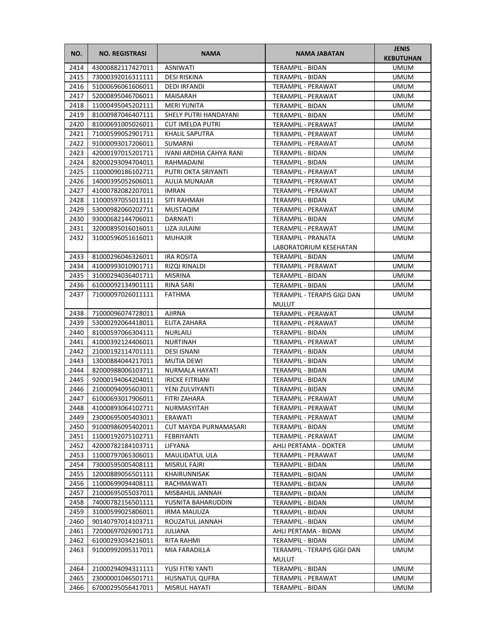| NO.  | <b>NO. REGISTRASI</b> | <b>NAMA</b>             | <b>NAMA JABATAN</b>         | <b>JENIS</b><br><b>KEBUTUHAN</b> |
|------|-----------------------|-------------------------|-----------------------------|----------------------------------|
| 2414 | 43000882117427011     | <b>ASNIWATI</b>         | TERAMPIL - BIDAN            | <b>UMUM</b>                      |
| 2415 | 73000392016311111     | DESI RISKINA            | TERAMPIL - BIDAN            | <b>UMUM</b>                      |
| 2416 | 51000696061606011     | DEDI IRFANDI            | TERAMPIL - PERAWAT          | UMUM                             |
| 2417 | 52000895046706011     | MAISARAH                | TERAMPIL - PERAWAT          | UMUM                             |
| 2418 | 11000495045202111     | <b>MERI YUNITA</b>      | TERAMPIL - BIDAN            | UMUM                             |
| 2419 | 81000987046407111     | SHELY PUTRI HANDAYANI   | TERAMPIL - BIDAN            | UMUM                             |
| 2420 | 81000691005026011     | <b>CUT IMELDA PUTRI</b> | TERAMPIL - PERAWAT          | <b>UMUM</b>                      |
| 2421 | 71000599052901711     | <b>KHALIL SAPUTRA</b>   | TERAMPIL - PERAWAT          | <b>UMUM</b>                      |
| 2422 | 91000093017206011     | SUMARNI                 | <b>TERAMPIL - PERAWAT</b>   | <b>UMUM</b>                      |
| 2423 | 42000197015201711     | IVANI ARDHIA CAHYA RANI | TERAMPIL - BIDAN            | UMUM                             |
| 2424 | 82000293094704011     | RAHMADAINI              | TERAMPIL - BIDAN            | <b>UMUM</b>                      |
| 2425 | 11000090186102711     | PUTRI OKTA SRIYANTI     | TERAMPIL - PERAWAT          | UMUM                             |
| 2426 | 14000395052606011     | AULIA MUNAJAR           | TERAMPIL - PERAWAT          | UMUM                             |
| 2427 | 41000782082207011     | IMRAN                   | TERAMPIL - PERAWAT          | UMUM                             |
| 2428 | 11000597055013111     | SITI RAHMAH             | TERAMPIL - BIDAN            | UMUM                             |
| 2429 | 53000982060202711     | <b>MUSTAQIM</b>         | TERAMPIL - PERAWAT          | UMUM                             |
| 2430 | 93000682144706011     | DARNIATI                | <b>TERAMPIL - BIDAN</b>     | UMUM                             |
| 2431 | 32000895016016011     | LIZA JULAINI            | TERAMPIL - PERAWAT          | <b>UMUM</b>                      |
| 2432 | 31000596051616011     | <b>MUHAJIR</b>          | TERAMPIL - PRANATA          | <b>UMUM</b>                      |
|      |                       |                         | LABORATORIUM KESEHATAN      |                                  |
| 2433 | 81000296046326011     | <b>IRA ROSITA</b>       | TERAMPIL - BIDAN            | UMUM                             |
| 2434 | 41000993010901711     | RIZQI RINALDI           | TERAMPIL - PERAWAT          | UMUM                             |
| 2435 | 31000294036401711     | <b>MISRINA</b>          | TERAMPIL - BIDAN            | UMUM                             |
| 2436 | 61000092134901111     | RINA SARI               | TERAMPIL - BIDAN            | <b>UMUM</b>                      |
| 2437 | 71000097026011111     | FATHMA                  | TERAMPIL - TERAPIS GIGI DAN | UMUM                             |
|      |                       |                         | <b>MULUT</b>                |                                  |
| 2438 | 71000096074728011     | <b>AJIRNA</b>           | TERAMPIL - PERAWAT          | UMUM                             |
| 2439 | 53000292064418011     | ELITA ZAHARA            | TERAMPIL - PERAWAT          | UMUM                             |
| 2440 | 81000597066304111     | <b>NURLAILI</b>         | TERAMPIL - BIDAN            | UMUM                             |
| 2441 | 41000392124406011     | <b>NURTINAH</b>         | TERAMPIL - PERAWAT          | UMUM                             |
| 2442 | 21000192114701111     | <b>DESI ISNANI</b>      | TERAMPIL - BIDAN            | UMUM                             |
| 2443 | 13000884044217011     | MUTIA DEWI              | <b>TERAMPIL - BIDAN</b>     | UMUM                             |
| 2444 | 82000988006103711     | NURMALA HAYATI          | TERAMPIL - BIDAN            | UMUM                             |
| 2445 | 92000194064204011     | <b>IRICKE FITRIANI</b>  | TERAMPIL - BIDAN            | UMUM                             |
| 2446 | 21000094095603011     | YENI ZULVIYANTI         | <b>TERAMPIL - BIDAN</b>     | <b>UMUM</b>                      |
| 2447 | 61000693017906011     | FITRI ZAHARA            | TERAMPIL - PERAWAT          | <b>UMUM</b>                      |
| 2448 | 41000893064102711     | NURMASYITAH             | TERAMPIL - PERAWAT          | <b>UMUM</b>                      |
| 2449 | 23000695005403011     | ERAWATI                 | TERAMPIL - PERAWAT          | UMUM                             |
| 2450 | 91000986095402011     | CUT MAYDA PURNAMASARI   | TERAMPIL - BIDAN            | UMUM                             |
| 2451 | 11000192075102711     | FEBRIYANTI              | TERAMPIL - PERAWAT          | UMUM                             |
| 2452 | 42000782184103711     | LIFYANA                 | AHLI PERTAMA - DOKTER       | UMUM                             |
| 2453 | 11000797065306011     | MAULIDATUL ULA          | TERAMPIL - PERAWAT          | UMUM                             |
| 2454 | 73000595005408111     | MISRUL FAJRI            | TERAMPIL - BIDAN            | UMUM                             |
| 2455 | 12000889056501111     | KHAIRUNNISAK            | TERAMPIL - BIDAN            | UMUM                             |
| 2456 | 11000699094408111     | RACHMAWATI              | TERAMPIL - BIDAN            | UMUM                             |
| 2457 | 21000695055037011     | MISBAHUL JANNAH         | TERAMPIL - BIDAN            | UMUM                             |
| 2458 | 74000782156501111     | YUSNITA BAHARUDDIN      | TERAMPIL - BIDAN            | UMUM                             |
| 2459 | 31000599025806011     | IRMA MAULIZA            | TERAMPIL - BIDAN            | UMUM                             |
| 2460 | 90140797014103711     | ROUZATUL JANNAH         | TERAMPIL - BIDAN            | UMUM                             |
| 2461 | 72000697026901711     | JULIANA                 | AHLI PERTAMA - BIDAN        | UMUM                             |
| 2462 | 61000293034216011     | RITA RAHMI              | TERAMPIL - BIDAN            | UMUM                             |
| 2463 | 91000992095317011     | MIA FARADILLA           | TERAMPIL - TERAPIS GIGI DAN | UMUM                             |
|      |                       |                         | <b>MULUT</b>                |                                  |
| 2464 | 21000294094311111     | YUSI FITRI YANTI        | TERAMPIL - BIDAN            | UMUM                             |
| 2465 | 23000001046501711     | HUSNATUL QUFRA          | TERAMPIL - PERAWAT          | UMUM                             |
| 2466 | 67000295056417011     | MISRUL HAYATI           |                             |                                  |
|      |                       |                         | TERAMPIL - BIDAN            | UMUM                             |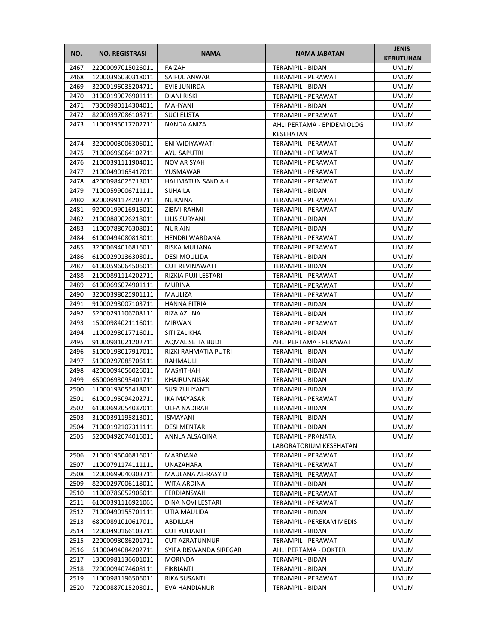| NO.  | <b>NO. REGISTRASI</b> | <b>NAMA</b>              | <b>NAMA JABATAN</b>        | <b>JENIS</b><br><b>KEBUTUHAN</b> |
|------|-----------------------|--------------------------|----------------------------|----------------------------------|
| 2467 | 22000097015026011     | <b>FAIZAH</b>            | TERAMPIL - BIDAN           | <b>UMUM</b>                      |
| 2468 | 12000396030318011     | SAIFUL ANWAR             | TERAMPIL - PERAWAT         | <b>UMUM</b>                      |
| 2469 | 32000196035204711     | EVIE JUNIRDA             | TERAMPIL - BIDAN           | UMUM                             |
| 2470 | 31000199076901111     | DIANI RISKI              | TERAMPIL - PERAWAT         | UMUM                             |
| 2471 | 73000980114304011     | MAHYANI                  | TERAMPIL - BIDAN           | UMUM                             |
| 2472 | 82000397086103711     | <b>SUCI ELISTA</b>       | TERAMPIL - PERAWAT         | UMUM                             |
| 2473 | 11000395017202711     | NANDA ANIZA              | AHLI PERTAMA - EPIDEMIOLOG | <b>UMUM</b>                      |
|      |                       |                          | KESEHATAN                  |                                  |
| 2474 | 32000003006306011     | ENI WIDIYAWATI           | TERAMPIL - PERAWAT         | <b>UMUM</b>                      |
| 2475 | 71000696064102711     | AYU SAPUTRI              | TERAMPIL - PERAWAT         | <b>UMUM</b>                      |
| 2476 | 21000391111904011     | NOVIAR SYAH              | <b>TERAMPIL - PERAWAT</b>  | <b>UMUM</b>                      |
| 2477 | 21000490165417011     | YUSMAWAR                 | TERAMPIL - PERAWAT         | UMUM                             |
| 2478 | 42000984025713011     | <b>HALIMATUN SAKDIAH</b> | TERAMPIL - PERAWAT         | UMUM                             |
| 2479 | 71000599006711111     | <b>SUHAILA</b>           | TERAMPIL - BIDAN           | UMUM                             |
| 2480 | 82000991174202711     | <b>NURAINA</b>           | TERAMPIL - PERAWAT         | UMUM                             |
| 2481 | 92000199016916011     | ZIBMI RAHMI              | TERAMPIL - PERAWAT         | UMUM                             |
| 2482 | 21000889026218011     | LILIS SURYANI            | <b>TERAMPIL - BIDAN</b>    | UMUM                             |
| 2483 | 11000788076308011     | <b>NUR AINI</b>          | <b>TERAMPIL - BIDAN</b>    | <b>UMUM</b>                      |
| 2484 | 61000494080818011     | HENDRI WARDANA           | TERAMPIL - PERAWAT         | UMUM                             |
| 2485 | 32000694016816011     | RISKA MULIANA            | TERAMPIL - PERAWAT         | UMUM                             |
| 2486 | 61000290136308011     | DESI MOULIDA             | TERAMPIL - BIDAN           | <b>UMUM</b>                      |
| 2487 | 61000596064506011     | <b>CUT REVINAWATI</b>    | TERAMPIL - BIDAN           | UMUM                             |
| 2488 | 21000891114202711     | RIZKIA PUJI LESTARI      | TERAMPIL - PERAWAT         | UMUM                             |
| 2489 | 61000696074901111     | <b>MURINA</b>            | TERAMPIL - PERAWAT         | <b>UMUM</b>                      |
| 2490 | 32000398025901111     | MAULIZA                  | TERAMPIL - PERAWAT         | UMUM                             |
| 2491 | 91000293007103711     | <b>HANNA FITRIA</b>      | TERAMPIL - BIDAN           | <b>UMUM</b>                      |
| 2492 | 52000291106708111     | RIZA AZLINA              | TERAMPIL - BIDAN           | UMUM                             |
| 2493 | 15000984021116011     | <b>MIRWAN</b>            | TERAMPIL - PERAWAT         | UMUM                             |
| 2494 | 11000298017716011     | SITI ZALIKHA             | TERAMPIL - BIDAN           | UMUM                             |
| 2495 | 91000981021202711     | AQMAL SETIA BUDI         | AHLI PERTAMA - PERAWAT     | UMUM                             |
| 2496 | 51000198017917011     | RIZKI RAHMATIA PUTRI     | TERAMPIL - BIDAN           | UMUM                             |
| 2497 | 51000297085706111     | RAHMAULI                 | <b>TERAMPIL - BIDAN</b>    | UMUM                             |
| 2498 | 42000094056026011     | MASYITHAH                | TERAMPIL - BIDAN           | UMUM                             |
| 2499 | 65000693095401711     | KHAIRUNNISAK             | TERAMPIL - BIDAN           | UMUM                             |
| 2500 | 11000193055418011     | SUSI ZULIYANTI           | TERAMPIL - BIDAN           | <b>UMUM</b>                      |
| 2501 | 61000195094202711     | <b>IKA MAYASARI</b>      | <b>TERAMPIL - PERAWAT</b>  | <b>UMUM</b>                      |
| 2502 | 61000692054037011     | <b>ULFA NADIRAH</b>      | TERAMPIL - BIDAN           | <b>UMUM</b>                      |
| 2503 | 31000391195813011     | ISMAYANI                 | TERAMPIL - BIDAN           | UMUM                             |
| 2504 | 71000192107311111     | <b>DESI MENTARI</b>      | TERAMPIL - BIDAN           | UMUM                             |
| 2505 | 52000492074016011     | ANNLA ALSAQINA           | TERAMPIL - PRANATA         | UMUM                             |
|      |                       |                          | LABORATORIUM KESEHATAN     |                                  |
| 2506 | 21000195046816011     | MARDIANA                 | TERAMPIL - PERAWAT         | <b>UMUM</b>                      |
| 2507 | 11000791174111111     | UNAZAHARA                | TERAMPIL - PERAWAT         | <b>UMUM</b>                      |
| 2508 | 12000699040303711     | MAULANA AL-RASYID        | TERAMPIL - PERAWAT         | UMUM                             |
| 2509 | 82000297006118011     | <b>WITA ARDINA</b>       | TERAMPIL - BIDAN           | UMUM                             |
| 2510 | 11000786052906011     | FERDIANSYAH              | TERAMPIL - PERAWAT         | UMUM                             |
| 2511 | 61000391116921061     | DINA NOVI LESTARI        | TERAMPIL - PERAWAT         | UMUM                             |
| 2512 | 71000490155701111     | UTIA MAULIDA             | TERAMPIL - BIDAN           | UMUM                             |
| 2513 | 68000891010617011     | ABDILLAH                 | TERAMPIL - PEREKAM MEDIS   | UMUM                             |
| 2514 | 12000490166103711     | <b>CUT YULIANTI</b>      | TERAMPIL - BIDAN           | UMUM                             |
| 2515 | 22000098086201711     | <b>CUT AZRATUNNUR</b>    | TERAMPIL - PERAWAT         | UMUM                             |
| 2516 | 51000494084202711     | SYIFA RISWANDA SIREGAR   | AHLI PERTAMA - DOKTER      | UMUM                             |
| 2517 | 13000981136601011     | MORINDA                  | TERAMPIL - BIDAN           | UMUM                             |
| 2518 | 72000094074608111     | <b>FIKRIANTI</b>         | TERAMPIL - BIDAN           | UMUM                             |
| 2519 | 11000981196506011     | RIKA SUSANTI             | TERAMPIL - PERAWAT         | UMUM                             |
| 2520 | 72000887015208011     | EVA HANDIANUR            | TERAMPIL - BIDAN           | UMUM                             |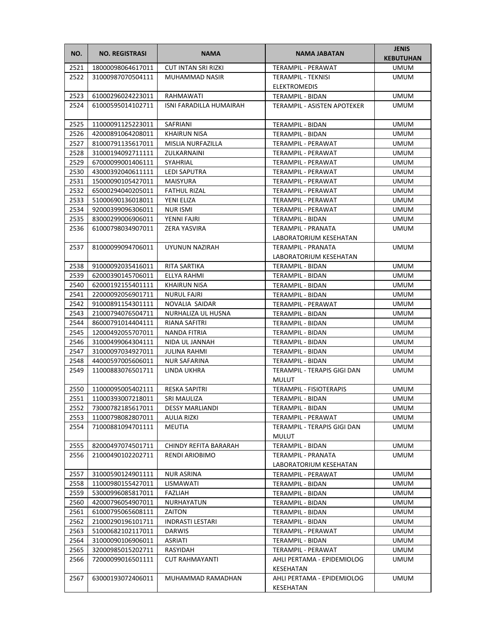| NO.  | <b>NO. REGISTRASI</b> | <b>NAMA</b>                | <b>NAMA JABATAN</b>                                  | <b>JENIS</b><br><b>KEBUTUHAN</b> |
|------|-----------------------|----------------------------|------------------------------------------------------|----------------------------------|
| 2521 | 18000098064617011     | <b>CUT INTAN SRI RIZKI</b> | TERAMPIL - PERAWAT                                   | <b>UMUM</b>                      |
| 2522 | 31000987070504111     | MUHAMMAD NASIR             | TERAMPIL - TEKNISI                                   | <b>UMUM</b>                      |
|      |                       |                            | <b>ELEKTROMEDIS</b>                                  |                                  |
| 2523 | 61000296024223011     | RAHMAWATI                  | TERAMPIL - BIDAN                                     | <b>UMUM</b>                      |
| 2524 | 61000595014102711     | ISNI FARADILLA HUMAIRAH    | TERAMPIL - ASISTEN APOTEKER                          | UMUM                             |
| 2525 | 11000091125223011     | SAFRIANI                   | <b>TERAMPIL - BIDAN</b>                              | <b>UMUM</b>                      |
| 2526 | 42000891064208011     | <b>KHAIRUN NISA</b>        | TERAMPIL - BIDAN                                     | <b>UMUM</b>                      |
| 2527 | 81000791135617011     | MISLIA NURFAZILLA          | TERAMPIL - PERAWAT                                   | <b>UMUM</b>                      |
| 2528 | 31000194092711111     | ZULKARNAINI                | TERAMPIL - PERAWAT                                   | <b>UMUM</b>                      |
| 2529 | 67000099001406111     | SYAHRIAL                   | TERAMPIL - PERAWAT                                   | <b>UMUM</b>                      |
| 2530 | 43000392040611111     | <b>LEDI SAPUTRA</b>        | TERAMPIL - PERAWAT                                   | UMUM                             |
| 2531 | 15000090105427011     | <b>MAISYURA</b>            | TERAMPIL - PERAWAT                                   | UMUM                             |
| 2532 | 65000294040205011     | <b>FATHUL RIZAL</b>        | TERAMPIL - PERAWAT                                   | UMUM                             |
| 2533 | 51000690136018011     | YENI ELIZA                 | TERAMPIL - PERAWAT                                   | <b>UMUM</b>                      |
| 2534 | 92000399096306011     | <b>NUR ISMI</b>            | TERAMPIL - PERAWAT                                   | UMUM                             |
| 2535 | 83000299006906011     | YENNI FAJRI                | <b>TERAMPIL - BIDAN</b>                              | <b>UMUM</b>                      |
| 2536 | 61000798034907011     | ZERA YASVIRA               | TERAMPIL - PRANATA                                   | <b>UMUM</b>                      |
|      |                       |                            | LABORATORIUM KESEHATAN                               |                                  |
| 2537 | 81000099094706011     | UYUNUN NAZIRAH             | TERAMPIL - PRANATA                                   | <b>UMUM</b>                      |
|      |                       |                            | LABORATORIUM KESEHATAN                               |                                  |
| 2538 | 91000092035416011     | RITA SARTIKA               | <b>TERAMPIL - BIDAN</b>                              | <b>UMUM</b>                      |
| 2539 | 62000390145706011     | ELLYA RAHMI                | TERAMPIL - BIDAN                                     | UMUM                             |
| 2540 | 62000192155401111     | <b>KHAIRUN NISA</b>        | TERAMPIL - BIDAN                                     | UMUM                             |
| 2541 | 22000092056901711     | <b>NURUL FAJRI</b>         | TERAMPIL - BIDAN                                     | UMUM                             |
| 2542 | 91000891154301111     | NOVALIA SAIDAR             | TERAMPIL - PERAWAT                                   | <b>UMUM</b>                      |
| 2543 | 21000794076504711     | NURHALIZA UL HUSNA         | TERAMPIL - BIDAN                                     | UMUM                             |
| 2544 | 86000791014404111     | RIANA SAFITRI              | TERAMPIL - BIDAN                                     | UMUM                             |
| 2545 | 12000492055707011     | NANDA FITRIA               | TERAMPIL - BIDAN                                     | UMUM                             |
| 2546 | 31000499064304111     | NIDA UL JANNAH             | TERAMPIL - BIDAN                                     | UMUM                             |
| 2547 | 31000097034927011     | <b>JULINA RAHMI</b>        | TERAMPIL - BIDAN                                     | UMUM                             |
| 2548 | 44000597005606011     | <b>NUR SAFARINA</b>        | TERAMPIL - BIDAN                                     | <b>UMUM</b>                      |
| 2549 | 11000883076501711     | LINDA UKHRA                | TERAMPIL - TERAPIS GIGI DAN<br><b>MULUT</b>          | UMUM                             |
| 2550 | 11000095005402111     | <b>RESKA SAPITRI</b>       | <b>TERAMPIL - FISIOTERAPIS</b>                       | <b>UMUM</b>                      |
| 2551 | 11000393007218011     | SRI MAULIZA                | <b>TERAMPIL - BIDAN</b>                              | <b>UMUM</b>                      |
| 2552 | 73000782185617011     | <b>DESSY MARLIANDI</b>     | TERAMPIL - BIDAN                                     | <b>UMUM</b>                      |
| 2553 | 11000798082807011     | AULIA RIZKI                | TERAMPIL - PERAWAT                                   | UMUM                             |
| 2554 | 71000881094701111     | MEUTIA                     | TERAMPIL - TERAPIS GIGI DAN<br><b>MULUT</b>          | UMUM                             |
| 2555 | 82000497074501711     | CHINDY REFITA BARARAH      | TERAMPIL - BIDAN                                     | <b>UMUM</b>                      |
| 2556 | 21000490102202711     | <b>RENDI ARIOBIMO</b>      | TERAMPIL - PRANATA<br>LABORATORIUM KESEHATAN         | <b>UMUM</b>                      |
| 2557 | 31000590124901111     | <b>NUR ASRINA</b>          | TERAMPIL - PERAWAT                                   | <b>UMUM</b>                      |
| 2558 | 11000980155427011     | LISMAWATI                  | TERAMPIL - BIDAN                                     | UMUM                             |
| 2559 | 53000996085817011     | FAZLIAH                    | TERAMPIL - BIDAN                                     | UMUM                             |
| 2560 | 42000796054907011     | NURHAYATUN                 | TERAMPIL - BIDAN                                     | UMUM                             |
| 2561 | 61000795065608111     | ZAITON                     | TERAMPIL - BIDAN                                     | UMUM                             |
| 2562 | 21000290196101711     | <b>INDRASTI LESTARI</b>    | TERAMPIL - BIDAN                                     | UMUM                             |
| 2563 | 51000682102117011     | <b>DARWIS</b>              | TERAMPIL - PERAWAT                                   | UMUM                             |
| 2564 | 31000090106906011     | ASRIATI                    | TERAMPIL - BIDAN                                     | UMUM                             |
| 2565 | 32000985015202711     | RASYIDAH                   | TERAMPIL - PERAWAT                                   | UMUM                             |
| 2566 | 72000099016501111     | <b>CUT RAHMAYANTI</b>      | AHLI PERTAMA - EPIDEMIOLOG                           | <b>UMUM</b>                      |
| 2567 | 63000193072406011     | MUHAMMAD RAMADHAN          | KESEHATAN<br>AHLI PERTAMA - EPIDEMIOLOG<br>KESEHATAN | UMUM                             |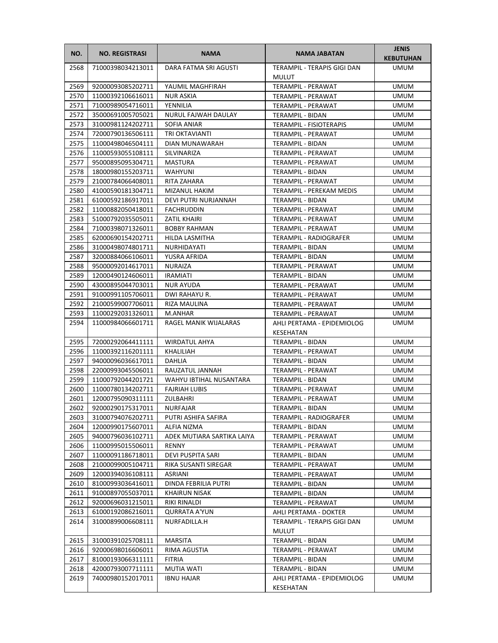| NO.  | <b>NO. REGISTRASI</b>  | <b>NAMA</b>                | NAMA JABATAN                                | <b>JENIS</b><br><b>KEBUTUHAN</b> |
|------|------------------------|----------------------------|---------------------------------------------|----------------------------------|
| 2568 | 71000398034213011      | DARA FATMA SRI AGUSTI      | TERAMPIL - TERAPIS GIGI DAN<br><b>MULUT</b> | <b>UMUM</b>                      |
| 2569 | 92000093085202711      | YAUMIL MAGHFIRAH           | TERAMPIL - PERAWAT                          | <b>UMUM</b>                      |
| 2570 | 11000392106616011      | NUR ASKIA                  | TERAMPIL - PERAWAT                          | <b>UMUM</b>                      |
| 2571 | 71000989054716011      | YENNILIA                   | TERAMPIL - PERAWAT                          | <b>UMUM</b>                      |
| 2572 | 35000691005705021      | NURUL FAJWAH DAULAY        | TERAMPIL - BIDAN                            | <b>UMUM</b>                      |
| 2573 | 31000981124202711      | SOFIA ANIAR                | <b>TERAMPIL - FISIOTERAPIS</b>              | <b>UMUM</b>                      |
| 2574 | 72000790136506111      | TRI OKTAVIANTI             | TERAMPIL - PERAWAT                          | <b>UMUM</b>                      |
| 2575 | 11000498046504111      | DIAN MUNAWARAH             | TERAMPIL - BIDAN                            | <b>UMUM</b>                      |
| 2576 | 11000593055108111      | SILVINARIZA                | TERAMPIL - PERAWAT                          | <b>UMUM</b>                      |
| 2577 | 95000895095304711      | MASTURA                    | TERAMPIL - PERAWAT                          | <b>UMUM</b>                      |
| 2578 | 18000980155203711      | <b>WAHYUNI</b>             | TERAMPIL - BIDAN                            | <b>UMUM</b>                      |
| 2579 | 21000784066408011      | RITA ZAHARA                | TERAMPIL - PERAWAT                          | <b>UMUM</b>                      |
| 2580 | 41000590181304711      | MIZANUL HAKIM              | TERAMPIL - PEREKAM MEDIS                    | UMUM                             |
| 2581 | 61000592186917011      | DEVI PUTRI NURJANNAH       | TERAMPIL - BIDAN                            | UMUM                             |
| 2582 | 11000882050418011      | FACHRUDDIN                 | TERAMPIL - PERAWAT                          | UMUM                             |
| 2583 | 51000792035505011      | ZATIL KHAIRI               | TERAMPIL - PERAWAT                          | UMUM                             |
| 2584 | 71000398071326011      | <b>BOBBY RAHMAN</b>        | <b>TERAMPIL - PERAWAT</b>                   | UMUM                             |
| 2585 | 62000690154202711      | HILDA LASMITHA             | TERAMPIL - RADIOGRAFER                      | UMUM                             |
| 2586 | 31000498074801711      | NURHIDAYATI                | TERAMPIL - BIDAN                            | <b>UMUM</b>                      |
| 2587 | 32000884066106011      | YUSRA AFRIDA               | <b>TERAMPIL - BIDAN</b>                     | <b>UMUM</b>                      |
| 2588 | 95000092014617011      | <b>NURAIZA</b>             | TERAMPIL - PERAWAT                          | <b>UMUM</b>                      |
| 2589 | 12000490124606011      | <b>IRAMIATI</b>            | TERAMPIL - BIDAN                            | UMUM                             |
| 2590 | 43000895044703011      | NUR AYUDA                  | TERAMPIL - PERAWAT                          | UMUM                             |
| 2591 | 91000991105706011      | DWI RAHAYU R.              | TERAMPIL - PERAWAT                          | <b>UMUM</b>                      |
| 2592 | 21000599007706011      | RIZA MAULINA               | TERAMPIL - PERAWAT                          | <b>UMUM</b>                      |
| 2593 | 11000292031326011      | M.ANHAR                    | TERAMPIL - PERAWAT                          | <b>UMUM</b>                      |
| 2594 | 11000984066601711      | RAGEL MANIK WIJALARAS      | AHLI PERTAMA - EPIDEMIOLOG<br>KESEHATAN     | <b>UMUM</b>                      |
| 2595 | 72000292064411111      | <b>WIRDATUL AHYA</b>       | TERAMPIL - BIDAN                            | UMUM                             |
| 2596 | 11000392116201111      | KHALILIAH                  | TERAMPIL - PERAWAT                          | UMUM                             |
| 2597 | 94000096036617011      | DAHLIA                     | TERAMPIL - BIDAN                            | UMUM                             |
| 2598 | 22000993045506011      | RAUZATUL JANNAH            | TERAMPIL - PERAWAT                          | UMUM                             |
| 2599 | 11000792044201721      | WAHYU IBTIHAL NUSANTARA    | TERAMPIL - BIDAN                            | <b>UMUM</b>                      |
| 2600 | 11000780134202711      | <b>FAJRIAH LUBIS</b>       | TERAMPIL - PERAWAT                          | <b>UMUM</b>                      |
| 2601 | 12000795090311111      | ZULBAHRI                   | TERAMPIL - PERAWAT                          | <b>UMUM</b>                      |
|      | 2602 92000290175317011 | NURFAJAR                   | TERAMPIL - BIDAN                            | <b>UMUM</b>                      |
| 2603 | 31000794076202711      | PUTRI ASHIFA SAFIRA        | TERAMPIL - RADIOGRAFER                      | <b>UMUM</b>                      |
| 2604 | 12000990175607011      | ALFIA NIZMA                | TERAMPIL - BIDAN                            | UMUM                             |
| 2605 | 94000796036102711      | ADEK MUTIARA SARTIKA LAIYA | TERAMPIL - PERAWAT                          | UMUM                             |
| 2606 | 11000995015506011      | <b>RENNY</b>               | TERAMPIL - PERAWAT                          | UMUM                             |
| 2607 | 11000091186718011      | DEVI PUSPITA SARI          | TERAMPIL - BIDAN                            | UMUM                             |
| 2608 | 21000099005104711      | RIKA SUSANTI SIREGAR       | <b>TERAMPIL - PERAWAT</b>                   | UMUM                             |
| 2609 | 12000394036108111      | ASRIANI                    | TERAMPIL - PERAWAT                          | UMUM                             |
| 2610 | 81000993036416011      | DINDA FEBRILIA PUTRI       | TERAMPIL - BIDAN                            | UMUM                             |
| 2611 | 91000897055037011      | <b>KHAIRUN NISAK</b>       | TERAMPIL - BIDAN                            | UMUM                             |
| 2612 | 92000696031215011      | RIKI RINALDI               | TERAMPIL - PERAWAT                          | UMUM                             |
| 2613 | 61000192086216011      | QURRATA A'YUN              | AHLI PERTAMA - DOKTER                       | UMUM                             |
| 2614 | 31000899006608111      | NURFADILLA.H               | TERAMPIL - TERAPIS GIGI DAN<br><b>MULUT</b> | UMUM                             |
| 2615 | 31000391025708111      | <b>MARSITA</b>             | TERAMPIL - BIDAN                            | <b>UMUM</b>                      |
| 2616 | 92000698016606011      | RIMA AGUSTIA               | TERAMPIL - PERAWAT                          | UMUM                             |
| 2617 | 81000193066311111      | FITRIA                     | TERAMPIL - BIDAN                            | <b>UMUM</b>                      |
| 2618 | 42000793007711111      | MUTIA WATI                 | <b>TERAMPIL - BIDAN</b>                     | <b>UMUM</b>                      |
| 2619 | 74000980152017011      | <b>IBNU HAJAR</b>          | AHLI PERTAMA - EPIDEMIOLOG<br>KESEHATAN     | <b>UMUM</b>                      |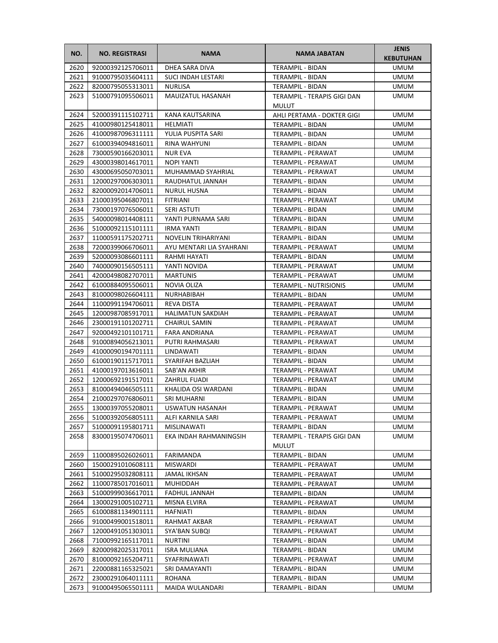| NO.  | <b>NO. REGISTRASI</b> | <b>NAMA</b>              | <b>NAMA JABATAN</b>           | <b>JENIS</b><br><b>KEBUTUHAN</b> |
|------|-----------------------|--------------------------|-------------------------------|----------------------------------|
| 2620 | 92000392125706011     | DHEA SARA DIVA           | TERAMPIL - BIDAN              | <b>UMUM</b>                      |
| 2621 | 91000795035604111     | SUCI INDAH LESTARI       | TERAMPIL - BIDAN              | <b>UMUM</b>                      |
| 2622 | 82000795055313011     | <b>NURLISA</b>           | TERAMPIL - BIDAN              | <b>UMUM</b>                      |
| 2623 | 51000791095506011     | MAUIZATUL HASANAH        | TERAMPIL - TERAPIS GIGI DAN   | <b>UMUM</b>                      |
|      |                       |                          | MULUT                         |                                  |
| 2624 | 52000391115102711     | KANA KAUTSARINA          | AHLI PERTAMA - DOKTER GIGI    | <b>UMUM</b>                      |
| 2625 | 41000980125418011     | <b>HELMIATI</b>          | TERAMPIL - BIDAN              | <b>UMUM</b>                      |
| 2626 | 41000987096311111     | YULIA PUSPITA SARI       | TERAMPIL - BIDAN              | <b>UMUM</b>                      |
| 2627 | 61000394094816011     | RINA WAHYUNI             | <b>TERAMPIL - BIDAN</b>       | <b>UMUM</b>                      |
| 2628 | 73000590166203011     | <b>NUR EVA</b>           | <b>TERAMPIL - PERAWAT</b>     | <b>UMUM</b>                      |
| 2629 | 43000398014617011     | NOPI YANTI               | TERAMPIL - PERAWAT            | <b>UMUM</b>                      |
| 2630 | 43000695050703011     | MUHAMMAD SYAHRIAL        | TERAMPIL - PERAWAT            | <b>UMUM</b>                      |
| 2631 | 12000297006303011     | RAUDHATUL JANNAH         | TERAMPIL - BIDAN              | UMUM                             |
| 2632 | 82000092014706011     | <b>NURUL HUSNA</b>       | TERAMPIL - BIDAN              | <b>UMUM</b>                      |
| 2633 | 21000395046807011     | FITRIANI                 | TERAMPIL - PERAWAT            | <b>UMUM</b>                      |
| 2634 | 73000197076506011     | <b>SERI ASTUTI</b>       | <b>TERAMPIL - BIDAN</b>       | <b>UMUM</b>                      |
| 2635 | 54000098014408111     | YANTI PURNAMA SARI       | TERAMPIL - BIDAN              | <b>UMUM</b>                      |
| 2636 | 51000092115101111     | IRMA YANTI               | TERAMPIL - BIDAN              | <b>UMUM</b>                      |
| 2637 | 11000591175202711     | NOVELIN TRIHARIYANI      | TERAMPIL - BIDAN              | <b>UMUM</b>                      |
| 2638 | 72000399066706011     | AYU MENTARI LIA SYAHRANI | TERAMPIL - PERAWAT            | <b>UMUM</b>                      |
| 2639 | 52000093086601111     | RAHMI HAYATI             | TERAMPIL - BIDAN              | <b>UMUM</b>                      |
| 2640 | 74000090156505111     | YANTI NOVIDA             | TERAMPIL - PERAWAT            | <b>UMUM</b>                      |
| 2641 | 42000498082707011     | <b>MARTUNIS</b>          | TERAMPIL - PERAWAT            | <b>UMUM</b>                      |
| 2642 | 61000884095506011     | NOVIA OLIZA              | <b>TERAMPIL - NUTRISIONIS</b> | <b>UMUM</b>                      |
| 2643 | 81000098026604111     | NURHABIBAH               | TERAMPIL - BIDAN              | <b>UMUM</b>                      |
| 2644 | 11000991194706011     | REVA DISTA               | TERAMPIL - PERAWAT            | <b>UMUM</b>                      |
| 2645 | 12000987085917011     | <b>HALIMATUN SAKDIAH</b> | TERAMPIL - PERAWAT            | <b>UMUM</b>                      |
| 2646 | 23000191101202711     | <b>CHAIRUL SAMIN</b>     | TERAMPIL - PERAWAT            | <b>UMUM</b>                      |
| 2647 | 92000492101101711     | FARA ANDRIANA            | TERAMPIL - PERAWAT            | <b>UMUM</b>                      |
| 2648 | 91000894056213011     | PUTRI RAHMASARI          | TERAMPIL - PERAWAT            | UMUM                             |
| 2649 | 41000090194701111     | LINDAWATI                | TERAMPIL - BIDAN              | <b>UMUM</b>                      |
| 2650 | 61000190115717011     | SYARIFAH BAZLIAH         | TERAMPIL - BIDAN              | <b>UMUM</b>                      |
| 2651 | 41000197013616011     | SAB'AN AKHIR             | TERAMPIL - PERAWAT            | <b>UMUM</b>                      |
| 2652 | 12000692191517011     | ZAHRUL FUADI             | TERAMPIL - PERAWAT            | <b>UMUM</b>                      |
| 2653 | 81000494046505111     | KHALIDA OSI WARDANI      | TERAMPIL - BIDAN              | <b>UMUM</b>                      |
| 2654 | 21000297076806011     | <b>SRI MUHARNI</b>       | TERAMPIL - BIDAN              | <b>UMUM</b>                      |
| 2655 | 13000397055208011     | USWATUN HASANAH          | TERAMPIL - PERAWAT            | <b>UMUM</b>                      |
| 2656 | 51000392056805111     | ALFI KARNILA SARI        | TERAMPIL - PERAWAT            | <b>UMUM</b>                      |
| 2657 | 51000091195801711     | MISLINAWATI              | TERAMPIL - BIDAN              | <b>UMUM</b>                      |
| 2658 | 83000195074706011     | EKA INDAH RAHMANINGSIH   | TERAMPIL - TERAPIS GIGI DAN   | <b>UMUM</b>                      |
|      |                       |                          | MULUT                         |                                  |
| 2659 | 11000895026026011     | FARIMANDA                | TERAMPIL - BIDAN              | <b>UMUM</b>                      |
| 2660 | 15000291010608111     | <b>MISWARDI</b>          | TERAMPIL - PERAWAT            | <b>UMUM</b>                      |
| 2661 | 51000295032808111     | JAMAL IKHSAN             | TERAMPIL - PERAWAT            | <b>UMUM</b>                      |
| 2662 | 11000785017016011     | MUHIDDAH                 | TERAMPIL - PERAWAT            | UMUM                             |
| 2663 | 51000999036617011     | FADHUL JANNAH            | TERAMPIL - BIDAN              | UMUM                             |
| 2664 | 13000291005102711     | MISNA ELVIRA             | TERAMPIL - PERAWAT            | UMUM                             |
| 2665 | 61000881134901111     | HAFNIATI                 | TERAMPIL - BIDAN              | <b>UMUM</b>                      |
| 2666 | 91000499001518011     | RAHMAT AKBAR             | TERAMPIL - PERAWAT            | <b>UMUM</b>                      |
| 2667 | 12000491051303011     | SYA'BAN SUBQI            | TERAMPIL - PERAWAT            | <b>UMUM</b>                      |
| 2668 | 71000992165117011     | NURTINI                  | TERAMPIL - BIDAN              | <b>UMUM</b>                      |
| 2669 | 82000982025317011     | <b>ISRA MULIANA</b>      | TERAMPIL - BIDAN              | <b>UMUM</b>                      |
| 2670 | 81000092165204711     | SYAFRINAWATI             | TERAMPIL - PERAWAT            | <b>UMUM</b>                      |
| 2671 | 22000881165325021     | SRI DAMAYANTI            | TERAMPIL - BIDAN              | <b>UMUM</b>                      |
| 2672 | 23000291064011111     | ROHANA                   | TERAMPIL - BIDAN              | <b>UMUM</b>                      |
| 2673 | 91000495065501111     | MAIDA WULANDARI          | TERAMPIL - BIDAN              | <b>UMUM</b>                      |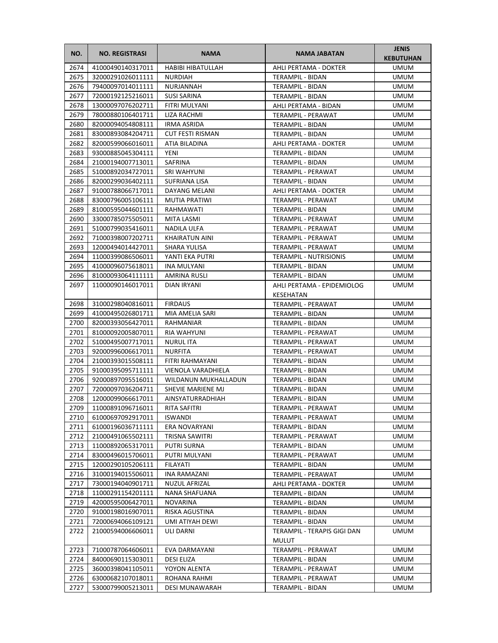| NO.  | <b>NO. REGISTRASI</b> | <b>NAMA</b>             | <b>NAMA JABATAN</b>                         | <b>JENIS</b><br><b>KEBUTUHAN</b> |
|------|-----------------------|-------------------------|---------------------------------------------|----------------------------------|
| 2674 | 41000490140317011     | HABIBI HIBATULLAH       | AHLI PERTAMA - DOKTER                       | UMUM                             |
| 2675 | 32000291026011111     | <b>NURDIAH</b>          | TERAMPIL - BIDAN                            | <b>UMUM</b>                      |
| 2676 | 79400097014011111     | NURJANNAH               | <b>TERAMPIL - BIDAN</b>                     | UMUM                             |
| 2677 | 72000192125216011     | <b>SUSI SARINA</b>      | <b>TERAMPIL - BIDAN</b>                     | UMUM                             |
| 2678 | 13000097076202711     | FITRI MULYANI           | AHLI PERTAMA - BIDAN                        | UMUM                             |
| 2679 | 78000880106401711     | LIZA RACHMI             | TERAMPIL - PERAWAT                          | UMUM                             |
| 2680 | 82000094054808111     | <b>IRMA ASRIDA</b>      | TERAMPIL - BIDAN                            | <b>UMUM</b>                      |
| 2681 | 83000893084204711     | <b>CUT FESTI RISMAN</b> | TERAMPIL - BIDAN                            | <b>UMUM</b>                      |
| 2682 | 82000599066016011     | ATIA BILADINA           | AHLI PERTAMA - DOKTER                       | <b>UMUM</b>                      |
| 2683 | 93000885045304111     | YENI                    | TERAMPIL - BIDAN                            | UMUM                             |
| 2684 | 21000194007713011     | SAFRINA                 | TERAMPIL - BIDAN                            | UMUM                             |
| 2685 | 51000892034727011     | SRI WAHYUNI             | TERAMPIL - PERAWAT                          | UMUM                             |
| 2686 | 82000299036402111     | SUFRIANA LISA           | TERAMPIL - BIDAN                            | UMUM                             |
| 2687 | 91000788066717011     | DAYANG MELANI           | AHLI PERTAMA - DOKTER                       | UMUM                             |
| 2688 | 83000796005106111     | <b>MUTIA PRATIWI</b>    | TERAMPIL - PERAWAT                          | UMUM                             |
| 2689 | 81000595044601111     | RAHMAWATI               | TERAMPIL - BIDAN                            | UMUM                             |
| 2690 | 33000785075505011     | MITA LASMI              | TERAMPIL - PERAWAT                          | UMUM                             |
| 2691 | 51000799035416011     | NADILA ULFA             | TERAMPIL - PERAWAT                          | <b>UMUM</b>                      |
| 2692 | 71000398007202711     | KHAIRATUN AINI          | <b>TERAMPIL - PERAWAT</b>                   | UMUM                             |
| 2693 | 12000494014427011     | SHARA YULISA            | TERAMPIL - PERAWAT                          | UMUM                             |
| 2694 | 11000399086506011     | YANTI EKA PUTRI         | <b>TERAMPIL - NUTRISIONIS</b>               | UMUM                             |
| 2695 | 41000096075618011     | INA MULYANI             | <b>TERAMPIL - BIDAN</b>                     | UMUM                             |
| 2696 | 81000093064111111     | AMRINA RUSLI            | TERAMPIL - BIDAN                            | UMUM                             |
| 2697 | 11000090146017011     | DIAN IRYANI             | AHLI PERTAMA - EPIDEMIOLOG<br>KESEHATAN     | UMUM                             |
| 2698 | 31000298040816011     | <b>FIRDAUS</b>          | TERAMPIL - PERAWAT                          | <b>UMUM</b>                      |
| 2699 | 41000495026801711     | MIA AMELIA SARI         | TERAMPIL - BIDAN                            | UMUM                             |
| 2700 | 82000393056427011     | RAHMANIAR               | TERAMPIL - BIDAN                            | UMUM                             |
| 2701 | 81000092005807011     | RIA WAHYUNI             | TERAMPIL - PERAWAT                          | UMUM                             |
| 2702 | 51000495007717011     | <b>NURUL ITA</b>        | TERAMPIL - PERAWAT                          | UMUM                             |
| 2703 | 92000996006617011     | <b>NURFITA</b>          | TERAMPIL - PERAWAT                          | UMUM                             |
| 2704 | 21000393015508111     | FITRI RAHMAYANI         | TERAMPIL - BIDAN                            | UMUM                             |
| 2705 | 91000395095711111     | VIENOLA VARADHIELA      | TERAMPIL - BIDAN                            | <b>UMUM</b>                      |
| 2706 | 92000897095516011     | WILDANUN MUKHALLADUN    | TERAMPIL - BIDAN                            | UMUM                             |
| 2707 | 72000097036204711     | SHEVIE MARIENE MJ       | TERAMPIL - BIDAN                            | <b>UMUM</b>                      |
| 2708 | 12000099066617011     | AINSYATURRADHIAH        | TERAMPIL - BIDAN                            | <b>UMUM</b>                      |
| 2709 | 11000891096716011     | RITA SAFITRI            | TERAMPIL - PERAWAT                          | <b>UMUM</b>                      |
| 2710 | 61000697092917011     | ISWANDI                 | TERAMPIL - PERAWAT                          | UMUM                             |
| 2711 | 61000196036711111     | ERA NOVARYANI           | TERAMPIL - BIDAN                            | UMUM                             |
| 2712 | 21000491065502111     | TRISNA SAWITRI          | TERAMPIL - PERAWAT                          | UMUM                             |
| 2713 | 11000892065317011     | PUTRI SURNA             | TERAMPIL - BIDAN                            | UMUM                             |
| 2714 | 83000496015706011     | PUTRI MULYANI           | TERAMPIL - PERAWAT                          | UMUM                             |
| 2715 | 12000290105206111     | <b>FILAYATI</b>         | TERAMPIL - BIDAN                            | UMUM                             |
| 2716 | 31000194015506011     | INA RAMAZANI            | TERAMPIL - PERAWAT                          | UMUM                             |
| 2717 | 73000194040901711     | NUZUL AFRIZAL           | AHLI PERTAMA - DOKTER                       | UMUM                             |
| 2718 | 11000291154201111     | NANA SHAFUANA           | TERAMPIL - BIDAN                            | UMUM                             |
| 2719 | 42000595006427011     | <b>NOVARINA</b>         | TERAMPIL - BIDAN                            | UMUM                             |
| 2720 | 91000198016907011     | RISKA AGUSTINA          | TERAMPIL - BIDAN                            | UMUM                             |
| 2721 | 72000694066109121     | UMI ATIYAH DEWI         | TERAMPIL - BIDAN                            | UMUM                             |
| 2722 | 21000594006606011     | ULI DARNI               | TERAMPIL - TERAPIS GIGI DAN<br><b>MULUT</b> | UMUM                             |
| 2723 | 71000787064606011     | EVA DARMAYANI           | TERAMPIL - PERAWAT                          | UMUM                             |
| 2724 | 84000690115303011     | DESI ELIZA              | TERAMPIL - BIDAN                            | UMUM                             |
| 2725 | 36000398041105011     | YOYON ALENTA            | TERAMPIL - PERAWAT                          | UMUM                             |
| 2726 | 63000682107018011     | ROHANA RAHMI            | TERAMPIL - PERAWAT                          | UMUM                             |
| 2727 | 53000799005213011     | DESI MUNAWARAH          | TERAMPIL - BIDAN                            | UMUM                             |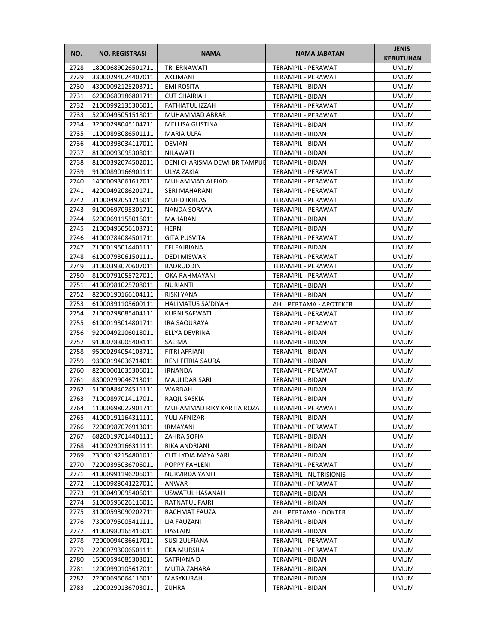| NO.          | <b>NO. REGISTRASI</b>                  | <b>NAMA</b>                  | <b>NAMA JABATAN</b>                                 | <b>JENIS</b><br><b>KEBUTUHAN</b> |
|--------------|----------------------------------------|------------------------------|-----------------------------------------------------|----------------------------------|
| 2728         | 18000689026501711                      | <b>TRI ERNAWATI</b>          | <b>TERAMPIL - PERAWAT</b>                           | <b>UMUM</b>                      |
| 2729         | 33000294024407011                      | AKLIMANI                     | TERAMPIL - PERAWAT                                  | <b>UMUM</b>                      |
| 2730         | 43000092125203711                      | <b>EMI ROSITA</b>            | TERAMPIL - BIDAN                                    | <b>UMUM</b>                      |
| 2731         | 62000680186801711                      | <b>CUT CHAIRIAH</b>          | <b>TERAMPIL - BIDAN</b>                             | <b>UMUM</b>                      |
| 2732         | 21000992135306011                      | FATHIATUL IZZAH              | TERAMPIL - PERAWAT                                  | <b>UMUM</b>                      |
| 2733         | 52000495051518011                      | MUHAMMAD ABRAR               | TERAMPIL - PERAWAT                                  | <b>UMUM</b>                      |
| 2734         | 32000298045104711                      | <b>MELLISA GUSTINA</b>       | TERAMPIL - BIDAN                                    | <b>UMUM</b>                      |
| 2735         | 11000898086501111                      | <b>MARIA ULFA</b>            | TERAMPIL - BIDAN                                    | <b>UMUM</b>                      |
| 2736         | 41000393034117011                      | DEVIANI                      | <b>TERAMPIL - BIDAN</b>                             | <b>UMUM</b>                      |
| 2737         | 81000093095308011                      | NILAWATI                     | TERAMPIL - BIDAN                                    | <b>UMUM</b>                      |
| 2738         | 81000392074502011                      | DENI CHARISMA DEWI BR TAMPUE | <b>TERAMPIL - BIDAN</b>                             | <b>UMUM</b>                      |
| 2739         | 91000890166901111                      | ULYA ZAKIA                   | TERAMPIL - PERAWAT                                  | <b>UMUM</b>                      |
| 2740         | 14000093061617011                      | MUHAMMAD ALFIADI             | TERAMPIL - PERAWAT                                  | <b>UMUM</b>                      |
| 2741         | 42000492086201711                      | SERI MAHARANI                | TERAMPIL - PERAWAT                                  | UMUM                             |
| 2742         | 31000492051716011                      | <b>MUHD IKHLAS</b>           | TERAMPIL - PERAWAT                                  | <b>UMUM</b>                      |
| 2743         | 91000697095301711                      | NANDA SORAYA                 | TERAMPIL - PERAWAT                                  | <b>UMUM</b>                      |
| 2744         | 52000691155016011                      | <b>MAHARANI</b>              | <b>TERAMPIL - BIDAN</b>                             | <b>UMUM</b>                      |
| 2745         | 21000495056103711                      | HERNI                        | TERAMPIL - BIDAN                                    | <b>UMUM</b>                      |
| 2746         | 41000784084501711                      | <b>GITA PUSVITA</b>          | TERAMPIL - PERAWAT                                  | <b>UMUM</b>                      |
| 2747         | 71000195014401111                      | EFI FAJRIANA                 | TERAMPIL - BIDAN                                    | <b>UMUM</b>                      |
| 2748         | 61000793061501111                      | DEDI MISWAR                  | <b>TERAMPIL - PERAWAT</b>                           | <b>UMUM</b>                      |
| 2749         | 31000393070607011                      | <b>BADRUDDIN</b>             | TERAMPIL - PERAWAT                                  | <b>UMUM</b>                      |
| 2750         | 81000791055727011                      | OKA RAHMAYANI                | TERAMPIL - PERAWAT                                  | <b>UMUM</b>                      |
| 2751         | 41000981025708011                      | <b>NURIANTI</b>              | TERAMPIL - BIDAN                                    | <b>UMUM</b>                      |
| 2752         | 82000190166104111                      | RISKI YANA                   | TERAMPIL - BIDAN                                    | <b>UMUM</b>                      |
| 2753         | 61000391105600111                      | <b>HALIMATUS SA'DIYAH</b>    | AHLI PERTAMA - APOTEKER                             | <b>UMUM</b>                      |
| 2754         | 21000298085404111                      | KURNI SAFWATI                | TERAMPIL - PERAWAT                                  | <b>UMUM</b>                      |
| 2755         | 61000193014801711                      | <b>IRA SAOURAYA</b>          | TERAMPIL - PERAWAT                                  | <b>UMUM</b>                      |
| 2756         | 92000492106018011                      | ELLYA DEVRINA                | TERAMPIL - BIDAN                                    | <b>UMUM</b>                      |
| 2757         | 91000783005408111                      | SALIMA                       | TERAMPIL - BIDAN                                    | UMUM                             |
| 2758         | 95000294054103711                      | FITRI AFRIANI                | TERAMPIL - BIDAN                                    | UMUM                             |
| 2759         | 93000194036714011                      | RENI FITRIA SAURA            | TERAMPIL - BIDAN                                    | <b>UMUM</b>                      |
| 2760         | 82000001035306011                      | <b>IRNANDA</b>               | TERAMPIL - PERAWAT                                  | <b>UMUM</b>                      |
| 2761         | 83000299046713011                      | <b>MAULIDAR SARI</b>         | TERAMPIL - BIDAN                                    | <b>UMUM</b>                      |
| 2762         | 51000884024511111                      | WARDAH                       | <b>TERAMPIL - BIDAN</b>                             | <b>UMUM</b>                      |
| 2763         | 71000897014117011                      | RAQIL SASKIA                 | TERAMPIL - BIDAN                                    | <b>UMUM</b>                      |
| 2764         | 11000698022901711                      | MUHAMMAD RIKY KARTIA ROZA    | TERAMPIL - PERAWAT                                  | <b>UMUM</b>                      |
| 2765         | 41000191164311111                      | YULI AFNIZAR                 | TERAMPIL - BIDAN                                    | UMUM                             |
| 2766         | 72000987076913011                      | <b>IRMAYANI</b>              | TERAMPIL - PERAWAT                                  | <b>UMUM</b>                      |
| 2767         | 68200197014401111                      | ZAHRA SOFIA                  | TERAMPIL - BIDAN                                    | <b>UMUM</b>                      |
| 2768         | 41000290166311111                      | RIKA ANDRIANI                | TERAMPIL - BIDAN                                    | <b>UMUM</b>                      |
| 2769         | 73000192154801011                      | CUT LYDIA MAYA SARI          | TERAMPIL - BIDAN                                    | <b>UMUM</b>                      |
| 2770         | 72000395036706011                      | POPPY FAHLENI                | TERAMPIL - PERAWAT                                  | <b>UMUM</b>                      |
| 2771<br>2772 | 41000991196206011<br>11000983041227011 | NURVIRDA YANTI<br>ANWAR      | <b>TERAMPIL - NUTRISIONIS</b><br>TERAMPIL - PERAWAT | <b>UMUM</b><br><b>UMUM</b>       |
| 2773         | 91000499095406011                      | USWATUL HASANAH              |                                                     | UMUM                             |
|              |                                        |                              | TERAMPIL - BIDAN                                    |                                  |
| 2774<br>2775 | 51000595026116011<br>31000593090202711 | RATNATUL FAJRI               | TERAMPIL - BIDAN                                    | <b>UMUM</b>                      |
| 2776         | 73000795005411111                      | RACHMAT FAUZA<br>LIA FAUZANI | AHLI PERTAMA - DOKTER<br>TERAMPIL - BIDAN           | UMUM<br>UMUM                     |
| 2777         | 41000980165416011                      | HASLAINI                     | TERAMPIL - BIDAN                                    | <b>UMUM</b>                      |
| 2778         | 72000094036617011                      | SUSI ZULFIANA                | TERAMPIL - PERAWAT                                  | <b>UMUM</b>                      |
| 2779         | 22000793006501111                      | EKA MURSILA                  | TERAMPIL - PERAWAT                                  | <b>UMUM</b>                      |
| 2780         | 15000594085303011                      | SATRIANA D                   | TERAMPIL - BIDAN                                    | <b>UMUM</b>                      |
| 2781         | 12000990105617011                      | MUTIA ZAHARA                 | TERAMPIL - BIDAN                                    | <b>UMUM</b>                      |
| 2782         | 22000695064116011                      | MASYKURAH                    | TERAMPIL - BIDAN                                    | <b>UMUM</b>                      |
| 2783         | 12000290136703011                      | ZUHRA                        | TERAMPIL - BIDAN                                    | UMUM                             |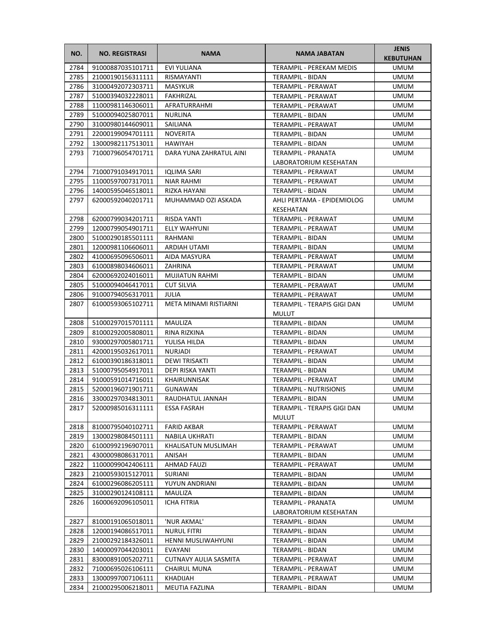| NO.          | <b>NO. REGISTRASI</b>                  | <b>NAMA</b>                  | <b>NAMA JABATAN</b>                               | <b>JENIS</b><br><b>KEBUTUHAN</b> |
|--------------|----------------------------------------|------------------------------|---------------------------------------------------|----------------------------------|
| 2784         | 91000887035101711                      | <b>EVI YULIANA</b>           | <b>TERAMPIL - PEREKAM MEDIS</b>                   | UMUM                             |
| 2785         | 21000190156311111                      | RISMAYANTI                   | TERAMPIL - BIDAN                                  | <b>UMUM</b>                      |
| 2786         | 31000492072303711                      | MASYKUR                      | TERAMPIL - PERAWAT                                | <b>UMUM</b>                      |
| 2787         | 51000394032228011                      | FAKHRIZAL                    | <b>TERAMPIL - PERAWAT</b>                         | <b>UMUM</b>                      |
| 2788         | 11000981146306011                      | AFRATURRAHMI                 | TERAMPIL - PERAWAT                                | UMUM                             |
| 2789         | 51000094025807011                      | <b>NURLINA</b>               | TERAMPIL - BIDAN                                  | UMUM                             |
| 2790         | 31000980144609011                      | SAILIANA                     | <b>TERAMPIL - PERAWAT</b>                         | UMUM                             |
| 2791         | 22000199094701111                      | <b>NOVERITA</b>              | TERAMPIL - BIDAN                                  | <b>UMUM</b>                      |
| 2792         | 13000982117513011                      | HAWIYAH                      | TERAMPIL - BIDAN                                  | <b>UMUM</b>                      |
| 2793         | 71000796054701711                      | DARA YUNA ZAHRATUL AINI      | TERAMPIL - PRANATA                                | UMUM                             |
|              |                                        |                              | LABORATORIUM KESEHATAN                            |                                  |
| 2794         | 71000791034917011                      | IQLIMA SARI                  | TERAMPIL - PERAWAT                                | <b>UMUM</b>                      |
| 2795         | 11000597007317011                      | NIAR RAHMI                   | TERAMPIL - PERAWAT                                | UMUM                             |
| 2796         | 14000595046518011                      | RIZKA HAYANI                 | TERAMPIL - BIDAN                                  | UMUM                             |
| 2797         | 62000592040201711                      | MUHAMMAD OZI ASKADA          | AHLI PERTAMA - EPIDEMIOLOG                        | UMUM                             |
|              |                                        |                              | KESEHATAN                                         |                                  |
| 2798         | 62000799034201711                      | RISDA YANTI                  | <b>TERAMPIL - PERAWAT</b>                         | <b>UMUM</b>                      |
| 2799         | 12000799054901711                      | ELLY WAHYUNI                 | TERAMPIL - PERAWAT                                | <b>UMUM</b>                      |
| 2800         | 51000290185501111                      | RAHMANI                      | <b>TERAMPIL - BIDAN</b>                           | <b>UMUM</b>                      |
| 2801         | 12000981106606011                      | ARDIAH UTAMI                 | TERAMPIL - BIDAN                                  | <b>UMUM</b>                      |
| 2802         | 41000695096506011                      | AIDA MASYURA                 | <b>TERAMPIL - PERAWAT</b>                         | <b>UMUM</b>                      |
| 2803         | 61000898034606011                      | ZAHRINA                      | TERAMPIL - PERAWAT                                | UMUM                             |
| 2804         | 62000692024016011                      | <b>MUJIATUN RAHMI</b>        | TERAMPIL - BIDAN                                  | UMUM                             |
| 2805<br>2806 | 51000094046417011<br>91000794056317011 | <b>CUT SILVIA</b><br>JULIA   | TERAMPIL - PERAWAT                                | UMUM<br><b>UMUM</b>              |
| 2807         | 61000593065102711                      | <b>META MINAMI RISTIARNI</b> | TERAMPIL - PERAWAT<br>TERAMPIL - TERAPIS GIGI DAN | <b>UMUM</b>                      |
|              |                                        |                              | <b>MULUT</b>                                      |                                  |
| 2808         | 51000297015701111                      | MAULIZA                      | TERAMPIL - BIDAN                                  | <b>UMUM</b>                      |
| 2809         | 81000292005808011                      | RINA RIZKINA                 | TERAMPIL - BIDAN                                  | <b>UMUM</b>                      |
| 2810         | 93000297005801711                      | YULISA HILDA                 | TERAMPIL - BIDAN                                  | UMUM                             |
| 2811         | 42000195032617011                      | <b>NURJADI</b>               | TERAMPIL - PERAWAT                                | UMUM                             |
| 2812         | 61000390186318011                      | <b>DEWITRISAKTI</b>          | <b>TERAMPIL - BIDAN</b>                           | UMUM                             |
| 2813         | 51000795054917011                      | DEPI RISKA YANTI             | <b>TERAMPIL - BIDAN</b>                           | <b>UMUM</b>                      |
| 2814         | 91000591014716011<br>52000196071901711 | <b>KHAIRUNNISAK</b>          | TERAMPIL - PERAWAT                                | <b>UMUM</b>                      |
| 2815<br>2816 | 33000297034813011                      | GUNAWAN<br>RAUDHATUL JANNAH  | <b>TERAMPIL - NUTRISIONIS</b><br>TERAMPIL - BIDAN | <b>UMUM</b><br><b>UMUM</b>       |
|              | 2817 52000985016311111                 | <b>ESSA FASRAH</b>           | TERAMPIL - TERAPIS GIGI DAN                       | <b>UMUM</b>                      |
|              |                                        |                              | MULUT                                             |                                  |
| 2818         | 81000795040102711                      | <b>FARID AKBAR</b>           | TERAMPIL - PERAWAT                                | <b>UMUM</b>                      |
| 2819         | 13000298084501111                      | NABILA UKHRATI               | TERAMPIL - BIDAN                                  | UMUM                             |
| 2820         | 61000992196907011                      | KHALISATUN MUSLIMAH          | TERAMPIL - PERAWAT                                | UMUM                             |
| 2821         | 43000098086317011                      | ANISAH                       | <b>TERAMPIL - BIDAN</b>                           | <b>UMUM</b>                      |
| 2822         | 11000099042406111                      | <b>AHMAD FAUZI</b>           | TERAMPIL - PERAWAT                                | <b>UMUM</b>                      |
| 2823         | 21000593015127011                      | SURIANI                      | TERAMPIL - BIDAN                                  | <b>UMUM</b>                      |
| 2824         | 61000296086205111                      | YUYUN ANDRIANI               | TERAMPIL - BIDAN                                  | <b>UMUM</b>                      |
| 2825         | 31000290124108111                      | MAULIZA                      | TERAMPIL - BIDAN                                  | UMUM                             |
| 2826         | 16000692096105011                      | ICHA FITRIA                  | <b>TERAMPIL - PRANATA</b>                         | UMUM                             |
|              |                                        |                              | LABORATORIUM KESEHATAN                            |                                  |
| 2827         | 81000191065018011                      | 'NUR AKMAL'                  | TERAMPIL - BIDAN                                  | <b>UMUM</b>                      |
| 2828         | 12000194086517011                      | <b>NURUL FITRI</b>           | TERAMPIL - BIDAN                                  | <b>UMUM</b>                      |
| 2829         | 21000292184326011                      | HENNI MUSLIWAHYUNI           | TERAMPIL - BIDAN                                  | UMUM                             |
| 2830         | 14000097044203011                      | EVAYANI                      | TERAMPIL - BIDAN                                  | <b>UMUM</b>                      |
| 2831         | 83000891005202711                      | <b>CUTNAVY AULIA SASMITA</b> | TERAMPIL - PERAWAT                                | UMUM                             |
| 2832         | 71000695026106111                      | <b>CHAIRUL MUNA</b>          | TERAMPIL - PERAWAT                                | UMUM                             |
| 2833         | 13000997007106111                      | KHADIJAH                     | TERAMPIL - PERAWAT                                | UMUM                             |
| 2834         | 21000295006218011                      | MEUTIA FAZLINA               | TERAMPIL - BIDAN                                  | UMUM                             |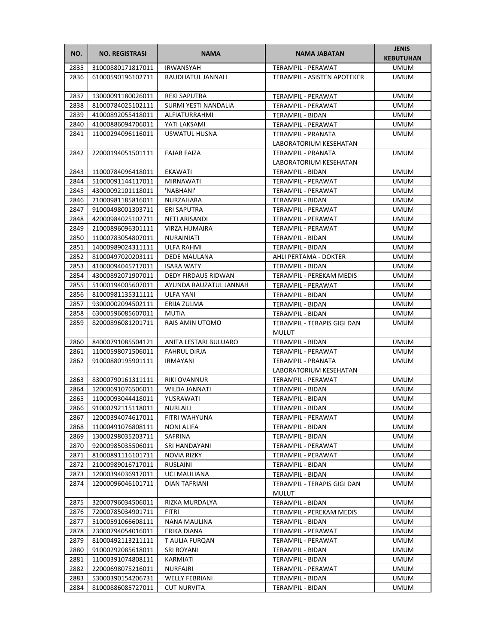| NO.          | <b>NO. REGISTRASI</b>                  | <b>NAMA</b>               | <b>NAMA JABATAN</b>                         | <b>JENIS</b><br><b>KEBUTUHAN</b> |
|--------------|----------------------------------------|---------------------------|---------------------------------------------|----------------------------------|
| 2835         | 31000880171817011                      | <b>IRWANSYAH</b>          | <b>TERAMPIL - PERAWAT</b>                   | <b>UMUM</b>                      |
| 2836         | 61000590196102711                      | RAUDHATUL JANNAH          | TERAMPIL - ASISTEN APOTEKER                 | <b>UMUM</b>                      |
| 2837         | 13000091180026011                      | <b>REKI SAPUTRA</b>       | <b>TERAMPIL - PERAWAT</b>                   | UMUM                             |
| 2838         | 81000784025102111                      | SURMI YESTI NANDALIA      | TERAMPIL - PERAWAT                          | UMUM                             |
| 2839         | 41000892055418011                      | ALFIATURRAHMI             | TERAMPIL - BIDAN                            | UMUM                             |
| 2840         | 41000886094706011                      | YATI LAKSAMI              | TERAMPIL - PERAWAT                          | <b>UMUM</b>                      |
| 2841         | 11000294096116011                      | USWATUL HUSNA             | TERAMPIL - PRANATA                          | <b>UMUM</b>                      |
|              |                                        |                           | LABORATORIUM KESEHATAN                      |                                  |
| 2842         | 22000194051501111                      | <b>FAJAR FAIZA</b>        | TERAMPIL - PRANATA                          | <b>UMUM</b>                      |
|              |                                        |                           | LABORATORIUM KESEHATAN                      |                                  |
| 2843         | 11000784096418011                      | <b>EKAWATI</b>            | TERAMPIL - BIDAN                            | UMUM                             |
| 2844         | 51000091144117011                      | MIRNAWATI                 | TERAMPIL - PERAWAT                          | UMUM                             |
| 2845         | 43000092101118011                      | 'NABHANI'                 | TERAMPIL - PERAWAT                          | UMUM                             |
| 2846         | 21000981185816011                      | NURZAHARA                 | TERAMPIL - BIDAN                            | <b>UMUM</b>                      |
| 2847         | 91000498001303711                      | ERI SAPUTRA               | TERAMPIL - PERAWAT                          | UMUM                             |
| 2848         | 42000984025102711                      | NETI ARISANDI             | TERAMPIL - PERAWAT                          | UMUM                             |
| 2849         | 21000896096301111                      | <b>VIRZA HUMAIRA</b>      | TERAMPIL - PERAWAT                          | <b>UMUM</b>                      |
| 2850         | 11000783054807011                      | NURAINIATI                | TERAMPIL - BIDAN                            | UMUM                             |
| 2851         | 14000989024311111                      | <b>ULFA RAHMI</b>         | TERAMPIL - BIDAN                            | UMUM                             |
| 2852         | 81000497020203111                      | <b>DEDE MAULANA</b>       | AHLI PERTAMA - DOKTER                       | <b>UMUM</b>                      |
| 2853         | 41000094045717011                      | <b>ISARA WATY</b>         | TERAMPIL - BIDAN                            | UMUM                             |
| 2854         | 43000892071907011                      | DEDY FIRDAUS RIDWAN       | TERAMPIL - PEREKAM MEDIS                    | UMUM                             |
| 2855         | 51000194005607011                      | AYUNDA RAUZATUL JANNAH    | <b>TERAMPIL - PERAWAT</b>                   | UMUM                             |
| 2856         | 81000981135311111                      | ULFA YANI                 | TERAMPIL - BIDAN                            | <b>UMUM</b>                      |
| 2857         | 93000002094502111                      | ERIJA ZULMA               | TERAMPIL - BIDAN                            | <b>UMUM</b>                      |
| 2858         | 63000596085607011                      | MUTIA                     | TERAMPIL - BIDAN                            | <b>UMUM</b>                      |
| 2859         | 82000896081201711                      | <b>RAIS AMIN UTOMO</b>    | TERAMPIL - TERAPIS GIGI DAN<br><b>MULUT</b> | UMUM                             |
| 2860         | 84000791085504121                      | ANITA LESTARI BULUARO     | TERAMPIL - BIDAN                            | UMUM                             |
| 2861         | 11000598071506011                      | <b>FAHRUL DIRJA</b>       | TERAMPIL - PERAWAT                          | UMUM                             |
| 2862         | 91000880195901111                      | IRMAYANI                  | TERAMPIL - PRANATA                          | <b>UMUM</b>                      |
|              |                                        |                           | LABORATORIUM KESEHATAN                      |                                  |
| 2863         | 83000790161311111                      | <b>RIKI OVANNUR</b>       | TERAMPIL - PERAWAT                          | UMUM                             |
| 2864         | 12000691076506011                      | WILDA JANNATI             | <b>TERAMPIL - BIDAN</b>                     | <b>UMUM</b>                      |
| 2865<br>2866 | 11000093044418011                      | YUSRAWATI                 | TERAMPIL - BIDAN                            | <b>UMUM</b><br><b>UMUM</b>       |
| 2867         | 91000292115118011<br>12000394074617011 | NURLAILI<br>FITRI WAHYUNA | TERAMPIL - BIDAN<br>TERAMPIL - PERAWAT      | UMUM                             |
| 2868         | 11000491076808111                      | NONI ALIFA                | TERAMPIL - BIDAN                            | UMUM                             |
| 2869         | 13000298035203711                      | SAFRINA                   | TERAMPIL - BIDAN                            | UMUM                             |
| 2870         | 92000985035506011                      | SRI HANDAYANI             | TERAMPIL - PERAWAT                          | UMUM                             |
| 2871         | 81000891116101711                      | <b>NOVIA RIZKY</b>        | <b>TERAMPIL - PERAWAT</b>                   | UMUM                             |
| 2872         | 21000989016717011                      | RUSLAINI                  | TERAMPIL - BIDAN                            | <b>UMUM</b>                      |
| 2873         | 12000394036917011                      | UCI MAULIANA              | TERAMPIL - BIDAN                            | UMUM                             |
| 2874         | 12000096046101711                      | DIAN TAFRIANI             | TERAMPIL - TERAPIS GIGI DAN                 | UMUM                             |
|              |                                        |                           | <b>MULUT</b>                                |                                  |
| 2875         | 32000796034506011                      | RIZKA MURDALYA            | TERAMPIL - BIDAN                            | <b>UMUM</b>                      |
| 2876         | 72000785034901711                      | <b>FITRI</b>              | TERAMPIL - PEREKAM MEDIS                    | UMUM                             |
| 2877         | 51000591066608111                      | NANA MAULINA              | TERAMPIL - BIDAN                            | UMUM                             |
| 2878         | 23000794054016011                      | ERIKA DIANA               | TERAMPIL - PERAWAT                          | UMUM                             |
| 2879         | 81000492113211111                      | T AULIA FURQAN            | TERAMPIL - PERAWAT                          | UMUM                             |
| 2880         | 91000292085618011                      | SRI ROYANI                | TERAMPIL - BIDAN                            | UMUM                             |
| 2881         | 11000391074808111                      | KARMIATI                  | TERAMPIL - BIDAN                            | UMUM                             |
| 2882         | 22000698075216011                      | NURFAJRI                  | TERAMPIL - PERAWAT                          | UMUM                             |
| 2883         | 53000390154206731                      | <b>WELLY FEBRIANI</b>     | TERAMPIL - BIDAN                            | UMUM                             |
| 2884         | 81000886085727011                      | <b>CUT NURVITA</b>        | TERAMPIL - BIDAN                            | UMUM                             |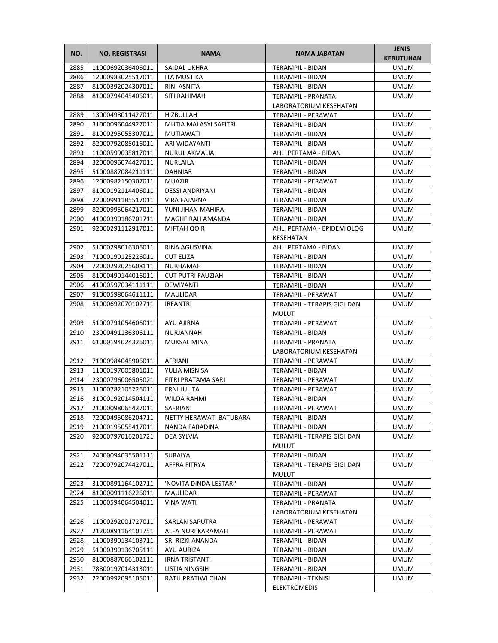| NO.  | <b>NO. REGISTRASI</b> | <b>NAMA</b>              | <b>NAMA JABATAN</b>         | <b>JENIS</b><br><b>KEBUTUHAN</b> |
|------|-----------------------|--------------------------|-----------------------------|----------------------------------|
| 2885 | 11000692036406011     | SAIDAL UKHRA             | TERAMPIL - BIDAN            | <b>UMUM</b>                      |
| 2886 | 12000983025517011     | ITA MUSTIKA              | TERAMPIL - BIDAN            | <b>UMUM</b>                      |
| 2887 | 81000392024307011     | RINI ASNITA              | <b>TERAMPIL - BIDAN</b>     | <b>UMUM</b>                      |
| 2888 | 81000794045406011     | SITI RAHIMAH             | TERAMPIL - PRANATA          | <b>UMUM</b>                      |
|      |                       |                          | LABORATORIUM KESEHATAN      |                                  |
| 2889 | 13000498011427011     | HIZBULLAH                | TERAMPIL - PERAWAT          | <b>UMUM</b>                      |
| 2890 | 31000096044927011     | MUTIA MALASYI SAFITRI    | TERAMPIL - BIDAN            | <b>UMUM</b>                      |
| 2891 | 81000295055307011     | <b>MUTIAWATI</b>         | TERAMPIL - BIDAN            | <b>UMUM</b>                      |
| 2892 | 82000792085016011     | ARI WIDAYANTI            | TERAMPIL - BIDAN            | <b>UMUM</b>                      |
| 2893 | 11000599035817011     | NURUL AKMALIA            | AHLI PERTAMA - BIDAN        | <b>UMUM</b>                      |
| 2894 | 32000096074427011     | NURLAILA                 | TERAMPIL - BIDAN            | <b>UMUM</b>                      |
| 2895 | 51000887084211111     | <b>DAHNIAR</b>           | TERAMPIL - BIDAN            | <b>UMUM</b>                      |
| 2896 | 12000982150307011     | <b>MUAZIR</b>            | TERAMPIL - PERAWAT          | UMUM                             |
| 2897 | 81000192114406011     | <b>DESSI ANDRIYANI</b>   | TERAMPIL - BIDAN            | UMUM                             |
| 2898 | 22000991185517011     | VIRA FAJARNA             | TERAMPIL - BIDAN            | UMUM                             |
| 2899 | 82000995064217011     | YUNI JIHAN MAHIRA        | TERAMPIL - BIDAN            | UMUM                             |
| 2900 | 41000390186701711     | MAGHFIRAH AMANDA         | TERAMPIL - BIDAN            | <b>UMUM</b>                      |
| 2901 | 92000291112917011     | MIFTAH QOIR              | AHLI PERTAMA - EPIDEMIOLOG  | <b>UMUM</b>                      |
|      |                       |                          | KESEHATAN                   |                                  |
| 2902 | 51000298016306011     | RINA AGUSVINA            | AHLI PERTAMA - BIDAN        | <b>UMUM</b>                      |
| 2903 | 71000190125226011     | <b>CUT ELIZA</b>         | TERAMPIL - BIDAN            | <b>UMUM</b>                      |
| 2904 | 72000292025608111     | NURHAMAH                 | TERAMPIL - BIDAN            | UMUM                             |
| 2905 | 81000490144016011     | <b>CUT PUTRI FAUZIAH</b> | TERAMPIL - BIDAN            | UMUM                             |
| 2906 | 41000597034111111     | DEWIYANTI                | TERAMPIL - BIDAN            | <b>UMUM</b>                      |
| 2907 | 91000598064611111     | MAULIDAR                 | TERAMPIL - PERAWAT          | <b>UMUM</b>                      |
| 2908 | 51000692070102711     | <b>IRFANTRI</b>          | TERAMPIL - TERAPIS GIGI DAN | UMUM                             |
|      |                       |                          | <b>MULUT</b>                |                                  |
| 2909 | 51000791054606011     | AYU AJIRNA               | TERAMPIL - PERAWAT          | <b>UMUM</b>                      |
| 2910 | 23000491136306111     | NURJANNAH                | TERAMPIL - BIDAN            | <b>UMUM</b>                      |
| 2911 | 61000194024326011     | MUKSAL MINA              | TERAMPIL - PRANATA          | UMUM                             |
|      |                       |                          | LABORATORIUM KESEHATAN      |                                  |
| 2912 | 71000984045906011     | AFRIANI                  | TERAMPIL - PERAWAT          | <b>UMUM</b>                      |
| 2913 | 11000197005801011     | YULIA MISNISA            | <b>TERAMPIL - BIDAN</b>     | <b>UMUM</b>                      |
| 2914 | 23000796006505021     | FITRI PRATAMA SARI       | TERAMPIL - PERAWAT          | <b>UMUM</b>                      |
| 2915 | 31000782105226011     | ERNI JULITA              | TERAMPIL - PERAWAT          | <b>UMUM</b>                      |
| 2916 | 31000192014504111     | WILDA RAHMI              | <b>TERAMPIL - BIDAN</b>     | <b>UMUM</b>                      |
| 2917 | 21000098065427011     | SAFRIANI                 | TERAMPIL - PERAWAT          | <b>UMUM</b>                      |
| 2918 | 72000495086204711     | NETTY HERAWATI BATUBARA  | TERAMPIL - BIDAN            | UMUM                             |
| 2919 | 21000195055417011     | NANDA FARADINA           | TERAMPIL - BIDAN            | UMUM                             |
| 2920 | 92000797016201721     | DEA SYLVIA               | TERAMPIL - TERAPIS GIGI DAN | UMUM                             |
|      |                       |                          | <b>MULUT</b>                |                                  |
| 2921 | 24000094035501111     | SURAIYA                  | <b>TERAMPIL - BIDAN</b>     | UMUM                             |
| 2922 | 72000792074427011     | AFFRA FITRYA             | TERAMPIL - TERAPIS GIGI DAN | UMUM                             |
|      |                       |                          | <b>MULUT</b>                |                                  |
| 2923 | 31000891164102711     | 'NOVITA DINDA LESTARI'   | <b>TERAMPIL - BIDAN</b>     | <b>UMUM</b>                      |
| 2924 | 81000091116226011     | MAULIDAR                 | TERAMPIL - PERAWAT          | UMUM                             |
| 2925 | 11000594064504011     | VINA WATI                | TERAMPIL - PRANATA          | UMUM                             |
|      |                       |                          | LABORATORIUM KESEHATAN      |                                  |
| 2926 | 11000292001727011     | SARLAN SAPUTRA           | TERAMPIL - PERAWAT          | <b>UMUM</b>                      |
| 2927 | 21200891164101751     | ALFA NURI KARAMAH        | TERAMPIL - PERAWAT          | UMUM                             |
| 2928 | 11000390134103711     | SRI RIZKI ANANDA         | TERAMPIL - BIDAN            | <b>UMUM</b>                      |
| 2929 | 51000390136705111     | AYU AURIZA               | TERAMPIL - BIDAN            | UMUM                             |
| 2930 | 81000887066102111     | IRNA TRISTANTI           | TERAMPIL - BIDAN            | <b>UMUM</b>                      |
| 2931 | 78800197014313011     | LISTIA NINGSIH           | TERAMPIL - BIDAN            | <b>UMUM</b>                      |
| 2932 | 22000992095105011     | RATU PRATIWI CHAN        | TERAMPIL - TEKNISI          | UMUM                             |
|      |                       |                          | ELEKTROMEDIS                |                                  |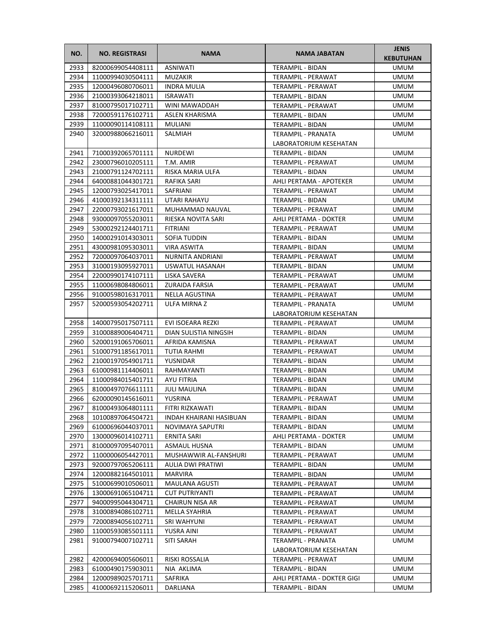| NO.  | <b>NO. REGISTRASI</b> | <b>NAMA</b>             | <b>NAMA JABATAN</b>        | <b>JENIS</b><br><b>KEBUTUHAN</b> |
|------|-----------------------|-------------------------|----------------------------|----------------------------------|
| 2933 | 82000699054408111     | <b>ASNIWATI</b>         | TERAMPIL - BIDAN           | <b>UMUM</b>                      |
| 2934 | 11000994030504111     | <b>MUZAKIR</b>          | TERAMPIL - PERAWAT         | <b>UMUM</b>                      |
| 2935 | 12000496080706011     | <b>INDRA MULIA</b>      | TERAMPIL - PERAWAT         | UMUM                             |
| 2936 | 21000393064218011     | <b>ISRAWATI</b>         | TERAMPIL - BIDAN           | UMUM                             |
| 2937 | 81000795017102711     | WINI MAWADDAH           | TERAMPIL - PERAWAT         | UMUM                             |
| 2938 | 72000591176102711     | ASLEN KHARISMA          | TERAMPIL - BIDAN           | UMUM                             |
| 2939 | 11000090114108111     | MULIANI                 | TERAMPIL - BIDAN           | <b>UMUM</b>                      |
| 2940 | 32000988066216011     | SALMIAH                 | TERAMPIL - PRANATA         | <b>UMUM</b>                      |
|      |                       |                         | LABORATORIUM KESEHATAN     |                                  |
| 2941 | 71000392065701111     | NURDEWI                 | TERAMPIL - BIDAN           | <b>UMUM</b>                      |
| 2942 | 23000796010205111     | T.M. AMIR               | TERAMPIL - PERAWAT         | <b>UMUM</b>                      |
| 2943 | 21000791124702111     | RISKA MARIA ULFA        | TERAMPIL - BIDAN           | UMUM                             |
| 2944 | 64000881044301721     | RAFIKA SARI             | AHLI PERTAMA - APOTEKER    | UMUM                             |
| 2945 | 12000793025417011     | SAFRIANI                | TERAMPIL - PERAWAT         | UMUM                             |
| 2946 | 41000392134311111     | UTARI RAHAYU            | TERAMPIL - BIDAN           | <b>UMUM</b>                      |
| 2947 | 22000793021617011     | MUHAMMAD NAUVAL         | TERAMPIL - PERAWAT         | UMUM                             |
| 2948 | 93000097055203011     | RIESKA NOVITA SARI      | AHLI PERTAMA - DOKTER      | UMUM                             |
| 2949 | 53000292124401711     | <b>FITRIANI</b>         | TERAMPIL - PERAWAT         | <b>UMUM</b>                      |
| 2950 | 14000291014303011     | SOFIA TUDDIN            | TERAMPIL - BIDAN           | UMUM                             |
| 2951 | 43000981095303011     | <b>VIRA ASWITA</b>      | TERAMPIL - BIDAN           | UMUM                             |
| 2952 | 72000097064037011     | NURNITA ANDRIANI        | TERAMPIL - PERAWAT         | UMUM                             |
| 2953 | 31000193095927011     | USWATUL HASANAH         | TERAMPIL - BIDAN           | UMUM                             |
| 2954 | 22000990174107111     | LISKA SAVERA            | TERAMPIL - PERAWAT         | UMUM                             |
| 2955 | 11000698084806011     | <b>ZURAIDA FARSIA</b>   | TERAMPIL - PERAWAT         | <b>UMUM</b>                      |
| 2956 | 91000598016317011     | NELLA AGUSTINA          | TERAMPIL - PERAWAT         | <b>UMUM</b>                      |
| 2957 | 52000593054202711     | ULFA MIRNA Z            | TERAMPIL - PRANATA         | UMUM                             |
|      |                       |                         | LABORATORIUM KESEHATAN     |                                  |
| 2958 | 14000795017507111     | EVI ISOEARA REZKI       | TERAMPIL - PERAWAT         | UMUM                             |
| 2959 | 31000889006404711     | DIAN SULISTIA NINGSIH   | TERAMPIL - BIDAN           | <b>UMUM</b>                      |
| 2960 | 52000191065706011     | AFRIDA KAMISNA          | TERAMPIL - PERAWAT         | UMUM                             |
| 2961 | 51000791185617011     | <b>TUTIA RAHMI</b>      | TERAMPIL - PERAWAT         | UMUM                             |
| 2962 | 21000197054901711     | YUSNIDAR                | TERAMPIL - BIDAN           | <b>UMUM</b>                      |
| 2963 | 61000981114406011     | RAHMAYANTI              | TERAMPIL - BIDAN           | UMUM                             |
| 2964 | 11000984015401711     | AYU FITRIA              | TERAMPIL - BIDAN           | UMUM                             |
| 2965 | 81000497076611111     | <b>JULI MAULINA</b>     | TERAMPIL - BIDAN           | <b>UMUM</b>                      |
| 2966 | 62000090145616011     | YUSRINA                 | TERAMPIL - PERAWAT         | <b>UMUM</b>                      |
| 2967 | 81000493064801111     | FITRI RIZKAWATI         | TERAMPIL - BIDAN           | <b>UMUM</b>                      |
| 2968 | 10100897064504721     | INDAH KHAIRANI HASIBUAN | TERAMPIL - BIDAN           | UMUM                             |
| 2969 | 61000696044037011     | NOVIMAYA SAPUTRI        | TERAMPIL - BIDAN           | UMUM                             |
| 2970 | 13000096014102711     | <b>ERNITA SARI</b>      | AHLI PERTAMA - DOKTER      | UMUM                             |
| 2971 | 81000097095407011     | <b>ASMAUL HUSNA</b>     | TERAMPIL - BIDAN           | UMUM                             |
| 2972 | 11000006054427011     | MUSHAWWIR AL-FANSHURI   | TERAMPIL - PERAWAT         | UMUM                             |
| 2973 | 92000797065206111     | AULIA DWI PRATIWI       | TERAMPIL - BIDAN           | UMUM                             |
| 2974 | 12000882164501011     | <b>MARVIRA</b>          | TERAMPIL - BIDAN           | UMUM                             |
| 2975 | 51000699010506011     | MAULANA AGUSTI          | TERAMPIL - PERAWAT         | UMUM                             |
| 2976 | 13000691065104711     | <b>CUT PUTRIYANTI</b>   | TERAMPIL - PERAWAT         | UMUM                             |
| 2977 | 94000995044304711     | CHAIRUN NISA AR         | TERAMPIL - PERAWAT         | UMUM                             |
| 2978 | 31000894086102711     | MELLA SYAHRIA           | TERAMPIL - PERAWAT         | UMUM                             |
| 2979 | 72000894056102711     | SRI WAHYUNI             | TERAMPIL - PERAWAT         | UMUM                             |
| 2980 | 11000593085501111     | YUSRA AINI              | TERAMPIL - PERAWAT         | UMUM                             |
| 2981 | 91000794007102711     | SITI SARAH              | TERAMPIL - PRANATA         | UMUM                             |
|      |                       |                         | LABORATORIUM KESEHATAN     |                                  |
| 2982 | 42000694005606011     | RISKI ROSSALIA          | TERAMPIL - PERAWAT         | UMUM                             |
| 2983 | 61000490175903011     | NIA AKLIMA              | TERAMPIL - BIDAN           | UMUM                             |
| 2984 | 12000989025701711     | SAFRIKA                 | AHLI PERTAMA - DOKTER GIGI | UMUM                             |
| 2985 | 41000692115206011     | DARLIANA                | TERAMPIL - BIDAN           | UMUM                             |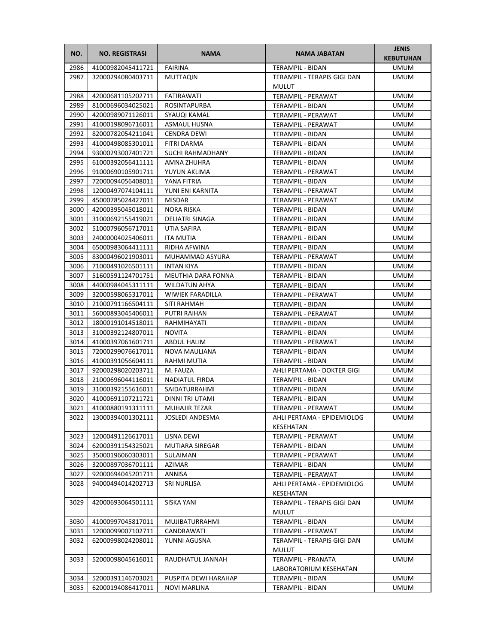| NO.          | <b>NO. REGISTRASI</b>                  | <b>NAMA</b>                  | NAMA JABATAN                                 | <b>JENIS</b><br><b>KEBUTUHAN</b> |
|--------------|----------------------------------------|------------------------------|----------------------------------------------|----------------------------------|
| 2986         | 41000982045411721                      | <b>FAIRINA</b>               | <b>TERAMPIL - BIDAN</b>                      | <b>UMUM</b>                      |
| 2987         | 32000294080403711                      | <b>MUTTAQIN</b>              | TERAMPIL - TERAPIS GIGI DAN<br><b>MULUT</b>  | <b>UMUM</b>                      |
| 2988         | 42000681105202711                      | FATIRAWATI                   | TERAMPIL - PERAWAT                           | <b>UMUM</b>                      |
| 2989         | 81000696034025021                      | <b>ROSINTAPURBA</b>          | TERAMPIL - BIDAN                             | UMUM                             |
| 2990         | 42000989071126011                      | SYAUQI KAMAL                 | TERAMPIL - PERAWAT                           | UMUM                             |
| 2991         | 41000198096716011                      | <b>ASMAUL HUSNA</b>          | TERAMPIL - PERAWAT                           | <b>UMUM</b>                      |
| 2992         | 82000782054211041                      | <b>CENDRA DEWI</b>           | <b>TERAMPIL - BIDAN</b>                      | <b>UMUM</b>                      |
| 2993         | 41000498085301011                      | <b>FITRI DARMA</b>           | <b>TERAMPIL - BIDAN</b>                      | <b>UMUM</b>                      |
| 2994         | 93000293007401721                      | SUCHI RAHMADHANY             | TERAMPIL - BIDAN                             | <b>UMUM</b>                      |
| 2995         | 61000392056411111                      | AMNA ZHUHRA                  | TERAMPIL - BIDAN                             | <b>UMUM</b>                      |
| 2996         | 91000690105901711                      | YUYUN AKLIMA                 | TERAMPIL - PERAWAT                           | UMUM                             |
| 2997         | 72000094056408011                      | YANA FITRIA                  | TERAMPIL - BIDAN                             | UMUM                             |
| 2998         | 12000497074104111                      | YUNI ENI KARNITA             | TERAMPIL - PERAWAT                           | UMUM                             |
| 2999         | 45000785024427011                      | <b>MISDAR</b>                | TERAMPIL - PERAWAT                           | <b>UMUM</b>                      |
| 3000         | 42000395045018011                      | NORA RISKA                   | TERAMPIL - BIDAN                             | <b>UMUM</b>                      |
| 3001         | 31000692155419021                      | DELIATRI SINAGA              | TERAMPIL - BIDAN                             | UMUM                             |
| 3002         | 51000796056717011                      | UTIA SAFIRA                  | TERAMPIL - BIDAN                             | UMUM                             |
| 3003         | 24000004025406011                      | ITA MUTIA                    | TERAMPIL - BIDAN                             | UMUM                             |
| 3004         | 65000983064411111                      | RIDHA AFWINA                 | TERAMPIL - BIDAN                             | <b>UMUM</b>                      |
| 3005         | 83000496021903011                      | MUHAMMAD ASYURA              | <b>TERAMPIL - PERAWAT</b>                    | UMUM                             |
| 3006         | 71000491026501111                      | <b>INTAN KIYA</b>            | TERAMPIL - BIDAN                             | UMUM                             |
| 3007         | 51600591124701751                      | MEUTHIA DARA FONNA           | TERAMPIL - BIDAN                             | UMUM                             |
| 3008         | 44000984045311111                      | <b>WILDATUN AHYA</b>         | TERAMPIL - BIDAN                             | <b>UMUM</b>                      |
| 3009         | 32000598065317011                      | <b>WIWIEK FARADILLA</b>      | TERAMPIL - PERAWAT                           | UMUM                             |
| 3010         | 21000791166504111                      | SITI RAHMAH                  | TERAMPIL - BIDAN                             | <b>UMUM</b>                      |
| 3011         | 56000893045406011                      | <b>PUTRI RAIHAN</b>          | TERAMPIL - PERAWAT                           | <b>UMUM</b>                      |
| 3012         | 18000191014518011                      | RAHMIHAYATI<br><b>NOVITA</b> | TERAMPIL - BIDAN                             | <b>UMUM</b>                      |
| 3013<br>3014 | 31000392124807011<br>41000397061601711 | ABDUL HALIM                  | TERAMPIL - BIDAN<br>TERAMPIL - PERAWAT       | UMUM<br>UMUM                     |
| 3015         | 72000299076617011                      | NOVA MAULIANA                | TERAMPIL - BIDAN                             | UMUM                             |
| 3016         | 41000391056604111                      | RAHMI MUTIA                  | <b>TERAMPIL - BIDAN</b>                      | <b>UMUM</b>                      |
| 3017         | 92000298020203711                      | M. FAUZA                     | AHLI PERTAMA - DOKTER GIGI                   | UMUM                             |
| 3018         | 21000696044116011                      | NADIATUL FIRDA               | <b>TERAMPIL - BIDAN</b>                      | UMUM                             |
| 3019         | 31000392155616011                      | SAIDATURRAHMI                | <b>TERAMPIL - BIDAN</b>                      | <b>UMUM</b>                      |
| 3020         | 41000691107211721                      | DINNI TRI UTAMI              | TERAMPIL - BIDAN                             | <b>UMUM</b>                      |
| 3021         | 41000880191311111                      | MUHAJIR TEZAR                | TERAMPIL - PERAWAT                           | <b>UMUM</b>                      |
| 3022         | 13000394001302111                      | JOSLEDI ANDESMA              | AHLI PERTAMA - EPIDEMIOLOG                   | UMUM                             |
|              |                                        |                              | KESEHATAN                                    |                                  |
| 3023         | 12000491126617011                      | LISNA DEWI                   | <b>TERAMPIL - PERAWAT</b>                    | <b>UMUM</b>                      |
| 3024         | 62000391154325021                      | <b>MUTIARA SIREGAR</b>       | TERAMPIL - BIDAN                             | <b>UMUM</b>                      |
| 3025         | 35000196060303011                      | <b>SULAIMAN</b>              | <b>TERAMPIL - PERAWAT</b>                    | <b>UMUM</b>                      |
| 3026         | 32000897036701111                      | AZIMAR                       | TERAMPIL - BIDAN                             | UMUM                             |
| 3027         | 92000694045201711                      | ANNISA                       | TERAMPIL - PERAWAT                           | UMUM                             |
| 3028         | 94000494014202713                      | SRI NURLISA                  | AHLI PERTAMA - EPIDEMIOLOG<br>KESEHATAN      | UMUM                             |
| 3029         | 42000693064501111                      | SISKA YANI                   | TERAMPIL - TERAPIS GIGI DAN<br><b>MULUT</b>  | UMUM                             |
| 3030         | 41000997045817011                      | MUJIBATURRAHMI               | TERAMPIL - BIDAN                             | <b>UMUM</b>                      |
| 3031         | 12000099007102711                      | CANDRAWATI                   | TERAMPIL - PERAWAT                           | <b>UMUM</b>                      |
| 3032         | 62000998024208011                      | YUNNI AGUSNA                 | TERAMPIL - TERAPIS GIGI DAN<br>MULUT         | UMUM                             |
| 3033         | 52000098045616011                      | RAUDHATUL JANNAH             | TERAMPIL - PRANATA<br>LABORATORIUM KESEHATAN | <b>UMUM</b>                      |
| 3034         | 52000391146703021                      | PUSPITA DEWI HARAHAP         | TERAMPIL - BIDAN                             | UMUM                             |
| 3035         | 62000194086417011                      | <b>NOVI MARLINA</b>          | TERAMPIL - BIDAN                             | UMUM                             |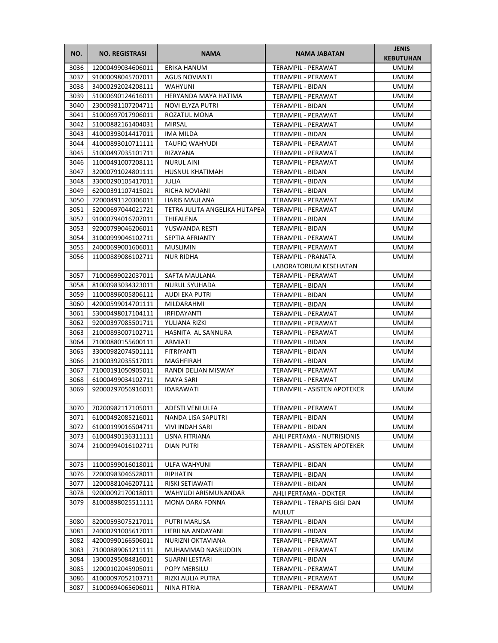| NO.  | <b>NO. REGISTRASI</b>  | <b>NAMA</b>                   | <b>NAMA JABATAN</b>                         | <b>JENIS</b><br><b>KEBUTUHAN</b> |
|------|------------------------|-------------------------------|---------------------------------------------|----------------------------------|
| 3036 | 12000499034606011      | <b>ERIKA HANUM</b>            | TERAMPIL - PERAWAT                          | <b>UMUM</b>                      |
| 3037 | 91000098045707011      | <b>AGUS NOVIANTI</b>          | TERAMPIL - PERAWAT                          | <b>UMUM</b>                      |
| 3038 | 34000292024208111      | WAHYUNI                       | TERAMPIL - BIDAN                            | <b>UMUM</b>                      |
| 3039 | 51000690124616011      | HERYANDA MAYA HATIMA          | TERAMPIL - PERAWAT                          | UMUM                             |
| 3040 | 23000981107204711      | NOVI ELYZA PUTRI              | TERAMPIL - BIDAN                            | UMUM                             |
| 3041 | 51000697017906011      | ROZATUL MONA                  | TERAMPIL - PERAWAT                          | UMUM                             |
| 3042 | 51000882161404031      | <b>MIRSAL</b>                 | TERAMPIL - PERAWAT                          | <b>UMUM</b>                      |
| 3043 | 41000393014417011      | <b>IMA MILDA</b>              | <b>TERAMPIL - BIDAN</b>                     | <b>UMUM</b>                      |
| 3044 | 41000893010711111      | <b>TAUFIQ WAHYUDI</b>         | TERAMPIL - PERAWAT                          | <b>UMUM</b>                      |
| 3045 | 51000497035101711      | RIZAYANA                      | TERAMPIL - PERAWAT                          | <b>UMUM</b>                      |
| 3046 | 11000491007208111      | NURUL AINI                    | TERAMPIL - PERAWAT                          | <b>UMUM</b>                      |
| 3047 | 32000791024801111      | HUSNUL KHATIMAH               | TERAMPIL - BIDAN                            | UMUM                             |
| 3048 | 33000290105417011      | JULIA                         | TERAMPIL - BIDAN                            | UMUM                             |
| 3049 | 62000391107415021      | RICHA NOVIANI                 | TERAMPIL - BIDAN                            | UMUM                             |
| 3050 | 72000491120306011      | <b>HARIS MAULANA</b>          | TERAMPIL - PERAWAT                          | <b>UMUM</b>                      |
| 3051 | 52000697044021721      | TETRA JULITA ANGELIKA HUTAPEA | TERAMPIL - PERAWAT                          | UMUM                             |
| 3052 | 91000794016707011      | <b>THIFALENA</b>              | <b>TERAMPIL - BIDAN</b>                     | <b>UMUM</b>                      |
| 3053 | 92000799046206011      | YUSWANDA RESTI                | TERAMPIL - BIDAN                            | <b>UMUM</b>                      |
| 3054 | 31000999046102711      | SEPTIA AFRIANTY               | <b>TERAMPIL - PERAWAT</b>                   | <b>UMUM</b>                      |
| 3055 | 24000699001606011      | <b>MUSLIMIN</b>               | TERAMPIL - PERAWAT                          | <b>UMUM</b>                      |
| 3056 | 11000889086102711      | <b>NUR RIDHA</b>              | TERAMPIL - PRANATA                          | UMUM                             |
|      |                        |                               | LABORATORIUM KESEHATAN                      |                                  |
| 3057 | 71000699022037011      | SAFTA MAULANA                 | <b>TERAMPIL - PERAWAT</b>                   | <b>UMUM</b>                      |
| 3058 | 81000983034323011      | <b>NURUL SYUHADA</b>          | TERAMPIL - BIDAN                            | <b>UMUM</b>                      |
| 3059 | 11000896005806111      | AUDI EKA PUTRI                | TERAMPIL - BIDAN                            | <b>UMUM</b>                      |
| 3060 | 42000599014701111      | MILDARAHMI                    | TERAMPIL - BIDAN                            | <b>UMUM</b>                      |
| 3061 | 53000498017104111      | IRFIDAYANTI                   | TERAMPIL - PERAWAT                          | <b>UMUM</b>                      |
| 3062 | 92000397085501711      | YULIANA RIZKI                 | TERAMPIL - PERAWAT                          | <b>UMUM</b>                      |
| 3063 | 21000893007102711      | HASNITA AL SANNURA            | TERAMPIL - PERAWAT                          | UMUM                             |
| 3064 | 71000880155600111      | ARMIATI                       | TERAMPIL - BIDAN                            | UMUM                             |
| 3065 | 33000982074501111      | <b>FITRIYANTI</b>             | TERAMPIL - BIDAN                            | UMUM                             |
| 3066 | 21000392035517011      | MAGHFIRAH                     | TERAMPIL - BIDAN                            | <b>UMUM</b>                      |
| 3067 | 71000191050905011      | RANDI DELJAN MISWAY           | <b>TERAMPIL - PERAWAT</b>                   | <b>UMUM</b>                      |
| 3068 | 61000499034102711      | MAYA SARI                     | TERAMPIL - PERAWAT                          | <b>UMUM</b>                      |
| 3069 | 92000297056916011      | <b>IDARAWATI</b>              | TERAMPIL - ASISTEN APOTEKER                 | <b>UMUM</b>                      |
|      | 3070 70200982117105011 | ADESTI VENI ULFA              | TERAMPIL - PERAWAT                          | <b>UMUM</b>                      |
| 3071 | 61000492085216011      | NANDA LISA SAPUTRI            | TERAMPIL - BIDAN                            | UMUM                             |
| 3072 | 61000199016504711      | VIVI INDAH SARI               | TERAMPIL - BIDAN                            | UMUM                             |
| 3073 | 61000490136311111      | LISNA FITRIANA                | AHLI PERTAMA - NUTRISIONIS                  | UMUM                             |
| 3074 | 21000994016102711      | DIAN PUTRI                    | TERAMPIL - ASISTEN APOTEKER                 | UMUM                             |
| 3075 | 11000599016018011      | ULFA WAHYUNI                  | TERAMPIL - BIDAN                            | <b>UMUM</b>                      |
| 3076 | 72000983046528011      | RIPHATIN                      | TERAMPIL - BIDAN                            | <b>UMUM</b>                      |
| 3077 | 12000881046207111      | RISKI SETIAWATI               | TERAMPIL - BIDAN                            | UMUM                             |
| 3078 | 92000092170018011      | WAHYUDI ARISMUNANDAR          | AHLI PERTAMA - DOKTER                       | UMUM                             |
| 3079 | 81000898025511111      | MONA DARA FONNA               | TERAMPIL - TERAPIS GIGI DAN<br><b>MULUT</b> | UMUM                             |
| 3080 | 82000593075217011      | PUTRI MARLISA                 | TERAMPIL - BIDAN                            | <b>UMUM</b>                      |
| 3081 | 24000291005617011      | HERILNA ANDAYANI              | TERAMPIL - BIDAN                            | UMUM                             |
| 3082 | 42000990166506011      | NURIZNI OKTAVIANA             | TERAMPIL - PERAWAT                          | UMUM                             |
| 3083 | 71000889061211111      | MUHAMMAD NASRUDDIN            | TERAMPIL - PERAWAT                          | UMUM                             |
| 3084 | 13000295084816011      | SUARNI LESTARI                | TERAMPIL - BIDAN                            | UMUM                             |
| 3085 | 12000102045905011      | POPY MERSILU                  | TERAMPIL - PERAWAT                          | UMUM                             |
| 3086 | 41000097052103711      | RIZKI AULIA PUTRA             | TERAMPIL - PERAWAT                          | UMUM                             |
| 3087 | 51000694065606011      | NINA FITRIA                   | TERAMPIL - PERAWAT                          | UMUM                             |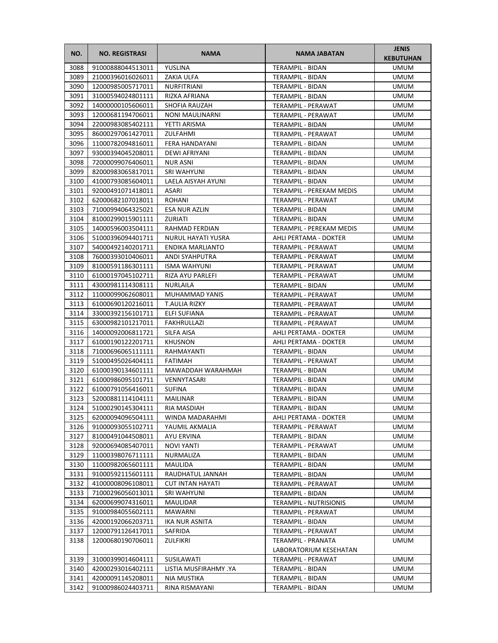| NO.          | <b>NO. REGISTRASI</b>                  | <b>NAMA</b>                   | NAMA JABATAN                                 | <b>JENIS</b><br><b>KEBUTUHAN</b> |
|--------------|----------------------------------------|-------------------------------|----------------------------------------------|----------------------------------|
| 3088         | 91000888044513011                      | YUSLINA                       | TERAMPIL - BIDAN                             | <b>UMUM</b>                      |
| 3089         | 21000396016026011                      | ZAKIA ULFA                    | TERAMPIL - BIDAN                             | UMUM                             |
| 3090         | 12000985005717011                      | NURFITRIANI                   | TERAMPIL - BIDAN                             | UMUM                             |
| 3091         | 31000594024801111                      | RIZKA AFRIANA                 | TERAMPIL - BIDAN                             | UMUM                             |
| 3092         | 14000000105606011                      | SHOFIA RAUZAH                 | TERAMPIL - PERAWAT                           | UMUM                             |
| 3093         | 12000681194706011                      | <b>NONI MAULINARNI</b>        | TERAMPIL - PERAWAT                           | UMUM                             |
| 3094         | 22000983085402111                      | YETTI ARISMA                  | TERAMPIL - BIDAN                             | <b>UMUM</b>                      |
| 3095         | 86000297061427011                      | ZULFAHMI                      | <b>TERAMPIL - PERAWAT</b>                    | UMUM                             |
| 3096         | 11000782094816011                      | FERA HANDAYANI                | TERAMPIL - BIDAN                             | UMUM                             |
| 3097         | 93000394045208011                      | <b>DEWI AFRIYANI</b>          | TERAMPIL - BIDAN                             | UMUM                             |
| 3098         | 72000099076406011                      | <b>NUR ASNI</b>               | TERAMPIL - BIDAN                             | UMUM                             |
| 3099         | 82000983065817011                      | SRI WAHYUNI                   | TERAMPIL - BIDAN                             | UMUM                             |
| 3100         | 41000793085604011                      | LAELA AISYAH AYUNI            | TERAMPIL - BIDAN                             | UMUM                             |
| 3101         | 92000491071418011                      | ASARI                         | TERAMPIL - PEREKAM MEDIS                     | UMUM                             |
| 3102         | 62000682107018011                      | ROHANI                        | TERAMPIL - PERAWAT                           | UMUM                             |
| 3103         | 71000994064325021                      | <b>ESA NUR AZLIN</b>          | TERAMPIL - BIDAN                             | UMUM                             |
| 3104         | 81000299015901111                      | ZURIATI                       | TERAMPIL - BIDAN                             | UMUM                             |
| 3105         | 14000596003504111                      | RAHMAD FERDIAN                | TERAMPIL - PEREKAM MEDIS                     | <b>UMUM</b>                      |
| 3106         | 51000396094401711                      | NURUL HAYATI YUSRA            | AHLI PERTAMA - DOKTER                        | UMUM                             |
| 3107         | 54000492140201711                      | ENDIKA MARLIANTO              | TERAMPIL - PERAWAT                           | UMUM                             |
| 3108         | 76000393010406011                      | <b>ANDI SYAHPUTRA</b>         | TERAMPIL - PERAWAT                           | UMUM                             |
| 3109         | 81000591186301111                      | <b>ISMA WAHYUNI</b>           | TERAMPIL - PERAWAT                           | UMUM                             |
| 3110         | 61000197045102711                      | RIZA AYU PARLEFI              | TERAMPIL - PERAWAT                           | UMUM                             |
| 3111         | 43000981114308111                      | NURLAILA                      | TERAMPIL - BIDAN                             | UMUM                             |
| 3112         | 11000099062608011                      | MUHAMMAD YANIS                | TERAMPIL - PERAWAT                           | UMUM                             |
| 3113<br>3114 | 61000690120216011<br>33000392156101711 | T.AULIA RIZKY<br>ELFI SUFIANA | TERAMPIL - PERAWAT<br>TERAMPIL - PERAWAT     | <b>UMUM</b><br>UMUM              |
| 3115         | 63000982101217011                      | FAKHRULLAZI                   | TERAMPIL - PERAWAT                           | UMUM                             |
| 3116         | 14000092006811721                      | SILFA AISA                    | AHLI PERTAMA - DOKTER                        | UMUM                             |
| 3117         | 61000190122201711                      | <b>KHUSNON</b>                | AHLI PERTAMA - DOKTER                        | UMUM                             |
| 3118         | 71000696065111111                      | RAHMAYANTI                    | TERAMPIL - BIDAN                             | UMUM                             |
| 3119         | 51000495026404111                      | <b>FATIMAH</b>                | TERAMPIL - PERAWAT                           | UMUM                             |
| 3120         | 61000390134601111                      | MAWADDAH WARAHMAH             | TERAMPIL - BIDAN                             | UMUM                             |
| 3121         | 61000986095101711                      | VENNYTASARI                   | TERAMPIL - BIDAN                             | UMUM                             |
| 3122         | 61000791056416011                      | <b>SUFINA</b>                 | TERAMPIL - BIDAN                             | <b>UMUM</b>                      |
| 3123         | 52000881114104111                      | MAILINAR                      | TERAMPIL - BIDAN                             | <b>UMUM</b>                      |
| 3124         | 51000290145304111                      | RIA MASDIAH                   | TERAMPIL - BIDAN                             | <b>UMUM</b>                      |
| 3125         | 62000094096504111                      | WINDA MADARAHMI               | AHLI PERTAMA - DOKTER                        | UMUM                             |
| 3126         | 91000093055102711                      | YAUMIL AKMALIA                | TERAMPIL - PERAWAT                           | UMUM                             |
| 3127         | 81000491044508011                      | AYU ERVINA                    | TERAMPIL - BIDAN                             | UMUM                             |
| 3128         | 92000694085407011                      | NOVI YANTI                    | TERAMPIL - PERAWAT                           | UMUM                             |
| 3129         | 11000398076711111                      | NURMALIZA                     | TERAMPIL - BIDAN                             | UMUM                             |
| 3130         | 11000982065601111                      | MAULIDA                       | TERAMPIL - BIDAN                             | UMUM                             |
| 3131         | 91000592115601111                      | RAUDHATUL JANNAH              | TERAMPIL - BIDAN                             | UMUM                             |
| 3132         | 41000008096108011                      | <b>CUT INTAN HAYATI</b>       | TERAMPIL - PERAWAT                           | UMUM                             |
| 3133         | 71000296056013011                      | SRI WAHYUNI                   | TERAMPIL - BIDAN                             | UMUM                             |
| 3134         | 62000699074316011                      | MAULIDAR                      | <b>TERAMPIL - NUTRISIONIS</b>                | UMUM                             |
| 3135         | 91000984055602111                      | MAWARNI                       | TERAMPIL - PERAWAT                           | UMUM                             |
| 3136         | 42000192066203711                      | IKA NUR ASNITA                | TERAMPIL - BIDAN                             | UMUM                             |
| 3137         | 12000791126417011                      | SAFRIDA                       | TERAMPIL - PERAWAT                           | UMUM                             |
| 3138         | 12000680190706011                      | ZULFIKRI                      | TERAMPIL - PRANATA<br>LABORATORIUM KESEHATAN | UMUM                             |
| 3139         | 31000399014604111                      | SUSILAWATI                    | TERAMPIL - PERAWAT                           | UMUM                             |
| 3140         | 42000293016402111                      | LISTIA MUSFIRAHMY .YA         | TERAMPIL - BIDAN                             | UMUM                             |
| 3141         | 42000091145208011                      | NIA MUSTIKA                   | TERAMPIL - BIDAN                             | UMUM                             |
| 3142         | 91000986024403711                      | RINA RISMAYANI                | TERAMPIL - BIDAN                             | UMUM                             |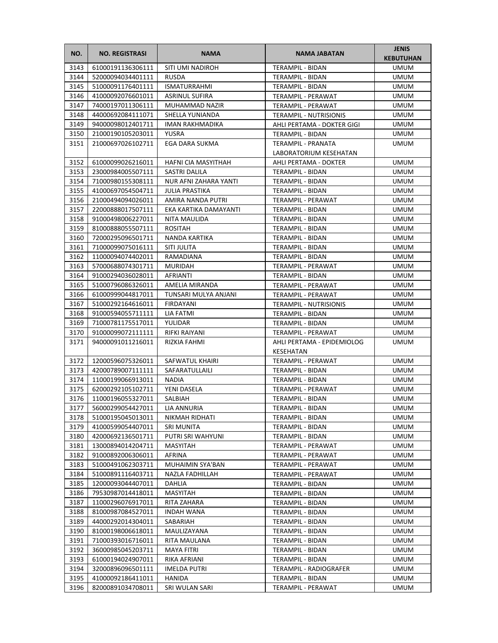| NO.  | <b>NO. REGISTRASI</b>  | <b>NAMA</b>           | <b>NAMA JABATAN</b>           | <b>JENIS</b><br><b>KEBUTUHAN</b> |
|------|------------------------|-----------------------|-------------------------------|----------------------------------|
| 3143 | 61000191136306111      | SITI UMI NADIROH      | <b>TERAMPIL - BIDAN</b>       | <b>UMUM</b>                      |
| 3144 | 52000094034401111      | <b>RUSDA</b>          | TERAMPIL - BIDAN              | <b>UMUM</b>                      |
| 3145 | 51000091176401111      | <b>ISMATURRAHMI</b>   | TERAMPIL - BIDAN              | <b>UMUM</b>                      |
| 3146 | 41000092076601011      | <b>ASRINUL SUFIRA</b> | TERAMPIL - PERAWAT            | <b>UMUM</b>                      |
| 3147 | 74000197011306111      | MUHAMMAD NAZIR        | TERAMPIL - PERAWAT            | <b>UMUM</b>                      |
| 3148 | 44000692084111071      | SHELLA YUNIANDA       | <b>TERAMPIL - NUTRISIONIS</b> | UMUM                             |
| 3149 | 94000098012401711      | IMAN RAKHMADIKA       | AHLI PERTAMA - DOKTER GIGI    | UMUM                             |
| 3150 | 21000190105203011      | YUSRA                 | TERAMPIL - BIDAN              | <b>UMUM</b>                      |
| 3151 | 21000697026102711      | EGA DARA SUKMA        | TERAMPIL - PRANATA            | <b>UMUM</b>                      |
|      |                        |                       | LABORATORIUM KESEHATAN        |                                  |
| 3152 | 61000099026216011      | HAFNI CIA MASYITHAH   | AHLI PERTAMA - DOKTER         | <b>UMUM</b>                      |
| 3153 | 23000984005507111      | SASTRI DALILA         | TERAMPIL - BIDAN              | <b>UMUM</b>                      |
| 3154 | 71000980155308111      | NUR AFNI ZAHARA YANTI | TERAMPIL - BIDAN              | UMUM                             |
| 3155 | 41000697054504711      | <b>JULIA PRASTIKA</b> | TERAMPIL - BIDAN              | UMUM                             |
| 3156 | 21000494094026011      | AMIRA NANDA PUTRI     | TERAMPIL - PERAWAT            | UMUM                             |
| 3157 | 22000888017507111      | EKA KARTIKA DAMAYANTI | TERAMPIL - BIDAN              | UMUM                             |
| 3158 | 91000498006227011      | NITA MAULIDA          | <b>TERAMPIL - BIDAN</b>       | UMUM                             |
| 3159 | 81000888055507111      | <b>ROSITAH</b>        | TERAMPIL - BIDAN              | <b>UMUM</b>                      |
| 3160 | 72000295096501711      | NANDA KARTIKA         | TERAMPIL - BIDAN              | <b>UMUM</b>                      |
| 3161 | 71000099075016111      | SITI JULITA           | TERAMPIL - BIDAN              | UMUM                             |
| 3162 | 11000094074402011      | RAMADIANA             | TERAMPIL - BIDAN              | <b>UMUM</b>                      |
| 3163 | 57000688074301711      | <b>MURIDAH</b>        | TERAMPIL - PERAWAT            | <b>UMUM</b>                      |
| 3164 | 91000294036028011      | AFRIANTI              | TERAMPIL - BIDAN              | UMUM                             |
| 3165 | 51000796086326011      | AMELIA MIRANDA        | TERAMPIL - PERAWAT            | UMUM                             |
| 3166 | 61000999044817011      | TUNSARI MULYA ANJANI  | TERAMPIL - PERAWAT            | <b>UMUM</b>                      |
| 3167 | 51000292164616011      | <b>FIRDAYANI</b>      | <b>TERAMPIL - NUTRISIONIS</b> | <b>UMUM</b>                      |
| 3168 | 91000594055711111      | LIA FATMI             | TERAMPIL - BIDAN              | <b>UMUM</b>                      |
| 3169 | 71000781175517011      | YULIDAR               | TERAMPIL - BIDAN              | <b>UMUM</b>                      |
| 3170 | 91000099072111111      | RIFKI RAIYANI         | TERAMPIL - PERAWAT            | <b>UMUM</b>                      |
| 3171 | 94000091011216011      | RIZKIA FAHMI          | AHLI PERTAMA - EPIDEMIOLOG    | UMUM                             |
|      |                        |                       | KESEHATAN                     |                                  |
| 3172 | 12000596075326011      | SAFWATUL KHAIRI       | <b>TERAMPIL - PERAWAT</b>     | UMUM                             |
| 3173 | 42000789007111111      | SAFARATULLAILI        | <b>TERAMPIL - BIDAN</b>       | UMUM                             |
| 3174 | 11000199066913011      | <b>NADIA</b>          | TERAMPIL - BIDAN              | <b>UMUM</b>                      |
| 3175 | 62000292105102711      | YENI DASELA           | TERAMPIL - PERAWAT            | <b>UMUM</b>                      |
| 3176 | 11000196055327011      | SALBIAH               | TERAMPIL - BIDAN              | <b>UMUM</b>                      |
|      | 3177 56000299054427011 | LIA ANNURIA           | TERAMPIL - BIDAN              | <b>UMUM</b>                      |
| 3178 | 51000195045013011      | NIKMAH RIDHATI        | TERAMPIL - BIDAN              | UMUM                             |
| 3179 | 41000599054407011      | SRI MUNITA            | TERAMPIL - BIDAN              | UMUM                             |
| 3180 | 42000692136501711      | PUTRI SRI WAHYUNI     | TERAMPIL - BIDAN              | UMUM                             |
| 3181 | 13000894014204711      | MASYITAH              | TERAMPIL - PERAWAT            | UMUM                             |
| 3182 | 91000892006306011      | AFRINA                | TERAMPIL - PERAWAT            | UMUM                             |
| 3183 | 51000491062303711      | MUHAIMIN SYA'BAN      | TERAMPIL - PERAWAT            | UMUM                             |
| 3184 | 51000891116403711      | NAZLA FADHILLAH       | TERAMPIL - PERAWAT            | UMUM                             |
| 3185 | 12000093044407011      | DAHLIA                | TERAMPIL - BIDAN              | UMUM                             |
| 3186 | 79530987014418011      | <b>MASYITAH</b>       | TERAMPIL - BIDAN              | UMUM                             |
| 3187 | 11000296076917011      | RITA ZAHARA           | TERAMPIL - BIDAN              | UMUM                             |
| 3188 | 81000987084527011      | <b>INDAH WANA</b>     | TERAMPIL - BIDAN              | UMUM                             |
| 3189 | 44000292014304011      | SABARIAH              | TERAMPIL - BIDAN              | UMUM                             |
| 3190 | 81000198006618011      | MAULIZAYANA           | TERAMPIL - BIDAN              | UMUM                             |
| 3191 | 71000393016716011      | RITA MAULANA          | TERAMPIL - BIDAN              | UMUM                             |
| 3192 | 36000985045203711      | MAYA FITRI            | TERAMPIL - BIDAN              | UMUM                             |
| 3193 | 61000194024907011      | RIKA AFRIANI          | TERAMPIL - BIDAN              | UMUM                             |
| 3194 | 32000896096501111      | <b>IMELDA PUTRI</b>   | TERAMPIL - RADIOGRAFER        | UMUM                             |
| 3195 | 41000092186411011      | HANIDA                | TERAMPIL - BIDAN              | UMUM                             |
| 3196 | 82000891034708011      | SRI WULAN SARI        | TERAMPIL - PERAWAT            | UMUM                             |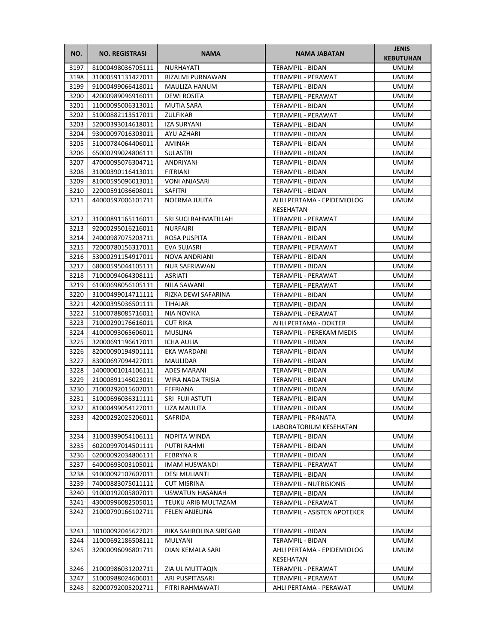| NO.          | <b>NO. REGISTRASI</b>                  | <b>NAMA</b>                  | <b>NAMA JABATAN</b>                          | <b>JENIS</b><br><b>KEBUTUHAN</b> |
|--------------|----------------------------------------|------------------------------|----------------------------------------------|----------------------------------|
| 3197         | 81000498036705111                      | NURHAYATI                    | <b>TERAMPIL - BIDAN</b>                      | <b>UMUM</b>                      |
| 3198         | 31000591131427011                      | RIZALMI PURNAWAN             | TERAMPIL - PERAWAT                           | <b>UMUM</b>                      |
| 3199         | 91000499066418011                      | MAULIZA HANUM                | <b>TERAMPIL - BIDAN</b>                      | <b>UMUM</b>                      |
| 3200         | 42000989096916011                      | DEWI ROSITA                  | <b>TERAMPIL - PERAWAT</b>                    | <b>UMUM</b>                      |
| 3201         | 11000095006313011                      | <b>MUTIA SARA</b>            | TERAMPIL - BIDAN                             | <b>UMUM</b>                      |
| 3202         | 51000882113517011                      | ZULFIKAR                     | TERAMPIL - PERAWAT                           | <b>UMUM</b>                      |
| 3203         | 52000393014618011                      | <b>IZA SURYANI</b>           | TERAMPIL - BIDAN                             | <b>UMUM</b>                      |
| 3204         | 93000097016303011                      | AYU AZHARI                   | TERAMPIL - BIDAN                             | <b>UMUM</b>                      |
| 3205         | 51000784064406011                      | AMINAH                       | TERAMPIL - BIDAN                             | <b>UMUM</b>                      |
| 3206         | 65000299024806111                      | <b>SULASTRI</b>              | TERAMPIL - BIDAN                             | <b>UMUM</b>                      |
| 3207         | 47000095076304711                      | ANDRIYANI                    | TERAMPIL - BIDAN                             | <b>UMUM</b>                      |
| 3208         | 31000390116413011                      | <b>FITRIANI</b>              | TERAMPIL - BIDAN                             | <b>UMUM</b>                      |
| 3209         | 81000595096013011                      | <b>VONI ANJASARI</b>         | TERAMPIL - BIDAN                             | <b>UMUM</b>                      |
| 3210         | 22000591036608011                      | SAFITRI                      | TERAMPIL - BIDAN                             | UMUM                             |
| 3211         | 44000597006101711                      | NOERMA JULITA                | AHLI PERTAMA - EPIDEMIOLOG                   | UMUM                             |
|              |                                        |                              | KESEHATAN                                    |                                  |
| 3212         | 31000891165116011                      | SRI SUCI RAHMATILLAH         | <b>TERAMPIL - PERAWAT</b>                    | <b>UMUM</b>                      |
| 3213         | 92000295016216011                      | <b>NURFAJRI</b>              | <b>TERAMPIL - BIDAN</b>                      | UMUM                             |
| 3214         | 24000987075203711                      | ROSA PUSPITA                 | TERAMPIL - BIDAN                             | <b>UMUM</b>                      |
| 3215         | 72000780156317011                      | EVA SUJASRI                  | <b>TERAMPIL - PERAWAT</b>                    | <b>UMUM</b>                      |
| 3216         | 53000291154917011                      | NOVA ANDRIANI                | TERAMPIL - BIDAN                             | <b>UMUM</b>                      |
| 3217         | 68000595044105111                      | <b>NUR SAFRIAWAN</b>         | TERAMPIL - BIDAN                             | <b>UMUM</b>                      |
| 3218         | 71000094064308111                      | ASRIATI                      | TERAMPIL - PERAWAT                           | UMUM                             |
| 3219         | 61000698056105111                      | NILA SAWANI                  | TERAMPIL - PERAWAT                           | UMUM                             |
| 3220         | 31000499014711111                      | RIZKA DEWI SAFARINA          | TERAMPIL - BIDAN                             | <b>UMUM</b>                      |
| 3221         | 42000395036501111                      | <b>TIHAJAR</b>               | TERAMPIL - BIDAN                             | <b>UMUM</b>                      |
| 3222         | 51000788085716011                      | NIA NOVIKA                   | TERAMPIL - PERAWAT                           | <b>UMUM</b>                      |
| 3223         | 71000290176616011                      | <b>CUT RIKA</b>              | AHLI PERTAMA - DOKTER                        | <b>UMUM</b>                      |
| 3224<br>3225 | 41000093065606011<br>32000691196617011 | <b>MUSLINA</b><br>ICHA AULIA | TERAMPIL - PEREKAM MEDIS<br>TERAMPIL - BIDAN | <b>UMUM</b><br>UMUM              |
| 3226         | 82000090194901111                      | EKA WARDANI                  | TERAMPIL - BIDAN                             | UMUM                             |
| 3227         | 83000697094427011                      | MAULIDAR                     | TERAMPIL - BIDAN                             | UMUM                             |
| 3228         | 14000001014106111                      | <b>ADES MARANI</b>           | TERAMPIL - BIDAN                             | UMUM                             |
| 3229         | 21000891146023011                      | <b>WIRA NADA TRISIA</b>      | TERAMPIL - BIDAN                             | <b>UMUM</b>                      |
| 3230         | 71000292015607011                      | FEFRIANA                     | <b>TERAMPIL - BIDAN</b>                      | <b>UMUM</b>                      |
| 3231         | 51000696036311111                      | SRI FUJI ASTUTI              | TERAMPIL - BIDAN                             | <b>UMUM</b>                      |
|              | 3232 81000499054127011                 | LIZA MAULITA                 | TERAMPIL - BIDAN                             | <b>UMUM</b>                      |
| 3233         | 42000292025206011                      | SAFRIDA                      | TERAMPIL - PRANATA                           | UMUM                             |
|              |                                        |                              | LABORATORIUM KESEHATAN                       |                                  |
| 3234         | 31000399054106111                      | NOPITA WINDA                 | TERAMPIL - BIDAN                             | <b>UMUM</b>                      |
| 3235         | 60200997014501111                      | PUTRI RAHMI                  | TERAMPIL - BIDAN                             | <b>UMUM</b>                      |
| 3236         | 62000092034806111                      | <b>FEBRYNAR</b>              | TERAMPIL - BIDAN                             | UMUM                             |
| 3237         | 64000693003105011                      | <b>IMAM HUSWANDI</b>         | TERAMPIL - PERAWAT                           | UMUM                             |
| 3238         | 91000092107607011                      | <b>DESI MULIANTI</b>         | TERAMPIL - BIDAN                             | <b>UMUM</b>                      |
| 3239         | 74000883075011111                      | <b>CUT MISRINA</b>           | <b>TERAMPIL - NUTRISIONIS</b>                | <b>UMUM</b>                      |
| 3240         | 91000192005807011                      | USWATUN HASANAH              | TERAMPIL - BIDAN                             | UMUM                             |
| 3241         | 43000996082505011                      | TEUKU ARIB MULTAZAM          | TERAMPIL - PERAWAT                           | UMUM                             |
| 3242         | 21000790166102711                      | FELEN ANJELINA               | TERAMPIL - ASISTEN APOTEKER                  | UMUM                             |
| 3243         | 10100092045627021                      | RIKA SAHROLINA SIREGAR       | TERAMPIL - BIDAN                             | <b>UMUM</b>                      |
| 3244         | 11000692186508111                      | MULYANI                      | TERAMPIL - BIDAN                             | <b>UMUM</b>                      |
| 3245         | 32000096096801711                      | DIAN KEMALA SARI             | AHLI PERTAMA - EPIDEMIOLOG<br>KESEHATAN      | <b>UMUM</b>                      |
| 3246         | 21000986031202711                      | ZIA UL MUTTAQIN              | TERAMPIL - PERAWAT                           | <b>UMUM</b>                      |
| 3247         | 51000988024606011                      | ARI PUSPITASARI              | TERAMPIL - PERAWAT                           | UMUM                             |
| 3248         | 82000792005202711                      | FITRI RAHMAWATI              | AHLI PERTAMA - PERAWAT                       | UMUM                             |
|              |                                        |                              |                                              |                                  |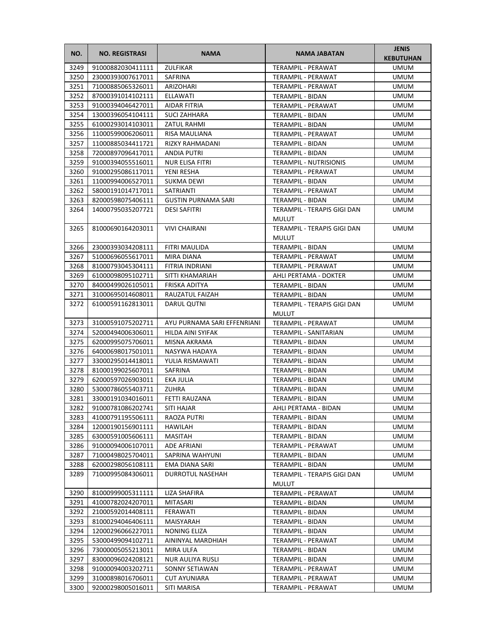| NO.  | <b>NO. REGISTRASI</b>  | <b>NAMA</b>                 | <b>NAMA JABATAN</b>                         | <b>JENIS</b><br><b>KEBUTUHAN</b> |
|------|------------------------|-----------------------------|---------------------------------------------|----------------------------------|
| 3249 | 91000882030411111      | ZULFIKAR                    | TERAMPIL - PERAWAT                          | <b>UMUM</b>                      |
| 3250 | 23000393007617011      | <b>SAFRINA</b>              | TERAMPIL - PERAWAT                          | <b>UMUM</b>                      |
| 3251 | 71000885065326011      | ARIZOHARI                   | <b>TERAMPIL - PERAWAT</b>                   | <b>UMUM</b>                      |
| 3252 | 87000391014102111      | ELLAWATI                    | TERAMPIL - BIDAN                            | <b>UMUM</b>                      |
| 3253 | 91000394046427011      | AIDAR FITRIA                | TERAMPIL - PERAWAT                          | <b>UMUM</b>                      |
| 3254 | 13000396054104111      | <b>SUCI ZAHHARA</b>         | TERAMPIL - BIDAN                            | <b>UMUM</b>                      |
| 3255 | 61000293014103011      | ZATUL RAHMI                 | TERAMPIL - BIDAN                            | <b>UMUM</b>                      |
| 3256 | 11000599006206011      | <b>RISA MAULIANA</b>        | TERAMPIL - PERAWAT                          | <b>UMUM</b>                      |
| 3257 | 11000885034411721      | <b>RIZKY RAHMADANI</b>      | TERAMPIL - BIDAN                            | <b>UMUM</b>                      |
| 3258 | 72000897096417011      | ANDIA PUTRI                 | TERAMPIL - BIDAN                            | <b>UMUM</b>                      |
| 3259 | 91000394055516011      | NUR ELISA FITRI             | <b>TERAMPIL - NUTRISIONIS</b>               | <b>UMUM</b>                      |
| 3260 | 91000295086117011      | YENI RESHA                  | TERAMPIL - PERAWAT                          | <b>UMUM</b>                      |
| 3261 | 11000994006527011      | SUKMA DEWI                  | TERAMPIL - BIDAN                            | <b>UMUM</b>                      |
| 3262 | 58000191014717011      | SATRIANTI                   | TERAMPIL - PERAWAT                          | <b>UMUM</b>                      |
| 3263 | 82000598075406111      | <b>GUSTIN PURNAMA SARI</b>  | TERAMPIL - BIDAN                            | UMUM                             |
| 3264 | 14000795035207721      | <b>DESI SAFITRI</b>         | TERAMPIL - TERAPIS GIGI DAN                 | <b>UMUM</b>                      |
|      |                        |                             | MULUT                                       |                                  |
| 3265 | 81000690164203011      | <b>VIVI CHAIRANI</b>        | TERAMPIL - TERAPIS GIGI DAN                 | <b>UMUM</b>                      |
|      |                        |                             | <b>MULUT</b>                                |                                  |
| 3266 | 23000393034208111      | FITRI MAULIDA               | TERAMPIL - BIDAN                            | <b>UMUM</b>                      |
| 3267 | 51000696055617011      | <b>MIRA DIANA</b>           | TERAMPIL - PERAWAT                          | <b>UMUM</b>                      |
| 3268 | 81000793045304111      | FITRIA INDRIANI             | TERAMPIL - PERAWAT                          | <b>UMUM</b>                      |
| 3269 | 61000098095102711      | SITTI KHAMARIAH             | AHLI PERTAMA - DOKTER                       | <b>UMUM</b>                      |
| 3270 | 84000499026105011      | FRISKA ADITYA               | TERAMPIL - BIDAN                            | <b>UMUM</b>                      |
| 3271 | 31000695014608011      | RAUZATUL FAIZAH             | TERAMPIL - BIDAN                            | <b>UMUM</b>                      |
| 3272 | 61000591162813011      | DARUL QUTNI                 | TERAMPIL - TERAPIS GIGI DAN<br>MULUT        | <b>UMUM</b>                      |
| 3273 | 31000591075202711      | AYU PURNAMA SARI EFFENRIANI | TERAMPIL - PERAWAT                          | <b>UMUM</b>                      |
| 3274 | 52000494006306011      | HILDA AINI SYIFAK           | TERAMPIL - SANITARIAN                       | <b>UMUM</b>                      |
| 3275 | 62000995075706011      | MISNA AKRAMA                | TERAMPIL - BIDAN                            | <b>UMUM</b>                      |
| 3276 | 64000698017501011      | NASYWA HADAYA               | TERAMPIL - BIDAN                            | <b>UMUM</b>                      |
| 3277 | 33000295014418011      | YULIA RISMAWATI             | TERAMPIL - BIDAN                            | UMUM                             |
| 3278 | 81000199025607011      | SAFRINA                     | <b>TERAMPIL - BIDAN</b>                     | <b>UMUM</b>                      |
| 3279 | 62000597026903011      | EKA JULIA                   | TERAMPIL - BIDAN                            | <b>UMUM</b>                      |
| 3280 | 53000786055403711      | <b>ZUHRA</b>                | TERAMPIL - BIDAN                            | <b>UMUM</b>                      |
| 3281 | 33000191034016011      | <b>FETTI RAUZANA</b>        | TERAMPIL - BIDAN                            | <b>UMUM</b>                      |
|      | 3282 91000781086202741 | SITI HAJAR                  | AHLI PERTAMA - BIDAN                        | <b>UMUM</b>                      |
| 3283 | 41000791195506111      | RAOZA PUTRI                 | TERAMPIL - BIDAN                            | UMUM                             |
| 3284 | 12000190156901111      | HAWILAH                     | TERAMPIL - BIDAN                            | <b>UMUM</b>                      |
| 3285 | 63000591005606111      | MASITAH                     | TERAMPIL - BIDAN                            | <b>UMUM</b>                      |
| 3286 | 91000094006107011      | ADE AFRIANI                 | TERAMPIL - PERAWAT                          | <b>UMUM</b>                      |
| 3287 | 71000498025704011      | SAPRINA WAHYUNI             | TERAMPIL - BIDAN                            | <b>UMUM</b>                      |
| 3288 | 62000298056108111      | EMA DIANA SARI              | TERAMPIL - BIDAN                            | <b>UMUM</b>                      |
| 3289 | 71000995084306011      | DURROTUL NASEHAH            | TERAMPIL - TERAPIS GIGI DAN<br><b>MULUT</b> | <b>UMUM</b>                      |
| 3290 | 81000999005311111      | LIZA SHAFIRA                | TERAMPIL - PERAWAT                          | <b>UMUM</b>                      |
| 3291 | 41000782024207011      | MITASARI                    | TERAMPIL - BIDAN                            | <b>UMUM</b>                      |
| 3292 | 21000592014408111      | FERAWATI                    | TERAMPIL - BIDAN                            | UMUM                             |
| 3293 | 81000294046406111      | MAISYARAH                   | TERAMPIL - BIDAN                            | UMUM                             |
| 3294 | 12000296066227011      | NONING ELIZA                | TERAMPIL - BIDAN                            | <b>UMUM</b>                      |
| 3295 | 53000499094102711      | AININYAL MARDHIAH           | TERAMPIL - PERAWAT                          | <b>UMUM</b>                      |
| 3296 | 73000005055213011      | MIRA ULFA                   | TERAMPIL - BIDAN                            | <b>UMUM</b>                      |
| 3297 | 83000096024208121      | NUR AULIYA RUSLI            | TERAMPIL - BIDAN                            | <b>UMUM</b>                      |
| 3298 | 91000094003202711      | SONNY SETIAWAN              | TERAMPIL - PERAWAT                          | <b>UMUM</b>                      |
| 3299 | 31000898016706011      | <b>CUT AYUNIARA</b>         | TERAMPIL - PERAWAT                          | <b>UMUM</b>                      |
| 3300 | 92000298005016011      | SITI MARISA                 | TERAMPIL - PERAWAT                          | <b>UMUM</b>                      |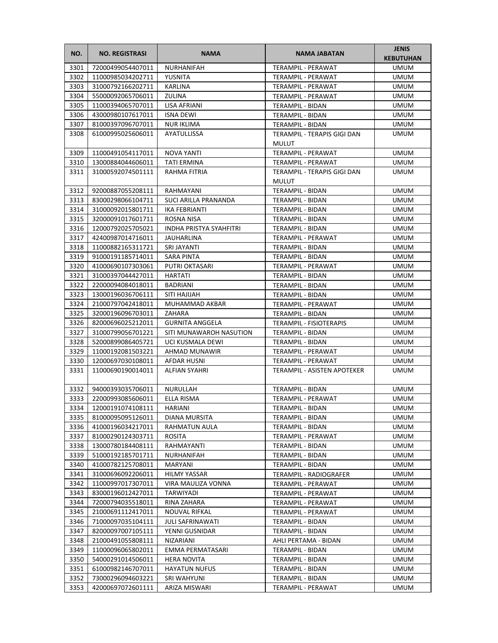| NO.  | <b>NO. REGISTRASI</b> | <b>NAMA</b>                    | <b>NAMA JABATAN</b>         | <b>JENIS</b><br><b>KEBUTUHAN</b> |
|------|-----------------------|--------------------------------|-----------------------------|----------------------------------|
| 3301 | 72000499054407011     | NURHANIFAH                     | TERAMPIL - PERAWAT          | <b>UMUM</b>                      |
| 3302 | 11000985034202711     | YUSNITA                        | TERAMPIL - PERAWAT          | <b>UMUM</b>                      |
| 3303 | 31000792166202711     | KARLINA                        | TERAMPIL - PERAWAT          | <b>UMUM</b>                      |
| 3304 | 55000092065706011     | <b>ZULINA</b>                  | TERAMPIL - PERAWAT          | UMUM                             |
| 3305 | 11000394065707011     | LISA AFRIANI                   | TERAMPIL - BIDAN            | UMUM                             |
| 3306 | 43000980107617011     | <b>ISNA DEWI</b>               | TERAMPIL - BIDAN            | UMUM                             |
| 3307 | 81000397096707011     | <b>NUR IKLIMA</b>              | TERAMPIL - BIDAN            | <b>UMUM</b>                      |
| 3308 | 61000995025606011     | AYATULLISSA                    | TERAMPIL - TERAPIS GIGI DAN | <b>UMUM</b>                      |
|      |                       |                                | <b>MULUT</b>                |                                  |
| 3309 | 11000491054117011     | NOVA YANTI                     | TERAMPIL - PERAWAT          | <b>UMUM</b>                      |
| 3310 | 13000884044606011     | <b>TATI ERMINA</b>             | TERAMPIL - PERAWAT          | <b>UMUM</b>                      |
| 3311 | 31000592074501111     | RAHMA FITRIA                   | TERAMPIL - TERAPIS GIGI DAN | UMUM                             |
|      |                       |                                | <b>MULUT</b>                |                                  |
| 3312 | 92000887055208111     | RAHMAYANI                      | TERAMPIL - BIDAN            | UMUM                             |
| 3313 | 83000298066104711     | SUCI ARILLA PRANANDA           | TERAMPIL - BIDAN            | <b>UMUM</b>                      |
| 3314 | 31000092015801711     | IKA FEBRIANTI                  | <b>TERAMPIL - BIDAN</b>     | UMUM                             |
| 3315 | 32000091017601711     | ROSNA NISA                     | <b>TERAMPIL - BIDAN</b>     | <b>UMUM</b>                      |
| 3316 | 12000792025705021     | <b>INDHA PRISTYA SYAHFITRI</b> | <b>TERAMPIL - BIDAN</b>     | <b>UMUM</b>                      |
| 3317 | 42400987014716011     | JAUHARLINA                     | TERAMPIL - PERAWAT          | <b>UMUM</b>                      |
| 3318 | 11000882165311721     | SRI JAYANTI                    | TERAMPIL - BIDAN            | <b>UMUM</b>                      |
| 3319 | 91000191185714011     | SARA PINTA                     | TERAMPIL - BIDAN            | UMUM                             |
| 3320 | 41000690107303061     | PUTRI OKTASARI                 | TERAMPIL - PERAWAT          | UMUM                             |
| 3321 | 31000397044427011     | HARTATI                        | TERAMPIL - BIDAN            | UMUM                             |
| 3322 | 22000094084018011     | <b>BADRIANI</b>                | TERAMPIL - BIDAN            | <b>UMUM</b>                      |
| 3323 | 13000196036706111     | SITI HAJIJAH                   | TERAMPIL - BIDAN            | <b>UMUM</b>                      |
| 3324 | 21000797042418011     | MUHAMMAD AKBAR                 | TERAMPIL - PERAWAT          | <b>UMUM</b>                      |
| 3325 | 32000196096703011     | ZAHARA                         | TERAMPIL - BIDAN            | <b>UMUM</b>                      |
| 3326 | 82000696025212011     | <b>GURNITA ANGGELA</b>         | TERAMPIL - FISIOTERAPIS     | <b>UMUM</b>                      |
| 3327 | 31000799056701221     | SITI MUNAWAROH NASUTION        | TERAMPIL - BIDAN            | UMUM                             |
| 3328 | 52000899086405721     | UCI KUSMALA DEWI               | TERAMPIL - BIDAN            | UMUM                             |
| 3329 | 11000192081503221     | AHMAD MUNAWIR                  | TERAMPIL - PERAWAT          | UMUM                             |
| 3330 | 12000697030108011     | AFDAR HUSNI                    | TERAMPIL - PERAWAT          | <b>UMUM</b>                      |
| 3331 | 11000690190014011     | <b>ALFIAN SYAHRI</b>           | TERAMPIL - ASISTEN APOTEKER | <b>UMUM</b>                      |
| 3332 | 94000393035706011     | NURULLAH                       | <b>TERAMPIL - BIDAN</b>     | <b>UMUM</b>                      |
| 3333 | 22000993085606011     | ELLA RISMA                     | TERAMPIL - PERAWAT          | <b>UMUM</b>                      |
| 3334 | 12000191074108111     | HARIANI                        | TERAMPIL - BIDAN            | <b>UMUM</b>                      |
| 3335 | 81000095095126011     | DIANA MURSITA                  | TERAMPIL - BIDAN            | UMUM                             |
| 3336 | 41000196034217011     | RAHMATUN AULA                  | TERAMPIL - BIDAN            | UMUM                             |
| 3337 | 81000290124303711     | ROSITA                         | TERAMPIL - PERAWAT          | UMUM                             |
| 3338 | 13000780184408111     | RAHMAYANTI                     | TERAMPIL - BIDAN            | UMUM                             |
| 3339 | 51000192185701711     | NURHANIFAH                     | TERAMPIL - BIDAN            | UMUM                             |
| 3340 | 41000782125708011     | MARYANI                        | TERAMPIL - BIDAN            | UMUM                             |
| 3341 | 31000696092206011     | HILMY YASSAR                   | TERAMPIL - RADIOGRAFER      | UMUM                             |
| 3342 | 11000997017307011     | VIRA MAULIZA VONNA             | TERAMPIL - PERAWAT          | UMUM                             |
| 3343 | 83000196012427011     | TARWIYADI                      | TERAMPIL - PERAWAT          | UMUM                             |
| 3344 | 72000794035518011     | RINA ZAHARA                    | TERAMPIL - PERAWAT          | UMUM                             |
| 3345 | 21000691112417011     | NOUVAL RIFKAL                  | TERAMPIL - PERAWAT          | UMUM                             |
| 3346 | 71000097035104111     | JULI SAFRINAWATI               | TERAMPIL - BIDAN            | UMUM                             |
| 3347 | 82000097007105111     | YENNI GUSNIDAR                 | TERAMPIL - BIDAN            | UMUM                             |
| 3348 | 21000491055808111     | NIZARIANI                      | AHLI PERTAMA - BIDAN        | UMUM                             |
| 3349 | 11000096065802011     | EMMA PERMATASARI               | TERAMPIL - BIDAN            | UMUM                             |
| 3350 | 54000291014506011     | <b>HERA NOVITA</b>             | TERAMPIL - BIDAN            | UMUM                             |
| 3351 | 61000982146707011     | <b>HAYATUN NUFUS</b>           | TERAMPIL - BIDAN            | UMUM                             |
| 3352 | 73000296094603221     | SRI WAHYUNI                    | TERAMPIL - BIDAN            | UMUM                             |
| 3353 | 42000697072601111     | ARIZA MISWARI                  | TERAMPIL - PERAWAT          | UMUM                             |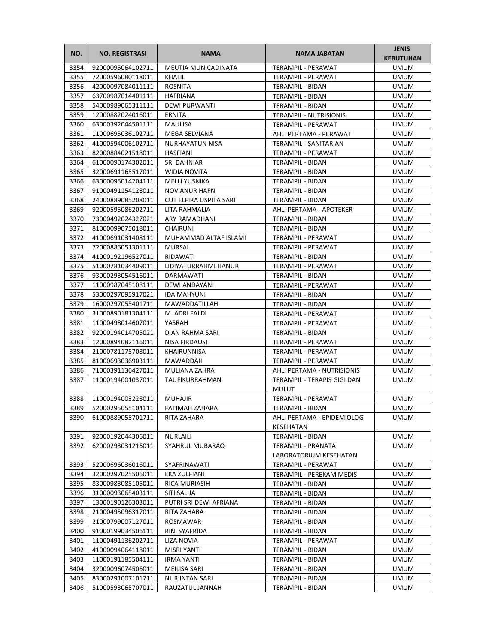| NO.          | <b>NO. REGISTRASI</b>                  | <b>NAMA</b>                      | <b>NAMA JABATAN</b>                    | <b>JENIS</b><br><b>KEBUTUHAN</b> |
|--------------|----------------------------------------|----------------------------------|----------------------------------------|----------------------------------|
| 3354         | 92000095064102711                      | <b>MEUTIA MUNICADINATA</b>       | <b>TERAMPIL - PERAWAT</b>              | <b>UMUM</b>                      |
| 3355         | 72000596080118011                      | KHALIL                           | TERAMPIL - PERAWAT                     | <b>UMUM</b>                      |
| 3356         | 42000097084011111                      | <b>ROSNITA</b>                   | <b>TERAMPIL - BIDAN</b>                | <b>UMUM</b>                      |
| 3357         | 63700987014401111                      | <b>HAFRIANA</b>                  | TERAMPIL - BIDAN                       | <b>UMUM</b>                      |
| 3358         | 54000989065311111                      | <b>DEWI PURWANTI</b>             | TERAMPIL - BIDAN                       | UMUM                             |
| 3359         | 12000882024016011                      | ERNITA                           | <b>TERAMPIL - NUTRISIONIS</b>          | UMUM                             |
| 3360         | 63000392044501111                      | <b>MAULISA</b>                   | TERAMPIL - PERAWAT                     | <b>UMUM</b>                      |
| 3361         | 11000695036102711                      | MEGA SELVIANA                    | AHLI PERTAMA - PERAWAT                 | <b>UMUM</b>                      |
| 3362         | 41000594006102711                      | NURHAYATUN NISA                  | <b>TERAMPIL - SANITARIAN</b>           | <b>UMUM</b>                      |
| 3363         | 82000884021518011                      | <b>HASFIANI</b>                  | TERAMPIL - PERAWAT                     | UMUM                             |
| 3364         | 61000090174302011                      | <b>SRI DAHNIAR</b>               | TERAMPIL - BIDAN                       | UMUM                             |
| 3365         | 32000691165517011                      | <b>WIDIA NOVITA</b>              | TERAMPIL - BIDAN                       | UMUM                             |
| 3366         | 63000095014204111                      | MELLI YUSNIKA                    | TERAMPIL - BIDAN                       | UMUM                             |
| 3367         | 91000491154128011                      | <b>NOVIANUR HAFNI</b>            | TERAMPIL - BIDAN                       | UMUM                             |
| 3368         | 24000889085208011                      | CUT ELFIRA USPITA SARI           | TERAMPIL - BIDAN                       | UMUM                             |
| 3369         | 92000595086202711                      | LITA RAHMALIA                    | AHLI PERTAMA - APOTEKER                | UMUM                             |
| 3370         | 73000492024327021                      | ARY RAMADHANI                    | TERAMPIL - BIDAN                       | UMUM                             |
| 3371         | 81000099075018011                      | CHAIRUNI                         | TERAMPIL - BIDAN                       | <b>UMUM</b>                      |
| 3372         | 41000691031408111                      | MUHAMMAD ALTAF ISLAMI            | TERAMPIL - PERAWAT                     | <b>UMUM</b>                      |
| 3373         | 72000886051301111                      | <b>MURSAL</b>                    | TERAMPIL - PERAWAT                     | <b>UMUM</b>                      |
| 3374         | 41000192196527011                      | RIDAWATI                         | TERAMPIL - BIDAN                       | <b>UMUM</b>                      |
| 3375         | 51000781034409011                      | LIDIYATURRAHMI HANUR             | TERAMPIL - PERAWAT                     | UMUM                             |
| 3376         | 93000293054516011                      | DARMAWATI                        | <b>TERAMPIL - BIDAN</b>                | UMUM                             |
| 3377         | 11000987045108111                      | DEWI ANDAYANI                    | TERAMPIL - PERAWAT                     | UMUM                             |
| 3378         | 53000297095917021                      | <b>IDA MAHYUNI</b>               | TERAMPIL - BIDAN                       | UMUM                             |
| 3379         | 16000297055401711                      | MAWADDATILLAH                    | TERAMPIL - BIDAN                       | <b>UMUM</b>                      |
| 3380         | 31000890181304111                      | M. ADRI FALDI                    | TERAMPIL - PERAWAT                     | <b>UMUM</b>                      |
| 3381         | 11000498014607011                      | YASRAH                           | TERAMPIL - PERAWAT                     | UMUM                             |
| 3382<br>3383 | 92000194014705021<br>12000894082116011 | DIAN RAHMA SARI<br>NISA FIRDAUSI | TERAMPIL - BIDAN<br>TERAMPIL - PERAWAT | UMUM<br>UMUM                     |
| 3384         | 21000781175708011                      | KHAIRUNNISA                      | TERAMPIL - PERAWAT                     | UMUM                             |
| 3385         | 81000693036903111                      | MAWADDAH                         | TERAMPIL - PERAWAT                     | UMUM                             |
| 3386         | 71000391136427011                      | MULIANA ZAHRA                    | <b>AHLI PERTAMA - NUTRISIONIS</b>      | UMUM                             |
| 3387         | 11000194001037011                      | TAUFIKURRAHMAN                   | TERAMPIL - TERAPIS GIGI DAN            | <b>UMUM</b>                      |
|              |                                        |                                  | <b>MULUT</b>                           |                                  |
| 3388         | 11000194003228011                      | <b>MUHAJIR</b>                   | TERAMPIL - PERAWAT                     | <b>UMUM</b>                      |
| 3389         | 52000295055104111                      | FATIMAH ZAHARA                   | TERAMPIL - BIDAN                       | <b>UMUM</b>                      |
| 3390         | 61000889055701711                      | RITA ZAHARA                      | AHLI PERTAMA - EPIDEMIOLOG             | UMUM                             |
|              |                                        |                                  | KESEHATAN                              |                                  |
| 3391         | 92000192044306011                      | <b>NURLAILI</b>                  | TERAMPIL - BIDAN                       | <b>UMUM</b>                      |
| 3392         | 62000293031216011                      | SYAHRUL MUBARAQ                  | TERAMPIL - PRANATA                     | UMUM                             |
|              |                                        |                                  | LABORATORIUM KESEHATAN                 |                                  |
| 3393         | 52000696036016011                      | SYAFRINAWATI                     | TERAMPIL - PERAWAT                     | <b>UMUM</b>                      |
| 3394         | 32000297025506011                      | EKA ZULFIANI                     | TERAMPIL - PEREKAM MEDIS               | UMUM                             |
| 3395         | 83000983085105011                      | RICA MURIASIH                    | TERAMPIL - BIDAN                       | UMUM                             |
| 3396         | 31000093065403111                      | SITI SALIJA                      | TERAMPIL - BIDAN                       | UMUM                             |
| 3397         | 13000190126303011                      | PUTRI SRI DEWI AFRIANA           | TERAMPIL - BIDAN                       | UMUM                             |
| 3398         | 21000495096317011                      | RITA ZAHARA                      | TERAMPIL - BIDAN                       | UMUM                             |
| 3399         | 21000799007127011                      | ROSMAWAR                         | TERAMPIL - BIDAN                       | UMUM                             |
| 3400         | 91000199034506111                      | RINI SYAFRIDA                    | TERAMPIL - BIDAN                       | UMUM                             |
| 3401         | 11000491136202711                      | LIZA NOVIA                       | TERAMPIL - PERAWAT                     | UMUM                             |
| 3402         | 41000094064118011                      | MISRI YANTI                      | TERAMPIL - BIDAN                       | UMUM                             |
| 3403<br>3404 | 11000191185504111<br>32000096074506011 | <b>IRMA YANTI</b>                | TERAMPIL - BIDAN                       | UMUM                             |
| 3405         | 83000291007101711                      | MEILISA SARI<br>NUR INTAN SARI   | TERAMPIL - BIDAN<br>TERAMPIL - BIDAN   | UMUM<br>UMUM                     |
| 3406         | 51000593065707011                      | RAUZATUL JANNAH                  | TERAMPIL - BIDAN                       | UMUM                             |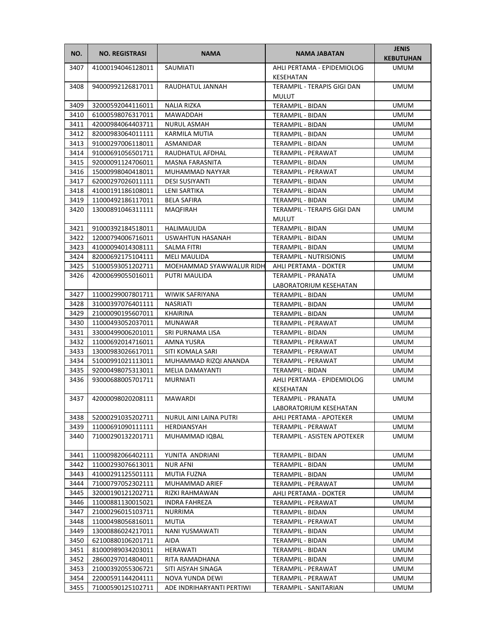| NO.  | <b>NO. REGISTRASI</b> | <b>NAMA</b>               | NAMA JABATAN                                   | <b>JENIS</b><br><b>KEBUTUHAN</b> |
|------|-----------------------|---------------------------|------------------------------------------------|----------------------------------|
| 3407 | 41000194046128011     | SAUMIATI                  | AHLI PERTAMA - EPIDEMIOLOG<br>KESEHATAN        | <b>UMUM</b>                      |
| 3408 | 94000992126817011     | RAUDHATUL JANNAH          | TERAMPIL - TERAPIS GIGI DAN                    | <b>UMUM</b>                      |
|      |                       |                           | <b>MULUT</b>                                   |                                  |
| 3409 | 32000592044116011     | NALIA RIZKA               | TERAMPIL - BIDAN                               | <b>UMUM</b>                      |
| 3410 | 61000598076317011     | MAWADDAH                  | TERAMPIL - BIDAN                               | <b>UMUM</b>                      |
| 3411 | 42000984064403711     | <b>NURUL ASMAH</b>        | TERAMPIL - BIDAN                               | <b>UMUM</b>                      |
| 3412 | 82000983064011111     | <b>KARMILA MUTIA</b>      | <b>TERAMPIL - BIDAN</b>                        | <b>UMUM</b>                      |
| 3413 | 91000297006118011     | ASMANIDAR                 | TERAMPIL - BIDAN                               | <b>UMUM</b>                      |
| 3414 | 91000691056501711     | RAUDHATUL AFDHAL          | TERAMPIL - PERAWAT                             | <b>UMUM</b>                      |
| 3415 | 92000091124706011     | MASNA FARASNITA           | TERAMPIL - BIDAN                               | <b>UMUM</b>                      |
| 3416 | 15000998040418011     | MUHAMMAD NAYYAR           | TERAMPIL - PERAWAT                             | <b>UMUM</b>                      |
| 3417 | 62000297026011111     | <b>DESI SUSIYANTI</b>     | TERAMPIL - BIDAN                               | <b>UMUM</b>                      |
| 3418 | 41000191186108011     | LENI SARTIKA              | TERAMPIL - BIDAN                               | UMUM                             |
| 3419 | 11000492186117011     | BELA SAFIRA               | TERAMPIL - BIDAN                               | UMUM                             |
| 3420 | 13000891046311111     | MAQFIRAH                  | TERAMPIL - TERAPIS GIGI DAN<br><b>MULUT</b>    | <b>UMUM</b>                      |
| 3421 | 91000392184518011     | HALIMAULIDA               | TERAMPIL - BIDAN                               | <b>UMUM</b>                      |
| 3422 | 12000794006716011     | USWAHTUN HASANAH          | <b>TERAMPIL - BIDAN</b>                        | <b>UMUM</b>                      |
| 3423 | 41000094014308111     | SALMA FITRI               | TERAMPIL - BIDAN                               | <b>UMUM</b>                      |
| 3424 | 82000692175104111     | <b>MELI MAULIDA</b>       | <b>TERAMPIL - NUTRISIONIS</b>                  | <b>UMUM</b>                      |
| 3425 | 51000593051202711     | MOEHAMMAD SYAWWALUR RIDH  | AHLI PERTAMA - DOKTER                          | <b>UMUM</b>                      |
| 3426 | 42000699055016011     | PUTRI MAULIDA             | <b>TERAMPIL - PRANATA</b>                      | <b>UMUM</b>                      |
|      |                       |                           | LABORATORIUM KESEHATAN                         |                                  |
| 3427 | 11000299007801711     | <b>WIWIK SAFRIYANA</b>    | TERAMPIL - BIDAN                               | <b>UMUM</b>                      |
| 3428 | 31000397076401111     | NASRIATI                  | TERAMPIL - BIDAN                               | <b>UMUM</b>                      |
| 3429 | 21000090195607011     | KHAIRINA                  | TERAMPIL - BIDAN                               | <b>UMUM</b>                      |
| 3430 | 11000493052037011     | <b>MUNAWAR</b>            | TERAMPIL - PERAWAT                             | <b>UMUM</b>                      |
| 3431 | 33000499006201011     | SRI PURNAMA LISA          | TERAMPIL - BIDAN                               | <b>UMUM</b>                      |
| 3432 | 11000692014716011     | AMNA YUSRA                | TERAMPIL - PERAWAT                             | <b>UMUM</b>                      |
| 3433 | 13000983026617011     | SITI KOMALA SARI          | TERAMPIL - PERAWAT                             | UMUM                             |
| 3434 | 51000991021113011     | MUHAMMAD RIZQI ANANDA     | TERAMPIL - PERAWAT                             | UMUM                             |
| 3435 | 92000498075313011     | MELIA DAMAYANTI           | TERAMPIL - BIDAN                               | <b>UMUM</b>                      |
| 3436 | 93000688005701711     | <b>MURNIATI</b>           | AHLI PERTAMA - EPIDEMIOLOG<br><b>KESEHATAN</b> | <b>UMUM</b>                      |
| 3437 | 42000098020208111     | <b>MAWARDI</b>            | <b>TERAMPIL - PRANATA</b>                      | <b>UMUM</b>                      |
|      |                       |                           | LABORATORIUM KESEHATAN                         |                                  |
| 3438 | 52000291035202711     | NURUL AINI LAINA PUTRI    | AHLI PERTAMA - APOTEKER                        | <b>UMUM</b>                      |
| 3439 | 11000691090111111     | HERDIANSYAH               | TERAMPIL - PERAWAT                             | <b>UMUM</b>                      |
| 3440 | 71000290132201711     | MUHAMMAD IQBAL            | TERAMPIL - ASISTEN APOTEKER                    | <b>UMUM</b>                      |
| 3441 | 11000982066402111     | YUNITA ANDRIANI           | TERAMPIL - BIDAN                               | <b>UMUM</b>                      |
| 3442 | 11000293076613011     | NUR AFNI                  | TERAMPIL - BIDAN                               | <b>UMUM</b>                      |
| 3443 | 41000291125501111     | MUTIA FUZNA               | TERAMPIL - BIDAN                               | <b>UMUM</b>                      |
| 3444 | 71000797052302111     | MUHAMMAD ARIEF            | TERAMPIL - PERAWAT                             | <b>UMUM</b>                      |
| 3445 | 32000190121202711     | RIZKI RAHMAWAN            | AHLI PERTAMA - DOKTER                          | <b>UMUM</b>                      |
| 3446 | 11000881130015021     | <b>INDRA FAHREZA</b>      | TERAMPIL - PERAWAT                             | <b>UMUM</b>                      |
| 3447 | 21000296015103711     | NURRIMA                   | TERAMPIL - BIDAN                               | UMUM                             |
| 3448 | 11000498056816011     | MUTIA                     | TERAMPIL - PERAWAT                             | UMUM                             |
| 3449 | 13000886024217011     | NANI YUSMAWATI            | TERAMPIL - BIDAN                               | <b>UMUM</b>                      |
| 3450 | 62100880106201711     | AIDA                      | TERAMPIL - BIDAN                               | <b>UMUM</b>                      |
| 3451 | 81000989034203011     | HERAWATI                  | TERAMPIL - BIDAN                               | <b>UMUM</b>                      |
| 3452 | 28600297014804011     | RITA RAMADHANA            | TERAMPIL - BIDAN                               | <b>UMUM</b>                      |
| 3453 | 21000392055306721     | SITI AISYAH SINAGA        | TERAMPIL - PERAWAT                             | UMUM                             |
| 3454 | 22000591144204111     | NOVA YUNDA DEWI           | TERAMPIL - PERAWAT                             | <b>UMUM</b>                      |
| 3455 | 71000590125102711     | ADE INDRIHARYANTI PERTIWI | TERAMPIL - SANITARIAN                          | UMUM                             |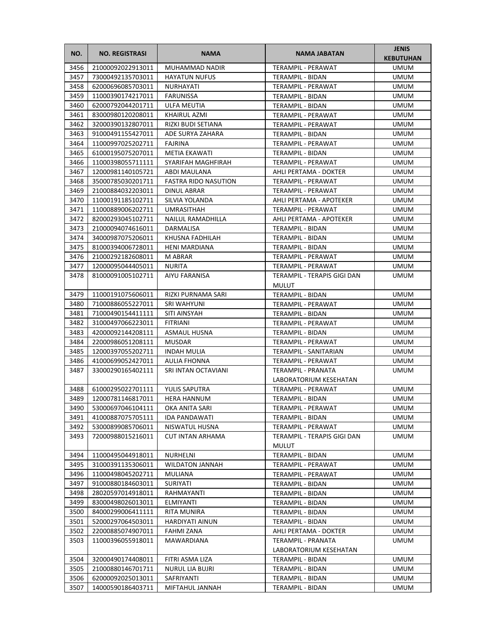| NO.          | <b>NO. REGISTRASI</b>                  | <b>NAMA</b>                        | <b>NAMA JABATAN</b>                  | <b>JENIS</b><br><b>KEBUTUHAN</b> |
|--------------|----------------------------------------|------------------------------------|--------------------------------------|----------------------------------|
| 3456         | 21000092022913011                      | MUHAMMAD NADIR                     | TERAMPIL - PERAWAT                   | <b>UMUM</b>                      |
| 3457         | 73000492135703011                      | <b>HAYATUN NUFUS</b>               | TERAMPIL - BIDAN                     | <b>UMUM</b>                      |
| 3458         | 62000696085703011                      | NURHAYATI                          | <b>TERAMPIL - PERAWAT</b>            | <b>UMUM</b>                      |
| 3459         | 11000390174217011                      | FARUNISSA                          | TERAMPIL - BIDAN                     | <b>UMUM</b>                      |
| 3460         | 62000792044201711                      | ULFA MEUTIA                        | TERAMPIL - BIDAN                     | <b>UMUM</b>                      |
| 3461         | 83000980120208011                      | KHAIRUL AZMI                       | TERAMPIL - PERAWAT                   | <b>UMUM</b>                      |
| 3462         | 32000390132807011                      | RIZKI BUDI SETIANA                 | TERAMPIL - PERAWAT                   | <b>UMUM</b>                      |
| 3463         | 91000491155427011                      | ADE SURYA ZAHARA                   | TERAMPIL - BIDAN                     | <b>UMUM</b>                      |
| 3464         | 11000997025202711                      | FAJRINA                            | TERAMPIL - PERAWAT                   | <b>UMUM</b>                      |
| 3465         | 61000195075207011                      | METIA EKAWATI                      | TERAMPIL - BIDAN                     | <b>UMUM</b>                      |
| 3466         | 11000398055711111                      | SYARIFAH MAGHFIRAH                 | TERAMPIL - PERAWAT                   | <b>UMUM</b>                      |
| 3467         | 12000981140105721                      | ABDI MAULANA                       | AHLI PERTAMA - DOKTER                | <b>UMUM</b>                      |
| 3468         | 35000785030201711                      | <b>FASTRA RIDO NASUTION</b>        | TERAMPIL - PERAWAT                   | <b>UMUM</b>                      |
| 3469         | 21000884032203011                      | DINUL ABRAR                        | TERAMPIL - PERAWAT                   | UMUM                             |
| 3470         | 11000191185102711                      | SILVIA YOLANDA                     | AHLI PERTAMA - APOTEKER              | <b>UMUM</b>                      |
| 3471         | 11000889006202711                      | UMRASITHAH                         | TERAMPIL - PERAWAT                   | <b>UMUM</b>                      |
| 3472         | 82000293045102711                      | NAILUL RAMADHILLA                  | AHLI PERTAMA - APOTEKER              | <b>UMUM</b>                      |
| 3473         | 21000094074616011                      | DARMALISA                          | TERAMPIL - BIDAN                     | <b>UMUM</b>                      |
| 3474         | 34000987075206011                      | KHUSNA FADHILAH                    | TERAMPIL - BIDAN                     | <b>UMUM</b>                      |
| 3475         | 81000394006728011                      | <b>HENI MARDIANA</b>               | <b>TERAMPIL - BIDAN</b>              | <b>UMUM</b>                      |
| 3476         | 21000292182608011                      | M ABRAR                            | TERAMPIL - PERAWAT                   | <b>UMUM</b>                      |
| 3477         | 12000095044405011                      | <b>NURITA</b>                      | TERAMPIL - PERAWAT                   | UMUM                             |
| 3478         | 81000091005102711                      | <b>AIYU FARANISA</b>               | TERAMPIL - TERAPIS GIGI DAN          | <b>UMUM</b>                      |
|              |                                        |                                    | MULUT                                |                                  |
| 3479         | 11000191075606011                      | RIZKI PURNAMA SARI                 | TERAMPIL - BIDAN                     | <b>UMUM</b>                      |
| 3480         | 71000886055227011                      | SRI WAHYUNI                        | TERAMPIL - PERAWAT                   | <b>UMUM</b>                      |
| 3481         | 71000490154411111                      | SITI AINSYAH                       | TERAMPIL - BIDAN                     | <b>UMUM</b>                      |
| 3482         | 31000497066223011                      | <b>FITRIANI</b>                    | TERAMPIL - PERAWAT                   | <b>UMUM</b>                      |
| 3483         | 42000092144208111                      | ASMAUL HUSNA                       | TERAMPIL - BIDAN                     | <b>UMUM</b>                      |
| 3484         | 22000986051208111                      | <b>MUSDAR</b>                      | TERAMPIL - PERAWAT                   | <b>UMUM</b>                      |
| 3485         | 12000397055202711                      | <b>INDAH MULIA</b>                 | TERAMPIL - SANITARIAN                | UMUM                             |
| 3486         | 41000699052427011                      | AULIA FHONNA                       | TERAMPIL - PERAWAT                   | <b>UMUM</b>                      |
| 3487         | 33000290165402111                      | SRI INTAN OCTAVIANI                | TERAMPIL - PRANATA                   | <b>UMUM</b>                      |
|              |                                        |                                    | LABORATORIUM KESEHATAN               |                                  |
| 3488         | 61000295022701111                      | <b>YULIS SAPUTRA</b>               | TERAMPIL - PERAWAT                   | <b>UMUM</b>                      |
| 3489         | 12000781146817011                      | <b>HERA HANNUM</b>                 | TERAMPIL - BIDAN                     | <b>UMUM</b>                      |
| 3490         | 53000697046104111                      | OKA ANITA SARI                     | TERAMPIL - PERAWAT                   | <b>UMUM</b>                      |
| 3491         | 41000887075705111                      | IDA PANDAWATI                      | TERAMPIL - BIDAN                     | UMUM                             |
| 3492         | 53000899085706011                      | NISWATUL HUSNA                     | TERAMPIL - PERAWAT                   | <b>UMUM</b>                      |
| 3493         | 72000988015216011                      | <b>CUT INTAN ARHAMA</b>            | TERAMPIL - TERAPIS GIGI DAN          | <b>UMUM</b>                      |
|              |                                        |                                    | <b>MULUT</b>                         |                                  |
| 3494         | 11000495044918011                      | NURHELNI                           | <b>TERAMPIL - BIDAN</b>              | <b>UMUM</b>                      |
| 3495         | 31000391135306011                      | <b>WILDATON JANNAH</b>             | TERAMPIL - PERAWAT                   | <b>UMUM</b>                      |
| 3496         | 11000498045202711                      | MULIANA                            | TERAMPIL - PERAWAT                   | <b>UMUM</b>                      |
| 3497         | 91000880184603011                      | SURIYATI                           | TERAMPIL - BIDAN                     | <b>UMUM</b>                      |
| 3498         | 28020597014918011                      | RAHMAYANTI                         | TERAMPIL - BIDAN                     | UMUM                             |
| 3499         | 83000498026013011                      | <b>ELMIYANTI</b>                   | TERAMPIL - BIDAN                     | <b>UMUM</b>                      |
| 3500         | 84000299006411111                      | RITA MUNIRA                        | TERAMPIL - BIDAN                     | UMUM                             |
| 3501         | 52000297064503011                      | HARDIYATI AINUN                    | TERAMPIL - BIDAN                     | UMUM                             |
| 3502         | 22000885074907011                      | <b>FAHMI ZANA</b>                  | AHLI PERTAMA - DOKTER                | <b>UMUM</b>                      |
| 3503         | 11000396055918011                      | MAWARDIANA                         | TERAMPIL - PRANATA                   | <b>UMUM</b>                      |
|              |                                        |                                    | LABORATORIUM KESEHATAN               |                                  |
| 3504         | 32000490174408011<br>21000880146701711 | FITRI ASMA LIZA<br>NURUL LIA BUJRI | TERAMPIL - BIDAN                     | <b>UMUM</b><br><b>UMUM</b>       |
| 3505<br>3506 | 62000092025013011                      | SAFRIYANTI                         | TERAMPIL - BIDAN<br>TERAMPIL - BIDAN | <b>UMUM</b>                      |
| 3507         |                                        |                                    |                                      |                                  |
|              | 14000590186403711                      | MIFTAHUL JANNAH                    | TERAMPIL - BIDAN                     | UMUM                             |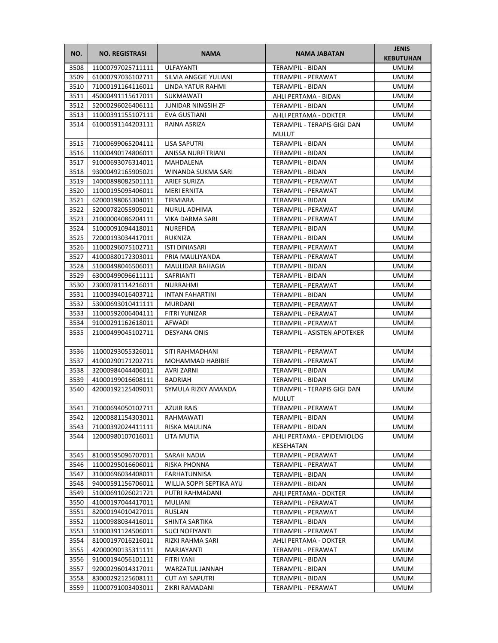| NO.  | <b>NO. REGISTRASI</b>  | <b>NAMA</b>               | <b>NAMA JABATAN</b>                         | <b>JENIS</b><br><b>KEBUTUHAN</b> |
|------|------------------------|---------------------------|---------------------------------------------|----------------------------------|
| 3508 | 11000797025711111      | ULFAYANTI                 | <b>TERAMPIL - BIDAN</b>                     | UMUM                             |
| 3509 | 61000797036102711      | SILVIA ANGGIE YULIANI     | TERAMPIL - PERAWAT                          | <b>UMUM</b>                      |
| 3510 | 71000191164116011      | LINDA YATUR RAHMI         | <b>TERAMPIL - BIDAN</b>                     | <b>UMUM</b>                      |
| 3511 | 45000491115617011      | SUKMAWATI                 | AHLI PERTAMA - BIDAN                        | <b>UMUM</b>                      |
| 3512 | 52000296026406111      | <b>JUNIDAR NINGSIH ZF</b> | TERAMPIL - BIDAN                            | UMUM                             |
| 3513 | 11000391155107111      | EVA GUSTIANI              | AHLI PERTAMA - DOKTER                       | UMUM                             |
| 3514 | 61000591144203111      | RAINA ASRIZA              | TERAMPIL - TERAPIS GIGI DAN                 | UMUM                             |
|      |                        |                           | <b>MULUT</b>                                |                                  |
| 3515 | 71000699065204111      | <b>LISA SAPUTRI</b>       | TERAMPIL - BIDAN                            | <b>UMUM</b>                      |
| 3516 | 11000490174806011      | ANISSA NURFITRIANI        | TERAMPIL - BIDAN                            | <b>UMUM</b>                      |
| 3517 | 91000693076314011      | MAHDALENA                 | TERAMPIL - BIDAN                            | <b>UMUM</b>                      |
| 3518 | 93000492165905021      | WINANDA SUKMA SARI        | TERAMPIL - BIDAN                            | <b>UMUM</b>                      |
| 3519 | 14000898082501111      | <b>ARIEF SURIZA</b>       | TERAMPIL - PERAWAT                          | UMUM                             |
| 3520 | 11000195095406011      | MERI ERNITA               | TERAMPIL - PERAWAT                          | UMUM                             |
| 3521 | 62000198065304011      | TIRMIARA                  | TERAMPIL - BIDAN                            | UMUM                             |
| 3522 | 52000782055905011      | NURUL ADHIMA              | TERAMPIL - PERAWAT                          | <b>UMUM</b>                      |
| 3523 | 21000004086204111      | VIKA DARMA SARI           | TERAMPIL - PERAWAT                          | <b>UMUM</b>                      |
| 3524 | 51000091094418011      | NUREFIDA                  | TERAMPIL - BIDAN                            | <b>UMUM</b>                      |
| 3525 | 72000193034417011      | RUKNIZA                   | TERAMPIL - BIDAN                            | <b>UMUM</b>                      |
| 3526 | 11000296075102711      | <b>ISTI DINIASARI</b>     | <b>TERAMPIL - PERAWAT</b>                   | UMUM                             |
| 3527 | 41000880172303011      | PRIA MAULIYANDA           | TERAMPIL - PERAWAT                          | <b>UMUM</b>                      |
| 3528 | 51000498046506011      | MAULIDAR BAHAGIA          | TERAMPIL - BIDAN                            | UMUM                             |
| 3529 | 63000499096611111      | SAFRIANTI                 | TERAMPIL - BIDAN                            | UMUM                             |
| 3530 | 23000781114216011      | NURRAHMI                  | TERAMPIL - PERAWAT                          | UMUM                             |
| 3531 | 11000394016403711      | <b>INTAN FAHARTINI</b>    | TERAMPIL - BIDAN                            | <b>UMUM</b>                      |
| 3532 | 53000693010411111      | <b>MURDANI</b>            | TERAMPIL - PERAWAT                          | <b>UMUM</b>                      |
| 3533 | 11000592006404111      | FITRI YUNIZAR             | TERAMPIL - PERAWAT                          | <b>UMUM</b>                      |
| 3534 | 91000291162618011      | AFWADI                    | TERAMPIL - PERAWAT                          | <b>UMUM</b>                      |
| 3535 | 21000499045102711      | DESYANA ONIS              | TERAMPIL - ASISTEN APOTEKER                 | <b>UMUM</b>                      |
| 3536 | 11000293055326011      | SITI RAHMADHANI           | TERAMPIL - PERAWAT                          | UMUM                             |
| 3537 | 41000290171202711      | MOHAMMAD HABIBIE          | TERAMPIL - PERAWAT                          | UMUM                             |
| 3538 | 32000984044406011      | AVRI ZARNI                | <b>TERAMPIL - BIDAN</b>                     | <b>UMUM</b>                      |
| 3539 | 41000199016608111      | BADRIAH                   | <b>TERAMPIL - BIDAN</b>                     | <b>UMUM</b>                      |
| 3540 | 42000192125409011      | SYMULA RIZKY AMANDA       | TERAMPIL - TERAPIS GIGI DAN<br><b>MULUT</b> | <b>UMUM</b>                      |
|      | 3541 71000694050102711 | <b>AZUIR RAIS</b>         | TERAMPIL - PERAWAT                          | <b>UMUM</b>                      |
| 3542 | 12000881154303011      | RAHMAWATI                 | TERAMPIL - BIDAN                            | UMUM                             |
| 3543 | 71000392024411111      | RISKA MAULINA             | TERAMPIL - BIDAN                            | UMUM                             |
| 3544 | 12000980107016011      | LITA MUTIA                | AHLI PERTAMA - EPIDEMIOLOG<br>KESEHATAN     | UMUM                             |
| 3545 | 81000595096707011      | SARAH NADIA               | TERAMPIL - PERAWAT                          | <b>UMUM</b>                      |
| 3546 | 11000295016606011      | RISKA PHONNA              | TERAMPIL - PERAWAT                          | <b>UMUM</b>                      |
| 3547 | 31000696034408011      | FARHATUNNISA              | TERAMPIL - BIDAN                            | <b>UMUM</b>                      |
| 3548 | 94000591156706011      | WILLIA SOPPI SEPTIKA AYU  | TERAMPIL - BIDAN                            | UMUM                             |
| 3549 | 51000691026021721      | PUTRI RAHMADANI           | AHLI PERTAMA - DOKTER                       | UMUM                             |
| 3550 | 41000197044417011      | <b>MULIANI</b>            | TERAMPIL - PERAWAT                          | UMUM                             |
| 3551 | 82000194010427011      | RUSLAN                    | TERAMPIL - PERAWAT                          | UMUM                             |
| 3552 | 11000988034416011      | SHINTA SARTIKA            | TERAMPIL - BIDAN                            | UMUM                             |
| 3553 | 51000391124506011      | SUCI NOFIYANTI            | TERAMPIL - PERAWAT                          | UMUM                             |
| 3554 | 81000197016216011      | RIZKI RAHMA SARI          | AHLI PERTAMA - DOKTER                       | UMUM                             |
| 3555 | 42000090135311111      | MARJAYANTI                | TERAMPIL - PERAWAT                          | UMUM                             |
| 3556 | 91000194056101111      | FITRI YANI                | TERAMPIL - BIDAN                            | UMUM                             |
| 3557 | 92000296014317011      | WARZATUL JANNAH           | TERAMPIL - BIDAN                            | UMUM                             |
| 3558 | 83000292125608111      | <b>CUT AYI SAPUTRI</b>    | TERAMPIL - BIDAN                            | UMUM                             |
| 3559 | 11000791003403011      | ZIKRI RAMADANI            | TERAMPIL - PERAWAT                          | UMUM                             |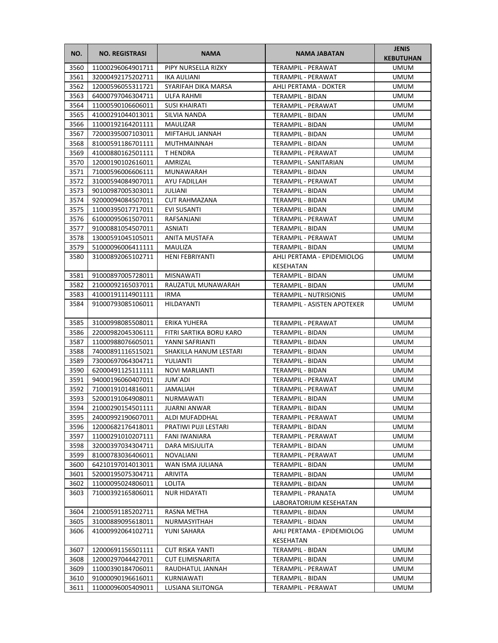| NO.          | <b>NO. REGISTRASI</b>                  | <b>NAMA</b>                 | <b>NAMA JABATAN</b>                     | <b>JENIS</b><br><b>KEBUTUHAN</b> |
|--------------|----------------------------------------|-----------------------------|-----------------------------------------|----------------------------------|
| 3560         | 11000296064901711                      | PIPY NURSELLA RIZKY         | TERAMPIL - PERAWAT                      | <b>UMUM</b>                      |
| 3561         | 32000492175202711                      | IKA AULIANI                 | TERAMPIL - PERAWAT                      | <b>UMUM</b>                      |
| 3562         | 12000596055311721                      | SYARIFAH DIKA MARSA         | AHLI PERTAMA - DOKTER                   | UMUM                             |
| 3563         | 64000797046304711                      | ULFA RAHMI                  | <b>TERAMPIL - BIDAN</b>                 | UMUM                             |
| 3564         | 11000590106606011                      | <b>SUSI KHAIRATI</b>        | TERAMPIL - PERAWAT                      | UMUM                             |
| 3565         | 41000291044013011                      | SILVIA NANDA                | TERAMPIL - BIDAN                        | UMUM                             |
| 3566         | 11000192164201111                      | MAULIZAR                    | TERAMPIL - BIDAN                        | <b>UMUM</b>                      |
| 3567         | 72000395007103011                      | MIFTAHUL JANNAH             | TERAMPIL - BIDAN                        | <b>UMUM</b>                      |
| 3568         | 81000591186701111                      | MUTHMAINNAH                 | TERAMPIL - BIDAN                        | <b>UMUM</b>                      |
| 3569         | 41000880162501111                      | T HENDRA                    | <b>TERAMPIL - PERAWAT</b>               | <b>UMUM</b>                      |
| 3570         | 12000190102616011                      | AMRIZAL                     | TERAMPIL - SANITARIAN                   | <b>UMUM</b>                      |
| 3571         | 71000596006606111                      | MUNAWARAH                   | TERAMPIL - BIDAN                        | UMUM                             |
| 3572         | 31000594084907011                      | AYU FADILLAH                | TERAMPIL - PERAWAT                      | UMUM                             |
| 3573         | 90100987005303011                      | JULIANI                     | TERAMPIL - BIDAN                        | UMUM                             |
| 3574         | 92000094084507011                      | <b>CUT RAHMAZANA</b>        | TERAMPIL - BIDAN                        | <b>UMUM</b>                      |
| 3575         | 11000395017717011                      | EVI SUSANTI                 | TERAMPIL - BIDAN                        | UMUM                             |
| 3576         | 61000095061507011                      | RAFSANJANI                  | TERAMPIL - PERAWAT                      | UMUM                             |
| 3577         | 91000881054507011                      | <b>ASNIATI</b>              | TERAMPIL - BIDAN                        | <b>UMUM</b>                      |
| 3578         | 13000591045105011                      | ANITA MUSTAFA               | TERAMPIL - PERAWAT                      | <b>UMUM</b>                      |
| 3579         | 51000096006411111                      | MAULIZA                     | <b>TERAMPIL - BIDAN</b>                 | <b>UMUM</b>                      |
| 3580         | 31000892065102711                      | HENI FEBRIYANTI             | AHLI PERTAMA - EPIDEMIOLOG<br>KESEHATAN | UMUM                             |
| 3581         | 91000897005728011                      | <b>MISNAWATI</b>            | <b>TERAMPIL - BIDAN</b>                 | <b>UMUM</b>                      |
| 3582         | 21000092165037011                      | RAUZATUL MUNAWARAH          | TERAMPIL - BIDAN                        | <b>UMUM</b>                      |
| 3583         | 41000191114901111                      | <b>IRMA</b>                 | <b>TERAMPIL - NUTRISIONIS</b>           | UMUM                             |
| 3584         | 91000793085106011                      | HILDAYANTI                  | TERAMPIL - ASISTEN APOTEKER             | UMUM                             |
| 3585         | 31000998085508011                      | ERIKA YUHERA                | TERAMPIL - PERAWAT                      | UMUM                             |
| 3586         | 22000982045306111                      | FITRI SARTIKA BORU KARO     | TERAMPIL - BIDAN                        | UMUM                             |
| 3587         | 11000988076605011                      | YANNI SAFRIANTI             | TERAMPIL - BIDAN                        | UMUM                             |
| 3588         | 74000891116515021                      | SHAKILLA HANUM LESTARI      | TERAMPIL - BIDAN                        | UMUM                             |
| 3589         | 73000697064304711                      | YULIANTI                    | <b>TERAMPIL - BIDAN</b>                 | <b>UMUM</b>                      |
| 3590         | 62000491125111111                      | <b>NOVI MARLIANTI</b>       | <b>TERAMPIL - BIDAN</b>                 | UMUM                             |
| 3591         | 94000196060407011                      | JUM`ADI                     | <b>TERAMPIL - PERAWAT</b>               | UMUM                             |
| 3592         | 71000191014816011                      | JAMALIAH                    | TERAMPIL - PERAWAT                      | <b>UMUM</b>                      |
| 3593         | 52000191064908011                      | NURMAWATI                   | TERAMPIL - BIDAN                        | <b>UMUM</b>                      |
| 3594         | 21000290154501111                      | JUARNI ANWAR                | TERAMPIL - BIDAN                        | <b>UMUM</b>                      |
| 3595         | 24000992190607011                      | ALDI MUFADDHAL              | TERAMPIL - PERAWAT                      | UMUM                             |
| 3596         | 12000682176418011                      | PRATIWI PUJI LESTARI        | TERAMPIL - BIDAN                        | UMUM                             |
| 3597         | 11000291010207111                      | FANI IWANIARA               | TERAMPIL - PERAWAT                      | UMUM                             |
| 3598<br>3599 | 32000397034304711<br>81000783036406011 | DARA MISJULITA<br>NOVALIANI | TERAMPIL - BIDAN<br>TERAMPIL - PERAWAT  | UMUM<br>UMUM                     |
| 3600         | 64210197014013011                      | WAN ISMA JULIANA            | TERAMPIL - BIDAN                        | UMUM                             |
| 3601         | 52000195075304711                      | ARIVITA                     | TERAMPIL - BIDAN                        | UMUM                             |
| 3602         | 11000095024806011                      | <b>LOLITA</b>               | TERAMPIL - BIDAN                        | UMUM                             |
| 3603         | 71000392165806011                      | NUR HIDAYATI                | TERAMPIL - PRANATA                      | UMUM                             |
|              |                                        |                             | LABORATORIUM KESEHATAN                  |                                  |
| 3604         | 21000591185202711                      | RASNA METHA                 | TERAMPIL - BIDAN                        | <b>UMUM</b>                      |
| 3605         | 31000889095618011                      | NURMASYITHAH                | TERAMPIL - BIDAN                        | UMUM                             |
| 3606         | 41000992064102711                      | YUNI SAHARA                 | AHLI PERTAMA - EPIDEMIOLOG              | UMUM                             |
| 3607         | 12000691156501111                      | <b>CUT RISKA YANTI</b>      | KESEHATAN<br>TERAMPIL - BIDAN           | UMUM                             |
| 3608         | 12000297044427011                      | <b>CUT ELIMISNARITA</b>     | TERAMPIL - BIDAN                        | UMUM                             |
| 3609         | 11000390184706011                      | RAUDHATUL JANNAH            | TERAMPIL - PERAWAT                      | UMUM                             |
| 3610         | 91000090196616011                      | KURNIAWATI                  | TERAMPIL - BIDAN                        | UMUM                             |
| 3611         | 11000096005409011                      | LUSIANA SILITONGA           | TERAMPIL - PERAWAT                      | UMUM                             |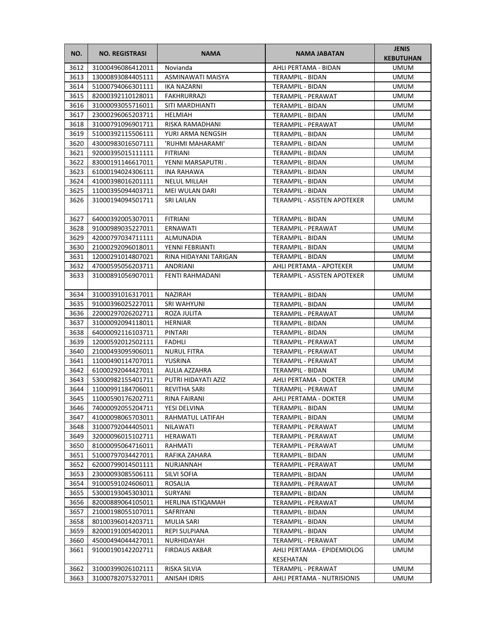| NO.  | <b>NO. REGISTRASI</b> | <b>NAMA</b>           | <b>NAMA JABATAN</b>                     | <b>JENIS</b><br><b>KEBUTUHAN</b> |
|------|-----------------------|-----------------------|-----------------------------------------|----------------------------------|
| 3612 | 31000496086412011     | Novianda              | AHLI PERTAMA - BIDAN                    | <b>UMUM</b>                      |
| 3613 | 13000893084405111     | ASMINAWATI MAISYA     | TERAMPIL - BIDAN                        | <b>UMUM</b>                      |
| 3614 | 51000794066301111     | IKA NAZARNI           | TERAMPIL - BIDAN                        | <b>UMUM</b>                      |
| 3615 | 82000392110128011     | FAKHRURRAZI           | TERAMPIL - PERAWAT                      | <b>UMUM</b>                      |
| 3616 | 31000093055716011     | SITI MARDHIANTI       | TERAMPIL - BIDAN                        | UMUM                             |
| 3617 | 23000296065203711     | HELMIAH               | TERAMPIL - BIDAN                        | UMUM                             |
| 3618 | 31000791096901711     | RISKA RAMADHANI       | TERAMPIL - PERAWAT                      | <b>UMUM</b>                      |
| 3619 | 51000392115506111     | YURI ARMA NENGSIH     | TERAMPIL - BIDAN                        | <b>UMUM</b>                      |
| 3620 | 43000983016507111     | 'RUHMI MAHARAMI'      | <b>TERAMPIL - BIDAN</b>                 | <b>UMUM</b>                      |
| 3621 | 92000395015111111     | <b>FITRIANI</b>       | TERAMPIL - BIDAN                        | <b>UMUM</b>                      |
| 3622 | 83000191146617011     | YENNI MARSAPUTRI.     | TERAMPIL - BIDAN                        | <b>UMUM</b>                      |
| 3623 | 61000194024306111     | INA RAHAWA            | TERAMPIL - BIDAN                        | <b>UMUM</b>                      |
| 3624 | 41000398016201111     | <b>NELUL MILLAH</b>   | TERAMPIL - BIDAN                        | UMUM                             |
| 3625 | 11000395094403711     | MEI WULAN DARI        | TERAMPIL - BIDAN                        | UMUM                             |
| 3626 | 31000194094501711     | SRI LAILAN            | TERAMPIL - ASISTEN APOTEKER             | <b>UMUM</b>                      |
| 3627 | 64000392005307011     | <b>FITRIANI</b>       | <b>TERAMPIL - BIDAN</b>                 | <b>UMUM</b>                      |
| 3628 | 91000989035227011     | ERNAWATI              | TERAMPIL - PERAWAT                      | <b>UMUM</b>                      |
| 3629 | 42000797034711111     | ALMUNADIA             | TERAMPIL - BIDAN                        | <b>UMUM</b>                      |
| 3630 | 21000292096018011     | YENNI FEBRIANTI       | TERAMPIL - BIDAN                        | <b>UMUM</b>                      |
| 3631 | 12000291014807021     | RINA HIDAYANI TARIGAN | TERAMPIL - BIDAN                        | <b>UMUM</b>                      |
| 3632 | 47000595056203711     | ANDRIANI              | AHLI PERTAMA - APOTEKER                 | UMUM                             |
| 3633 | 31000891056907011     | FENTI RAHMADANI       | TERAMPIL - ASISTEN APOTEKER             | UMUM                             |
| 3634 | 31000391016317011     | NAZIRAH               | TERAMPIL - BIDAN                        | UMUM                             |
| 3635 | 91000396025227011     | SRI WAHYUNI           | TERAMPIL - BIDAN                        | <b>UMUM</b>                      |
| 3636 | 22000297026202711     | ROZA JULITA           | TERAMPIL - PERAWAT                      | <b>UMUM</b>                      |
| 3637 | 31000092094118011     | <b>HERNIAR</b>        | TERAMPIL - BIDAN                        | <b>UMUM</b>                      |
| 3638 | 64000092116103711     | PINTARI               | TERAMPIL - BIDAN                        | UMUM                             |
| 3639 | 12000592012502111     | FADHLI                | TERAMPIL - PERAWAT                      | UMUM                             |
| 3640 | 21000493095906011     | <b>NURUL FITRA</b>    | TERAMPIL - PERAWAT                      | UMUM                             |
| 3641 | 11000490114707011     | YUSRINA               | TERAMPIL - PERAWAT                      | UMUM                             |
| 3642 | 61000292044427011     | AULIA AZZAHRA         | TERAMPIL - BIDAN                        | UMUM                             |
| 3643 | 53000982155401711     | PUTRI HIDAYATI AZIZ   | AHLI PERTAMA - DOKTER                   | <b>UMUM</b>                      |
| 3644 | 11000991184706011     | <b>REVITHA SARI</b>   | TERAMPIL - PERAWAT                      | <b>UMUM</b>                      |
| 3645 | 11000590176202711     | RINA FAIRANI          | AHLI PERTAMA - DOKTER                   | <b>UMUM</b>                      |
| 3646 | 74000092055204711     | YESI DELVINA          | TERAMPIL - BIDAN                        | <b>UMUM</b>                      |
| 3647 | 41000098065703011     | RAHMATUL LATIFAH      | TERAMPIL - BIDAN                        | UMUM                             |
| 3648 | 31000792044405011     | NILAWATI              | TERAMPIL - PERAWAT                      | <b>UMUM</b>                      |
| 3649 | 32000096015102711     | HERAWATI              | TERAMPIL - PERAWAT                      | UMUM                             |
| 3650 | 81000095064716011     | RAHMATI               | TERAMPIL - PERAWAT                      | UMUM                             |
| 3651 | 51000797034427011     | RAFIKA ZAHARA         | TERAMPIL - BIDAN                        | UMUM                             |
| 3652 | 62000799014501111     | NURJANNAH             | TERAMPIL - PERAWAT                      | UMUM                             |
| 3653 | 23000093085506111     | SILVI SOFIA           | TERAMPIL - BIDAN                        | UMUM                             |
| 3654 | 91000591024606011     | ROSALIA               | TERAMPIL - PERAWAT                      | UMUM                             |
| 3655 | 53000193045303011     | SURYANI               | TERAMPIL - BIDAN                        | UMUM                             |
| 3656 | 82000889064105011     | HERLINA ISTIQAMAH     | TERAMPIL - PERAWAT                      | UMUM                             |
| 3657 | 21000198055107011     | SAFRIYANI             | TERAMPIL - BIDAN                        | UMUM                             |
| 3658 | 80100396014203711     | <b>MULIA SARI</b>     | TERAMPIL - BIDAN                        | UMUM                             |
| 3659 | 82000191005402011     | REPI SULPIANA         | TERAMPIL - BIDAN                        | UMUM                             |
| 3660 | 45000494044427011     | NURHIDAYAH            | TERAMPIL - PERAWAT                      | <b>UMUM</b>                      |
| 3661 | 91000190142202711     | <b>FIRDAUS AKBAR</b>  | AHLI PERTAMA - EPIDEMIOLOG<br>KESEHATAN | UMUM                             |
| 3662 | 31000399026102111     | RISKA SILVIA          | TERAMPIL - PERAWAT                      | UMUM                             |
| 3663 | 31000782075327011     | ANISAH IDRIS          | AHLI PERTAMA - NUTRISIONIS              | UMUM                             |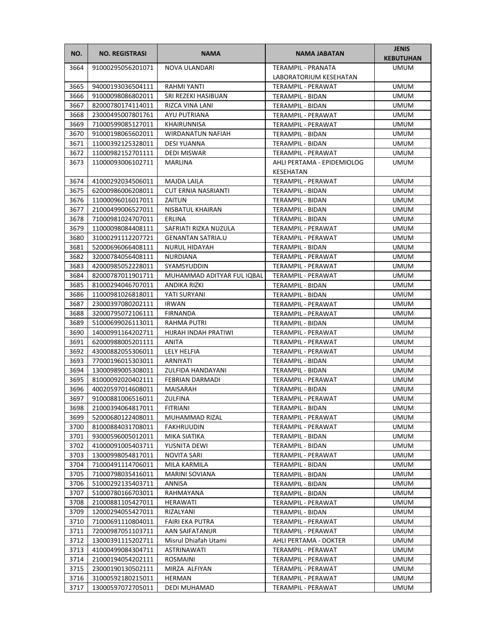| NO.  | <b>NO. REGISTRASI</b> | <b>NAMA</b>                | <b>NAMA JABATAN</b>        | <b>JENIS</b><br><b>KEBUTUHAN</b> |
|------|-----------------------|----------------------------|----------------------------|----------------------------------|
| 3664 | 91000295056201071     | NOVA ULANDARI              | <b>TERAMPIL - PRANATA</b>  | <b>UMUM</b>                      |
|      |                       |                            | LABORATORIUM KESEHATAN     |                                  |
| 3665 | 94000193036504111     | RAHMI YANTI                | TERAMPIL - PERAWAT         | <b>UMUM</b>                      |
| 3666 | 91000098086802011     | SRI REZEKI HASIBUAN        | TERAMPIL - BIDAN           | <b>UMUM</b>                      |
| 3667 | 82000780174114011     | RIZCA VINA LANI            | TERAMPIL - BIDAN           | UMUM                             |
| 3668 | 23000495007801761     | AYU PUTRIANA               | TERAMPIL - PERAWAT         | UMUM                             |
| 3669 | 71000599085127011     | KHAIRUNNISA                | TERAMPIL - PERAWAT         | UMUM                             |
| 3670 | 91000198065602011     | <b>WIRDANATUN NAFIAH</b>   | TERAMPIL - BIDAN           | <b>UMUM</b>                      |
| 3671 | 11000392125328011     | <b>DESI YUANNA</b>         | TERAMPIL - BIDAN           | <b>UMUM</b>                      |
| 3672 | 11000982152701111     | DEDI MISWAR                | TERAMPIL - PERAWAT         | <b>UMUM</b>                      |
| 3673 | 11000093006102711     | MARLINA                    | AHLI PERTAMA - EPIDEMIOLOG | UMUM                             |
|      |                       |                            | KESEHATAN                  |                                  |
| 3674 | 41000292034506011     | <b>MAJDA LAILA</b>         | TERAMPIL - PERAWAT         | UMUM                             |
| 3675 | 62000986006208011     | <b>CUT ERNIA NASRIANTI</b> | TERAMPIL - BIDAN           | UMUM                             |
| 3676 | 11000096016017011     | ZAITUN                     | TERAMPIL - BIDAN           | UMUM                             |
| 3677 | 21000499006527011     | NISBATUL KHAIRAN           | <b>TERAMPIL - BIDAN</b>    | <b>UMUM</b>                      |
| 3678 | 71000981024707011     | ERLINA                     | TERAMPIL - BIDAN           | UMUM                             |
| 3679 | 11000098084408111     | SAFRIATI RIZKA NUZULA      | <b>TERAMPIL - PERAWAT</b>  | <b>UMUM</b>                      |
| 3680 | 31000291112207721     | <b>GENANTAN SATRIA.U</b>   | TERAMPIL - PERAWAT         | <b>UMUM</b>                      |
| 3681 | 52000696066408111     | NURUL HIDAYAH              | TERAMPIL - BIDAN           | <b>UMUM</b>                      |
| 3682 | 32000784056408111     | <b>NURDIANA</b>            | <b>TERAMPIL - PERAWAT</b>  | UMUM                             |
| 3683 | 42000985052228011     | SYAMSYUDDIN                | <b>TERAMPIL - PERAWAT</b>  | UMUM                             |
| 3684 | 82000787011901711     | MUHAMMAD ADITYAR FUL IQBAL | <b>TERAMPIL - PERAWAT</b>  | UMUM                             |
| 3685 | 81000294046707011     | ANDIKA RIZKI               | TERAMPIL - BIDAN           | UMUM                             |
| 3686 | 11000981026818011     | YATI SURYANI               | TERAMPIL - BIDAN           | <b>UMUM</b>                      |
| 3687 | 23000397080202111     | <b>IRWAN</b>               | TERAMPIL - PERAWAT         | <b>UMUM</b>                      |
| 3688 | 32000795072106111     | <b>FIRNANDA</b>            | TERAMPIL - PERAWAT         | <b>UMUM</b>                      |
| 3689 | 51000699026113011     | RAHMA PUTRI                | TERAMPIL - BIDAN           | <b>UMUM</b>                      |
| 3690 | 14000991164202711     | HIJRAH INDAH PRATIWI       | TERAMPIL - PERAWAT         | <b>UMUM</b>                      |
| 3691 | 62000988005201111     | <b>ANITA</b>               | TERAMPIL - PERAWAT         | UMUM                             |
| 3692 | 43000882055306011     | LELY HELFIA                | TERAMPIL - PERAWAT         | UMUM                             |
| 3693 | 77000196015303011     | ARNIYATI                   | TERAMPIL - BIDAN           | UMUM                             |
| 3694 | 13000989005308011     | <b>ZULFIDA HANDAYANI</b>   | TERAMPIL - BIDAN           | <b>UMUM</b>                      |
| 3695 | 81000092020402111     | FEBRIAN DARMADI            | TERAMPIL - PERAWAT         | <b>UMUM</b>                      |
| 3696 | 40020597014608011     | MAISARAH                   | <b>TERAMPIL - BIDAN</b>    | <b>UMUM</b>                      |
| 3697 | 91000881006516011     | ZULFINA                    | TERAMPIL - PERAWAT         | <b>UMUM</b>                      |
| 3698 | 21000394064817011     | FITRIANI                   | TERAMPIL - BIDAN           | <b>UMUM</b>                      |
| 3699 | 52000680122408011     | MUHAMMAD RIZAL             | TERAMPIL - PERAWAT         | UMUM                             |
| 3700 | 81000884031708011     | FAKHRUUDIN                 | TERAMPIL - PERAWAT         | UMUM                             |
| 3701 | 93000596005012011     | MIKA SIATIKA               | TERAMPIL - BIDAN           | UMUM                             |
| 3702 | 41000091005403711     | YUSNITA DEWI               | TERAMPIL - BIDAN           | UMUM                             |
| 3703 | 13000998054817011     | NOVITA SARI                | TERAMPIL - PERAWAT         | UMUM                             |
| 3704 | 71000491114706011     | MILA KARMILA               | TERAMPIL - BIDAN           | UMUM                             |
| 3705 | 71000798035416011     | <b>MARINI SOVIANA</b>      | TERAMPIL - BIDAN           | UMUM                             |
| 3706 | 51000292135403711     | ANNISA                     | TERAMPIL - BIDAN           | <b>UMUM</b>                      |
| 3707 | 51000780166703011     | RAHMAYANA                  | TERAMPIL - BIDAN           | UMUM                             |
| 3708 | 21000881105427011     | HERAWATI                   | TERAMPIL - PERAWAT         | UMUM                             |
| 3709 | 12000294055427011     | RIZALYANI                  | TERAMPIL - BIDAN           | UMUM                             |
| 3710 | 71000691110804011     | FAIRI EKA PUTRA            | TERAMPIL - PERAWAT         | UMUM                             |
| 3711 | 72000987051103711     | AAN SAIFATANUR             | TERAMPIL - PERAWAT         | UMUM                             |
| 3712 | 13000391115202711     | Misrul Dhiafah Utami       | AHLI PERTAMA - DOKTER      | UMUM                             |
| 3713 | 41000499084304711     | ASTRINAWATI                | TERAMPIL - PERAWAT         | UMUM                             |
| 3714 | 21000194054202111     | ROSMAINI                   | TERAMPIL - PERAWAT         | UMUM                             |
| 3715 | 23000190130502111     | MIRZA ALFIYAN              | TERAMPIL - PERAWAT         | UMUM                             |
| 3716 | 31000592180215011     | HERMAN                     | TERAMPIL - PERAWAT         | UMUM                             |
| 3717 | 13000597072705011     | DEDI MUHAMAD               | TERAMPIL - PERAWAT         | UMUM                             |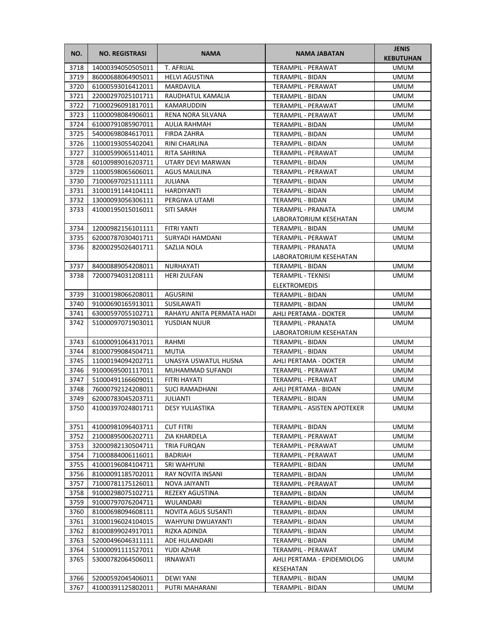| NO.          | <b>NO. REGISTRASI</b>                  | <b>NAMA</b>                               | <b>NAMA JABATAN</b>                         | <b>JENIS</b><br><b>KEBUTUHAN</b> |
|--------------|----------------------------------------|-------------------------------------------|---------------------------------------------|----------------------------------|
| 3718         | 14000394050505011                      | <b>T. AFRIJAL</b>                         | <b>TERAMPIL - PERAWAT</b>                   | <b>UMUM</b>                      |
| 3719         | 86000688064905011                      | <b>HELVI AGUSTINA</b>                     | TERAMPIL - BIDAN                            | <b>UMUM</b>                      |
| 3720         | 61000593016412011                      | MARDAVILA                                 | TERAMPIL - PERAWAT                          | <b>UMUM</b>                      |
| 3721         | 22000297025101711                      | RAUDHATUL KAMALIA                         | <b>TERAMPIL - BIDAN</b>                     | <b>UMUM</b>                      |
| 3722         | 71000296091817011                      | KAMARUDDIN                                | TERAMPIL - PERAWAT                          | UMUM                             |
| 3723         | 11000098084906011                      | RENA NORA SILVANA                         | TERAMPIL - PERAWAT                          | UMUM                             |
| 3724         | 61000791085907011                      | AULIA RAHMAH                              | TERAMPIL - BIDAN                            | <b>UMUM</b>                      |
| 3725         | 54000698084617011                      | <b>FIRDA ZAHRA</b>                        | TERAMPIL - BIDAN                            | <b>UMUM</b>                      |
| 3726         | 11000193055402041                      | RINI CHARLINA                             | TERAMPIL - BIDAN                            | <b>UMUM</b>                      |
| 3727         | 31000599065114011                      | RITA SAHRINA                              | TERAMPIL - PERAWAT                          | <b>UMUM</b>                      |
| 3728         | 60100989016203711                      | UTARY DEVI MARWAN                         | TERAMPIL - BIDAN                            | <b>UMUM</b>                      |
| 3729         | 11000598065606011                      | AGUS MAULINA                              | TERAMPIL - PERAWAT                          | <b>UMUM</b>                      |
| 3730         | 71000697025111111                      | JULIANA                                   | TERAMPIL - BIDAN                            | UMUM                             |
| 3731         | 31000191144104111                      | HARDIYANTI                                | TERAMPIL - BIDAN                            | UMUM                             |
| 3732         | 13000093056306111                      | PERGIWA UTAMI                             | TERAMPIL - BIDAN                            | <b>UMUM</b>                      |
| 3733         | 41000195015016011                      | <b>SITI SARAH</b>                         | TERAMPIL - PRANATA                          | <b>UMUM</b>                      |
|              |                                        |                                           | LABORATORIUM KESEHATAN                      |                                  |
| 3734         | 12000982156101111                      | FITRI YANTI                               | TERAMPIL - BIDAN                            | <b>UMUM</b>                      |
| 3735         | 62000787030401711                      | SURYADI HAMDANI                           | TERAMPIL - PERAWAT                          | <b>UMUM</b>                      |
| 3736         | 82000295026401711                      | SAZLIA NOLA                               | TERAMPIL - PRANATA                          | <b>UMUM</b>                      |
|              |                                        |                                           | LABORATORIUM KESEHATAN                      |                                  |
| 3737         | 84000889054208011                      | <b>NURHAYATI</b>                          | TERAMPIL - BIDAN                            | UMUM                             |
| 3738         | 72000794031208111                      | <b>HERI ZULFAN</b>                        | <b>TERAMPIL - TEKNISI</b>                   | <b>UMUM</b>                      |
|              |                                        |                                           | <b>ELEKTROMEDIS</b>                         |                                  |
| 3739         | 31000198066208011                      | <b>AGUSRINI</b>                           | <b>TERAMPIL - BIDAN</b>                     | <b>UMUM</b>                      |
| 3740         | 91000690165913011                      | <b>SUSILAWATI</b>                         |                                             | <b>UMUM</b>                      |
|              |                                        |                                           | TERAMPIL - BIDAN                            |                                  |
| 3741<br>3742 | 63000597055102711<br>51000097071903011 | RAHAYU ANITA PERMATA HADI<br>YUSDIAN NUUR | AHLI PERTAMA - DOKTER<br>TERAMPIL - PRANATA | <b>UMUM</b><br>UMUM              |
|              |                                        |                                           | LABORATORIUM KESEHATAN                      |                                  |
|              |                                        |                                           |                                             |                                  |
| 3743<br>3744 | 61000091064317011                      | RAHMI                                     | TERAMPIL - BIDAN                            | UMUM                             |
| 3745         | 81000799084504711                      | MUTIA                                     | TERAMPIL - BIDAN                            | UMUM                             |
|              | 11000194094202711                      | UNASYA USWATUL HUSNA                      | AHLI PERTAMA - DOKTER                       | UMUM                             |
| 3746         | 91000695001117011<br>51000491166609011 | MUHAMMAD SUFANDI<br>FITRI HAYATI          | TERAMPIL - PERAWAT                          | UMUM                             |
| 3747         | 76000792124208011                      |                                           | TERAMPIL - PERAWAT                          | <b>UMUM</b>                      |
| 3748         |                                        | <b>SUCI RAMADHANI</b>                     | AHLI PERTAMA - BIDAN                        | <b>UMUM</b>                      |
| 3749         | 62000783045203711                      | JULIANTI                                  | TERAMPIL - BIDAN                            | <b>UMUM</b>                      |
| 3750         | 41000397024801711                      | DESY YULIASTIKA                           | TERAMPIL - ASISTEN APOTEKER                 | <b>UMUM</b>                      |
| 3751         | 41000981096403711                      | <b>CUT FITRI</b>                          | TERAMPIL - BIDAN                            | <b>UMUM</b>                      |
| 3752         | 21000895006202711                      | <b>ZIA KHARDELA</b>                       | TERAMPIL - PERAWAT                          | <b>UMUM</b>                      |
| 3753         | 32000982130504711                      | TRIA FURQAN                               | TERAMPIL - PERAWAT                          | UMUM                             |
| 3754         | 71000884006116011                      | <b>BADRIAH</b>                            | <b>TERAMPIL - PERAWAT</b>                   | <b>UMUM</b>                      |
| 3755         | 41000196084104711                      | SRI WAHYUNI                               | TERAMPIL - BIDAN                            | UMUM                             |
| 3756         | 81000091185702011                      | RAY NOVITA INSANI                         | TERAMPIL - BIDAN                            | UMUM                             |
| 3757         | 71000781175126011                      | NOVA JAIYANTI                             | TERAMPIL - PERAWAT                          | UMUM                             |
| 3758         | 91000298075102711                      | REZEKY AGUSTINA                           | TERAMPIL - BIDAN                            | UMUM                             |
| 3759         | 91000797076204711                      | WULANDARI                                 | TERAMPIL - BIDAN                            | UMUM                             |
| 3760         | 81000698094608111                      | NOVITA AGUS SUSANTI                       | TERAMPIL - BIDAN                            | UMUM                             |
| 3761         | 31000196024104015                      | WAHYUNI DWIJAYANTI                        | TERAMPIL - BIDAN                            | UMUM                             |
| 3762         | 81000899024917011                      | RIZKA ADINDA                              | TERAMPIL - BIDAN                            | UMUM                             |
| 3763         | 52000496046311111                      | ADE HULANDARI                             | TERAMPIL - BIDAN                            | <b>UMUM</b>                      |
| 3764         | 51000091111527011                      | YUDI AZHAR                                | TERAMPIL - PERAWAT                          | <b>UMUM</b>                      |
| 3765         | 53000782064506011                      | <b>IRNAWATI</b>                           | AHLI PERTAMA - EPIDEMIOLOG                  | <b>UMUM</b>                      |
|              |                                        |                                           | KESEHATAN                                   |                                  |
| 3766         | 52000592045406011                      | DEWI YANI                                 | TERAMPIL - BIDAN                            | UMUM                             |
| 3767         | 41000391125802011                      | PUTRI MAHARANI                            | TERAMPIL - BIDAN                            | UMUM                             |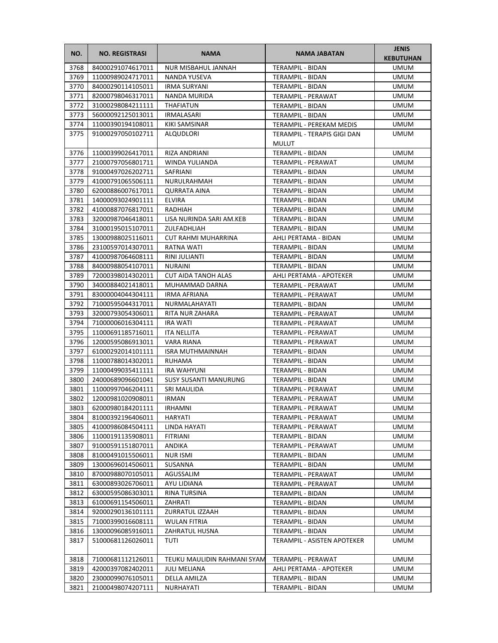| NO.  | <b>NO. REGISTRASI</b> | <b>NAMA</b>                  | <b>NAMA JABATAN</b>         | <b>JENIS</b><br><b>KEBUTUHAN</b> |
|------|-----------------------|------------------------------|-----------------------------|----------------------------------|
| 3768 | 84000291074617011     | NUR MISBAHUL JANNAH          | TERAMPIL - BIDAN            | <b>UMUM</b>                      |
| 3769 | 11000989024717011     | NANDA YUSEVA                 | TERAMPIL - BIDAN            | <b>UMUM</b>                      |
| 3770 | 84000290114105011     | <b>IRMA SURYANI</b>          | TERAMPIL - BIDAN            | <b>UMUM</b>                      |
| 3771 | 82000798046317011     | NANDA MURIDA                 | TERAMPIL - PERAWAT          | <b>UMUM</b>                      |
| 3772 | 31000298084211111     | <b>THAFIATUN</b>             | TERAMPIL - BIDAN            | UMUM                             |
| 3773 | 56000092125013011     | <b>IRMALASARI</b>            | TERAMPIL - BIDAN            | UMUM                             |
| 3774 | 11000390194108011     | KIKI SAMSINAR                | TERAMPIL - PEREKAM MEDIS    | <b>UMUM</b>                      |
| 3775 | 91000297050102711     | <b>ALQUDLORI</b>             | TERAMPIL - TERAPIS GIGI DAN | <b>UMUM</b>                      |
|      |                       |                              | <b>MULUT</b>                |                                  |
| 3776 | 11000399026417011     | RIZA ANDRIANI                | TERAMPIL - BIDAN            | <b>UMUM</b>                      |
| 3777 | 21000797056801711     | WINDA YULIANDA               | TERAMPIL - PERAWAT          | UMUM                             |
| 3778 | 91000497026202711     | SAFRIANI                     | TERAMPIL - BIDAN            | UMUM                             |
| 3779 | 41000791065506111     | NURULRAHMAH                  | TERAMPIL - BIDAN            | UMUM                             |
| 3780 | 62000886007617011     | <b>QURRATA AINA</b>          | TERAMPIL - BIDAN            | UMUM                             |
| 3781 | 14000093024901111     | <b>ELVIRA</b>                | TERAMPIL - BIDAN            | UMUM                             |
| 3782 | 41000887076817011     | RADHIAH                      | TERAMPIL - BIDAN            | <b>UMUM</b>                      |
| 3783 | 32000987046418011     | LISA NURINDA SARI AM.KEB     | TERAMPIL - BIDAN            | UMUM                             |
| 3784 | 31000195015107011     | ZULFADHLIAH                  | <b>TERAMPIL - BIDAN</b>     | UMUM                             |
| 3785 | 13000988025116011     | CUT RAHMI MUHARRINA          | AHLI PERTAMA - BIDAN        | <b>UMUM</b>                      |
| 3786 | 23100597014307011     | RATNA WATI                   | TERAMPIL - BIDAN            | <b>UMUM</b>                      |
| 3787 | 41000987064608111     | RINI JULIANTI                | TERAMPIL - BIDAN            | UMUM                             |
| 3788 | 84000988054107011     | <b>NURAINI</b>               | TERAMPIL - BIDAN            | UMUM                             |
| 3789 | 72000398014302011     | <b>CUT AIDA TANOH ALAS</b>   | AHLI PERTAMA - APOTEKER     | UMUM                             |
| 3790 | 34000884021418011     | MUHAMMAD DARNA               | TERAMPIL - PERAWAT          | <b>UMUM</b>                      |
| 3791 | 83000004044304111     | IRMA AFRIANA                 | TERAMPIL - PERAWAT          | UMUM                             |
| 3792 | 71000595044317011     | NURMALAHAYATI                | TERAMPIL - BIDAN            | <b>UMUM</b>                      |
| 3793 | 32000793054306011     | RITA NUR ZAHARA              | TERAMPIL - PERAWAT          | <b>UMUM</b>                      |
| 3794 | 71000006016304111     | <b>IRA WATI</b>              | TERAMPIL - PERAWAT          | UMUM                             |
| 3795 | 11000691185716011     | <b>ITA NELLITA</b>           | TERAMPIL - PERAWAT          | UMUM                             |
| 3796 | 12000595086913011     | VARA RIANA                   | TERAMPIL - PERAWAT          | UMUM                             |
| 3797 | 61000292014101111     | <b>ISRA MUTHMAINNAH</b>      | TERAMPIL - BIDAN            | UMUM                             |
| 3798 | 11000788014302011     | RUHAMA                       | <b>TERAMPIL - BIDAN</b>     | UMUM                             |
| 3799 | 11000499035411111     | <b>IRA WAHYUNI</b>           | <b>TERAMPIL - BIDAN</b>     | UMUM                             |
| 3800 | 24000689096601041     | <b>SUSY SUSANTI MANURUNG</b> | TERAMPIL - BIDAN            | <b>UMUM</b>                      |
| 3801 | 11000997046204111     | SRI MAULIDA                  | TERAMPIL - PERAWAT          | <b>UMUM</b>                      |
| 3802 | 12000981020908011     | <b>IRMAN</b>                 | TERAMPIL - PERAWAT          | <b>UMUM</b>                      |
| 3803 | 62000980184201111     | <b>IRHAMNI</b>               | TERAMPIL - PERAWAT          | <b>UMUM</b>                      |
| 3804 | 81000392196406011     | HARYATI                      | TERAMPIL - PERAWAT          | UMUM                             |
| 3805 | 41000986084504111     | LINDA HAYATI                 | TERAMPIL - PERAWAT          | UMUM                             |
| 3806 | 11000191135908011     | FITRIANI                     | TERAMPIL - BIDAN            | UMUM                             |
| 3807 | 91000591151807011     | ANDIKA                       | TERAMPIL - PERAWAT          | UMUM                             |
| 3808 | 81000491015506011     | <b>NUR ISMI</b>              | TERAMPIL - BIDAN            | UMUM                             |
| 3809 | 13000696014506011     | SUSANNA                      | TERAMPIL - BIDAN            | UMUM                             |
| 3810 | 87000988070105011     | AGUSSALIM                    | TERAMPIL - PERAWAT          | UMUM                             |
| 3811 | 63000893026706011     | AYU LIDIANA                  | TERAMPIL - PERAWAT          | UMUM                             |
| 3812 | 63000595086303011     | RINA TURSINA                 | TERAMPIL - BIDAN            | UMUM                             |
| 3813 | 61000691154506011     | ZAHRATI                      | TERAMPIL - BIDAN            | UMUM                             |
| 3814 | 92000290136101111     | ZURRATUL IZZAAH              | TERAMPIL - BIDAN            | UMUM                             |
| 3815 | 71000399016608111     | <b>WULAN FITRIA</b>          | TERAMPIL - BIDAN            | UMUM                             |
| 3816 | 13000096085916011     | ZAHRATUL HUSNA               | TERAMPIL - BIDAN            | UMUM                             |
| 3817 | 51000681126026011     | TUTI                         | TERAMPIL - ASISTEN APOTEKER | UMUM                             |
| 3818 | 71000681112126011     | TEUKU MAULIDIN RAHMANI SYAM  | TERAMPIL - PERAWAT          | UMUM                             |
| 3819 | 42000397082402011     | <b>JULI MELIANA</b>          | AHLI PERTAMA - APOTEKER     | UMUM                             |
| 3820 | 23000099076105011     | DELLA AMILZA                 | TERAMPIL - BIDAN            | UMUM                             |
| 3821 | 21000498074207111     | NURHAYATI                    | TERAMPIL - BIDAN            | UMUM                             |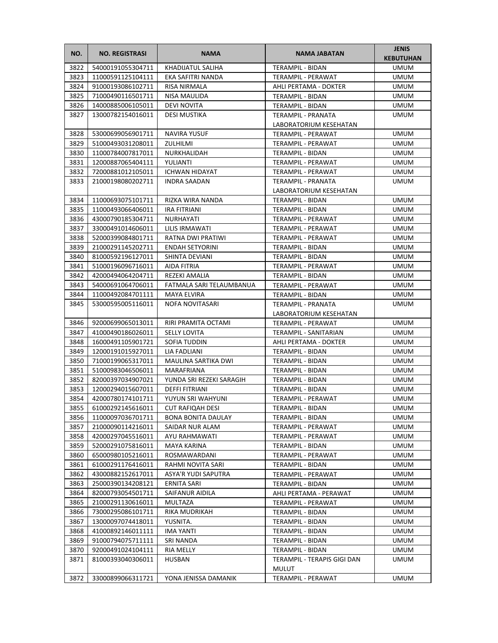| NO.  | <b>NO. REGISTRASI</b> | <b>NAMA</b>              | <b>NAMA JABATAN</b>         | <b>JENIS</b><br><b>KEBUTUHAN</b> |
|------|-----------------------|--------------------------|-----------------------------|----------------------------------|
| 3822 | 54000191055304711     | KHADIJATUL SALIHA        | <b>TERAMPIL - BIDAN</b>     | UMUM                             |
| 3823 | 11000591125104111     | EKA SAFITRI NANDA        | TERAMPIL - PERAWAT          | <b>UMUM</b>                      |
| 3824 | 91000193086102711     | RISA NIRMALA             | AHLI PERTAMA - DOKTER       | UMUM                             |
| 3825 | 71000490116501711     | NISA MAULIDA             | TERAMPIL - BIDAN            | <b>UMUM</b>                      |
| 3826 | 14000885006105011     | <b>DEVI NOVITA</b>       | TERAMPIL - BIDAN            | UMUM                             |
| 3827 | 13000782154016011     | <b>DESI MUSTIKA</b>      | TERAMPIL - PRANATA          | UMUM                             |
|      |                       |                          | LABORATORIUM KESEHATAN      |                                  |
| 3828 | 53000699056901711     | <b>NAVIRA YUSUF</b>      | TERAMPIL - PERAWAT          | <b>UMUM</b>                      |
| 3829 | 51000493031208011     | ZULHILMI                 | TERAMPIL - PERAWAT          | <b>UMUM</b>                      |
| 3830 | 11000784007817011     | NURKHALIDAH              | TERAMPIL - BIDAN            | <b>UMUM</b>                      |
| 3831 | 12000887065404111     | YULIANTI                 | TERAMPIL - PERAWAT          | <b>UMUM</b>                      |
| 3832 | 72000881012105011     | <b>ICHWAN HIDAYAT</b>    | TERAMPIL - PERAWAT          | <b>UMUM</b>                      |
| 3833 | 21000198080202711     | <b>INDRA SAADAN</b>      | TERAMPIL - PRANATA          | UMUM                             |
|      |                       |                          | LABORATORIUM KESEHATAN      |                                  |
| 3834 | 11000693075101711     | RIZKA WIRA NANDA         | TERAMPIL - BIDAN            | <b>UMUM</b>                      |
| 3835 | 11000493066406011     | IRA FITRIANI             | TERAMPIL - BIDAN            | <b>UMUM</b>                      |
| 3836 | 43000790185304711     | NURHAYATI                | TERAMPIL - PERAWAT          | UMUM                             |
| 3837 | 33000491014606011     | LILIS IRMAWATI           | <b>TERAMPIL - PERAWAT</b>   | <b>UMUM</b>                      |
| 3838 | 52000399084801711     | RATNA DWI PRATIWI        | TERAMPIL - PERAWAT          | <b>UMUM</b>                      |
| 3839 | 21000291145202711     | <b>ENDAH SETYORINI</b>   | TERAMPIL - BIDAN            | <b>UMUM</b>                      |
| 3840 | 81000592196127011     | SHINTA DEVIANI           | TERAMPIL - BIDAN            | <b>UMUM</b>                      |
| 3841 | 51000196096716011     | AIDA FITRIA              | TERAMPIL - PERAWAT          | UMUM                             |
| 3842 | 42000494064204711     | REZEKI AMALIA            | TERAMPIL - BIDAN            | UMUM                             |
| 3843 | 54000691064706011     | FATMALA SARI TELAUMBANUA | TERAMPIL - PERAWAT          | UMUM                             |
| 3844 | 11000492084701111     | MAYA ELVIRA              | TERAMPIL - BIDAN            | <b>UMUM</b>                      |
| 3845 | 53000595005116011     | NOFA NOVITASARI          | TERAMPIL - PRANATA          | <b>UMUM</b>                      |
|      |                       |                          | LABORATORIUM KESEHATAN      |                                  |
| 3846 | 92000699065013011     | RIRI PRAMITA OCTAMI      | TERAMPIL - PERAWAT          | <b>UMUM</b>                      |
| 3847 | 41000490186026011     | <b>SELLY LOVITA</b>      | TERAMPIL - SANITARIAN       | <b>UMUM</b>                      |
| 3848 | 16000491105901721     | SOFIA TUDDIN             | AHLI PERTAMA - DOKTER       | UMUM                             |
| 3849 | 12000191015927011     | LIA FADLIANI             | TERAMPIL - BIDAN            | UMUM                             |
| 3850 | 71000199065317011     | MAULINA SARTIKA DWI      | TERAMPIL - BIDAN            | UMUM                             |
| 3851 | 51000983046506011     | MARAFRIANA               | TERAMPIL - BIDAN            | <b>UMUM</b>                      |
| 3852 | 82000397034907021     | YUNDA SRI REZEKI SARAGIH | TERAMPIL - BIDAN            | <b>UMUM</b>                      |
| 3853 | 12000294015607011     | DEFFI FITRIANI           | TERAMPIL - BIDAN            | <b>UMUM</b>                      |
| 3854 | 42000780174101711     | YUYUN SRI WAHYUNI        | TERAMPIL - PERAWAT          | <b>UMUM</b>                      |
| 3855 | 61000292145616011     | CUT RAFIQAH DESI         | TERAMPIL - BIDAN            | <b>UMUM</b>                      |
| 3856 | 11000097036701711     | BONA BONITA DAULAY       | TERAMPIL - BIDAN            | UMUM                             |
| 3857 | 21000090114216011     | SAIDAR NUR ALAM          | TERAMPIL - PERAWAT          | UMUM                             |
| 3858 | 42000297045516011     | AYU RAHMAWATI            | TERAMPIL - PERAWAT          | UMUM                             |
| 3859 | 52000291075816011     | MAYA KARINA              | TERAMPIL - BIDAN            | UMUM                             |
| 3860 | 65000980105216011     | ROSMAWARDANI             | TERAMPIL - PERAWAT          | UMUM                             |
| 3861 | 61000291176416011     | RAHMI NOVITA SARI        | TERAMPIL - BIDAN            | UMUM                             |
| 3862 | 43000882152617011     | ASYA'R YUDI SAPUTRA      | TERAMPIL - PERAWAT          | UMUM                             |
| 3863 | 25000390134208121     | ERNITA SARI              | TERAMPIL - BIDAN            | UMUM                             |
| 3864 | 82000793054501711     | SAIFANUR AIDILA          | AHLI PERTAMA - PERAWAT      | UMUM                             |
| 3865 | 21000291130616011     | MULTAZA                  | TERAMPIL - PERAWAT          | UMUM                             |
| 3866 | 73000295086101711     | <b>RIKA MUDRIKAH</b>     | TERAMPIL - BIDAN            | UMUM                             |
| 3867 | 13000097074418011     | YUSNITA.                 | TERAMPIL - BIDAN            | UMUM                             |
| 3868 | 41000892146011111     | IMA YANTI                | TERAMPIL - BIDAN            | <b>UMUM</b>                      |
| 3869 | 91000794075711111     | SRI NANDA                | TERAMPIL - BIDAN            | UMUM                             |
| 3870 | 92000491024104111     | <b>RIA MELLY</b>         | TERAMPIL - BIDAN            | <b>UMUM</b>                      |
| 3871 | 81000393040306011     | HUSBAN                   | TERAMPIL - TERAPIS GIGI DAN | <b>UMUM</b>                      |
|      |                       |                          | <b>MULUT</b>                |                                  |
| 3872 | 33000899066311721     | YONA JENISSA DAMANIK     | TERAMPIL - PERAWAT          | UMUM                             |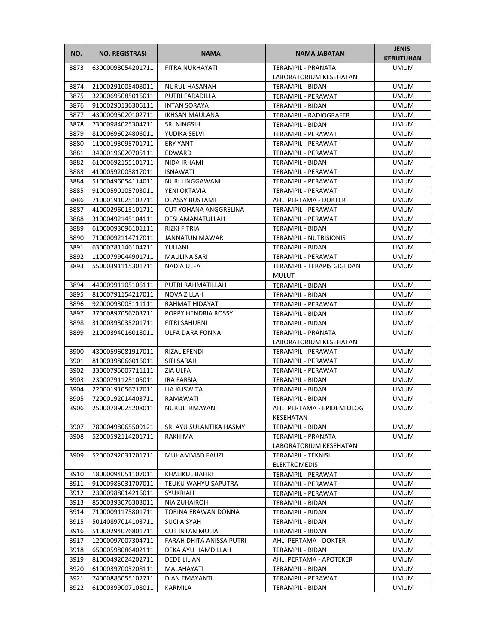| NO.  | <b>NO. REGISTRASI</b> | <b>NAMA</b>              | <b>NAMA JABATAN</b>           | <b>JENIS</b><br><b>KEBUTUHAN</b> |
|------|-----------------------|--------------------------|-------------------------------|----------------------------------|
| 3873 | 63000098054201711     | FITRA NURHAYATI          | <b>TERAMPIL - PRANATA</b>     | <b>UMUM</b>                      |
|      |                       |                          | LABORATORIUM KESEHATAN        |                                  |
| 3874 | 21000291005408011     | <b>NURUL HASANAH</b>     | <b>TERAMPIL - BIDAN</b>       | <b>UMUM</b>                      |
| 3875 | 32000695085016011     | <b>PUTRI FARADILLA</b>   | TERAMPIL - PERAWAT            | <b>UMUM</b>                      |
| 3876 | 91000290136306111     | <b>INTAN SORAYA</b>      | TERAMPIL - BIDAN              | UMUM                             |
| 3877 | 43000095020102711     | IKHSAN MAULANA           | <b>TERAMPIL - RADIOGRAFER</b> | UMUM                             |
| 3878 | 73000984025304711     | SRI NINGSIH              | TERAMPIL - BIDAN              | UMUM                             |
| 3879 | 81000696024806011     | YUDIKA SELVI             | TERAMPIL - PERAWAT            | <b>UMUM</b>                      |
| 3880 | 11000193095701711     | <b>ERY YANTI</b>         | TERAMPIL - PERAWAT            | <b>UMUM</b>                      |
| 3881 | 34000196020705111     | EDWARD                   | TERAMPIL - PERAWAT            | <b>UMUM</b>                      |
| 3882 | 61000692155101711     | NIDA IRHAMI              | TERAMPIL - BIDAN              | <b>UMUM</b>                      |
| 3883 | 41000592005817011     | <b>ISNAWATI</b>          | TERAMPIL - PERAWAT            | <b>UMUM</b>                      |
| 3884 | 51000496054114011     | NURI LINGGAWANI          | TERAMPIL - PERAWAT            | UMUM                             |
| 3885 | 91000590105703011     | YENI OKTAVIA             | TERAMPIL - PERAWAT            | UMUM                             |
| 3886 | 71000191025102711     | <b>DEASSY BUSTAMI</b>    | AHLI PERTAMA - DOKTER         | UMUM                             |
| 3887 | 41000296015101711     | CUT YOHANA ANGGRELINA    | TERAMPIL - PERAWAT            | <b>UMUM</b>                      |
| 3888 | 31000492145104111     | <b>DESI AMANATULLAH</b>  | TERAMPIL - PERAWAT            | UMUM                             |
| 3889 | 61000093096101111     | RIZKI FITRIA             | TERAMPIL - BIDAN              | <b>UMUM</b>                      |
| 3890 | 71000092114717011     | <b>JANNATUN MAWAR</b>    | <b>TERAMPIL - NUTRISIONIS</b> | <b>UMUM</b>                      |
| 3891 | 63000781146104711     | YULIANI                  | <b>TERAMPIL - BIDAN</b>       | <b>UMUM</b>                      |
| 3892 | 11000799044901711     | <b>MAULINA SARI</b>      | <b>TERAMPIL - PERAWAT</b>     | <b>UMUM</b>                      |
| 3893 | 55000391115301711     | NADIA ULFA               | TERAMPIL - TERAPIS GIGI DAN   | UMUM                             |
|      |                       |                          | <b>MULUT</b>                  |                                  |
| 3894 | 44000991105106111     | PUTRI RAHMATILLAH        | TERAMPIL - BIDAN              | <b>UMUM</b>                      |
| 3895 | 81000791154217011     | NOVA ZILLAH              | TERAMPIL - BIDAN              | <b>UMUM</b>                      |
| 3896 | 92000093003111111     | RAHMAT HIDAYAT           | TERAMPIL - PERAWAT            | <b>UMUM</b>                      |
| 3897 | 37000897056203711     | POPPY HENDRIA ROSSY      | TERAMPIL - BIDAN              | <b>UMUM</b>                      |
| 3898 | 31000393035201711     | <b>FITRI SAHURNI</b>     | TERAMPIL - BIDAN              | <b>UMUM</b>                      |
| 3899 | 21000394016018011     | ULFA DARA FONNA          | TERAMPIL - PRANATA            | <b>UMUM</b>                      |
|      |                       |                          | LABORATORIUM KESEHATAN        |                                  |
| 3900 | 43000596081917011     | RIZAL EFENDI             | TERAMPIL - PERAWAT            | UMUM                             |
| 3901 | 81000398066016011     | <b>SITI SARAH</b>        | TERAMPIL - PERAWAT            | UMUM                             |
| 3902 | 33000795007711111     | ZIA ULFA                 | TERAMPIL - PERAWAT            | <b>UMUM</b>                      |
| 3903 | 23000791125105011     | <b>IRA FARSIA</b>        | <b>TERAMPIL - BIDAN</b>       | <b>UMUM</b>                      |
| 3904 | 22000191056717011     | LIA KUSWITA              | TERAMPIL - BIDAN              | <b>UMUM</b>                      |
| 3905 | 72000192014403711     | RAMAWATI                 | TERAMPIL - BIDAN              | <b>UMUM</b>                      |
| 3906 | 25000789025208011     | NURUL IRMAYANI           | AHLI PERTAMA - EPIDEMIOLOG    | <b>UMUM</b>                      |
|      |                       |                          | KESEHATAN                     |                                  |
| 3907 | 78000498065509121     | SRI AYU SULANTIKA HASMY  | TERAMPIL - BIDAN              | <b>UMUM</b>                      |
| 3908 | 52000592114201711     | RAKHIMA                  | TERAMPIL - PRANATA            | <b>UMUM</b>                      |
|      |                       |                          | LABORATORIUM KESEHATAN        |                                  |
| 3909 | 52000292031201711     | MUHAMMAD FAUZI           | <b>TERAMPIL - TEKNISI</b>     | <b>UMUM</b>                      |
|      |                       |                          | <b>ELEKTROMEDIS</b>           |                                  |
| 3910 | 18000094051107011     | <b>KHALIKUL BAHRI</b>    | TERAMPIL - PERAWAT            | <b>UMUM</b>                      |
| 3911 | 91000985031707011     | TEUKU WAHYU SAPUTRA      | TERAMPIL - PERAWAT            | <b>UMUM</b>                      |
| 3912 | 23000988014216011     | SYUKRIAH                 | TERAMPIL - PERAWAT            | UMUM                             |
| 3913 | 85000393076303011     | NIA ZUHAIROH             | TERAMPIL - BIDAN              | UMUM                             |
| 3914 | 71000091175801711     | TORINA ERAWAN DONNA      | TERAMPIL - BIDAN              | UMUM                             |
| 3915 | 50140897014103711     | SUCI AISYAH              | TERAMPIL - BIDAN              | UMUM                             |
| 3916 | 51000294076801711     | <b>CUT INTAN MULIA</b>   | TERAMPIL - BIDAN              | UMUM                             |
| 3917 | 12000097007304711     | FARAH DHITA ANISSA PUTRI | AHLI PERTAMA - DOKTER         | UMUM                             |
| 3918 | 65000598086402111     | DEKA AYU HAMDILLAH       | TERAMPIL - BIDAN              | UMUM                             |
| 3919 | 81000492024202711     | DEDE LILIAN              | AHLI PERTAMA - APOTEKER       | UMUM                             |
| 3920 | 61000397005208111     | MALAHAYATI               | TERAMPIL - BIDAN              | UMUM                             |
| 3921 | 74000885055102711     | DIAN EMAYANTI            | TERAMPIL - PERAWAT            | UMUM                             |
| 3922 | 61000399007108011     | KARMILA                  | TERAMPIL - BIDAN              | UMUM                             |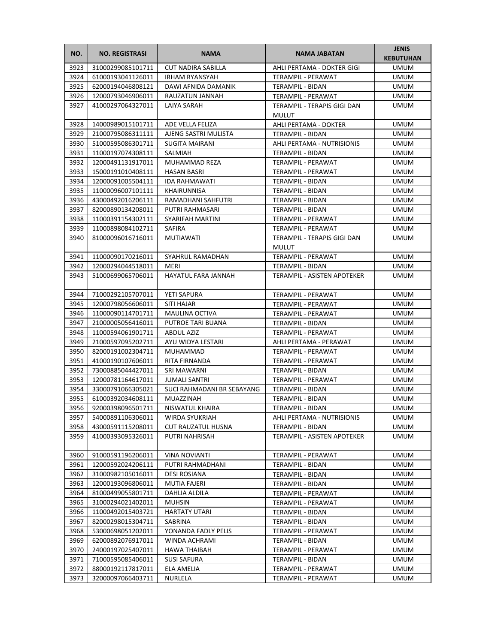| NO.  | <b>NO. REGISTRASI</b>  | <b>NAMA</b>                | <b>NAMA JABATAN</b>                         | <b>JENIS</b><br><b>KEBUTUHAN</b> |
|------|------------------------|----------------------------|---------------------------------------------|----------------------------------|
| 3923 | 31000299085101711      | <b>CUT NADIRA SABILLA</b>  | AHLI PERTAMA - DOKTER GIGI                  | UMUM                             |
| 3924 | 61000193041126011      | <b>IRHAM RYANSYAH</b>      | TERAMPIL - PERAWAT                          | <b>UMUM</b>                      |
| 3925 | 62000194046808121      | DAWI AFNIDA DAMANIK        | TERAMPIL - BIDAN                            | <b>UMUM</b>                      |
| 3926 | 12000793046906011      | RAUZATUN JANNAH            | TERAMPIL - PERAWAT                          | <b>UMUM</b>                      |
| 3927 | 41000297064327011      | LAIYA SARAH                | TERAMPIL - TERAPIS GIGI DAN<br><b>MULUT</b> | UMUM                             |
| 3928 | 14000989015101711      | ADE VELLA FELIZA           | AHLI PERTAMA - DOKTER                       | UMUM                             |
| 3929 | 21000795086311111      | AJENG SASTRI MULISTA       | <b>TERAMPIL - BIDAN</b>                     | <b>UMUM</b>                      |
| 3930 | 51000595086301711      | SUGITA MAIRANI             | AHLI PERTAMA - NUTRISIONIS                  | <b>UMUM</b>                      |
| 3931 | 11000197074308111      | SALMIAH                    | TERAMPIL - BIDAN                            | <b>UMUM</b>                      |
| 3932 | 12000491131917011      | MUHAMMAD REZA              | TERAMPIL - PERAWAT                          | <b>UMUM</b>                      |
| 3933 | 15000191010408111      | <b>HASAN BASRI</b>         | TERAMPIL - PERAWAT                          | <b>UMUM</b>                      |
| 3934 | 12000091005504111      | <b>IDA RAHMAWATI</b>       | TERAMPIL - BIDAN                            | UMUM                             |
| 3935 | 11000096007101111      | KHAIRUNNISA                | TERAMPIL - BIDAN                            | UMUM                             |
| 3936 | 43000492016206111      | RAMADHANI SAHFUTRI         | TERAMPIL - BIDAN                            | UMUM                             |
| 3937 | 82000890134208011      | PUTRI RAHMASARI            | TERAMPIL - BIDAN                            | <b>UMUM</b>                      |
| 3938 | 11000391154302111      | SYARIFAH MARTINI           | TERAMPIL - PERAWAT                          | <b>UMUM</b>                      |
| 3939 | 11000898084102711      | SAFIRA                     | TERAMPIL - PERAWAT                          | <b>UMUM</b>                      |
| 3940 | 81000096016716011      | <b>MUTIAWATI</b>           | TERAMPIL - TERAPIS GIGI DAN                 | <b>UMUM</b>                      |
|      |                        |                            | <b>MULUT</b>                                |                                  |
| 3941 | 11000090170216011      | SYAHRUL RAMADHAN           | TERAMPIL - PERAWAT                          | <b>UMUM</b>                      |
| 3942 | 12000294044518011      | MERI                       | TERAMPIL - BIDAN                            | UMUM                             |
| 3943 | 51000699065706011      | HAYATUL FARA JANNAH        | TERAMPIL - ASISTEN APOTEKER                 | UMUM                             |
| 3944 | 71000292105707011      | YETI SAPURA                | TERAMPIL - PERAWAT                          | <b>UMUM</b>                      |
| 3945 | 12000798056606011      | <b>SITI HAJAR</b>          | TERAMPIL - PERAWAT                          | <b>UMUM</b>                      |
| 3946 | 11000090114701711      | MAULINA OCTIVA             | TERAMPIL - PERAWAT                          | <b>UMUM</b>                      |
| 3947 | 21000005056416011      | PUTROE TARI BUANA          | TERAMPIL - BIDAN                            | <b>UMUM</b>                      |
| 3948 | 11000594061901711      | <b>ABDUL AZIZ</b>          | TERAMPIL - PERAWAT                          | <b>UMUM</b>                      |
| 3949 | 21000597095202711      | AYU WIDYA LESTARI          | AHLI PERTAMA - PERAWAT                      | UMUM                             |
| 3950 | 82000191002304711      | MUHAMMAD                   | TERAMPIL - PERAWAT                          | UMUM                             |
| 3951 | 41000190107606011      | RITA FIRNANDA              | TERAMPIL - PERAWAT                          | UMUM                             |
| 3952 | 73000885044427011      | SRI MAWARNI                | TERAMPIL - BIDAN                            | <b>UMUM</b>                      |
| 3953 | 12000781164617011      | <b>JUMALI SANTRI</b>       | TERAMPIL - PERAWAT                          | <b>UMUM</b>                      |
| 3954 | 33000791066305021      | SUCI RAHMADANI BR SEBAYANG | TERAMPIL - BIDAN                            | <b>UMUM</b>                      |
| 3955 | 61000392034608111      | MUAZZINAH                  | TERAMPIL - BIDAN                            | <b>UMUM</b>                      |
|      | 3956 92000398096501711 | NISWATUL KHAIRA            | TERAMPIL - BIDAN                            | <b>UMUM</b>                      |
| 3957 | 54000891106306011      | WIRDA SYUKRIAH             | AHLI PERTAMA - NUTRISIONIS                  | UMUM                             |
| 3958 | 43000591115208011      | CUT RAUZATUL HUSNA         | TERAMPIL - BIDAN                            | UMUM                             |
| 3959 | 41000393095326011      | PUTRI NAHRISAH             | TERAMPIL - ASISTEN APOTEKER                 | UMUM                             |
| 3960 | 91000591196206011      | <b>VINA NOVIANTI</b>       | TERAMPIL - PERAWAT                          | <b>UMUM</b>                      |
| 3961 | 12000592024206111      | PUTRI RAHMADHANI           | TERAMPIL - BIDAN                            | <b>UMUM</b>                      |
| 3962 | 31000982105016011      | DESI ROSIANA               | TERAMPIL - BIDAN                            | <b>UMUM</b>                      |
| 3963 | 12000193096806011      | MUTIA FAJERI               | TERAMPIL - BIDAN                            | <b>UMUM</b>                      |
| 3964 | 81000499055801711      | DAHLIA ALDILA              | TERAMPIL - PERAWAT                          | UMUM                             |
| 3965 | 31000294021402011      | <b>MUHSIN</b>              | TERAMPIL - PERAWAT                          | UMUM                             |
| 3966 | 11000492015403721      | HARTATY UTARI              | TERAMPIL - BIDAN                            | UMUM                             |
| 3967 | 82000298015304711      | SABRINA                    | TERAMPIL - BIDAN                            | UMUM                             |
| 3968 | 53000698051202011      | YONANDA FADLY PELIS        | TERAMPIL - PERAWAT                          | UMUM                             |
| 3969 | 62000892076917011      | WINDA ACHRAMI              | TERAMPIL - BIDAN                            | UMUM                             |
| 3970 | 24000197025407011      | HAWA THAIBAH               | TERAMPIL - PERAWAT                          | <b>UMUM</b>                      |
| 3971 | 71000595085406011      | <b>SUSI SAFURA</b>         | TERAMPIL - BIDAN                            | UMUM                             |
| 3972 | 88000192117817011      | ELA AMELIA                 | TERAMPIL - PERAWAT                          | <b>UMUM</b>                      |
| 3973 | 32000097066403711      | NURLELA                    | TERAMPIL - PERAWAT                          | UMUM                             |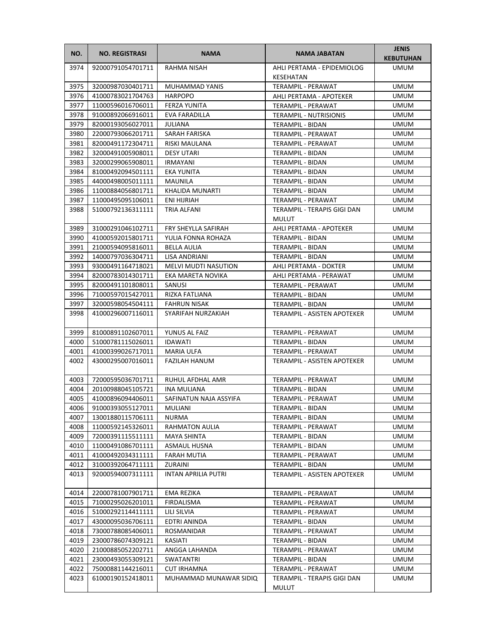| NO.  | <b>NO. REGISTRASI</b>  | <b>NAMA</b>                 | <b>NAMA JABATAN</b>                         | <b>JENIS</b><br><b>KEBUTUHAN</b> |
|------|------------------------|-----------------------------|---------------------------------------------|----------------------------------|
| 3974 | 92000791054701711      | RAHMA NISAH                 | AHLI PERTAMA - EPIDEMIOLOG                  | <b>UMUM</b>                      |
|      |                        |                             | KESEHATAN                                   |                                  |
| 3975 | 32000987030401711      | MUHAMMAD YANIS              | <b>TERAMPIL - PERAWAT</b>                   | <b>UMUM</b>                      |
| 3976 | 41000783021704763      | <b>HARPOPO</b>              | AHLI PERTAMA - APOTEKER                     | <b>UMUM</b>                      |
| 3977 | 11000596016706011      | <b>FERZA YUNITA</b>         | TERAMPIL - PERAWAT                          | <b>UMUM</b>                      |
| 3978 | 91000892066916011      | EVA FARADILLA               | <b>TERAMPIL - NUTRISIONIS</b>               | <b>UMUM</b>                      |
| 3979 | 82000193056027011      | <b>JULIANA</b>              | TERAMPIL - BIDAN                            | <b>UMUM</b>                      |
| 3980 | 22000793066201711      | SARAH FARISKA               | <b>TERAMPIL - PERAWAT</b>                   | <b>UMUM</b>                      |
| 3981 | 82000491172304711      | <b>RISKI MAULANA</b>        | TERAMPIL - PERAWAT                          | <b>UMUM</b>                      |
| 3982 | 32000491005908011      | <b>DESY UTARI</b>           | TERAMPIL - BIDAN                            | <b>UMUM</b>                      |
| 3983 | 32000299065908011      | <b>IRMAYANI</b>             | TERAMPIL - BIDAN                            | <b>UMUM</b>                      |
| 3984 | 81000492094501111      | EKA YUNITA                  | TERAMPIL - BIDAN                            | <b>UMUM</b>                      |
| 3985 | 44000498005011111      | MAUNILA                     | TERAMPIL - BIDAN                            | <b>UMUM</b>                      |
| 3986 | 11000884056801711      | KHALIDA MUNARTI             | TERAMPIL - BIDAN                            | UMUM                             |
| 3987 | 11000495095106011      | ENI HIJRIAH                 | TERAMPIL - PERAWAT                          | UMUM                             |
| 3988 | 51000792136311111      | TRIA ALFANI                 | TERAMPIL - TERAPIS GIGI DAN<br>MULUT        | <b>UMUM</b>                      |
| 3989 | 31000291046102711      | FRY SHEYLLA SAFIRAH         | AHLI PERTAMA - APOTEKER                     | <b>UMUM</b>                      |
| 3990 | 41000592015801711      | YULIA FONNA ROHAZA          | TERAMPIL - BIDAN                            | <b>UMUM</b>                      |
| 3991 | 21000594095816011      | BELLA AULIA                 | TERAMPIL - BIDAN                            | <b>UMUM</b>                      |
| 3992 | 14000797036304711      | LISA ANDRIANI               | TERAMPIL - BIDAN                            | <b>UMUM</b>                      |
| 3993 | 93000491164718021      | <b>MELVI MUDTI NASUTION</b> | AHLI PERTAMA - DOKTER                       | <b>UMUM</b>                      |
| 3994 | 82000783014301711      | EKA MARETA NOVIKA           | AHLI PERTAMA - PERAWAT                      | <b>UMUM</b>                      |
| 3995 | 82000491101808011      | SANUSI                      | TERAMPIL - PERAWAT                          | <b>UMUM</b>                      |
| 3996 | 71000597015427011      | RIZKA FATLIANA              | TERAMPIL - BIDAN                            | <b>UMUM</b>                      |
| 3997 | 32000598054504111      | <b>FAHRUN NISAK</b>         | TERAMPIL - BIDAN                            | <b>UMUM</b>                      |
| 3998 | 41000296007116011      | SYARIFAH NURZAKIAH          | TERAMPIL - ASISTEN APOTEKER                 | <b>UMUM</b>                      |
| 3999 | 81000891102607011      | YUNUS AL FAIZ               | TERAMPIL - PERAWAT                          | <b>UMUM</b>                      |
| 4000 | 51000781115026011      | <b>IDAWATI</b>              | TERAMPIL - BIDAN                            | UMUM                             |
| 4001 | 41000399026717011      | <b>MARIA ULFA</b>           | TERAMPIL - PERAWAT                          | UMUM                             |
| 4002 | 43000295007016011      | <b>FAZILAH HANUM</b>        | TERAMPIL - ASISTEN APOTEKER                 | UMUM                             |
| 4003 | 72000595036701711      | RUHUL AFDHAL AMR            | <b>TERAMPIL - PERAWAT</b>                   | <b>UMUM</b>                      |
| 4004 | 20100988045105721      | <b>INA MULIANA</b>          | TERAMPIL - BIDAN                            | <b>UMUM</b>                      |
| 4005 | 41000896094406011      | SAFINATUN NAJA ASSYIFA      | TERAMPIL - PERAWAT                          | <b>UMUM</b>                      |
|      | 4006 91000393055127011 | MULIANI                     | TERAMPIL - BIDAN                            | <b>UMUM</b>                      |
| 4007 | 13001880115706111      | NURMA                       | TERAMPIL - BIDAN                            | <b>UMUM</b>                      |
| 4008 | 11000592145326011      | RAHMATON AULIA              | TERAMPIL - PERAWAT                          | UMUM                             |
| 4009 | 72000391115511111      | MAYA SHINTA                 | TERAMPIL - BIDAN                            | UMUM                             |
| 4010 | 11000491086701111      | <b>ASMAUL HUSNA</b>         | TERAMPIL - BIDAN                            | <b>UMUM</b>                      |
| 4011 | 41000492034311111      | <b>FARAH MUTIA</b>          | TERAMPIL - PERAWAT                          | <b>UMUM</b>                      |
| 4012 | 31000392064711111      | ZURAINI                     | TERAMPIL - BIDAN                            | <b>UMUM</b>                      |
| 4013 | 92000594007311111      | <b>INTAN APRILIA PUTRI</b>  | TERAMPIL - ASISTEN APOTEKER                 | UMUM                             |
| 4014 | 22000781007901711      | EMA REZIKA                  | TERAMPIL - PERAWAT                          | UMUM                             |
| 4015 | 71000295026201011      | FIRDALISMA                  | TERAMPIL - PERAWAT                          | UMUM                             |
| 4016 | 51000292114411111      | LILI SILVIA                 | TERAMPIL - PERAWAT                          | UMUM                             |
| 4017 | 43000095036706111      | EDTRI ANINDA                | TERAMPIL - BIDAN                            | UMUM                             |
| 4018 | 73000788085406011      | ROSMANIDAR                  | TERAMPIL - PERAWAT                          | UMUM                             |
| 4019 | 23000786074309121      | KASIATI                     | TERAMPIL - BIDAN                            | UMUM                             |
| 4020 | 21000885052202711      | ANGGA LAHANDA               | TERAMPIL - PERAWAT                          | <b>UMUM</b>                      |
| 4021 | 23000493055309121      | SWATANTRI                   | TERAMPIL - BIDAN                            | <b>UMUM</b>                      |
| 4022 | 75000881144216011      | <b>CUT IRHAMNA</b>          | TERAMPIL - PERAWAT                          | <b>UMUM</b>                      |
| 4023 | 61000190152418011      | MUHAMMAD MUNAWAR SIDIQ      | TERAMPIL - TERAPIS GIGI DAN<br><b>MULUT</b> | UMUM                             |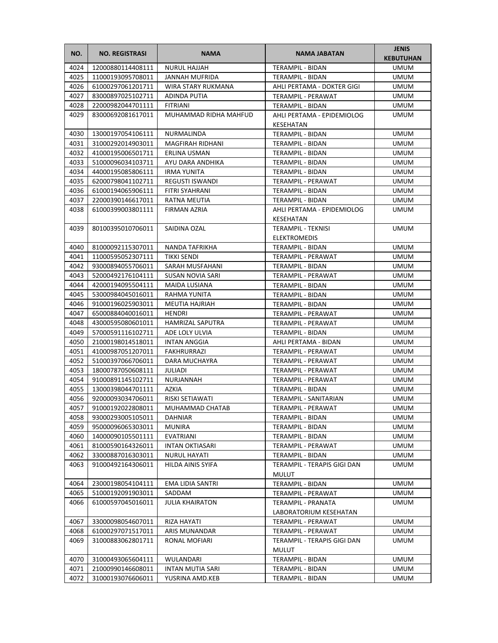| NO.          | <b>NO. REGISTRASI</b>                  | <b>NAMA</b>                        | <b>NAMA JABATAN</b>                      | <b>JENIS</b><br><b>KEBUTUHAN</b> |
|--------------|----------------------------------------|------------------------------------|------------------------------------------|----------------------------------|
| 4024         | 12000880114408111                      | <b>NURUL HAJJAH</b>                | <b>TERAMPIL - BIDAN</b>                  | UMUM                             |
| 4025         | 11000193095708011                      | JANNAH MUFRIDA                     | TERAMPIL - BIDAN                         | <b>UMUM</b>                      |
| 4026         | 61000297061201711                      | WIRA STARY RUKMANA                 | AHLI PERTAMA - DOKTER GIGI               | UMUM                             |
| 4027         | 83000897025102711                      | <b>ADINDA PUTIA</b>                | TERAMPIL - PERAWAT                       | <b>UMUM</b>                      |
| 4028         | 22000982044701111                      | <b>FITRIANI</b>                    | TERAMPIL - BIDAN                         | UMUM                             |
| 4029         | 83000692081617011                      | MUHAMMAD RIDHA MAHFUD              | AHLI PERTAMA - EPIDEMIOLOG               | UMUM                             |
|              |                                        |                                    | KESEHATAN                                |                                  |
| 4030         | 13000197054106111                      | NURMALINDA                         | TERAMPIL - BIDAN                         | <b>UMUM</b>                      |
| 4031         | 31000292014903011                      | <b>MAGFIRAH RIDHANI</b>            | TERAMPIL - BIDAN                         | <b>UMUM</b>                      |
| 4032         | 41000195006501711                      | ERLINA USMAN                       | TERAMPIL - BIDAN                         | <b>UMUM</b>                      |
| 4033         | 51000096034103711                      | AYU DARA ANDHIKA                   | TERAMPIL - BIDAN                         | <b>UMUM</b>                      |
| 4034         | 44000195085806111                      | <b>IRMA YUNITA</b>                 | TERAMPIL - BIDAN                         | <b>UMUM</b>                      |
| 4035         | 62000798041102711                      | <b>REGUSTI ISWANDI</b>             | TERAMPIL - PERAWAT                       | UMUM                             |
| 4036         | 61000194065906111                      | FITRI SYAHRANI                     | TERAMPIL - BIDAN                         | UMUM                             |
| 4037         | 22000390146617011                      | RATNA MEUTIA                       | TERAMPIL - BIDAN                         | UMUM                             |
| 4038         | 61000399003801111                      | <b>FIRMAN AZRIA</b>                | AHLI PERTAMA - EPIDEMIOLOG               | <b>UMUM</b>                      |
|              |                                        |                                    | <b>KESEHATAN</b>                         |                                  |
| 4039         | 80100395010706011                      | SAIDINA OZAL                       | <b>TERAMPIL - TEKNISI</b>                | <b>UMUM</b>                      |
|              |                                        |                                    | <b>ELEKTROMEDIS</b>                      |                                  |
| 4040         | 81000092115307011                      | NANDA TAFRIKHA                     | TERAMPIL - BIDAN                         | <b>UMUM</b>                      |
| 4041         | 11000595052307111                      | TIKKI SENDI                        | <b>TERAMPIL - PERAWAT</b>                | <b>UMUM</b>                      |
| 4042         | 93000894055706011                      | SARAH MUSFAHANI                    | TERAMPIL - BIDAN                         | UMUM                             |
| 4043         | 52000492176104111                      | SUSAN NOVIA SARI                   | TERAMPIL - PERAWAT                       | UMUM                             |
| 4044         | 42000194095504111                      | MAIDA LUSIANA                      | TERAMPIL - BIDAN                         | UMUM                             |
| 4045         | 53000984045016011                      | RAHMA YUNITA                       | TERAMPIL - BIDAN                         | <b>UMUM</b>                      |
| 4046         | 91000196025903011                      | <b>MEUTIA HAJRIAH</b>              | TERAMPIL - BIDAN                         | <b>UMUM</b>                      |
| 4047         | 65000884040016011                      | HENDRI                             | TERAMPIL - PERAWAT                       | <b>UMUM</b>                      |
| 4048         | 43000595080601011                      | HAMRIZAL SAPUTRA                   | TERAMPIL - PERAWAT                       | <b>UMUM</b>                      |
| 4049         | 57000591116102711                      | ADE LOLY ULVIA                     | TERAMPIL - BIDAN                         | <b>UMUM</b>                      |
| 4050<br>4051 | 21000198014518011<br>41000987051207011 | <b>INTAN ANGGIA</b><br>FAKHRURRAZI | AHLI PERTAMA - BIDAN                     | UMUM<br>UMUM                     |
| 4052         | 51000397066706011                      | DARA MUCHAYRA                      | TERAMPIL - PERAWAT<br>TERAMPIL - PERAWAT | UMUM                             |
| 4053         | 18000787050608111                      | JULIADI                            | TERAMPIL - PERAWAT                       | <b>UMUM</b>                      |
| 4054         | 91000891145102711                      | NURJANNAH                          | TERAMPIL - PERAWAT                       | <b>UMUM</b>                      |
| 4055         | 13000398044701111                      | <b>AZKIA</b>                       | TERAMPIL - BIDAN                         | <b>UMUM</b>                      |
| 4056         | 92000093034706011                      | RISKI SETIAWATI                    | TERAMPIL - SANITARIAN                    | <b>UMUM</b>                      |
| 4057         | 91000192022808011                      | MUHAMMAD CHATAB                    | TERAMPIL - PERAWAT                       | <b>UMUM</b>                      |
| 4058         | 93000293005105011                      | DAHNIAR                            | TERAMPIL - BIDAN                         | UMUM                             |
| 4059         | 95000096065303011                      | <b>MUNIRA</b>                      | TERAMPIL - BIDAN                         | UMUM                             |
| 4060         | 14000090105501111                      | EVATRIANI                          | TERAMPIL - BIDAN                         | UMUM                             |
| 4061         | 81000590164326011                      | <b>INTAN OKTIASARI</b>             | TERAMPIL - PERAWAT                       | UMUM                             |
| 4062         | 33000887016303011                      | <b>NURUL HAYATI</b>                | TERAMPIL - BIDAN                         | <b>UMUM</b>                      |
| 4063         | 91000492164306011                      | HILDA AINIS SYIFA                  | TERAMPIL - TERAPIS GIGI DAN              | UMUM                             |
|              |                                        |                                    | <b>MULUT</b>                             |                                  |
| 4064         | 23000198054104111                      | EMA LIDIA SANTRI                   | TERAMPIL - BIDAN                         | <b>UMUM</b>                      |
| 4065         | 51000192091903011                      | SADDAM                             | TERAMPIL - PERAWAT                       | <b>UMUM</b>                      |
| 4066         | 61000597045016011                      | <b>JULIA KHAIRATON</b>             | <b>TERAMPIL - PRANATA</b>                | UMUM                             |
|              |                                        |                                    | LABORATORIUM KESEHATAN                   |                                  |
| 4067         | 33000098054607011                      | RIZA HAYATI                        | TERAMPIL - PERAWAT                       | <b>UMUM</b>                      |
| 4068         | 61000297071517011                      | ARIS MUNANDAR                      | TERAMPIL - PERAWAT                       | <b>UMUM</b>                      |
| 4069         | 31000883062801711                      | RONAL MOFIARI                      | TERAMPIL - TERAPIS GIGI DAN              | <b>UMUM</b>                      |
|              |                                        |                                    | <b>MULUT</b>                             |                                  |
| 4070         | 31000493065604111                      | WULANDARI                          | TERAMPIL - BIDAN                         | UMUM                             |
| 4071         | 21000990146608011                      | INTAN MUTIA SARI                   | TERAMPIL - BIDAN                         | <b>UMUM</b>                      |
| 4072         | 31000193076606011                      | YUSRINA AMD.KEB                    | TERAMPIL - BIDAN                         | UMUM                             |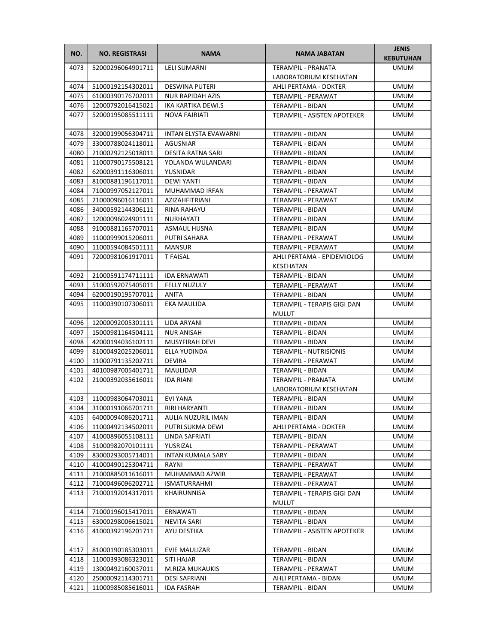| NO.  | <b>NO. REGISTRASI</b>  | <b>NAMA</b>                  | NAMA JABATAN                                   | <b>JENIS</b><br><b>KEBUTUHAN</b> |
|------|------------------------|------------------------------|------------------------------------------------|----------------------------------|
| 4073 | 52000296064901711      | <b>LELI SUMARNI</b>          | <b>TERAMPIL - PRANATA</b>                      | <b>UMUM</b>                      |
|      |                        |                              | LABORATORIUM KESEHATAN                         |                                  |
| 4074 | 51000192154302011      | <b>DESWINA PUTERI</b>        | AHLI PERTAMA - DOKTER                          | <b>UMUM</b>                      |
| 4075 | 61000390176702011      | <b>NUR RAPIDAH AZIS</b>      | TERAMPIL - PERAWAT                             | <b>UMUM</b>                      |
| 4076 | 12000792016415021      | IKA KARTIKA DEWI.S           | TERAMPIL - BIDAN                               | UMUM                             |
| 4077 | 52000195085511111      | NOVA FAJRIATI                | TERAMPIL - ASISTEN APOTEKER                    | UMUM                             |
| 4078 | 32000199056304711      | <b>INTAN ELYSTA EVAWARNI</b> | TERAMPIL - BIDAN                               | <b>UMUM</b>                      |
| 4079 | 33000788024118011      | <b>AGUSNIAR</b>              | TERAMPIL - BIDAN                               | <b>UMUM</b>                      |
| 4080 | 21000292125018011      | <b>DESITA RATNA SARI</b>     | TERAMPIL - BIDAN                               | <b>UMUM</b>                      |
| 4081 | 11000790175508121      | YOLANDA WULANDARI            | TERAMPIL - BIDAN                               | <b>UMUM</b>                      |
| 4082 | 62000391116306011      | YUSNIDAR                     | TERAMPIL - BIDAN                               | <b>UMUM</b>                      |
| 4083 | 81000881196117011      | <b>DEWI YANTI</b>            | TERAMPIL - BIDAN                               | UMUM                             |
| 4084 | 71000997052127011      | MUHAMMAD IRFAN               | TERAMPIL - PERAWAT                             | UMUM                             |
| 4085 | 21000096016116011      | AZIZAHFITRIANI               | TERAMPIL - PERAWAT                             | UMUM                             |
| 4086 | 34000592144306111      | RINA RAHAYU                  | TERAMPIL - BIDAN                               | <b>UMUM</b>                      |
| 4087 | 12000096024901111      | NURHAYATI                    | TERAMPIL - BIDAN                               | <b>UMUM</b>                      |
| 4088 | 91000881165707011      | <b>ASMAUL HUSNA</b>          | TERAMPIL - BIDAN                               | <b>UMUM</b>                      |
| 4089 | 11000999015206011      | PUTRI SAHARA                 | TERAMPIL - PERAWAT                             | <b>UMUM</b>                      |
| 4090 | 11000594084501111      | <b>MANSUR</b>                | TERAMPIL - PERAWAT                             | <b>UMUM</b>                      |
| 4091 | 72000981061917011      | <b>T FAISAL</b>              | AHLI PERTAMA - EPIDEMIOLOG<br><b>KESEHATAN</b> | <b>UMUM</b>                      |
| 4092 | 21000591174711111      | <b>IDA ERNAWATI</b>          | <b>TERAMPIL - BIDAN</b>                        | <b>UMUM</b>                      |
| 4093 | 51000592075405011      | <b>FELLY NUZULY</b>          | TERAMPIL - PERAWAT                             | UMUM                             |
| 4094 | 62000190195707011      | <b>ANITA</b>                 | TERAMPIL - BIDAN                               | <b>UMUM</b>                      |
| 4095 | 11000390107306011      | EKA MAULIDA                  | TERAMPIL - TERAPIS GIGI DAN<br><b>MULUT</b>    | <b>UMUM</b>                      |
| 4096 | 12000092005301111      | LIDA ARYANI                  | TERAMPIL - BIDAN                               | <b>UMUM</b>                      |
| 4097 | 15000981164504111      | <b>NUR ANISAH</b>            | TERAMPIL - BIDAN                               | <b>UMUM</b>                      |
| 4098 | 42000194036102111      | <b>MUSYFIRAH DEVI</b>        | TERAMPIL - BIDAN                               | UMUM                             |
| 4099 | 81000492025206011      | ELLA YUDINDA                 | <b>TERAMPIL - NUTRISIONIS</b>                  | UMUM                             |
| 4100 | 11000791135202711      | <b>DEVIRA</b>                | TERAMPIL - PERAWAT                             | UMUM                             |
| 4101 | 40100987005401711      | <b>MAULIDAR</b>              | TERAMPIL - BIDAN                               | <b>UMUM</b>                      |
| 4102 | 21000392035616011      | <b>IDA RIANI</b>             | TERAMPIL - PRANATA<br>LABORATORIUM KESEHATAN   | <b>UMUM</b>                      |
| 4103 | 11000983064703011      | EVI YANA                     | <b>TERAMPIL - BIDAN</b>                        | <b>UMUM</b>                      |
|      | 4104 31000191066701711 | RIRI HARYANTI                | TERAMPIL - BIDAN                               | <b>UMUM</b>                      |
| 4105 | 64000094086201711      | AULIA NUZURIL IMAN           | TERAMPIL - BIDAN                               | UMUM                             |
| 4106 | 11000492134502011      | PUTRI SUKMA DEWI             | AHLI PERTAMA - DOKTER                          | UMUM                             |
| 4107 | 41000896055108111      | LINDA SAFRIATI               | TERAMPIL - BIDAN                               | UMUM                             |
| 4108 | 51000982070101111      | YUSRIZAL                     | TERAMPIL - PERAWAT                             | UMUM                             |
| 4109 | 83000293005714011      | <b>INTAN KUMALA SARY</b>     | TERAMPIL - BIDAN                               | <b>UMUM</b>                      |
| 4110 | 41000490125304711      | RAYNI                        | TERAMPIL - PERAWAT                             | UMUM                             |
| 4111 | 21000885011616011      | MUHAMMAD AZWIR               | TERAMPIL - PERAWAT                             | <b>UMUM</b>                      |
| 4112 | 71000496096202711      | <b>ISMATURRAHMI</b>          | TERAMPIL - PERAWAT                             | UMUM                             |
| 4113 | 71000192014317011      | KHAIRUNNISA                  | TERAMPIL - TERAPIS GIGI DAN<br><b>MULUT</b>    | UMUM                             |
| 4114 | 71000196015417011      | ERNAWATI                     | TERAMPIL - BIDAN                               | UMUM                             |
| 4115 | 63000298006615021      | NEVITA SARI                  | TERAMPIL - BIDAN                               | UMUM                             |
| 4116 | 41000392196201711      | AYU DESTIKA                  | TERAMPIL - ASISTEN APOTEKER                    | UMUM                             |
| 4117 | 81000190185303011      | <b>EVIE MAULIZAR</b>         | TERAMPIL - BIDAN                               | <b>UMUM</b>                      |
| 4118 | 11000393086323011      | SITI HAJAR                   | TERAMPIL - BIDAN                               | UMUM                             |
| 4119 | 13000492160037011      | M.RIZA MUKAUKIS              | TERAMPIL - PERAWAT                             | UMUM                             |
| 4120 | 25000092114301711      | <b>DESI SAFRIANI</b>         | AHLI PERTAMA - BIDAN                           | UMUM                             |
| 4121 | 11000985085616011      | <b>IDA FASRAH</b>            | TERAMPIL - BIDAN                               | UMUM                             |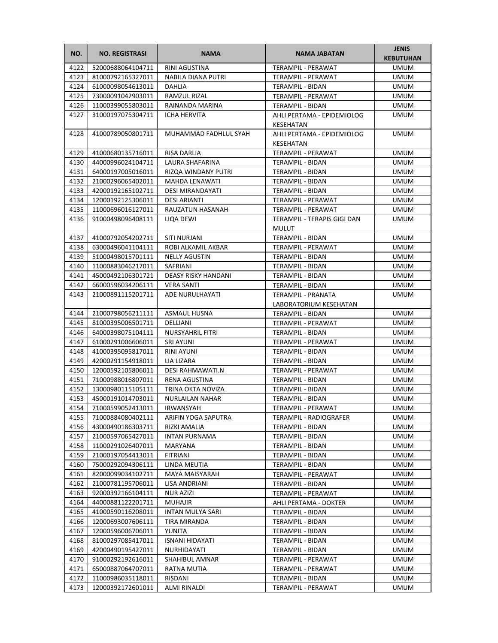| RINI AGUSTINA<br><b>UMUM</b><br>4122<br>52000688064104711<br>TERAMPIL - PERAWAT<br>4123<br>81000792165327011<br>NABILA DIANA PUTRI<br><b>UMUM</b><br>TERAMPIL - PERAWAT<br>4124<br>61000098054613011<br>DAHLIA<br><b>TERAMPIL - BIDAN</b><br>UMUM<br>4125<br>73000091042903011<br><b>RAMZUL RIZAL</b><br>TERAMPIL - PERAWAT<br><b>UMUM</b><br>4126<br>11000399055803011<br>RAINANDA MARINA<br>TERAMPIL - BIDAN<br>UMUM<br>4127<br>31000197075304711<br>ICHA HERVITA<br>AHLI PERTAMA - EPIDEMIOLOG<br>UMUM<br>KESEHATAN<br>41000789050801711<br>4128<br>MUHAMMAD FADHLUL SYAH<br>AHLI PERTAMA - EPIDEMIOLOG<br><b>UMUM</b><br>KESEHATAN<br>4129<br>TERAMPIL - PERAWAT<br>41000680135716011<br><b>RISA DARLIA</b><br><b>UMUM</b><br>4130<br>44000996024104711<br>LAURA SHAFARINA<br><b>TERAMPIL - BIDAN</b><br><b>UMUM</b><br>4131<br>64000197005016011<br>RIZQA WINDANY PUTRI<br>TERAMPIL - BIDAN<br>UMUM<br>4132<br>21000296065402011<br>MAHDA LENAWATI<br>TERAMPIL - BIDAN<br>UMUM<br>4133<br>42000192165102711<br>DESI MIRANDAYATI<br>TERAMPIL - BIDAN<br>UMUM<br>4134<br>12000192125306011<br><b>DESI ARIANTI</b><br>TERAMPIL - PERAWAT<br><b>UMUM</b><br>4135<br>11000696016127011<br>RAUZATUN HASANAH<br>TERAMPIL - PERAWAT<br><b>UMUM</b><br>4136<br>91000498096408111<br>LIQA DEWI<br>TERAMPIL - TERAPIS GIGI DAN<br><b>UMUM</b><br><b>MULUT</b><br>4137<br>41000792054202711<br>SITI NURJANI<br><b>UMUM</b><br>TERAMPIL - BIDAN<br>4138<br>63000496041104111<br>ROBI ALKAMIL AKBAR<br>UMUM<br>TERAMPIL - PERAWAT<br>4139<br>51000498015701111<br><b>NELLY AGUSTIN</b><br><b>UMUM</b><br>TERAMPIL - BIDAN<br>4140<br>11000883046217011<br><b>SAFRIANI</b><br>UMUM<br><b>TERAMPIL - BIDAN</b><br>4141<br>45000492106301721<br>DEASY RISKY HANDANI<br>UMUM<br><b>TERAMPIL - BIDAN</b><br>4142<br>66000596034206111<br><b>VERA SANTI</b><br><b>UMUM</b><br>TERAMPIL - BIDAN<br>4143<br>21000891115201711<br>ADE NURULHAYATI<br><b>UMUM</b><br>TERAMPIL - PRANATA<br>LABORATORIUM KESEHATAN<br>21000798056211111<br><b>UMUM</b><br>4144<br>ASMAUL HUSNA<br>TERAMPIL - BIDAN<br>4145<br>81000395006501711<br>DELLIANI<br>TERAMPIL - PERAWAT<br><b>UMUM</b><br>4146<br>64000398075104111<br><b>NURSYAHRIL FITRI</b><br>TERAMPIL - BIDAN<br>UMUM<br>4147<br>61000291006606011<br>SRI AYUNI<br>TERAMPIL - PERAWAT<br>UMUM<br>4148<br>41000395095817011<br>RINI AYUNI<br>TERAMPIL - BIDAN<br>UMUM<br>4149<br>42000291154918011<br>LIA LIZARA<br>TERAMPIL - BIDAN<br><b>UMUM</b><br>4150<br>12000592105806011<br><b>DESI RAHMAWATI.N</b><br>TERAMPIL - PERAWAT<br>UMUM<br>4151<br>71000988016807011<br>RENA AGUSTINA<br><b>TERAMPIL - BIDAN</b><br><b>UMUM</b><br>4152<br>13000980115105111<br>TRINA OKTA NOVIZA<br><b>TERAMPIL - BIDAN</b><br><b>UMUM</b><br>4153<br>45000191014703011<br><b>NURLAILAN NAHAR</b><br><b>TERAMPIL - BIDAN</b><br><b>UMUM</b><br>4154<br>71000599052413011<br>IRWANSYAH<br>TERAMPIL - PERAWAT<br><b>UMUM</b><br>4155<br>71000884080402111<br>ARIFIN YOGA SAPUTRA<br>TERAMPIL - RADIOGRAFER<br>UMUM<br>4156<br>43000490186303711<br>UMUM<br>RIZKI AMALIA<br>TERAMPIL - BIDAN<br>4157<br>21000597065427011<br><b>INTAN PURNAMA</b><br>TERAMPIL - BIDAN<br>UMUM<br>4158<br>11000291026407011<br>MARYANA<br>UMUM<br>TERAMPIL - BIDAN<br>4159<br>21000197054413011<br>FITRIANI<br>UMUM<br>TERAMPIL - BIDAN<br>4160<br>LINDA MEUTIA<br>75000292094306111<br>UMUM<br>TERAMPIL - BIDAN<br>4161<br>82000099034102711<br>MAYA MAISYARAH<br>UMUM<br>TERAMPIL - PERAWAT<br>4162<br>21000781195706011<br>LISA ANDRIANI<br>UMUM<br>TERAMPIL - BIDAN<br>4163<br>NUR AZIZI<br>92000392166104111<br>TERAMPIL - PERAWAT<br>UMUM<br>4164<br>44000881122201711<br><b>MUHAJIR</b><br>AHLI PERTAMA - DOKTER<br>UMUM<br>4165<br>41000590116208011<br>INTAN MULYA SARI<br>TERAMPIL - BIDAN<br>UMUM<br>4166<br>TERAMPIL - BIDAN<br>UMUM<br>12000693007606111<br>TIRA MIRANDA<br>4167<br>12000596006706011<br>YUNITA<br>TERAMPIL - BIDAN<br>UMUM<br>4168<br>81000297085417011<br><b>ISNANI HIDAYATI</b><br>TERAMPIL - BIDAN<br>UMUM<br>4169<br>42000490195427011<br>TERAMPIL - BIDAN<br>UMUM<br>NURHIDAYATI<br>4170<br>91000292192616011<br>SHAHIBUL AMNAR<br>TERAMPIL - PERAWAT<br>UMUM<br>4171<br>65000887064707011<br>RATNA MUTIA<br>TERAMPIL - PERAWAT<br>UMUM<br>4172<br>11000986035118011<br>RISDANI<br>TERAMPIL - BIDAN<br>UMUM | NO.  | <b>NO. REGISTRASI</b> | <b>NAMA</b>  | <b>NAMA JABATAN</b> | <b>JENIS</b><br><b>KEBUTUHAN</b> |
|-----------------------------------------------------------------------------------------------------------------------------------------------------------------------------------------------------------------------------------------------------------------------------------------------------------------------------------------------------------------------------------------------------------------------------------------------------------------------------------------------------------------------------------------------------------------------------------------------------------------------------------------------------------------------------------------------------------------------------------------------------------------------------------------------------------------------------------------------------------------------------------------------------------------------------------------------------------------------------------------------------------------------------------------------------------------------------------------------------------------------------------------------------------------------------------------------------------------------------------------------------------------------------------------------------------------------------------------------------------------------------------------------------------------------------------------------------------------------------------------------------------------------------------------------------------------------------------------------------------------------------------------------------------------------------------------------------------------------------------------------------------------------------------------------------------------------------------------------------------------------------------------------------------------------------------------------------------------------------------------------------------------------------------------------------------------------------------------------------------------------------------------------------------------------------------------------------------------------------------------------------------------------------------------------------------------------------------------------------------------------------------------------------------------------------------------------------------------------------------------------------------------------------------------------------------------------------------------------------------------------------------------------------------------------------------------------------------------------------------------------------------------------------------------------------------------------------------------------------------------------------------------------------------------------------------------------------------------------------------------------------------------------------------------------------------------------------------------------------------------------------------------------------------------------------------------------------------------------------------------------------------------------------------------------------------------------------------------------------------------------------------------------------------------------------------------------------------------------------------------------------------------------------------------------------------------------------------------------------------------------------------------------------------------------------------------------------------------------------------------------------------------------------------------------------------------------------------------------------------------------------------------------------------------------------------------------------------------------------------------------------------------------------------------------------------------------------------------------------------------------------------------------------------------------------------------------------------------------------------------------------------------------------------------------------------------------------------------|------|-----------------------|--------------|---------------------|----------------------------------|
|                                                                                                                                                                                                                                                                                                                                                                                                                                                                                                                                                                                                                                                                                                                                                                                                                                                                                                                                                                                                                                                                                                                                                                                                                                                                                                                                                                                                                                                                                                                                                                                                                                                                                                                                                                                                                                                                                                                                                                                                                                                                                                                                                                                                                                                                                                                                                                                                                                                                                                                                                                                                                                                                                                                                                                                                                                                                                                                                                                                                                                                                                                                                                                                                                                                                                                                                                                                                                                                                                                                                                                                                                                                                                                                                                                                                                                                                                                                                                                                                                                                                                                                                                                                                                                                                                                                                         |      |                       |              |                     |                                  |
|                                                                                                                                                                                                                                                                                                                                                                                                                                                                                                                                                                                                                                                                                                                                                                                                                                                                                                                                                                                                                                                                                                                                                                                                                                                                                                                                                                                                                                                                                                                                                                                                                                                                                                                                                                                                                                                                                                                                                                                                                                                                                                                                                                                                                                                                                                                                                                                                                                                                                                                                                                                                                                                                                                                                                                                                                                                                                                                                                                                                                                                                                                                                                                                                                                                                                                                                                                                                                                                                                                                                                                                                                                                                                                                                                                                                                                                                                                                                                                                                                                                                                                                                                                                                                                                                                                                                         |      |                       |              |                     |                                  |
|                                                                                                                                                                                                                                                                                                                                                                                                                                                                                                                                                                                                                                                                                                                                                                                                                                                                                                                                                                                                                                                                                                                                                                                                                                                                                                                                                                                                                                                                                                                                                                                                                                                                                                                                                                                                                                                                                                                                                                                                                                                                                                                                                                                                                                                                                                                                                                                                                                                                                                                                                                                                                                                                                                                                                                                                                                                                                                                                                                                                                                                                                                                                                                                                                                                                                                                                                                                                                                                                                                                                                                                                                                                                                                                                                                                                                                                                                                                                                                                                                                                                                                                                                                                                                                                                                                                                         |      |                       |              |                     |                                  |
|                                                                                                                                                                                                                                                                                                                                                                                                                                                                                                                                                                                                                                                                                                                                                                                                                                                                                                                                                                                                                                                                                                                                                                                                                                                                                                                                                                                                                                                                                                                                                                                                                                                                                                                                                                                                                                                                                                                                                                                                                                                                                                                                                                                                                                                                                                                                                                                                                                                                                                                                                                                                                                                                                                                                                                                                                                                                                                                                                                                                                                                                                                                                                                                                                                                                                                                                                                                                                                                                                                                                                                                                                                                                                                                                                                                                                                                                                                                                                                                                                                                                                                                                                                                                                                                                                                                                         |      |                       |              |                     |                                  |
|                                                                                                                                                                                                                                                                                                                                                                                                                                                                                                                                                                                                                                                                                                                                                                                                                                                                                                                                                                                                                                                                                                                                                                                                                                                                                                                                                                                                                                                                                                                                                                                                                                                                                                                                                                                                                                                                                                                                                                                                                                                                                                                                                                                                                                                                                                                                                                                                                                                                                                                                                                                                                                                                                                                                                                                                                                                                                                                                                                                                                                                                                                                                                                                                                                                                                                                                                                                                                                                                                                                                                                                                                                                                                                                                                                                                                                                                                                                                                                                                                                                                                                                                                                                                                                                                                                                                         |      |                       |              |                     |                                  |
|                                                                                                                                                                                                                                                                                                                                                                                                                                                                                                                                                                                                                                                                                                                                                                                                                                                                                                                                                                                                                                                                                                                                                                                                                                                                                                                                                                                                                                                                                                                                                                                                                                                                                                                                                                                                                                                                                                                                                                                                                                                                                                                                                                                                                                                                                                                                                                                                                                                                                                                                                                                                                                                                                                                                                                                                                                                                                                                                                                                                                                                                                                                                                                                                                                                                                                                                                                                                                                                                                                                                                                                                                                                                                                                                                                                                                                                                                                                                                                                                                                                                                                                                                                                                                                                                                                                                         |      |                       |              |                     |                                  |
|                                                                                                                                                                                                                                                                                                                                                                                                                                                                                                                                                                                                                                                                                                                                                                                                                                                                                                                                                                                                                                                                                                                                                                                                                                                                                                                                                                                                                                                                                                                                                                                                                                                                                                                                                                                                                                                                                                                                                                                                                                                                                                                                                                                                                                                                                                                                                                                                                                                                                                                                                                                                                                                                                                                                                                                                                                                                                                                                                                                                                                                                                                                                                                                                                                                                                                                                                                                                                                                                                                                                                                                                                                                                                                                                                                                                                                                                                                                                                                                                                                                                                                                                                                                                                                                                                                                                         |      |                       |              |                     |                                  |
|                                                                                                                                                                                                                                                                                                                                                                                                                                                                                                                                                                                                                                                                                                                                                                                                                                                                                                                                                                                                                                                                                                                                                                                                                                                                                                                                                                                                                                                                                                                                                                                                                                                                                                                                                                                                                                                                                                                                                                                                                                                                                                                                                                                                                                                                                                                                                                                                                                                                                                                                                                                                                                                                                                                                                                                                                                                                                                                                                                                                                                                                                                                                                                                                                                                                                                                                                                                                                                                                                                                                                                                                                                                                                                                                                                                                                                                                                                                                                                                                                                                                                                                                                                                                                                                                                                                                         |      |                       |              |                     |                                  |
|                                                                                                                                                                                                                                                                                                                                                                                                                                                                                                                                                                                                                                                                                                                                                                                                                                                                                                                                                                                                                                                                                                                                                                                                                                                                                                                                                                                                                                                                                                                                                                                                                                                                                                                                                                                                                                                                                                                                                                                                                                                                                                                                                                                                                                                                                                                                                                                                                                                                                                                                                                                                                                                                                                                                                                                                                                                                                                                                                                                                                                                                                                                                                                                                                                                                                                                                                                                                                                                                                                                                                                                                                                                                                                                                                                                                                                                                                                                                                                                                                                                                                                                                                                                                                                                                                                                                         |      |                       |              |                     |                                  |
|                                                                                                                                                                                                                                                                                                                                                                                                                                                                                                                                                                                                                                                                                                                                                                                                                                                                                                                                                                                                                                                                                                                                                                                                                                                                                                                                                                                                                                                                                                                                                                                                                                                                                                                                                                                                                                                                                                                                                                                                                                                                                                                                                                                                                                                                                                                                                                                                                                                                                                                                                                                                                                                                                                                                                                                                                                                                                                                                                                                                                                                                                                                                                                                                                                                                                                                                                                                                                                                                                                                                                                                                                                                                                                                                                                                                                                                                                                                                                                                                                                                                                                                                                                                                                                                                                                                                         |      |                       |              |                     |                                  |
|                                                                                                                                                                                                                                                                                                                                                                                                                                                                                                                                                                                                                                                                                                                                                                                                                                                                                                                                                                                                                                                                                                                                                                                                                                                                                                                                                                                                                                                                                                                                                                                                                                                                                                                                                                                                                                                                                                                                                                                                                                                                                                                                                                                                                                                                                                                                                                                                                                                                                                                                                                                                                                                                                                                                                                                                                                                                                                                                                                                                                                                                                                                                                                                                                                                                                                                                                                                                                                                                                                                                                                                                                                                                                                                                                                                                                                                                                                                                                                                                                                                                                                                                                                                                                                                                                                                                         |      |                       |              |                     |                                  |
|                                                                                                                                                                                                                                                                                                                                                                                                                                                                                                                                                                                                                                                                                                                                                                                                                                                                                                                                                                                                                                                                                                                                                                                                                                                                                                                                                                                                                                                                                                                                                                                                                                                                                                                                                                                                                                                                                                                                                                                                                                                                                                                                                                                                                                                                                                                                                                                                                                                                                                                                                                                                                                                                                                                                                                                                                                                                                                                                                                                                                                                                                                                                                                                                                                                                                                                                                                                                                                                                                                                                                                                                                                                                                                                                                                                                                                                                                                                                                                                                                                                                                                                                                                                                                                                                                                                                         |      |                       |              |                     |                                  |
|                                                                                                                                                                                                                                                                                                                                                                                                                                                                                                                                                                                                                                                                                                                                                                                                                                                                                                                                                                                                                                                                                                                                                                                                                                                                                                                                                                                                                                                                                                                                                                                                                                                                                                                                                                                                                                                                                                                                                                                                                                                                                                                                                                                                                                                                                                                                                                                                                                                                                                                                                                                                                                                                                                                                                                                                                                                                                                                                                                                                                                                                                                                                                                                                                                                                                                                                                                                                                                                                                                                                                                                                                                                                                                                                                                                                                                                                                                                                                                                                                                                                                                                                                                                                                                                                                                                                         |      |                       |              |                     |                                  |
|                                                                                                                                                                                                                                                                                                                                                                                                                                                                                                                                                                                                                                                                                                                                                                                                                                                                                                                                                                                                                                                                                                                                                                                                                                                                                                                                                                                                                                                                                                                                                                                                                                                                                                                                                                                                                                                                                                                                                                                                                                                                                                                                                                                                                                                                                                                                                                                                                                                                                                                                                                                                                                                                                                                                                                                                                                                                                                                                                                                                                                                                                                                                                                                                                                                                                                                                                                                                                                                                                                                                                                                                                                                                                                                                                                                                                                                                                                                                                                                                                                                                                                                                                                                                                                                                                                                                         |      |                       |              |                     |                                  |
|                                                                                                                                                                                                                                                                                                                                                                                                                                                                                                                                                                                                                                                                                                                                                                                                                                                                                                                                                                                                                                                                                                                                                                                                                                                                                                                                                                                                                                                                                                                                                                                                                                                                                                                                                                                                                                                                                                                                                                                                                                                                                                                                                                                                                                                                                                                                                                                                                                                                                                                                                                                                                                                                                                                                                                                                                                                                                                                                                                                                                                                                                                                                                                                                                                                                                                                                                                                                                                                                                                                                                                                                                                                                                                                                                                                                                                                                                                                                                                                                                                                                                                                                                                                                                                                                                                                                         |      |                       |              |                     |                                  |
|                                                                                                                                                                                                                                                                                                                                                                                                                                                                                                                                                                                                                                                                                                                                                                                                                                                                                                                                                                                                                                                                                                                                                                                                                                                                                                                                                                                                                                                                                                                                                                                                                                                                                                                                                                                                                                                                                                                                                                                                                                                                                                                                                                                                                                                                                                                                                                                                                                                                                                                                                                                                                                                                                                                                                                                                                                                                                                                                                                                                                                                                                                                                                                                                                                                                                                                                                                                                                                                                                                                                                                                                                                                                                                                                                                                                                                                                                                                                                                                                                                                                                                                                                                                                                                                                                                                                         |      |                       |              |                     |                                  |
|                                                                                                                                                                                                                                                                                                                                                                                                                                                                                                                                                                                                                                                                                                                                                                                                                                                                                                                                                                                                                                                                                                                                                                                                                                                                                                                                                                                                                                                                                                                                                                                                                                                                                                                                                                                                                                                                                                                                                                                                                                                                                                                                                                                                                                                                                                                                                                                                                                                                                                                                                                                                                                                                                                                                                                                                                                                                                                                                                                                                                                                                                                                                                                                                                                                                                                                                                                                                                                                                                                                                                                                                                                                                                                                                                                                                                                                                                                                                                                                                                                                                                                                                                                                                                                                                                                                                         |      |                       |              |                     |                                  |
|                                                                                                                                                                                                                                                                                                                                                                                                                                                                                                                                                                                                                                                                                                                                                                                                                                                                                                                                                                                                                                                                                                                                                                                                                                                                                                                                                                                                                                                                                                                                                                                                                                                                                                                                                                                                                                                                                                                                                                                                                                                                                                                                                                                                                                                                                                                                                                                                                                                                                                                                                                                                                                                                                                                                                                                                                                                                                                                                                                                                                                                                                                                                                                                                                                                                                                                                                                                                                                                                                                                                                                                                                                                                                                                                                                                                                                                                                                                                                                                                                                                                                                                                                                                                                                                                                                                                         |      |                       |              |                     |                                  |
|                                                                                                                                                                                                                                                                                                                                                                                                                                                                                                                                                                                                                                                                                                                                                                                                                                                                                                                                                                                                                                                                                                                                                                                                                                                                                                                                                                                                                                                                                                                                                                                                                                                                                                                                                                                                                                                                                                                                                                                                                                                                                                                                                                                                                                                                                                                                                                                                                                                                                                                                                                                                                                                                                                                                                                                                                                                                                                                                                                                                                                                                                                                                                                                                                                                                                                                                                                                                                                                                                                                                                                                                                                                                                                                                                                                                                                                                                                                                                                                                                                                                                                                                                                                                                                                                                                                                         |      |                       |              |                     |                                  |
|                                                                                                                                                                                                                                                                                                                                                                                                                                                                                                                                                                                                                                                                                                                                                                                                                                                                                                                                                                                                                                                                                                                                                                                                                                                                                                                                                                                                                                                                                                                                                                                                                                                                                                                                                                                                                                                                                                                                                                                                                                                                                                                                                                                                                                                                                                                                                                                                                                                                                                                                                                                                                                                                                                                                                                                                                                                                                                                                                                                                                                                                                                                                                                                                                                                                                                                                                                                                                                                                                                                                                                                                                                                                                                                                                                                                                                                                                                                                                                                                                                                                                                                                                                                                                                                                                                                                         |      |                       |              |                     |                                  |
|                                                                                                                                                                                                                                                                                                                                                                                                                                                                                                                                                                                                                                                                                                                                                                                                                                                                                                                                                                                                                                                                                                                                                                                                                                                                                                                                                                                                                                                                                                                                                                                                                                                                                                                                                                                                                                                                                                                                                                                                                                                                                                                                                                                                                                                                                                                                                                                                                                                                                                                                                                                                                                                                                                                                                                                                                                                                                                                                                                                                                                                                                                                                                                                                                                                                                                                                                                                                                                                                                                                                                                                                                                                                                                                                                                                                                                                                                                                                                                                                                                                                                                                                                                                                                                                                                                                                         |      |                       |              |                     |                                  |
|                                                                                                                                                                                                                                                                                                                                                                                                                                                                                                                                                                                                                                                                                                                                                                                                                                                                                                                                                                                                                                                                                                                                                                                                                                                                                                                                                                                                                                                                                                                                                                                                                                                                                                                                                                                                                                                                                                                                                                                                                                                                                                                                                                                                                                                                                                                                                                                                                                                                                                                                                                                                                                                                                                                                                                                                                                                                                                                                                                                                                                                                                                                                                                                                                                                                                                                                                                                                                                                                                                                                                                                                                                                                                                                                                                                                                                                                                                                                                                                                                                                                                                                                                                                                                                                                                                                                         |      |                       |              |                     |                                  |
|                                                                                                                                                                                                                                                                                                                                                                                                                                                                                                                                                                                                                                                                                                                                                                                                                                                                                                                                                                                                                                                                                                                                                                                                                                                                                                                                                                                                                                                                                                                                                                                                                                                                                                                                                                                                                                                                                                                                                                                                                                                                                                                                                                                                                                                                                                                                                                                                                                                                                                                                                                                                                                                                                                                                                                                                                                                                                                                                                                                                                                                                                                                                                                                                                                                                                                                                                                                                                                                                                                                                                                                                                                                                                                                                                                                                                                                                                                                                                                                                                                                                                                                                                                                                                                                                                                                                         |      |                       |              |                     |                                  |
|                                                                                                                                                                                                                                                                                                                                                                                                                                                                                                                                                                                                                                                                                                                                                                                                                                                                                                                                                                                                                                                                                                                                                                                                                                                                                                                                                                                                                                                                                                                                                                                                                                                                                                                                                                                                                                                                                                                                                                                                                                                                                                                                                                                                                                                                                                                                                                                                                                                                                                                                                                                                                                                                                                                                                                                                                                                                                                                                                                                                                                                                                                                                                                                                                                                                                                                                                                                                                                                                                                                                                                                                                                                                                                                                                                                                                                                                                                                                                                                                                                                                                                                                                                                                                                                                                                                                         |      |                       |              |                     |                                  |
|                                                                                                                                                                                                                                                                                                                                                                                                                                                                                                                                                                                                                                                                                                                                                                                                                                                                                                                                                                                                                                                                                                                                                                                                                                                                                                                                                                                                                                                                                                                                                                                                                                                                                                                                                                                                                                                                                                                                                                                                                                                                                                                                                                                                                                                                                                                                                                                                                                                                                                                                                                                                                                                                                                                                                                                                                                                                                                                                                                                                                                                                                                                                                                                                                                                                                                                                                                                                                                                                                                                                                                                                                                                                                                                                                                                                                                                                                                                                                                                                                                                                                                                                                                                                                                                                                                                                         |      |                       |              |                     |                                  |
|                                                                                                                                                                                                                                                                                                                                                                                                                                                                                                                                                                                                                                                                                                                                                                                                                                                                                                                                                                                                                                                                                                                                                                                                                                                                                                                                                                                                                                                                                                                                                                                                                                                                                                                                                                                                                                                                                                                                                                                                                                                                                                                                                                                                                                                                                                                                                                                                                                                                                                                                                                                                                                                                                                                                                                                                                                                                                                                                                                                                                                                                                                                                                                                                                                                                                                                                                                                                                                                                                                                                                                                                                                                                                                                                                                                                                                                                                                                                                                                                                                                                                                                                                                                                                                                                                                                                         |      |                       |              |                     |                                  |
|                                                                                                                                                                                                                                                                                                                                                                                                                                                                                                                                                                                                                                                                                                                                                                                                                                                                                                                                                                                                                                                                                                                                                                                                                                                                                                                                                                                                                                                                                                                                                                                                                                                                                                                                                                                                                                                                                                                                                                                                                                                                                                                                                                                                                                                                                                                                                                                                                                                                                                                                                                                                                                                                                                                                                                                                                                                                                                                                                                                                                                                                                                                                                                                                                                                                                                                                                                                                                                                                                                                                                                                                                                                                                                                                                                                                                                                                                                                                                                                                                                                                                                                                                                                                                                                                                                                                         |      |                       |              |                     |                                  |
|                                                                                                                                                                                                                                                                                                                                                                                                                                                                                                                                                                                                                                                                                                                                                                                                                                                                                                                                                                                                                                                                                                                                                                                                                                                                                                                                                                                                                                                                                                                                                                                                                                                                                                                                                                                                                                                                                                                                                                                                                                                                                                                                                                                                                                                                                                                                                                                                                                                                                                                                                                                                                                                                                                                                                                                                                                                                                                                                                                                                                                                                                                                                                                                                                                                                                                                                                                                                                                                                                                                                                                                                                                                                                                                                                                                                                                                                                                                                                                                                                                                                                                                                                                                                                                                                                                                                         |      |                       |              |                     |                                  |
|                                                                                                                                                                                                                                                                                                                                                                                                                                                                                                                                                                                                                                                                                                                                                                                                                                                                                                                                                                                                                                                                                                                                                                                                                                                                                                                                                                                                                                                                                                                                                                                                                                                                                                                                                                                                                                                                                                                                                                                                                                                                                                                                                                                                                                                                                                                                                                                                                                                                                                                                                                                                                                                                                                                                                                                                                                                                                                                                                                                                                                                                                                                                                                                                                                                                                                                                                                                                                                                                                                                                                                                                                                                                                                                                                                                                                                                                                                                                                                                                                                                                                                                                                                                                                                                                                                                                         |      |                       |              |                     |                                  |
|                                                                                                                                                                                                                                                                                                                                                                                                                                                                                                                                                                                                                                                                                                                                                                                                                                                                                                                                                                                                                                                                                                                                                                                                                                                                                                                                                                                                                                                                                                                                                                                                                                                                                                                                                                                                                                                                                                                                                                                                                                                                                                                                                                                                                                                                                                                                                                                                                                                                                                                                                                                                                                                                                                                                                                                                                                                                                                                                                                                                                                                                                                                                                                                                                                                                                                                                                                                                                                                                                                                                                                                                                                                                                                                                                                                                                                                                                                                                                                                                                                                                                                                                                                                                                                                                                                                                         |      |                       |              |                     |                                  |
|                                                                                                                                                                                                                                                                                                                                                                                                                                                                                                                                                                                                                                                                                                                                                                                                                                                                                                                                                                                                                                                                                                                                                                                                                                                                                                                                                                                                                                                                                                                                                                                                                                                                                                                                                                                                                                                                                                                                                                                                                                                                                                                                                                                                                                                                                                                                                                                                                                                                                                                                                                                                                                                                                                                                                                                                                                                                                                                                                                                                                                                                                                                                                                                                                                                                                                                                                                                                                                                                                                                                                                                                                                                                                                                                                                                                                                                                                                                                                                                                                                                                                                                                                                                                                                                                                                                                         |      |                       |              |                     |                                  |
|                                                                                                                                                                                                                                                                                                                                                                                                                                                                                                                                                                                                                                                                                                                                                                                                                                                                                                                                                                                                                                                                                                                                                                                                                                                                                                                                                                                                                                                                                                                                                                                                                                                                                                                                                                                                                                                                                                                                                                                                                                                                                                                                                                                                                                                                                                                                                                                                                                                                                                                                                                                                                                                                                                                                                                                                                                                                                                                                                                                                                                                                                                                                                                                                                                                                                                                                                                                                                                                                                                                                                                                                                                                                                                                                                                                                                                                                                                                                                                                                                                                                                                                                                                                                                                                                                                                                         |      |                       |              |                     |                                  |
|                                                                                                                                                                                                                                                                                                                                                                                                                                                                                                                                                                                                                                                                                                                                                                                                                                                                                                                                                                                                                                                                                                                                                                                                                                                                                                                                                                                                                                                                                                                                                                                                                                                                                                                                                                                                                                                                                                                                                                                                                                                                                                                                                                                                                                                                                                                                                                                                                                                                                                                                                                                                                                                                                                                                                                                                                                                                                                                                                                                                                                                                                                                                                                                                                                                                                                                                                                                                                                                                                                                                                                                                                                                                                                                                                                                                                                                                                                                                                                                                                                                                                                                                                                                                                                                                                                                                         |      |                       |              |                     |                                  |
|                                                                                                                                                                                                                                                                                                                                                                                                                                                                                                                                                                                                                                                                                                                                                                                                                                                                                                                                                                                                                                                                                                                                                                                                                                                                                                                                                                                                                                                                                                                                                                                                                                                                                                                                                                                                                                                                                                                                                                                                                                                                                                                                                                                                                                                                                                                                                                                                                                                                                                                                                                                                                                                                                                                                                                                                                                                                                                                                                                                                                                                                                                                                                                                                                                                                                                                                                                                                                                                                                                                                                                                                                                                                                                                                                                                                                                                                                                                                                                                                                                                                                                                                                                                                                                                                                                                                         |      |                       |              |                     |                                  |
|                                                                                                                                                                                                                                                                                                                                                                                                                                                                                                                                                                                                                                                                                                                                                                                                                                                                                                                                                                                                                                                                                                                                                                                                                                                                                                                                                                                                                                                                                                                                                                                                                                                                                                                                                                                                                                                                                                                                                                                                                                                                                                                                                                                                                                                                                                                                                                                                                                                                                                                                                                                                                                                                                                                                                                                                                                                                                                                                                                                                                                                                                                                                                                                                                                                                                                                                                                                                                                                                                                                                                                                                                                                                                                                                                                                                                                                                                                                                                                                                                                                                                                                                                                                                                                                                                                                                         |      |                       |              |                     |                                  |
|                                                                                                                                                                                                                                                                                                                                                                                                                                                                                                                                                                                                                                                                                                                                                                                                                                                                                                                                                                                                                                                                                                                                                                                                                                                                                                                                                                                                                                                                                                                                                                                                                                                                                                                                                                                                                                                                                                                                                                                                                                                                                                                                                                                                                                                                                                                                                                                                                                                                                                                                                                                                                                                                                                                                                                                                                                                                                                                                                                                                                                                                                                                                                                                                                                                                                                                                                                                                                                                                                                                                                                                                                                                                                                                                                                                                                                                                                                                                                                                                                                                                                                                                                                                                                                                                                                                                         |      |                       |              |                     |                                  |
|                                                                                                                                                                                                                                                                                                                                                                                                                                                                                                                                                                                                                                                                                                                                                                                                                                                                                                                                                                                                                                                                                                                                                                                                                                                                                                                                                                                                                                                                                                                                                                                                                                                                                                                                                                                                                                                                                                                                                                                                                                                                                                                                                                                                                                                                                                                                                                                                                                                                                                                                                                                                                                                                                                                                                                                                                                                                                                                                                                                                                                                                                                                                                                                                                                                                                                                                                                                                                                                                                                                                                                                                                                                                                                                                                                                                                                                                                                                                                                                                                                                                                                                                                                                                                                                                                                                                         |      |                       |              |                     |                                  |
|                                                                                                                                                                                                                                                                                                                                                                                                                                                                                                                                                                                                                                                                                                                                                                                                                                                                                                                                                                                                                                                                                                                                                                                                                                                                                                                                                                                                                                                                                                                                                                                                                                                                                                                                                                                                                                                                                                                                                                                                                                                                                                                                                                                                                                                                                                                                                                                                                                                                                                                                                                                                                                                                                                                                                                                                                                                                                                                                                                                                                                                                                                                                                                                                                                                                                                                                                                                                                                                                                                                                                                                                                                                                                                                                                                                                                                                                                                                                                                                                                                                                                                                                                                                                                                                                                                                                         |      |                       |              |                     |                                  |
|                                                                                                                                                                                                                                                                                                                                                                                                                                                                                                                                                                                                                                                                                                                                                                                                                                                                                                                                                                                                                                                                                                                                                                                                                                                                                                                                                                                                                                                                                                                                                                                                                                                                                                                                                                                                                                                                                                                                                                                                                                                                                                                                                                                                                                                                                                                                                                                                                                                                                                                                                                                                                                                                                                                                                                                                                                                                                                                                                                                                                                                                                                                                                                                                                                                                                                                                                                                                                                                                                                                                                                                                                                                                                                                                                                                                                                                                                                                                                                                                                                                                                                                                                                                                                                                                                                                                         |      |                       |              |                     |                                  |
|                                                                                                                                                                                                                                                                                                                                                                                                                                                                                                                                                                                                                                                                                                                                                                                                                                                                                                                                                                                                                                                                                                                                                                                                                                                                                                                                                                                                                                                                                                                                                                                                                                                                                                                                                                                                                                                                                                                                                                                                                                                                                                                                                                                                                                                                                                                                                                                                                                                                                                                                                                                                                                                                                                                                                                                                                                                                                                                                                                                                                                                                                                                                                                                                                                                                                                                                                                                                                                                                                                                                                                                                                                                                                                                                                                                                                                                                                                                                                                                                                                                                                                                                                                                                                                                                                                                                         |      |                       |              |                     |                                  |
|                                                                                                                                                                                                                                                                                                                                                                                                                                                                                                                                                                                                                                                                                                                                                                                                                                                                                                                                                                                                                                                                                                                                                                                                                                                                                                                                                                                                                                                                                                                                                                                                                                                                                                                                                                                                                                                                                                                                                                                                                                                                                                                                                                                                                                                                                                                                                                                                                                                                                                                                                                                                                                                                                                                                                                                                                                                                                                                                                                                                                                                                                                                                                                                                                                                                                                                                                                                                                                                                                                                                                                                                                                                                                                                                                                                                                                                                                                                                                                                                                                                                                                                                                                                                                                                                                                                                         |      |                       |              |                     |                                  |
|                                                                                                                                                                                                                                                                                                                                                                                                                                                                                                                                                                                                                                                                                                                                                                                                                                                                                                                                                                                                                                                                                                                                                                                                                                                                                                                                                                                                                                                                                                                                                                                                                                                                                                                                                                                                                                                                                                                                                                                                                                                                                                                                                                                                                                                                                                                                                                                                                                                                                                                                                                                                                                                                                                                                                                                                                                                                                                                                                                                                                                                                                                                                                                                                                                                                                                                                                                                                                                                                                                                                                                                                                                                                                                                                                                                                                                                                                                                                                                                                                                                                                                                                                                                                                                                                                                                                         |      |                       |              |                     |                                  |
|                                                                                                                                                                                                                                                                                                                                                                                                                                                                                                                                                                                                                                                                                                                                                                                                                                                                                                                                                                                                                                                                                                                                                                                                                                                                                                                                                                                                                                                                                                                                                                                                                                                                                                                                                                                                                                                                                                                                                                                                                                                                                                                                                                                                                                                                                                                                                                                                                                                                                                                                                                                                                                                                                                                                                                                                                                                                                                                                                                                                                                                                                                                                                                                                                                                                                                                                                                                                                                                                                                                                                                                                                                                                                                                                                                                                                                                                                                                                                                                                                                                                                                                                                                                                                                                                                                                                         |      |                       |              |                     |                                  |
|                                                                                                                                                                                                                                                                                                                                                                                                                                                                                                                                                                                                                                                                                                                                                                                                                                                                                                                                                                                                                                                                                                                                                                                                                                                                                                                                                                                                                                                                                                                                                                                                                                                                                                                                                                                                                                                                                                                                                                                                                                                                                                                                                                                                                                                                                                                                                                                                                                                                                                                                                                                                                                                                                                                                                                                                                                                                                                                                                                                                                                                                                                                                                                                                                                                                                                                                                                                                                                                                                                                                                                                                                                                                                                                                                                                                                                                                                                                                                                                                                                                                                                                                                                                                                                                                                                                                         |      |                       |              |                     |                                  |
|                                                                                                                                                                                                                                                                                                                                                                                                                                                                                                                                                                                                                                                                                                                                                                                                                                                                                                                                                                                                                                                                                                                                                                                                                                                                                                                                                                                                                                                                                                                                                                                                                                                                                                                                                                                                                                                                                                                                                                                                                                                                                                                                                                                                                                                                                                                                                                                                                                                                                                                                                                                                                                                                                                                                                                                                                                                                                                                                                                                                                                                                                                                                                                                                                                                                                                                                                                                                                                                                                                                                                                                                                                                                                                                                                                                                                                                                                                                                                                                                                                                                                                                                                                                                                                                                                                                                         |      |                       |              |                     |                                  |
|                                                                                                                                                                                                                                                                                                                                                                                                                                                                                                                                                                                                                                                                                                                                                                                                                                                                                                                                                                                                                                                                                                                                                                                                                                                                                                                                                                                                                                                                                                                                                                                                                                                                                                                                                                                                                                                                                                                                                                                                                                                                                                                                                                                                                                                                                                                                                                                                                                                                                                                                                                                                                                                                                                                                                                                                                                                                                                                                                                                                                                                                                                                                                                                                                                                                                                                                                                                                                                                                                                                                                                                                                                                                                                                                                                                                                                                                                                                                                                                                                                                                                                                                                                                                                                                                                                                                         |      |                       |              |                     |                                  |
|                                                                                                                                                                                                                                                                                                                                                                                                                                                                                                                                                                                                                                                                                                                                                                                                                                                                                                                                                                                                                                                                                                                                                                                                                                                                                                                                                                                                                                                                                                                                                                                                                                                                                                                                                                                                                                                                                                                                                                                                                                                                                                                                                                                                                                                                                                                                                                                                                                                                                                                                                                                                                                                                                                                                                                                                                                                                                                                                                                                                                                                                                                                                                                                                                                                                                                                                                                                                                                                                                                                                                                                                                                                                                                                                                                                                                                                                                                                                                                                                                                                                                                                                                                                                                                                                                                                                         |      |                       |              |                     |                                  |
|                                                                                                                                                                                                                                                                                                                                                                                                                                                                                                                                                                                                                                                                                                                                                                                                                                                                                                                                                                                                                                                                                                                                                                                                                                                                                                                                                                                                                                                                                                                                                                                                                                                                                                                                                                                                                                                                                                                                                                                                                                                                                                                                                                                                                                                                                                                                                                                                                                                                                                                                                                                                                                                                                                                                                                                                                                                                                                                                                                                                                                                                                                                                                                                                                                                                                                                                                                                                                                                                                                                                                                                                                                                                                                                                                                                                                                                                                                                                                                                                                                                                                                                                                                                                                                                                                                                                         |      |                       |              |                     |                                  |
|                                                                                                                                                                                                                                                                                                                                                                                                                                                                                                                                                                                                                                                                                                                                                                                                                                                                                                                                                                                                                                                                                                                                                                                                                                                                                                                                                                                                                                                                                                                                                                                                                                                                                                                                                                                                                                                                                                                                                                                                                                                                                                                                                                                                                                                                                                                                                                                                                                                                                                                                                                                                                                                                                                                                                                                                                                                                                                                                                                                                                                                                                                                                                                                                                                                                                                                                                                                                                                                                                                                                                                                                                                                                                                                                                                                                                                                                                                                                                                                                                                                                                                                                                                                                                                                                                                                                         |      |                       |              |                     |                                  |
|                                                                                                                                                                                                                                                                                                                                                                                                                                                                                                                                                                                                                                                                                                                                                                                                                                                                                                                                                                                                                                                                                                                                                                                                                                                                                                                                                                                                                                                                                                                                                                                                                                                                                                                                                                                                                                                                                                                                                                                                                                                                                                                                                                                                                                                                                                                                                                                                                                                                                                                                                                                                                                                                                                                                                                                                                                                                                                                                                                                                                                                                                                                                                                                                                                                                                                                                                                                                                                                                                                                                                                                                                                                                                                                                                                                                                                                                                                                                                                                                                                                                                                                                                                                                                                                                                                                                         |      |                       |              |                     |                                  |
|                                                                                                                                                                                                                                                                                                                                                                                                                                                                                                                                                                                                                                                                                                                                                                                                                                                                                                                                                                                                                                                                                                                                                                                                                                                                                                                                                                                                                                                                                                                                                                                                                                                                                                                                                                                                                                                                                                                                                                                                                                                                                                                                                                                                                                                                                                                                                                                                                                                                                                                                                                                                                                                                                                                                                                                                                                                                                                                                                                                                                                                                                                                                                                                                                                                                                                                                                                                                                                                                                                                                                                                                                                                                                                                                                                                                                                                                                                                                                                                                                                                                                                                                                                                                                                                                                                                                         |      |                       |              |                     |                                  |
|                                                                                                                                                                                                                                                                                                                                                                                                                                                                                                                                                                                                                                                                                                                                                                                                                                                                                                                                                                                                                                                                                                                                                                                                                                                                                                                                                                                                                                                                                                                                                                                                                                                                                                                                                                                                                                                                                                                                                                                                                                                                                                                                                                                                                                                                                                                                                                                                                                                                                                                                                                                                                                                                                                                                                                                                                                                                                                                                                                                                                                                                                                                                                                                                                                                                                                                                                                                                                                                                                                                                                                                                                                                                                                                                                                                                                                                                                                                                                                                                                                                                                                                                                                                                                                                                                                                                         |      |                       |              |                     |                                  |
|                                                                                                                                                                                                                                                                                                                                                                                                                                                                                                                                                                                                                                                                                                                                                                                                                                                                                                                                                                                                                                                                                                                                                                                                                                                                                                                                                                                                                                                                                                                                                                                                                                                                                                                                                                                                                                                                                                                                                                                                                                                                                                                                                                                                                                                                                                                                                                                                                                                                                                                                                                                                                                                                                                                                                                                                                                                                                                                                                                                                                                                                                                                                                                                                                                                                                                                                                                                                                                                                                                                                                                                                                                                                                                                                                                                                                                                                                                                                                                                                                                                                                                                                                                                                                                                                                                                                         |      |                       |              |                     |                                  |
|                                                                                                                                                                                                                                                                                                                                                                                                                                                                                                                                                                                                                                                                                                                                                                                                                                                                                                                                                                                                                                                                                                                                                                                                                                                                                                                                                                                                                                                                                                                                                                                                                                                                                                                                                                                                                                                                                                                                                                                                                                                                                                                                                                                                                                                                                                                                                                                                                                                                                                                                                                                                                                                                                                                                                                                                                                                                                                                                                                                                                                                                                                                                                                                                                                                                                                                                                                                                                                                                                                                                                                                                                                                                                                                                                                                                                                                                                                                                                                                                                                                                                                                                                                                                                                                                                                                                         |      |                       |              |                     |                                  |
|                                                                                                                                                                                                                                                                                                                                                                                                                                                                                                                                                                                                                                                                                                                                                                                                                                                                                                                                                                                                                                                                                                                                                                                                                                                                                                                                                                                                                                                                                                                                                                                                                                                                                                                                                                                                                                                                                                                                                                                                                                                                                                                                                                                                                                                                                                                                                                                                                                                                                                                                                                                                                                                                                                                                                                                                                                                                                                                                                                                                                                                                                                                                                                                                                                                                                                                                                                                                                                                                                                                                                                                                                                                                                                                                                                                                                                                                                                                                                                                                                                                                                                                                                                                                                                                                                                                                         |      |                       |              |                     |                                  |
|                                                                                                                                                                                                                                                                                                                                                                                                                                                                                                                                                                                                                                                                                                                                                                                                                                                                                                                                                                                                                                                                                                                                                                                                                                                                                                                                                                                                                                                                                                                                                                                                                                                                                                                                                                                                                                                                                                                                                                                                                                                                                                                                                                                                                                                                                                                                                                                                                                                                                                                                                                                                                                                                                                                                                                                                                                                                                                                                                                                                                                                                                                                                                                                                                                                                                                                                                                                                                                                                                                                                                                                                                                                                                                                                                                                                                                                                                                                                                                                                                                                                                                                                                                                                                                                                                                                                         | 4173 | 12000392172601011     | ALMI RINALDI | TERAMPIL - PERAWAT  | UMUM                             |